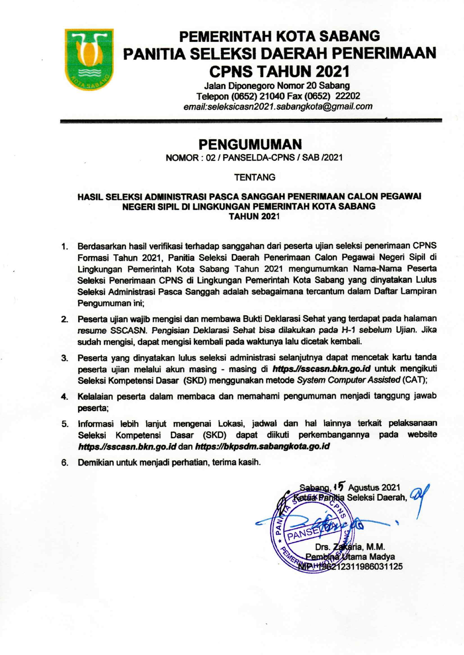

# **PEMERINTAH KOTA SABANG** PANITIA SELEKSI DAERAH PENERIMAAN **CPNS TAHUN 2021**

Jalan Diponegoro Nomor 20 Sabang Telepon (0652) 21040 Fax (0652) 22202 email:seleksicasn2021.sabangkota@gmail.com

## **PENGUMUMAN**

NOMOR: 02 / PANSELDA-CPNS / SAB /2021

### **TENTANG**

#### HASIL SELEKSI ADMINISTRASI PASCA SANGGAH PENERIMAAN CALON PEGAWAI **NEGERI SIPIL DI LINGKUNGAN PEMERINTAH KOTA SABANG TAHUN 2021**

- 1. Berdasarkan hasil verifikasi terhadap sanggahan dari peserta ujian seleksi penerimaan CPNS Formasi Tahun 2021, Panitia Seleksi Daerah Penerimaan Calon Pegawai Negeri Sipil di Lingkungan Pemerintah Kota Sabang Tahun 2021 mengumumkan Nama-Nama Peserta Seleksi Penerimaan CPNS di Lingkungan Pemerintah Kota Sabang yang dinyatakan Lulus Seleksi Administrasi Pasca Sanggah adalah sebagaimana tercantum dalam Daftar Lampiran Pengumuman ini;
- 2. Peserta ujian wajib mengisi dan membawa Bukti Deklarasi Sehat yang terdapat pada halaman resume SSCASN. Pengisian Deklarasi Sehat bisa dilakukan pada H-1 sebelum Ujian. Jika sudah mengisi, dapat mengisi kembali pada waktunya lalu dicetak kembali.
- 3. Peserta vang dinyatakan lulus seleksi administrasi selanjutnya dapat mencetak kartu tanda peserta ujian melalui akun masing - masing di https.//sscasn.bkn.go.id untuk mengikuti Seleksi Kompetensi Dasar (SKD) menggunakan metode System Computer Assisted (CAT);
- 4. Kelalaian peserta dalam membaca dan memahami pengumuman menjadi tanggung jawab peserta:
- 5. Informasi lebih lanjut mengenai Lokasi, jadwal dan hal lainnya terkait pelaksanaan Seleksi Kompetensi Dasar (SKD) dapat diikuti perkembangannya pada website https.//sscasn.bkn.go.id dan https://bkpsdm.sabangkota.go.id
- 6. Demikian untuk menjadi perhatian, terima kasih.

Sabang, 17 Agustus 2021 atua Panitia Seleksi Daerah, Zakaria, M.M. Drs Pembina Wtama Madya WPH196212311986031125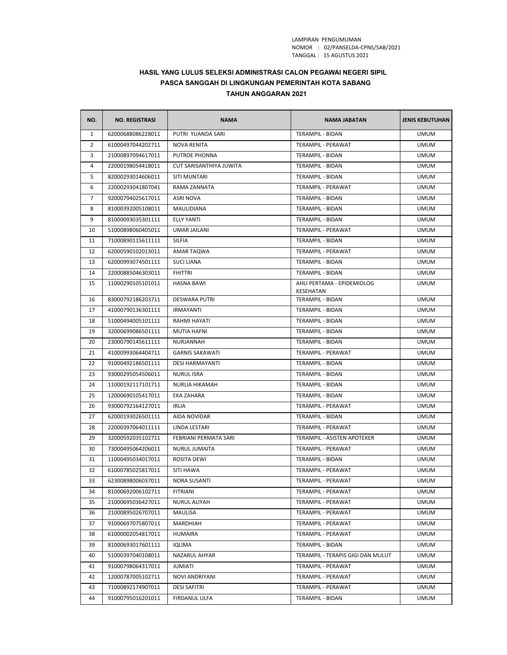#### LAMPIRAN PENGUMUMAN TANGGAL : 15 AGUSTUS 2021 NOMOR : 02/PANSELDA‐CPNS/SAB/2021

#### **HASIL YANG LULUS SELEKSI ADMINISTRASI CALON PEGAWAI NEGERI SIPIL PASCA SANGGAH DI LINGKUNGAN PEMERINTAH KOTA SABANG TAHUN ANGGARAN 2021**

| NO.            | <b>NO. REGISTRASI</b> | <b>NAMA</b>             | <b>NAMA JABATAN</b>                     | <b>JENIS KEBUTUHAN</b> |
|----------------|-----------------------|-------------------------|-----------------------------------------|------------------------|
| $\mathbf{1}$   | 62000688086228011     | PUTRI YUANDA SARI       | <b>TERAMPIL - BIDAN</b>                 | <b>UMUM</b>            |
| $\overline{2}$ | 61000497044202711     | <b>NOVA RENITA</b>      | TERAMPIL - PERAWAT                      | <b>UMUM</b>            |
| 3              | 21000897094617011     | PUTROE PHONNA           | <b>TERAMPIL - BIDAN</b>                 | <b>UMUM</b>            |
| 4              | 22000198054418011     | CUT SARISANTHIYA JUWITA | TERAMPIL - BIDAN                        | <b>UMUM</b>            |
| 5              | 82000293014606011     | <b>SITI MUNTARI</b>     | TERAMPIL - BIDAN                        | <b>UMUM</b>            |
| 6              | 22000293041807041     | RAMA ZANNATA            | TERAMPIL - PERAWAT                      | <b>UMUM</b>            |
| 7              | 92000794025617011     | ASRI NOVA               | <b>TERAMPIL - BIDAN</b>                 | <b>UMUM</b>            |
| 8              | 81000392005108011     | <b>MAULIDIANA</b>       | TERAMPIL - BIDAN                        | <b>UMUM</b>            |
| 9              | 81000093035301111     | ELLY YANTI              | TERAMPIL - BIDAN                        | <b>UMUM</b>            |
| 10             | 51000898060405011     | <b>UMAR JAILANI</b>     | TERAMPIL - PERAWAT                      | <b>UMUM</b>            |
| 11             | 71000890115611111     | SILFIA                  | TERAMPIL - BIDAN                        | <b>UMUM</b>            |
| 12             | 62000590102013011     | AMAR TAQWA              | TERAMPIL - PERAWAT                      | <b>UMUM</b>            |
| 13             | 62000993074501111     | <b>SUCI LIANA</b>       | TERAMPIL - BIDAN                        | <b>UMUM</b>            |
| 14             | 22000885046303011     | <b>FHITTRI</b>          | TERAMPIL - BIDAN                        | <b>UMUM</b>            |
| 15             | 11000290105101011     | <b>HASNA BAWI</b>       | AHLI PERTAMA - EPIDEMIOLOG<br>KESEHATAN | <b>UMUM</b>            |
| 16             | 83000792186203711     | <b>DESWARA PUTRI</b>    | <b>TERAMPIL - BIDAN</b>                 | <b>UMUM</b>            |
| 17             | 41000790136301111     | IRMAYANTI               | TERAMPIL - BIDAN                        | <b>UMUM</b>            |
| 18             | 51000494005101111     | RAHMI HAYATI            | <b>TERAMPIL - BIDAN</b>                 | <b>UMUM</b>            |
| 19             | 32000699086501111     | <b>MUTIA HAFNI</b>      | TERAMPIL - BIDAN                        | <b>UMUM</b>            |
| 20             | 23000790145611111     | <b>NURJANNAH</b>        | <b>TERAMPIL - BIDAN</b>                 | <b>UMUM</b>            |
| 21             | 41000993064404711     | <b>GARNIS SAKAWATI</b>  | TERAMPIL - PERAWAT                      | <b>UMUM</b>            |
| 22             | 91000492186501111     | <b>DESI HARMAYANTI</b>  | TERAMPIL - BIDAN                        | <b>UMUM</b>            |
| 23             | 93000295054506011     | <b>NURUL ISRA</b>       | TERAMPIL - BIDAN                        | <b>UMUM</b>            |
| 24             | 11000192117101711     | NURLIA HIKAMAH          | TERAMPIL - BIDAN                        | <b>UMUM</b>            |
| 25             | 12000690105417011     | EKA ZAHARA              | TERAMPIL - BIDAN                        | <b>UMUM</b>            |
| 26             | 93000792164127011     | <b>IRLIA</b>            | TERAMPIL - PERAWAT                      | <b>UMUM</b>            |
| 27             | 62000193026501111     | AIDA NOVIDAR            | TERAMPIL - BIDAN                        | <b>UMUM</b>            |
| 28             | 22000397064011111     | LINDA LESTARI           | TERAMPIL - PERAWAT                      | <b>UMUM</b>            |
| 29             | 32000592035102711     | FEBRIANI PERMATA SARI   | TERAMPIL - ASISTEN APOTEKER             | <b>UMUM</b>            |
| 30             | 73000495064206011     | NURUL JUMAITA           | TERAMPIL - PERAWAT                      | <b>UMUM</b>            |
| 31             | 11000495034017011     | ROSITA DEWI             | <b>TERAMPIL - BIDAN</b>                 | <b>UMUM</b>            |
| 32             | 61000785025817011     | <b>SITI HAWA</b>        | TERAMPIL - PERAWAT                      | <b>UMUM</b>            |
| 33             | 62300898006037011     | <b>NORA SUSANTI</b>     | TERAMPIL - PERAWAT                      | <b>UMUM</b>            |
| 34             | 81000692006102711     | FITRIANI                | TERAMPIL - PERAWAT                      | <b>UMUM</b>            |
| 35             | 21000695036427011     | <b>NURUL ALIYAH</b>     | TERAMPIL - PERAWAT                      | <b>UMUM</b>            |
| 36             | 21000895026707011     | <b>MAULISA</b>          | TERAMPIL - PERAWAT                      | <b>UMUM</b>            |
| 37             | 91000697075807011     | MARDHIAH                | TERAMPIL - PERAWAT                      | <b>UMUM</b>            |
| 38             | 61000002054817011     | <b>HUMAIRA</b>          | TERAMPIL - PERAWAT                      | <b>UMUM</b>            |
| 39             | 81000693017601111     | IQLIMA                  | <b>TERAMPIL - BIDAN</b>                 | <b>UMUM</b>            |
| 40             | 51000397040108011     | NAZARUL AHYAR           | TERAMPIL - TERAPIS GIGI DAN MULUT       | <b>UMUM</b>            |
| 41             | 91000798064317011     | JUMIATI                 | TERAMPIL - PERAWAT                      | <b>UMUM</b>            |
| 42             | 12000787005102711     | <b>NOVI ANDRIYANI</b>   | TERAMPIL - PERAWAT                      | <b>UMUM</b>            |
| 43             | 71000892174907011     | <b>DESI SAFITRI</b>     | TERAMPIL - PERAWAT                      | <b>UMUM</b>            |
| 44             | 91000795016201011     | FIRDANUL ULFA           | TERAMPIL - BIDAN                        | <b>UMUM</b>            |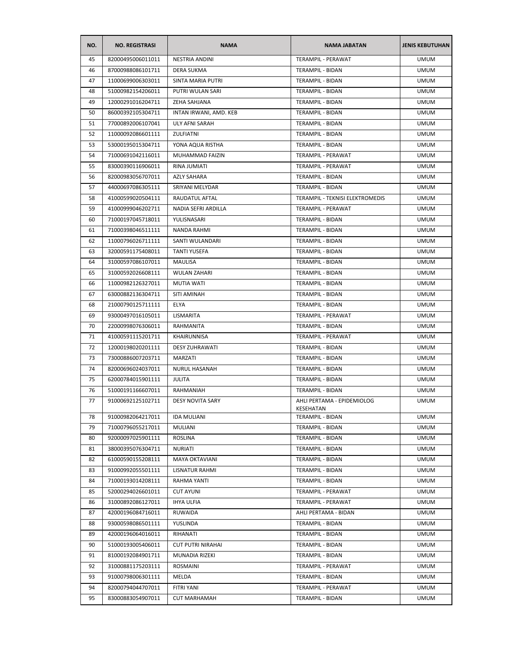| NO. | <b>NO. REGISTRASI</b> | <b>NAMA</b>              | <b>NAMA JABATAN</b>                     | <b>JENIS KEBUTUHAN</b> |
|-----|-----------------------|--------------------------|-----------------------------------------|------------------------|
| 45  | 82000495006011011     | <b>NESTRIA ANDINI</b>    | <b>TERAMPIL - PERAWAT</b>               | <b>UMUM</b>            |
| 46  | 87000988086101711     | <b>DERA SUKMA</b>        | TERAMPIL - BIDAN                        | <b>UMUM</b>            |
| 47  | 11000699006303011     | <b>SINTA MARIA PUTRI</b> | TERAMPIL - BIDAN                        | <b>UMUM</b>            |
| 48  | 51000982154206011     | PUTRI WULAN SARI         | <b>TERAMPIL - BIDAN</b>                 | <b>UMUM</b>            |
| 49  | 12000291016204711     | ZEHA SAHJANA             | TERAMPIL - BIDAN                        | <b>UMUM</b>            |
| 50  | 86000392105304711     | INTAN IRWANI, AMD. KEB   | TERAMPIL - BIDAN                        | <b>UMUM</b>            |
| 51  | 77000892006107041     | ULY AFNI SARAH           | <b>TERAMPIL - BIDAN</b>                 | <b>UMUM</b>            |
| 52  | 11000092086601111     | ZULFIATNI                | TERAMPIL - BIDAN                        | <b>UMUM</b>            |
| 53  | 53000195015304711     | YONA AQUA RISTHA         | <b>TERAMPIL - BIDAN</b>                 | <b>UMUM</b>            |
| 54  | 71000691042116011     | MUHAMMAD FAIZIN          | TERAMPIL - PERAWAT                      | <b>UMUM</b>            |
| 55  | 83000390116906011     | RINA JUMIATI             | TERAMPIL - PERAWAT                      | <b>UMUM</b>            |
| 56  | 82000983056707011     | <b>AZLY SAHARA</b>       | TERAMPIL - BIDAN                        | <b>UMUM</b>            |
| 57  | 44000697086305111     | SRIYANI MELYDAR          | TERAMPIL - BIDAN                        | <b>UMUM</b>            |
| 58  | 41000599020504111     | RAUDATUL AFTAL           | TERAMPIL - TEKNISI ELEKTROMEDIS         | <b>UMUM</b>            |
| 59  | 41000999046202711     | NADIA SEFRI ARDILLA      | TERAMPIL - PERAWAT                      | <b>UMUM</b>            |
| 60  | 71000197045718011     | YULISNASARI              | TERAMPIL - BIDAN                        | <b>UMUM</b>            |
| 61  | 71000398046511111     | <b>NANDA RAHMI</b>       | TERAMPIL - BIDAN                        | <b>UMUM</b>            |
| 62  | 11000796026711111     | SANTI WULANDARI          | <b>TERAMPIL - BIDAN</b>                 | <b>UMUM</b>            |
| 63  | 32000591175408011     | <b>TANTI YUSEFA</b>      | TERAMPIL - BIDAN                        | <b>UMUM</b>            |
| 64  | 31000597086107011     | <b>MAULISA</b>           | TERAMPIL - BIDAN                        | <b>UMUM</b>            |
| 65  | 31000592026608111     | <b>WULAN ZAHARI</b>      | TERAMPIL - BIDAN                        | <b>UMUM</b>            |
| 66  | 11000982126327011     | <b>MUTIA WATI</b>        | TERAMPIL - BIDAN                        | <b>UMUM</b>            |
| 67  | 63000882136304711     | SITI AMINAH              | TERAMPIL - BIDAN                        | <b>UMUM</b>            |
| 68  | 21000790125711111     | ELYA                     | TERAMPIL - BIDAN                        | <b>UMUM</b>            |
| 69  | 93000497016105011     | LISMARITA                | TERAMPIL - PERAWAT                      | <b>UMUM</b>            |
| 70  | 22000998076306011     | RAHMANITA                | TERAMPIL - BIDAN                        | <b>UMUM</b>            |
| 71  | 41000591115201711     | KHAIRUNNISA              | TERAMPIL - PERAWAT                      | <b>UMUM</b>            |
| 72  | 12000198020201111     | <b>DESY ZUHRAWATI</b>    | TERAMPIL - BIDAN                        | <b>UMUM</b>            |
| 73  | 73000886007203711     | MARZATI                  | TERAMPIL - BIDAN                        | <b>UMUM</b>            |
| 74  | 82000696024037011     | NURUL HASANAH            | TERAMPIL - BIDAN                        | <b>UMUM</b>            |
| 75  | 62000784015901111     | JULITA                   | TERAMPIL - BIDAN                        | <b>UMUM</b>            |
| 76  | 51000191166607011     | RAHMANIAH                | TERAMPIL - BIDAN                        | <b>UMUM</b>            |
| 77  | 91000692125102711     | <b>DESY NOVITA SARY</b>  | AHLI PERTAMA - EPIDEMIOLOG<br>KESEHATAN | <b>UMUM</b>            |
| 78  | 91000982064217011     | <b>IDA MULIANI</b>       | TERAMPIL - BIDAN                        | <b>UMUM</b>            |
| 79  | 71000796055217011     | MULIANI                  | <b>TERAMPIL - BIDAN</b>                 | <b>UMUM</b>            |
| 80  | 92000097025901111     | ROSLINA                  | TERAMPIL - BIDAN                        | <b>UMUM</b>            |
| 81  | 38000395076304711     | <b>NURIATI</b>           | TERAMPIL - BIDAN                        | <b>UMUM</b>            |
| 82  | 61000590155208111     | MAYA OKTAVIANI           | TERAMPIL - BIDAN                        | <b>UMUM</b>            |
| 83  | 91000992055501111     | LISNATUR RAHMI           | TERAMPIL - BIDAN                        | <b>UMUM</b>            |
| 84  | 71000193014208111     | RAHMA YANTI              | TERAMPIL - BIDAN                        | <b>UMUM</b>            |
| 85  | 52000294026601011     | <b>CUT AYUNI</b>         | TERAMPIL - PERAWAT                      | <b>UMUM</b>            |
| 86  | 31000892086127011     | <b>IHYA ULFIA</b>        | TERAMPIL - PERAWAT                      | <b>UMUM</b>            |
| 87  | 42000196084716011     | RUWAIDA                  | AHLI PERTAMA - BIDAN                    | <b>UMUM</b>            |
| 88  | 93000598086501111     | YUSLINDA                 | TERAMPIL - BIDAN                        | <b>UMUM</b>            |
| 89  | 42000196064016011     | RIHANATI                 | TERAMPIL - BIDAN                        | <b>UMUM</b>            |
| 90  | 51000193005406011     | <b>CUT PUTRI NIRAHAI</b> | TERAMPIL - BIDAN                        | <b>UMUM</b>            |
| 91  | 81000192084901711     | MUNADIA RIZEKI           | TERAMPIL - BIDAN                        | <b>UMUM</b>            |
| 92  | 31000881175203111     | ROSMAINI                 | TERAMPIL - PERAWAT                      | <b>UMUM</b>            |
| 93  | 91000798006301111     | MELDA                    | TERAMPIL - BIDAN                        | <b>UMUM</b>            |
| 94  | 82000794044707011     | FITRI YANI               | TERAMPIL - PERAWAT                      | <b>UMUM</b>            |
| 95  | 83000883054907011     | <b>CUT MARHAMAH</b>      | TERAMPIL - BIDAN                        | <b>UMUM</b>            |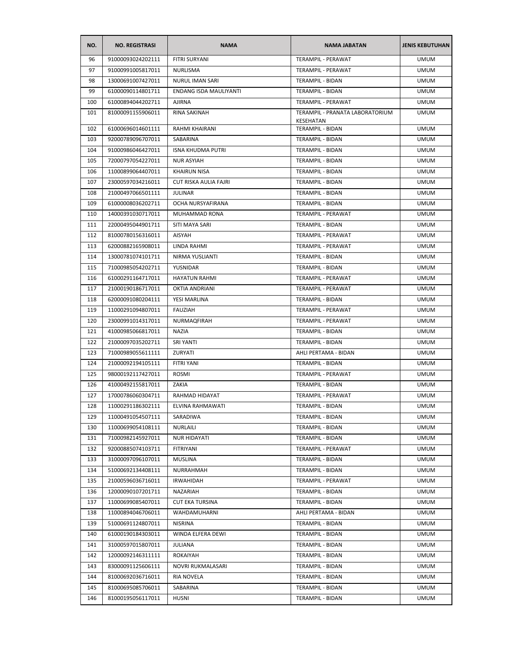| NO.        | <b>NO. REGISTRASI</b>                  | <b>NAMA</b>                  | <b>NAMA JABATAN</b>                  | <b>JENIS KEBUTUHAN</b>     |
|------------|----------------------------------------|------------------------------|--------------------------------------|----------------------------|
| 96         | 91000093024202111                      | <b>FITRI SURYANI</b>         | TERAMPIL - PERAWAT                   | <b>UMUM</b>                |
| 97         | 91000991005817011                      | NURLISMA                     | TERAMPIL - PERAWAT                   | <b>UMUM</b>                |
| 98         | 13000691007427011                      | <b>NURUL IMAN SARI</b>       | TERAMPIL - BIDAN                     | <b>UMUM</b>                |
| 99         | 61000090114801711                      | ENDANG ISDA MAULIYANTI       | <b>TERAMPIL - BIDAN</b>              | <b>UMUM</b>                |
| 100        | 61000894044202711                      | <b>AJIRNA</b>                | TERAMPIL - PERAWAT                   | <b>UMUM</b>                |
| 101        | 81000091155906011                      | RINA SAKINAH                 | TERAMPIL - PRANATA LABORATORIUM      | <b>UMUM</b>                |
| 102        | 61000696014601111                      | <b>RAHMI KHAIRANI</b>        | KESEHATAN<br>TERAMPIL - BIDAN        | <b>UMUM</b>                |
| 103        | 92000789096707011                      | SABARINA                     | TERAMPIL - BIDAN                     | <b>UMUM</b>                |
| 104        | 91000986046427011                      | <b>ISNA KHUDMA PUTRI</b>     | <b>TERAMPIL - BIDAN</b>              | <b>UMUM</b>                |
| 105        | 72000797054227011                      | <b>NUR ASYIAH</b>            | TERAMPIL - BIDAN                     | <b>UMUM</b>                |
| 106        | 11000899064407011                      | <b>KHAIRUN NISA</b>          | TERAMPIL - BIDAN                     | <b>UMUM</b>                |
| 107        | 23000597034216011                      | CUT RISKA AULIA FAJRI        | TERAMPIL - BIDAN                     | <b>UMUM</b>                |
| 108        | 21000497066501111                      | <b>JULINAR</b>               | TERAMPIL - BIDAN                     | <b>UMUM</b>                |
| 109        | 61000008036202711                      | OCHA NURSYAFIRANA            | TERAMPIL - BIDAN                     | <b>UMUM</b>                |
| 110        | 14000391030717011                      | MUHAMMAD RONA                | TERAMPIL - PERAWAT                   | <b>UMUM</b>                |
| 111        | 22000495044901711                      | SITI MAYA SARI               | TERAMPIL - BIDAN                     | <b>UMUM</b>                |
| 112        | 81000780156316011                      | AISYAH                       | TERAMPIL - PERAWAT                   | <b>UMUM</b>                |
| 113        | 62000882165908011                      | LINDA RAHMI                  | <b>TERAMPIL - PERAWAT</b>            | <b>UMUM</b>                |
| 114        | 13000781074101711                      | NIRMA YUSLIANTI              | TERAMPIL - BIDAN                     | <b>UMUM</b>                |
| 115        | 71000985054202711                      | <b>YUSNIDAR</b>              | <b>TERAMPIL - BIDAN</b>              | <b>UMUM</b>                |
| 116        | 61000291164717011                      | <b>HAYATUN RAHMI</b>         | TERAMPIL - PERAWAT                   | <b>UMUM</b>                |
| 117        | 21000190186717011                      | OKTIA ANDRIANI               | TERAMPIL - PERAWAT                   | <b>UMUM</b>                |
| 118        | 62000091080204111                      | YESI MARLINA                 | TERAMPIL - BIDAN                     | <b>UMUM</b>                |
| 119        | 11000291094807011                      | <b>FAUZIAH</b>               | TERAMPIL - PERAWAT                   | <b>UMUM</b>                |
| 120        | 23000991014317011                      | NURMAQFIRAH                  | TERAMPIL - PERAWAT                   | <b>UMUM</b>                |
| 121        | 41000985066817011                      | <b>NAZIA</b>                 | TERAMPIL - BIDAN                     | <b>UMUM</b>                |
| 122        | 21000097035202711                      | <b>SRI YANTI</b>             | TERAMPIL - BIDAN                     | <b>UMUM</b>                |
| 123        | 71000989055611111                      | ZURYATI                      | AHLI PERTAMA - BIDAN                 | <b>UMUM</b>                |
| 124        | 21000092194105111                      | FITRI YANI                   | TERAMPIL - BIDAN                     | <b>UMUM</b>                |
| 125        | 98000192117427011                      | <b>ROSMI</b>                 | TERAMPIL - PERAWAT                   | <b>UMUM</b>                |
| 126        | 41000492155817011                      | ZAKIA                        | TERAMPIL - BIDAN                     | <b>UMUM</b>                |
| 127        |                                        |                              | TERAMPIL - PERAWAT                   | <b>UMUM</b>                |
|            | 17000786060304711                      | RAHMAD HIDAYAT               |                                      | <b>UMUM</b>                |
| 128<br>129 | 11000291186302111<br>11000491054507111 | ELVINA RAHMAWATI<br>SARADIWA | TERAMPIL - BIDAN                     | <b>UMUM</b>                |
|            |                                        | NURLAILI                     | TERAMPIL - BIDAN                     |                            |
| 130<br>131 | 11000699054108111<br>71000982145927011 | <b>NUR HIDAYATI</b>          | TERAMPIL - BIDAN<br>TERAMPIL - BIDAN | <b>UMUM</b><br><b>UMUM</b> |
| 132        | 92000885074103711                      | <b>FITRIYANI</b>             | <b>TERAMPIL - PERAWAT</b>            | <b>UMUM</b>                |
| 133        | 31000097096107011                      | MUSLINA                      | TERAMPIL - BIDAN                     | <b>UMUM</b>                |
| 134        | 51000692134408111                      | NURRAHMAH                    | TERAMPIL - BIDAN                     | <b>UMUM</b>                |
| 135        | 21000596036716011                      | <b>IRWAHIDAH</b>             | TERAMPIL - PERAWAT                   | <b>UMUM</b>                |
| 136        | 12000090107201711                      | NAZARIAH                     | TERAMPIL - BIDAN                     | <b>UMUM</b>                |
| 137        | 11000699085407011                      | <b>CUT EKA TURSINA</b>       | TERAMPIL - BIDAN                     | <b>UMUM</b>                |
| 138        | 11000894046706011                      | WAHDAMUHARNI                 | AHLI PERTAMA - BIDAN                 | <b>UMUM</b>                |
| 139        | 51000691124807011                      | NISRINA                      | TERAMPIL - BIDAN                     | <b>UMUM</b>                |
| 140        | 61000190184303011                      | WINDA ELFERA DEWI            | TERAMPIL - BIDAN                     | <b>UMUM</b>                |
| 141        | 31000597015807011                      | JULIANA                      | TERAMPIL - BIDAN                     | <b>UMUM</b>                |
| 142        | 12000092146311111                      | ROKAIYAH                     | TERAMPIL - BIDAN                     | <b>UMUM</b>                |
| 143        | 83000091125606111                      | NOVRI RUKMALASARI            | TERAMPIL - BIDAN                     | <b>UMUM</b>                |
| 144        |                                        | RIA NOVELA                   | TERAMPIL - BIDAN                     | <b>UMUM</b>                |
|            | 81000692036716011                      |                              |                                      |                            |
| 145        | 81000695085706011                      | SABARINA                     | TERAMPIL - BIDAN                     | <b>UMUM</b>                |
| 146        | 81000195056117011                      | HUSNI                        | TERAMPIL - BIDAN                     | <b>UMUM</b>                |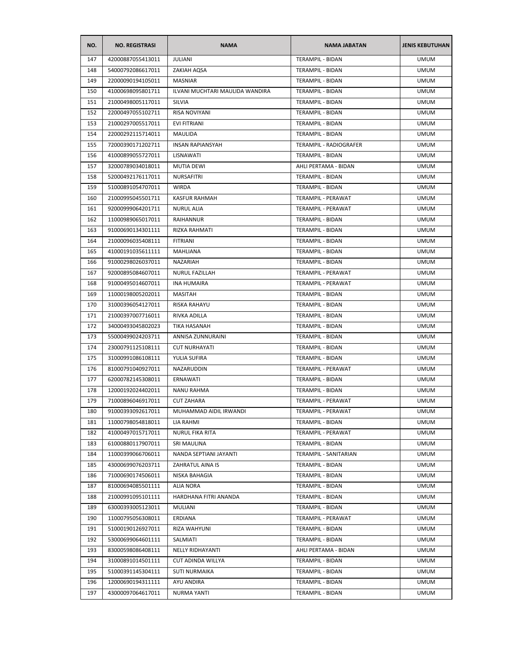| NO. | <b>NO. REGISTRASI</b> | <b>NAMA</b>                     | <b>NAMA JABATAN</b>       | <b>JENIS KEBUTUHAN</b> |
|-----|-----------------------|---------------------------------|---------------------------|------------------------|
| 147 | 42000887055413011     | <b>JULIANI</b>                  | <b>TERAMPIL - BIDAN</b>   | <b>UMUM</b>            |
| 148 | 54000792086617011     | ZAKIAH AQSA                     | TERAMPIL - BIDAN          | <b>UMUM</b>            |
| 149 | 22000090194105011     | <b>MASNIAR</b>                  | TERAMPIL - BIDAN          | <b>UMUM</b>            |
| 150 | 41000698095801711     | ILVANI MUCHTARI MAULIDA WANDIRA | TERAMPIL - BIDAN          | <b>UMUM</b>            |
| 151 | 21000498005117011     | SILVIA                          | TERAMPIL - BIDAN          | <b>UMUM</b>            |
| 152 | 22000497055102711     | RISA NOVIYANI                   | TERAMPIL - BIDAN          | <b>UMUM</b>            |
| 153 | 21000297005517011     | <b>EVI FITRIANI</b>             | <b>TERAMPIL - BIDAN</b>   | <b>UMUM</b>            |
| 154 | 22000292115714011     | MAULIDA                         | TERAMPIL - BIDAN          | <b>UMUM</b>            |
| 155 | 72000390171202711     | <b>INSAN RAPIANSYAH</b>         | TERAMPIL - RADIOGRAFER    | <b>UMUM</b>            |
| 156 | 41000899055727011     | LISNAWATI                       | TERAMPIL - BIDAN          | <b>UMUM</b>            |
| 157 | 32000789034018011     | <b>MUTIA DEWI</b>               | AHLI PERTAMA - BIDAN      | <b>UMUM</b>            |
| 158 | 52000492176117011     | NURSAFITRI                      | TERAMPIL - BIDAN          | <b>UMUM</b>            |
| 159 | 51000891054707011     | <b>WIRDA</b>                    | TERAMPIL - BIDAN          | <b>UMUM</b>            |
| 160 | 21000995045501711     | <b>KASFUR RAHMAH</b>            | TERAMPIL - PERAWAT        | <b>UMUM</b>            |
| 161 | 92000999064201711     | <b>NURUL ALIA</b>               | TERAMPIL - PERAWAT        | <b>UMUM</b>            |
| 162 | 11000989065017011     | <b>RAIHANNUR</b>                | TERAMPIL - BIDAN          | <b>UMUM</b>            |
| 163 | 91000690134301111     | RIZKA RAHMATI                   | TERAMPIL - BIDAN          | <b>UMUM</b>            |
| 164 | 21000096035408111     | <b>FITRIANI</b>                 | TERAMPIL - BIDAN          | <b>UMUM</b>            |
| 165 | 41000191035611111     | MAHLIANA                        | TERAMPIL - BIDAN          | <b>UMUM</b>            |
| 166 | 91000298026037011     | NAZARIAH                        | TERAMPIL - BIDAN          | <b>UMUM</b>            |
| 167 | 92000895084607011     | <b>NURUL FAZILLAH</b>           | TERAMPIL - PERAWAT        | <b>UMUM</b>            |
| 168 | 91000495014607011     | <b>INA HUMAIRA</b>              | TERAMPIL - PERAWAT        | <b>UMUM</b>            |
| 169 | 11000198005202011     | MASITAH                         | TERAMPIL - BIDAN          | <b>UMUM</b>            |
| 170 | 31000396054127011     | RISKA RAHAYU                    | TERAMPIL - BIDAN          | <b>UMUM</b>            |
| 171 | 21000397007716011     | RIVKA ADILLA                    | TERAMPIL - BIDAN          | <b>UMUM</b>            |
| 172 | 34000493045802023     | TIKA HASANAH                    | TERAMPIL - BIDAN          | <b>UMUM</b>            |
| 173 | 55000499024203711     | ANNISA ZUNNURAINI               | TERAMPIL - BIDAN          | <b>UMUM</b>            |
| 174 | 23000791125108111     | <b>CUT NURHAYATI</b>            | TERAMPIL - BIDAN          | <b>UMUM</b>            |
| 175 | 31000991086108111     | YULIA SUFIRA                    | TERAMPIL - BIDAN          | <b>UMUM</b>            |
| 176 | 81000791040927011     | NAZARUDDIN                      | TERAMPIL - PERAWAT        | <b>UMUM</b>            |
| 177 | 62000782145308011     | ERNAWATI                        | TERAMPIL - BIDAN          | <b>UMUM</b>            |
| 178 | 12000192024402011     | <b>NANU RAHMA</b>               | TERAMPIL - BIDAN          | <b>UMUM</b>            |
| 179 | 71000896046917011     | <b>CUT ZAHARA</b>               | <b>TERAMPIL - PERAWAT</b> | <b>UMUM</b>            |
| 180 | 91000393092617011     | MUHAMMAD AIDIL IRWANDI          | TERAMPIL - PERAWAT        | <b>UMUM</b>            |
| 181 | 11000798054818011     | LIA RAHMI                       | <b>TERAMPIL - BIDAN</b>   | <b>UMUM</b>            |
| 182 | 41000497015717011     | NURUL FIKA RITA                 | TERAMPIL - PERAWAT        | <b>UMUM</b>            |
| 183 | 61000880117907011     | SRI MAULINA                     | TERAMPIL - BIDAN          | <b>UMUM</b>            |
| 184 | 11000399066706011     | NANDA SEPTIANI JAYANTI          | TERAMPIL - SANITARIAN     | <b>UMUM</b>            |
| 185 | 43000699076203711     | ZAHRATUL AINA IS                | TERAMPIL - BIDAN          | <b>UMUM</b>            |
| 186 | 71000690174506011     | NISKA BAHAGIA                   | TERAMPIL - BIDAN          | <b>UMUM</b>            |
| 187 | 81000694085501111     | <b>ALIA NORA</b>                | TERAMPIL - BIDAN          | <b>UMUM</b>            |
| 188 | 21000991095101111     | HARDHANA FITRI ANANDA           | TERAMPIL - BIDAN          | <b>UMUM</b>            |
| 189 | 63000393005123011     | MULIANI                         | TERAMPIL - BIDAN          | <b>UMUM</b>            |
| 190 | 11000795056308011     | ERDIANA                         | TERAMPIL - PERAWAT        | <b>UMUM</b>            |
| 191 | 51000190126927011     | RIZA WAHYUNI                    | TERAMPIL - BIDAN          | <b>UMUM</b>            |
| 192 | 53000699064601111     | SALMIATI                        | TERAMPIL - BIDAN          | <b>UMUM</b>            |
| 193 | 83000598086408111     | NELLY RIDHAYANTI                | AHLI PERTAMA - BIDAN      | <b>UMUM</b>            |
| 194 | 31000891014501111     | CUT ADINDA WILLYA               | TERAMPIL - BIDAN          | <b>UMUM</b>            |
| 195 | 51000391145304111     | <b>SUTI NURMAIKA</b>            | TERAMPIL - BIDAN          | <b>UMUM</b>            |
| 196 | 12000690194311111     | AYU ANDIRA                      | TERAMPIL - BIDAN          | <b>UMUM</b>            |
| 197 |                       |                                 |                           | <b>UMUM</b>            |
|     | 43000097064617011     | NURMA YANTI                     | TERAMPIL - BIDAN          |                        |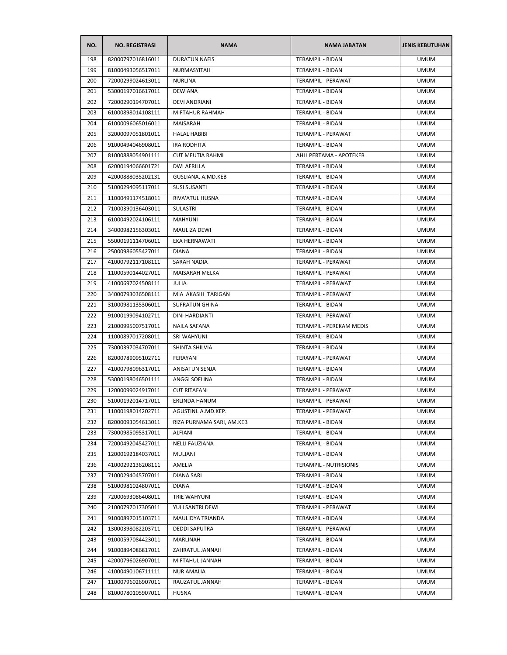| NO. | <b>NO. REGISTRASI</b> | <b>NAMA</b>               | <b>NAMA JABATAN</b>       | <b>JENIS KEBUTUHAN</b> |
|-----|-----------------------|---------------------------|---------------------------|------------------------|
| 198 | 82000797016816011     | <b>DURATUN NAFIS</b>      | <b>TERAMPIL - BIDAN</b>   | <b>UMUM</b>            |
| 199 | 81000493056517011     | NURMASYITAH               | TERAMPIL - BIDAN          | <b>UMUM</b>            |
| 200 | 72000299024613011     | <b>NURLINA</b>            | TERAMPIL - PERAWAT        | <b>UMUM</b>            |
| 201 | 53000197016617011     | <b>DEWIANA</b>            | TERAMPIL - BIDAN          | <b>UMUM</b>            |
| 202 | 72000290194707011     | DEVI ANDRIANI             | TERAMPIL - BIDAN          | <b>UMUM</b>            |
| 203 | 61000898014108111     | MIFTAHUR RAHMAH           | TERAMPIL - BIDAN          | <b>UMUM</b>            |
| 204 | 61000096065016011     | MAISARAH                  | TERAMPIL - BIDAN          | <b>UMUM</b>            |
| 205 | 32000097051801011     | <b>HALAL HABIBI</b>       | TERAMPIL - PERAWAT        | <b>UMUM</b>            |
| 206 | 91000494046908011     | <b>IRA RODHITA</b>        | <b>TERAMPIL - BIDAN</b>   | <b>UMUM</b>            |
| 207 | 81000888054901111     | <b>CUT MEUTIA RAHMI</b>   | AHLI PERTAMA - APOTEKER   | <b>UMUM</b>            |
| 208 | 62000194066601721     | <b>DWI AFRILLA</b>        | TERAMPIL - BIDAN          | <b>UMUM</b>            |
| 209 | 42000888035202131     | GUSLIANA, A.MD.KEB        | TERAMPIL - BIDAN          | <b>UMUM</b>            |
| 210 | 51000294095117011     | <b>SUSI SUSANTI</b>       | TERAMPIL - BIDAN          | <b>UMUM</b>            |
| 211 | 11000491174518011     | <b>RIVA' ATUL HUSNA</b>   | TERAMPIL - BIDAN          | <b>UMUM</b>            |
| 212 | 71000390136403011     | <b>SULASTRI</b>           | TERAMPIL - BIDAN          | <b>UMUM</b>            |
| 213 | 61000492024106111     | <b>MAHYUNI</b>            | TERAMPIL - BIDAN          | <b>UMUM</b>            |
| 214 | 34000982156303011     | <b>MAULIZA DEWI</b>       | TERAMPIL - BIDAN          | <b>UMUM</b>            |
| 215 | 55000191114706011     | EKA HERNAWATI             | TERAMPIL - BIDAN          | <b>UMUM</b>            |
| 216 | 25000986055427011     | <b>DIANA</b>              | TERAMPIL - BIDAN          | <b>UMUM</b>            |
| 217 | 41000792117108111     | SARAH NADIA               | TERAMPIL - PERAWAT        | <b>UMUM</b>            |
| 218 | 11000590144027011     | MAISARAH MELKA            | TERAMPIL - PERAWAT        | <b>UMUM</b>            |
| 219 | 41000697024508111     | JULIA                     | TERAMPIL - PERAWAT        | <b>UMUM</b>            |
| 220 | 34000793036508111     | MIA AKASIH TARIGAN        | TERAMPIL - PERAWAT        | <b>UMUM</b>            |
| 221 | 31000981135306011     | <b>SUFRATUN GHINA</b>     | TERAMPIL - BIDAN          | <b>UMUM</b>            |
| 222 | 91000199094102711     | DINI HARDIANTI            | TERAMPIL - PERAWAT        | <b>UMUM</b>            |
| 223 | 21000995007517011     | <b>NAILA SAFANA</b>       | TERAMPIL - PEREKAM MEDIS  | <b>UMUM</b>            |
| 224 | 11000897017208011     | <b>SRI WAHYUNI</b>        | TERAMPIL - BIDAN          | <b>UMUM</b>            |
| 225 | 73000397034707011     | SHINTA SHILVIA            | TERAMPIL - BIDAN          | <b>UMUM</b>            |
| 226 | 82000789095102711     | FERAYANI                  | <b>TERAMPIL - PERAWAT</b> | <b>UMUM</b>            |
| 227 | 41000798096317011     | <b>ANISATUN SENJA</b>     | TERAMPIL - BIDAN          | <b>UMUM</b>            |
| 228 | 53000198046501111     | ANGGI SOFLINA             | <b>TERAMPIL - BIDAN</b>   | <b>UMUM</b>            |
| 229 | 12000099024917011     | <b>CUT RITAFANI</b>       | TERAMPIL - PERAWAT        | <b>UMUM</b>            |
| 230 | 51000192014717011     | ERLINDA HANUM             | <b>TERAMPIL - PERAWAT</b> | <b>UMUM</b>            |
| 231 | 11000198014202711     | AGUSTINI. A.MD.KEP.       | TERAMPIL - PERAWAT        | <b>UMUM</b>            |
| 232 | 82000093054613011     | RIZA PURNAMA SARI, AM.KEB | TERAMPIL - BIDAN          | <b>UMUM</b>            |
| 233 | 73000985095317011     | ALFIANI                   | <b>TERAMPIL - BIDAN</b>   | <b>UMUM</b>            |
| 234 | 72000492045427011     | <b>NELLI FAUZIANA</b>     | TERAMPIL - BIDAN          | <b>UMUM</b>            |
| 235 | 12000192184037011     | MULIANI                   | TERAMPIL - BIDAN          | <b>UMUM</b>            |
| 236 | 41000292136208111     | AMELIA                    | TERAMPIL - NUTRISIONIS    | <b>UMUM</b>            |
| 237 | 71000294045707011     | DIANA SARI                | TERAMPIL - BIDAN          | <b>UMUM</b>            |
| 238 | 51000981024807011     | <b>DIANA</b>              | <b>TERAMPIL - BIDAN</b>   | <b>UMUM</b>            |
| 239 | 72000693086408011     | TRIE WAHYUNI              | TERAMPIL - BIDAN          | <b>UMUM</b>            |
| 240 | 21000797017305011     | YULI SANTRI DEWI          | TERAMPIL - PERAWAT        | <b>UMUM</b>            |
| 241 | 91000897015103711     | MAULIDYA TRIANDA          | TERAMPIL - BIDAN          | <b>UMUM</b>            |
| 242 | 13000398082203711     | <b>DEDDI SAPUTRA</b>      | TERAMPIL - PERAWAT        | <b>UMUM</b>            |
| 243 | 91000597084423011     | MARLINAH                  | TERAMPIL - BIDAN          | <b>UMUM</b>            |
| 244 | 91000894086817011     | ZAHRATUL JANNAH           | TERAMPIL - BIDAN          | <b>UMUM</b>            |
| 245 | 42000796026907011     | MIFTAHUL JANNAH           | TERAMPIL - BIDAN          | <b>UMUM</b>            |
| 246 | 41000490106711111     | <b>NUR AMALIA</b>         | TERAMPIL - BIDAN          | <b>UMUM</b>            |
| 247 | 11000796026907011     | RAUZATUL JANNAH           | TERAMPIL - BIDAN          | <b>UMUM</b>            |
| 248 | 81000780105907011     | <b>HUSNA</b>              | TERAMPIL - BIDAN          | <b>UMUM</b>            |
|     |                       |                           |                           |                        |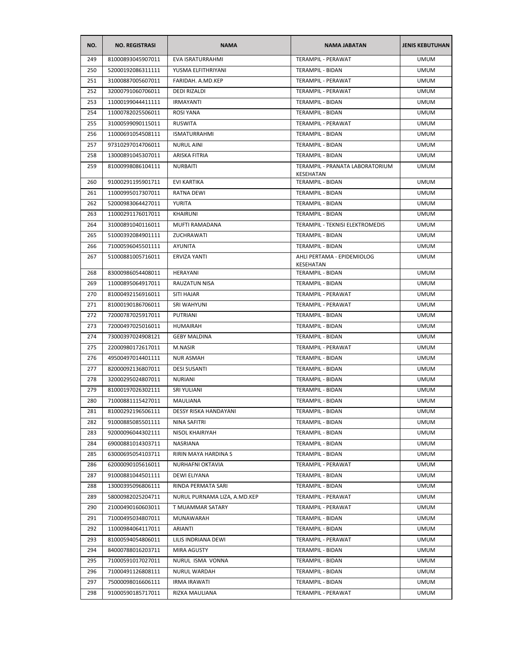| NO. | <b>NO. REGISTRASI</b> | <b>NAMA</b>                  | <b>NAMA JABATAN</b>                          | <b>JENIS KEBUTUHAN</b> |
|-----|-----------------------|------------------------------|----------------------------------------------|------------------------|
| 249 | 81000893045907011     | <b>EVA ISRATURRAHMI</b>      | <b>TERAMPIL - PERAWAT</b>                    | <b>UMUM</b>            |
| 250 | 52000192086311111     | YUSMA ELFITHRIYANI           | TERAMPIL - BIDAN                             | <b>UMUM</b>            |
| 251 | 31000887005607011     | FARIDAH, A.MD.KEP            | TERAMPIL - PERAWAT                           | <b>UMUM</b>            |
| 252 | 32000791060706011     | <b>DEDI RIZALDI</b>          | TERAMPIL - PERAWAT                           | <b>UMUM</b>            |
| 253 | 11000199044411111     | <b>IRMAYANTI</b>             | TERAMPIL - BIDAN                             | <b>UMUM</b>            |
| 254 | 11000782025506011     | <b>ROSI YANA</b>             | TERAMPIL - BIDAN                             | <b>UMUM</b>            |
| 255 | 31000599090115011     | <b>RUSWITA</b>               | TERAMPIL - PERAWAT                           | <b>UMUM</b>            |
| 256 | 11000691054508111     | <b>ISMATURRAHMI</b>          | TERAMPIL - BIDAN                             | <b>UMUM</b>            |
| 257 | 97310297014706011     | <b>NURUL AINI</b>            | TERAMPIL - BIDAN                             | <b>UMUM</b>            |
| 258 | 13000891045307011     | ARISKA FITRIA                | TERAMPIL - BIDAN                             | <b>UMUM</b>            |
| 259 | 81000998086104111     | <b>NURBAITI</b>              | TERAMPIL - PRANATA LABORATORIUM<br>KESEHATAN | <b>UMUM</b>            |
| 260 | 91000291195901711     | <b>EVI KARTIKA</b>           | TERAMPIL - BIDAN                             | <b>UMUM</b>            |
| 261 | 11000995017307011     | RATNA DEWI                   | TERAMPIL - BIDAN                             | <b>UMUM</b>            |
| 262 | 52000983064427011     | <b>YURITA</b>                | TERAMPIL - BIDAN                             | <b>UMUM</b>            |
| 263 | 11000291176017011     | <b>KHAIRUNI</b>              | TERAMPIL - BIDAN                             | <b>UMUM</b>            |
| 264 | 31000891040116011     | MUFTI RAMADANA               | TERAMPIL - TEKNISI ELEKTROMEDIS              | <b>UMUM</b>            |
| 265 | 51000392084901111     | ZUCHRAWATI                   | TERAMPIL - BIDAN                             | <b>UMUM</b>            |
| 266 | 71000596045501111     | AYUNITA                      | TERAMPIL - BIDAN                             | <b>UMUM</b>            |
| 267 | 51000881005716011     | ERVIZA YANTI                 | AHLI PERTAMA - EPIDEMIOLOG<br>KESEHATAN      | <b>UMUM</b>            |
| 268 | 83000986054408011     | <b>HERAYANI</b>              | TERAMPIL - BIDAN                             | <b>UMUM</b>            |
| 269 | 11000895064917011     | RAUZATUN NISA                | TERAMPIL - BIDAN                             | <b>UMUM</b>            |
| 270 | 81000492156916011     | SITI HAJAR                   | TERAMPIL - PERAWAT                           | <b>UMUM</b>            |
| 271 | 81000190186706011     | SRI WAHYUNI                  | TERAMPIL - PERAWAT                           | <b>UMUM</b>            |
| 272 | 72000787025917011     | PUTRIANI                     | TERAMPIL - BIDAN                             | <b>UMUM</b>            |
| 273 | 72000497025016011     | <b>HUMAIRAH</b>              | TERAMPIL - BIDAN                             | UMUM                   |
| 274 | 73000397024908121     | <b>GEBY MALDINA</b>          | TERAMPIL - BIDAN                             | <b>UMUM</b>            |
| 275 | 22000980172617011     | M.NASIR                      | TERAMPIL - PERAWAT                           | <b>UMUM</b>            |
| 276 | 49500497014401111     | <b>NUR ASMAH</b>             | TERAMPIL - BIDAN                             | <b>UMUM</b>            |
| 277 | 82000092136807011     | <b>DESI SUSANTI</b>          | TERAMPIL - BIDAN                             | <b>UMUM</b>            |
| 278 | 32000295024807011     | <b>NURIANI</b>               | TERAMPIL - BIDAN                             | <b>UMUM</b>            |
| 279 | 81000197026302111     | SRI YULIANI                  | <b>TERAMPIL - BIDAN</b>                      | <b>UMUM</b>            |
| 280 | 71000881115427011     | <b>MAULIANA</b>              | <b>TERAMPIL - BIDAN</b>                      | <b>UMUM</b>            |
| 281 | 81000292196506111     | DESSY RISKA HANDAYANI        | TERAMPIL - BIDAN                             | <b>UMUM</b>            |
| 282 | 91000885085501111     | NINA SAFITRI                 | TERAMPIL - BIDAN                             | <b>UMUM</b>            |
| 283 | 92000096044302111     | NISOL KHAIRIYAH              | TERAMPIL - BIDAN                             | <b>UMUM</b>            |
| 284 | 69000881014303711     | NASRIANA                     | TERAMPIL - BIDAN                             | <b>UMUM</b>            |
| 285 | 63000695054103711     | RIRIN MAYA HARDINA S         | TERAMPIL - BIDAN                             | <b>UMUM</b>            |
| 286 | 62000090105616011     | NURHAFNI OKTAVIA             | TERAMPIL - PERAWAT                           | <b>UMUM</b>            |
| 287 | 91000881044501111     | DEWI ELIYANA                 | TERAMPIL - BIDAN                             | <b>UMUM</b>            |
| 288 | 13000395096806111     | RINDA PERMATA SARI           | TERAMPIL - BIDAN                             | <b>UMUM</b>            |
| 289 | 58000982025204711     | NURUL PURNAMA LIZA, A.MD.KEP | TERAMPIL - PERAWAT                           | <b>UMUM</b>            |
| 290 | 21000490160603011     | T MUAMMAR SATARY             | TERAMPIL - PERAWAT                           | <b>UMUM</b>            |
| 291 | 71000495034807011     | MUNAWARAH                    | TERAMPIL - BIDAN                             | <b>UMUM</b>            |
| 292 | 11000984064117011     | ARIANTI                      | TERAMPIL - BIDAN                             | <b>UMUM</b>            |
| 293 | 81000594054806011     | LILIS INDRIANA DEWI          | TERAMPIL - PERAWAT                           | <b>UMUM</b>            |
| 294 | 84000788016203711     | MIRA AGUSTY                  | TERAMPIL - BIDAN                             | <b>UMUM</b>            |
| 295 | 71000591017027011     | NURUL ISMA VONNA             | TERAMPIL - BIDAN                             | <b>UMUM</b>            |
| 296 | 71000491126808111     | NURUL WARDAH                 | TERAMPIL - BIDAN                             | <b>UMUM</b>            |
| 297 | 75000098016606111     | IRMA IRAWATI                 | TERAMPIL - BIDAN                             | <b>UMUM</b>            |
| 298 | 91000590185717011     | RIZKA MAULIANA               | TERAMPIL - PERAWAT                           | <b>UMUM</b>            |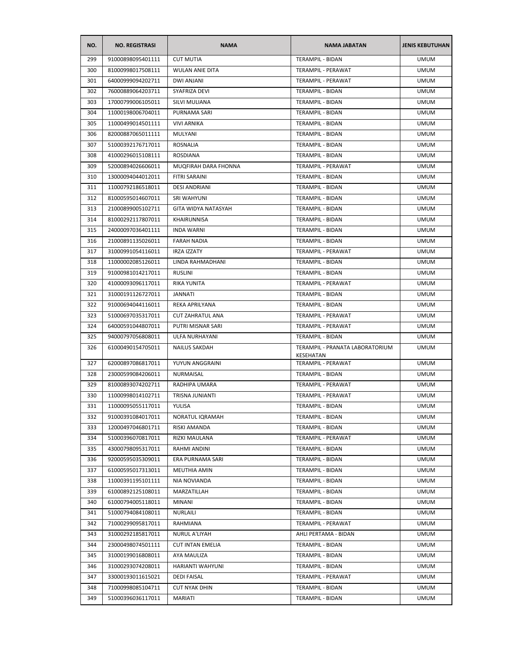| NO. | <b>NO. REGISTRASI</b> | <b>NAMA</b>             | <b>NAMA JABATAN</b>                          | <b>JENIS KEBUTUHAN</b> |
|-----|-----------------------|-------------------------|----------------------------------------------|------------------------|
| 299 | 91000898095401111     | <b>CUT MUTIA</b>        | <b>TERAMPIL - BIDAN</b>                      | <b>UMUM</b>            |
| 300 | 81000998017508111     | <b>WULAN ANIE DITA</b>  | TERAMPIL - PERAWAT                           | <b>UMUM</b>            |
| 301 | 64000999094202711     | <b>DWI ANJANI</b>       | TERAMPIL - PERAWAT                           | <b>UMUM</b>            |
| 302 | 76000889064203711     | SYAFRIZA DEVI           | TERAMPIL - BIDAN                             | <b>UMUM</b>            |
| 303 | 17000799006105011     | SILVI MULIANA           | TERAMPIL - BIDAN                             | <b>UMUM</b>            |
| 304 | 11000198006704011     | PURNAMA SARI            | TERAMPIL - BIDAN                             | UMUM                   |
| 305 | 11000499014501111     | <b>VIVI ARNIKA</b>      | TERAMPIL - BIDAN                             | <b>UMUM</b>            |
| 306 | 82000887065011111     | MULYANI                 | TERAMPIL - BIDAN                             | <b>UMUM</b>            |
| 307 | 51000392176717011     | <b>ROSNALIA</b>         | TERAMPIL - BIDAN                             | <b>UMUM</b>            |
| 308 | 41000296015108111     | <b>ROSDIANA</b>         | <b>TERAMPIL - BIDAN</b>                      | <b>UMUM</b>            |
| 309 | 52000894026606011     | MUQFIRAH DARA FHONNA    | TERAMPIL - PERAWAT                           | <b>UMUM</b>            |
| 310 | 13000094044012011     | FITRI SARAINI           | TERAMPIL - BIDAN                             | <b>UMUM</b>            |
| 311 | 11000792186518011     | DESI ANDRIANI           | TERAMPIL - BIDAN                             | <b>UMUM</b>            |
| 312 | 81000595014607011     | SRI WAHYUNI             | <b>TERAMPIL - BIDAN</b>                      | <b>UMUM</b>            |
| 313 | 21000899005102711     | GITA WIDYA NATASYAH     | TERAMPIL - BIDAN                             | UMUM                   |
| 314 | 81000292117807011     | <b>KHAIRUNNISA</b>      | TERAMPIL - BIDAN                             | <b>UMUM</b>            |
| 315 | 24000097036401111     | <b>INDA WARNI</b>       | <b>TERAMPIL - BIDAN</b>                      | <b>UMUM</b>            |
| 316 | 21000891135026011     | <b>FARAH NADIA</b>      | TERAMPIL - BIDAN                             | <b>UMUM</b>            |
| 317 | 31000991054116011     | <b>IRZA IZZATY</b>      | TERAMPIL - PERAWAT                           | <b>UMUM</b>            |
| 318 | 11000002085126011     | LINDA RAHMADHANI        | TERAMPIL - BIDAN                             | <b>UMUM</b>            |
| 319 | 91000981014217011     | <b>RUSLINI</b>          | TERAMPIL - BIDAN                             | UMUM                   |
| 320 | 41000093096117011     | RIKA YUNITA             | TERAMPIL - PERAWAT                           | <b>UMUM</b>            |
| 321 | 31000191126727011     | JANNATI                 | TERAMPIL - BIDAN                             | <b>UMUM</b>            |
| 322 | 91000694044116011     | REKA APRILYANA          | TERAMPIL - BIDAN                             | <b>UMUM</b>            |
| 323 | 51000697035317011     | <b>CUT ZAHRATUL ANA</b> | TERAMPIL - PERAWAT                           | <b>UMUM</b>            |
| 324 | 64000591044807011     | PUTRI MISNAR SARI       | TERAMPIL - PERAWAT                           | UMUM                   |
| 325 | 94000797056808011     | ULFA NURHAYANI          | TERAMPIL - BIDAN                             | <b>UMUM</b>            |
| 326 | 61000490154705011     | <b>NAILUS SAKDAH</b>    | TERAMPIL - PRANATA LABORATORIUM<br>KESEHATAN | <b>UMUM</b>            |
| 327 | 62000897086817011     | YUYUN ANGGRAINI         | TERAMPIL - PERAWAT                           | <b>UMUM</b>            |
| 328 | 23000599084206011     | NURMAISAL               | TERAMPIL - BIDAN                             | <b>UMUM</b>            |
| 329 | 81000893074202711     | RADHIPA UMARA           | TERAMPIL - PERAWAT                           | <b>UMUM</b>            |
| 330 | 11000998014102711     | TRISNA JUNIANTI         | TERAMPIL - PERAWAT                           | <b>UMUM</b>            |
| 331 | 11000095055117011     | YULISA                  | TERAMPIL - BIDAN                             | <b>UMUM</b>            |
| 332 | 91000391084017011     | NORATUL IQRAMAH         | TERAMPIL - BIDAN                             | <b>UMUM</b>            |
| 333 | 12000497046801711     | RISKI AMANDA            | TERAMPIL - BIDAN                             | <b>UMUM</b>            |
| 334 | 51000396070817011     | RIZKI MAULANA           | TERAMPIL - PERAWAT                           | <b>UMUM</b>            |
| 335 | 43000798095317011     | RAHMI ANDINI            | <b>TERAMPIL - BIDAN</b>                      | <b>UMUM</b>            |
| 336 | 92000595035309011     | ERA PURNAMA SARI        | TERAMPIL - BIDAN                             | <b>UMUM</b>            |
| 337 | 61000595017313011     | MEUTHIA AMIN            | TERAMPIL - BIDAN                             | <b>UMUM</b>            |
| 338 | 11000391195101111     | NIA NOVIANDA            | TERAMPIL - BIDAN                             | <b>UMUM</b>            |
| 339 | 61000892125108011     | MARZATILLAH             | TERAMPIL - BIDAN                             | <b>UMUM</b>            |
| 340 | 61000794005118011     | MINANI                  | TERAMPIL - BIDAN                             | <b>UMUM</b>            |
| 341 | 51000794084108011     | NURLAILI                | TERAMPIL - BIDAN                             | <b>UMUM</b>            |
| 342 | 71000299095817011     | RAHMIANA                | TERAMPIL - PERAWAT                           | <b>UMUM</b>            |
| 343 | 31000292185817011     | NURUL A'LIYAH           | AHLI PERTAMA - BIDAN                         | <b>UMUM</b>            |
| 344 | 23000498074501111     | <b>CUT INTAN EMELIA</b> | TERAMPIL - BIDAN                             | <b>UMUM</b>            |
| 345 | 31000199016808011     | AYA MAULIZA             | TERAMPIL - BIDAN                             | UMUM                   |
| 346 | 31000293074208011     | HARIANTI WAHYUNI        | TERAMPIL - BIDAN                             | UMUM                   |
| 347 | 33000193011615021     | DEDI FAISAL             | TERAMPIL - PERAWAT                           | <b>UMUM</b>            |
| 348 | 71000998085104711     | <b>CUT NYAK DHIN</b>    | TERAMPIL - BIDAN                             | <b>UMUM</b>            |
| 349 | 51000396036117011     | MARIATI                 | TERAMPIL - BIDAN                             | <b>UMUM</b>            |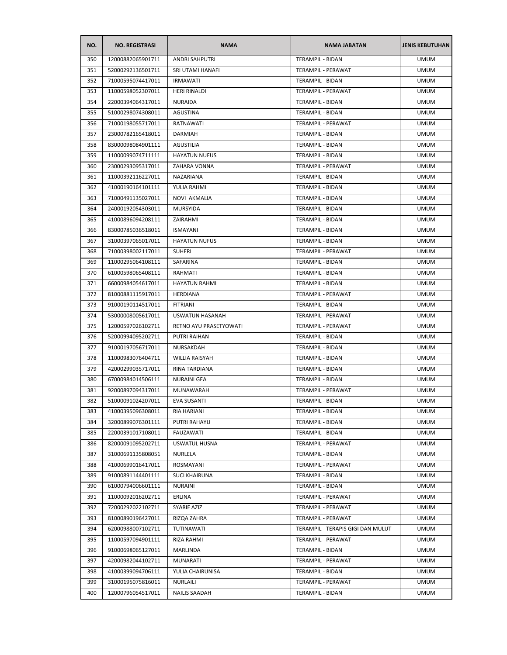| NO. | <b>NO. REGISTRASI</b> | <b>NAMA</b>            | <b>NAMA JABATAN</b>               | <b>JENIS KEBUTUHAN</b> |
|-----|-----------------------|------------------------|-----------------------------------|------------------------|
| 350 | 12000882065901711     | <b>ANDRI SAHPUTRI</b>  | <b>TERAMPIL - BIDAN</b>           | <b>UMUM</b>            |
| 351 | 52000292136501711     | SRI UTAMI HANAFI       | TERAMPIL - PERAWAT                | <b>UMUM</b>            |
| 352 | 71000595074417011     | <b>IRMAWATI</b>        | TERAMPIL - BIDAN                  | <b>UMUM</b>            |
| 353 | 11000598052307011     | HERI RINALDI           | TERAMPIL - PERAWAT                | <b>UMUM</b>            |
| 354 | 22000394064317011     | NURAIDA                | TERAMPIL - BIDAN                  | <b>UMUM</b>            |
| 355 | 51000298074308011     | AGUSTINA               | TERAMPIL - BIDAN                  | <b>UMUM</b>            |
| 356 | 71000198055717011     | RATNAWATI              | TERAMPIL - PERAWAT                | <b>UMUM</b>            |
| 357 | 23000782165418011     | <b>DARMIAH</b>         | TERAMPIL - BIDAN                  | <b>UMUM</b>            |
| 358 | 83000098084901111     | AGUSTILIA              | TERAMPIL - BIDAN                  | <b>UMUM</b>            |
| 359 | 11000099074711111     | <b>HAYATUN NUFUS</b>   | <b>TERAMPIL - BIDAN</b>           | <b>UMUM</b>            |
| 360 | 23000293095317011     | ZAHARA VONNA           | TERAMPIL - PERAWAT                | <b>UMUM</b>            |
| 361 | 11000392116227011     | NAZARIANA              | TERAMPIL - BIDAN                  | <b>UMUM</b>            |
| 362 | 41000190164101111     | YULIA RAHMI            | TERAMPIL - BIDAN                  | <b>UMUM</b>            |
| 363 | 71000491135027011     | NOVI AKMALIA           | TERAMPIL - BIDAN                  | <b>UMUM</b>            |
| 364 | 24000192054303011     | MURSYIDA               | TERAMPIL - BIDAN                  | UMUM                   |
| 365 | 41000896094208111     | ZAIRAHMI               | TERAMPIL - BIDAN                  | <b>UMUM</b>            |
| 366 | 83000785036518011     | <b>ISMAYANI</b>        | TERAMPIL - BIDAN                  | <b>UMUM</b>            |
| 367 | 31000397065017011     | <b>HAYATUN NUFUS</b>   | <b>TERAMPIL - BIDAN</b>           | <b>UMUM</b>            |
| 368 | 71000398002117011     | <b>SUHERI</b>          | <b>TERAMPIL - PERAWAT</b>         | <b>UMUM</b>            |
| 369 | 11000295064108111     | SAFARINA               | TERAMPIL - BIDAN                  | <b>UMUM</b>            |
| 370 | 61000598065408111     | RAHMATI                | TERAMPIL - BIDAN                  | UMUM                   |
| 371 | 66000984054617011     | <b>HAYATUN RAHMI</b>   | TERAMPIL - BIDAN                  | <b>UMUM</b>            |
| 372 | 81000881115917011     | HERDIANA               | TERAMPIL - PERAWAT                | <b>UMUM</b>            |
| 373 | 91000190114517011     | <b>FITRIANI</b>        | TERAMPIL - BIDAN                  | <b>UMUM</b>            |
| 374 | 53000008005617011     | USWATUN HASANAH        | TERAMPIL - PERAWAT                | <b>UMUM</b>            |
| 375 | 12000597026102711     | RETNO AYU PRASETYOWATI | TERAMPIL - PERAWAT                | <b>UMUM</b>            |
| 376 | 52000994095202711     | PUTRI RAIHAN           | TERAMPIL - BIDAN                  | <b>UMUM</b>            |
| 377 | 91000197056717011     | NURSAKDAH              | TERAMPIL - BIDAN                  | <b>UMUM</b>            |
| 378 | 11000983076404711     | <b>WILLIA RAISYAH</b>  | <b>TERAMPIL - BIDAN</b>           | <b>UMUM</b>            |
| 379 | 42000299035717011     | <b>RINA TARDIANA</b>   | TERAMPIL - BIDAN                  | <b>UMUM</b>            |
| 380 | 67000984014506111     | NURAINI GEA            | TERAMPIL - BIDAN                  | <b>UMUM</b>            |
| 381 | 92000897094317011     | MUNAWARAH              | TERAMPIL - PERAWAT                | <b>UMUM</b>            |
| 382 | 51000091024207011     | <b>EVA SUSANTI</b>     | <b>TERAMPIL - BIDAN</b>           | <b>UMUM</b>            |
| 383 | 41000395096308011     | RIA HARIANI            | TERAMPIL - BIDAN                  | <b>UMUM</b>            |
| 384 | 32000899076301111     | PUTRI RAHAYU           | TERAMPIL - BIDAN                  | <b>UMUM</b>            |
| 385 | 22000391017108011     | FAUZAWATI              | TERAMPIL - BIDAN                  | <b>UMUM</b>            |
| 386 | 82000091095202711     | <b>USWATUL HUSNA</b>   | TERAMPIL - PERAWAT                | <b>UMUM</b>            |
| 387 | 31000691135808051     | NURLELA                | TERAMPIL - BIDAN                  | <b>UMUM</b>            |
| 388 | 41000699016417011     | ROSMAYANI              | TERAMPIL - PERAWAT                | <b>UMUM</b>            |
| 389 | 91000891144401111     | <b>SUCI KHAIRUNA</b>   | <b>TERAMPIL - BIDAN</b>           | <b>UMUM</b>            |
| 390 | 61000794006601111     | <b>NURAINI</b>         | TERAMPIL - BIDAN                  | <b>UMUM</b>            |
| 391 | 11000092016202711     | ERLINA                 | TERAMPIL - PERAWAT                | <b>UMUM</b>            |
| 392 | 72000292022102711     | SYARIF AZIZ            | TERAMPIL - PERAWAT                | <b>UMUM</b>            |
| 393 | 81000890196427011     | RIZQA ZAHRA            | TERAMPIL - PERAWAT                | <b>UMUM</b>            |
| 394 | 62000988007102711     | TUTINAWATI             | TERAMPIL - TERAPIS GIGI DAN MULUT | <b>UMUM</b>            |
| 395 | 11000597094901111     | RIZA RAHMI             | TERAMPIL - PERAWAT                | <b>UMUM</b>            |
| 396 | 91000698065127011     | MARLINDA               | TERAMPIL - BIDAN                  | <b>UMUM</b>            |
| 397 | 42000982044102711     | MUNARATI               | TERAMPIL - PERAWAT                | <b>UMUM</b>            |
| 398 | 41000399094706111     | YULIA CHAIRUNISA       | TERAMPIL - BIDAN                  | <b>UMUM</b>            |
| 399 | 31000195075816011     | NURLAILI               | TERAMPIL - PERAWAT                | <b>UMUM</b>            |
| 400 | 12000796054517011     | <b>NAILIS SAADAH</b>   | TERAMPIL - BIDAN                  | <b>UMUM</b>            |
|     |                       |                        |                                   |                        |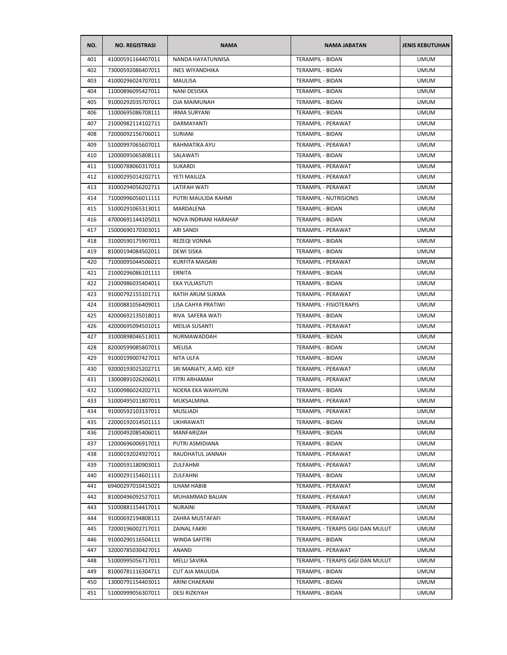| NO. | <b>NO. REGISTRASI</b> | <b>NAMA</b>              | <b>NAMA JABATAN</b>               | <b>JENIS KEBUTUHAN</b> |
|-----|-----------------------|--------------------------|-----------------------------------|------------------------|
| 401 | 41000591164407011     | <b>NANDA HAYATUNNISA</b> | <b>TERAMPIL - BIDAN</b>           | <b>UMUM</b>            |
| 402 | 73000592086407011     | <b>INES WIYANDHIKA</b>   | TERAMPIL - BIDAN                  | <b>UMUM</b>            |
| 403 | 41000296024707011     | MAULISA                  | TERAMPIL - BIDAN                  | <b>UMUM</b>            |
| 404 | 11000896095427011     | NANI DESISKA             | <b>TERAMPIL - BIDAN</b>           | <b>UMUM</b>            |
| 405 | 91000292035707011     | <b>OJA MAIMUNAH</b>      | TERAMPIL - BIDAN                  | <b>UMUM</b>            |
| 406 | 11000695086708111     | <b>IRMA SURYANI</b>      | TERAMPIL - BIDAN                  | <b>UMUM</b>            |
| 407 | 21000982114102711     | DARMAYANTI               | TERAMPIL - PERAWAT                | <b>UMUM</b>            |
| 408 | 72000092156706011     | SURIANI                  | TERAMPIL - BIDAN                  | <b>UMUM</b>            |
| 409 | 51000997065607011     | RAHMATIKA AYU            | TERAMPIL - PERAWAT                | <b>UMUM</b>            |
| 410 | 12000095065808111     | SALAWATI                 | TERAMPIL - BIDAN                  | <b>UMUM</b>            |
| 411 | 51000788060317011     | SUKARDI                  | TERAMPIL - PERAWAT                | <b>UMUM</b>            |
| 412 | 61000295014202711     | YETI MAILIZA             | TERAMPIL - PERAWAT                | <b>UMUM</b>            |
| 413 | 31000294056202711     | LATIFAH WATI             | TERAMPIL - PERAWAT                | <b>UMUM</b>            |
| 414 | 71000996056011111     | PUTRI MAULIDA RAHMI      | TERAMPIL - NUTRISIONIS            | <b>UMUM</b>            |
| 415 | 51000291065313011     | MARDALENA                | <b>TERAMPIL - BIDAN</b>           | <b>UMUM</b>            |
| 416 | 47000691144105011     | NOVA INDRIANI HARAHAP    | TERAMPIL - BIDAN                  | <b>UMUM</b>            |
| 417 | 15000690170303011     | ARI SANDI                | TERAMPIL - PERAWAT                | <b>UMUM</b>            |
| 418 | 31000590175907011     | REZEQI VONNA             | TERAMPIL - BIDAN                  | <b>UMUM</b>            |
| 419 | 81000194084502011     | <b>DEWI SISKA</b>        | TERAMPIL - BIDAN                  | <b>UMUM</b>            |
| 420 | 71000095044506011     | <b>KURFITA MAISARI</b>   | TERAMPIL - PERAWAT                | <b>UMUM</b>            |
| 421 | 21000296086101111     | <b>ERNITA</b>            | <b>TERAMPIL - BIDAN</b>           | UMUM                   |
| 422 | 21000986035404011     | EKA YULIASTUTI           | TERAMPIL - BIDAN                  | <b>UMUM</b>            |
| 423 | 91000792155101711     | RATIH ARUM SUKMA         | TERAMPIL - PERAWAT                | <b>UMUM</b>            |
| 424 | 31000881056409011     | LISA CAHYA PRATIWI       | TERAMPIL - FISIOTERAPIS           | <b>UMUM</b>            |
| 425 | 42000692135018011     | RIVA SAFERA WATI         | TERAMPIL - BIDAN                  | <b>UMUM</b>            |
| 426 | 42000695094501011     | MEILIA SUSANTI           | TERAMPIL - PERAWAT                | <b>UMUM</b>            |
| 427 | 31000898046513011     | NURMAWADDAH              | TERAMPIL - BIDAN                  | <b>UMUM</b>            |
| 428 | 82000599085807011     | MELISA                   | TERAMPIL - BIDAN                  | <b>UMUM</b>            |
| 429 | 91000199007427011     | NITA ULFA                | TERAMPIL - BIDAN                  | <b>UMUM</b>            |
| 430 | 92000193025202711     | SRI MARIATY, A.MD. KEP   | TERAMPIL - PERAWAT                | <b>UMUM</b>            |
| 431 | 13000891026206011     | FITRI ARHAMAH            | TERAMPIL - PERAWAT                | <b>UMUM</b>            |
| 432 | 51000986024202711     | NOERA EKA WAHYUNI        | TERAMPIL - BIDAN                  | <b>UMUM</b>            |
| 433 | 51000495011807011     | MUKSALMINA               | <b>TERAMPIL - PERAWAT</b>         | <b>UMUM</b>            |
| 434 | 91000592103137011     | <b>MUSLIADI</b>          | TERAMPIL - PERAWAT                | <b>UMUM</b>            |
| 435 | 22000192014501111     | <b>UKHRAWATI</b>         | TERAMPIL - BIDAN                  | <b>UMUM</b>            |
| 436 | 21000492085406011     | MANFARIZAH               | TERAMPIL - BIDAN                  | <b>UMUM</b>            |
| 437 | 12000696006917011     | PUTRI ASMIDIANA          | TERAMPIL - BIDAN                  | <b>UMUM</b>            |
| 438 | 31000192024927011     | RAUDHATUL JANNAH         | TERAMPIL - PERAWAT                | <b>UMUM</b>            |
| 439 | 71000591180903011     | ZULFAHMI                 | TERAMPIL - PERAWAT                | <b>UMUM</b>            |
| 440 | 41000291154601111     | ZULFAHNI                 | TERAMPIL - BIDAN                  | <b>UMUM</b>            |
| 441 | 69400297010415021     | ILHAM HABIB              | TERAMPIL - PERAWAT                | <b>UMUM</b>            |
| 442 | 81000496092527011     | MUHAMMAD BALIAN          | TERAMPIL - PERAWAT                | <b>UMUM</b>            |
| 443 | 51000881154417011     | NURAINI                  | TERAMPIL - PERAWAT                | <b>UMUM</b>            |
| 444 | 91000692194808111     | ZAHRA MUSTAFAFI          | TERAMPIL - PERAWAT                | <b>UMUM</b>            |
| 445 | 72000196002717011     | ZAINAL FAKRI             | TERAMPIL - TERAPIS GIGI DAN MULUT | <b>UMUM</b>            |
| 446 | 91000290116504111     | WINDA SAFITRI            | TERAMPIL - BIDAN                  | <b>UMUM</b>            |
| 447 |                       |                          | TERAMPIL - PERAWAT                |                        |
|     | 32000785030427011     | ANAND                    |                                   | <b>UMUM</b>            |
| 448 | 51000995056717011     | MELLI SAVIRA             | TERAMPIL - TERAPIS GIGI DAN MULUT | <b>UMUM</b>            |
| 449 | 81000781116304711     | <b>CUT AJA MAULIDA</b>   | TERAMPIL - BIDAN                  | <b>UMUM</b>            |
| 450 | 13000791154403011     | ARINI CHAERANI           | TERAMPIL - BIDAN                  | <b>UMUM</b>            |
| 451 | 51000999056307011     | DESI RIZKIYAH            | TERAMPIL - BIDAN                  | <b>UMUM</b>            |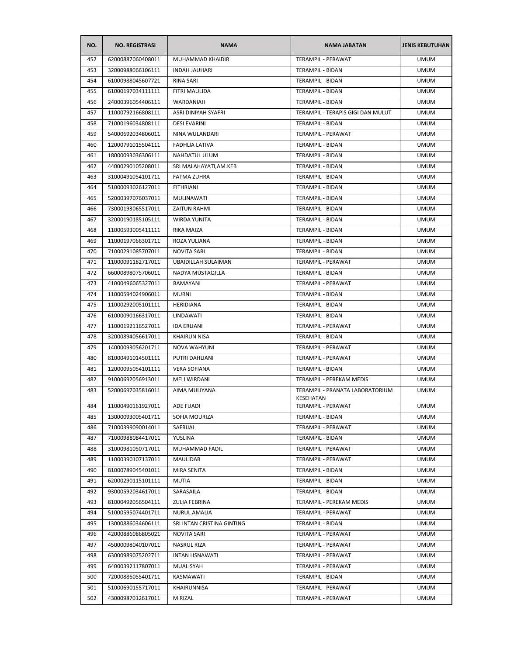| NO. | <b>NO. REGISTRASI</b> | <b>NAMA</b>                | <b>NAMA JABATAN</b>                          | <b>JENIS KEBUTUHAN</b> |
|-----|-----------------------|----------------------------|----------------------------------------------|------------------------|
| 452 | 62000887060408011     | MUHAMMAD KHAIDIR           | TERAMPIL - PERAWAT                           | <b>UMUM</b>            |
| 453 | 32000988066106111     | <b>INDAH JAUHARI</b>       | TERAMPIL - BIDAN                             | <b>UMUM</b>            |
| 454 | 61000988045607721     | RINA SARI                  | TERAMPIL - BIDAN                             | UMUM                   |
| 455 | 61000197034111111     | FITRI MAULIDA              | TERAMPIL - BIDAN                             | <b>UMUM</b>            |
| 456 | 24000396054406111     | WARDANIAH                  | TERAMPIL - BIDAN                             | <b>UMUM</b>            |
| 457 | 11000792166808111     | ASRI DINIYAH SYAFRI        | TERAMPIL - TERAPIS GIGI DAN MULUT            | <b>UMUM</b>            |
| 458 | 71000196034808111     | <b>DESI EVARINI</b>        | TERAMPIL - BIDAN                             | <b>UMUM</b>            |
| 459 | 54000692034806011     | NINA WULANDARI             | TERAMPIL - PERAWAT                           | UMUM                   |
| 460 | 12000791015504111     | FADHLIA LATIVA             | TERAMPIL - BIDAN                             | <b>UMUM</b>            |
| 461 | 18000093036306111     | NAHDATUL ULUM              | <b>TERAMPIL - BIDAN</b>                      | <b>UMUM</b>            |
| 462 | 44000290105208011     | SRI MALAHAYATI, AM.KEB     | TERAMPIL - BIDAN                             | <b>UMUM</b>            |
| 463 | 31000491054101711     | FATMA ZUHRA                | TERAMPIL - BIDAN                             | <b>UMUM</b>            |
| 464 | 51000093026127011     | <b>FITHRIANI</b>           | TERAMPIL - BIDAN                             | <b>UMUM</b>            |
| 465 | 52000397076037011     | MULINAWATI                 | TERAMPIL - BIDAN                             | <b>UMUM</b>            |
| 466 | 73000193065517011     | <b>ZAITUN RAHMI</b>        | TERAMPIL - BIDAN                             | <b>UMUM</b>            |
| 467 | 32000190185105111     | <b>WIRDA YUNITA</b>        | TERAMPIL - BIDAN                             | <b>UMUM</b>            |
| 468 | 11000593005411111     | RIKA MAIZA                 | TERAMPIL - BIDAN                             | <b>UMUM</b>            |
| 469 | 11000197066301711     | ROZA YULIANA               | TERAMPIL - BIDAN                             | <b>UMUM</b>            |
| 470 | 71000291085707011     | <b>NOVITA SARI</b>         | TERAMPIL - BIDAN                             | <b>UMUM</b>            |
| 471 | 11000091182717011     | <b>UBAIDILLAH SULAIMAN</b> | TERAMPIL - PERAWAT                           | <b>UMUM</b>            |
| 472 | 66000898075706011     | NADYA MUSTAQILLA           | TERAMPIL - BIDAN                             | <b>UMUM</b>            |
| 473 | 41000496065327011     | RAMAYANI                   | TERAMPIL - PERAWAT                           | <b>UMUM</b>            |
| 474 | 11000594024906011     | MURNI                      | TERAMPIL - BIDAN                             | <b>UMUM</b>            |
| 475 | 11000292005101111     | HERIDIANA                  | TERAMPIL - BIDAN                             | <b>UMUM</b>            |
| 476 | 61000090166317011     | LINDAWATI                  | TERAMPIL - BIDAN                             | <b>UMUM</b>            |
| 477 | 11000192116527011     | <b>IDA ERLIANI</b>         | TERAMPIL - PERAWAT                           | <b>UMUM</b>            |
| 478 | 32000894056617011     | <b>KHAIRUN NISA</b>        | TERAMPIL - BIDAN                             | <b>UMUM</b>            |
| 479 | 14000093056201711     | <b>NOVA WAHYUNI</b>        | TERAMPIL - PERAWAT                           | <b>UMUM</b>            |
| 480 | 81000491014501111     | PUTRI DAHLIANI             | TERAMPIL - PERAWAT                           | <b>UMUM</b>            |
| 481 | 12000095054101111     | <b>VERA SOFIANA</b>        | TERAMPIL - BIDAN                             | <b>UMUM</b>            |
| 482 | 91000692056913011     | MELI WIRDANI               | TERAMPIL - PEREKAM MEDIS                     | <b>UMUM</b>            |
| 483 | 52000697035816011     | AIMA MULIYANA              | TERAMPIL - PRANATA LABORATORIUM<br>KESEHATAN | <b>UMUM</b>            |
| 484 | 11000490161927011     | ADE FUADI                  | TERAMPIL - PERAWAT                           | <b>UMUM</b>            |
| 485 | 13000093005401711     | SOFIA MOURIZA              | TERAMPIL - BIDAN                             | <b>UMUM</b>            |
| 486 | 71000399090014011     | SAFRIJAL                   | TERAMPIL - PERAWAT                           | <b>UMUM</b>            |
| 487 | 71000988084417011     | YUSLINA                    | TERAMPIL - BIDAN                             | <b>UMUM</b>            |
| 488 | 31000981050717011     | MUHAMMAD FADIL             | <b>TERAMPIL - PERAWAT</b>                    | <b>UMUM</b>            |
| 489 | 11000390107137011     | <b>MAULIDAR</b>            | TERAMPIL - PERAWAT                           | <b>UMUM</b>            |
| 490 | 81000789045401011     | MIRA SENITA                | TERAMPIL - BIDAN                             | <b>UMUM</b>            |
| 491 | 62000290115101111     | MUTIA                      | TERAMPIL - BIDAN                             | <b>UMUM</b>            |
| 492 | 93000592034617011     | SARASAILA                  | TERAMPIL - BIDAN                             | <b>UMUM</b>            |
| 493 | 81000492056504111     | ZULIA FEBRINA              | TERAMPIL - PEREKAM MEDIS                     | <b>UMUM</b>            |
| 494 | 51000595074401711     | NURUL AMALIA               | TERAMPIL - PERAWAT                           | <b>UMUM</b>            |
| 495 | 13000886034606111     | SRI INTAN CRISTINA GINTING | TERAMPIL - BIDAN                             | <b>UMUM</b>            |
| 496 | 42000886086805021     | NOVITA SARI                | TERAMPIL - PERAWAT                           | <b>UMUM</b>            |
| 497 | 45000098040107011     | NASRUL RIZA                | TERAMPIL - PERAWAT                           | <b>UMUM</b>            |
| 498 | 63000989075202711     | <b>INTAN LISNAWATI</b>     | TERAMPIL - PERAWAT                           | <b>UMUM</b>            |
| 499 | 64000392117807011     | MUALISYAH                  | TERAMPIL - PERAWAT                           | <b>UMUM</b>            |
| 500 | 72000886055401711     | KASMAWATI                  | TERAMPIL - BIDAN                             | <b>UMUM</b>            |
| 501 | 51000690155717011     | KHAIRUNNISA                | TERAMPIL - PERAWAT                           | <b>UMUM</b>            |
| 502 | 43000987012617011     | M RIZAL                    | TERAMPIL - PERAWAT                           | <b>UMUM</b>            |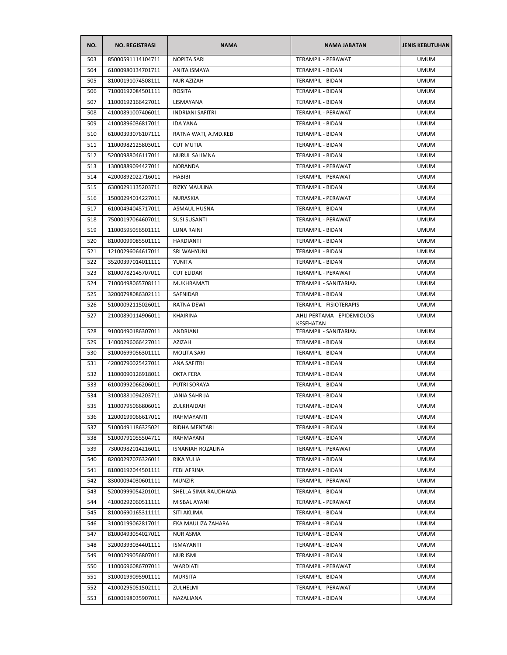| NO. | <b>NO. REGISTRASI</b> | <b>NAMA</b>              | <b>NAMA JABATAN</b>                     | <b>JENIS KEBUTUHAN</b> |
|-----|-----------------------|--------------------------|-----------------------------------------|------------------------|
| 503 | 85000591114104711     | <b>NOPITA SARI</b>       | TERAMPIL - PERAWAT                      | <b>UMUM</b>            |
| 504 | 61000980134701711     | ANITA ISMAYA             | TERAMPIL - BIDAN                        | <b>UMUM</b>            |
| 505 | 81000191074508111     | <b>NUR AZIZAH</b>        | TERAMPIL - BIDAN                        | <b>UMUM</b>            |
| 506 | 71000192084501111     | <b>ROSITA</b>            | <b>TERAMPIL - BIDAN</b>                 | <b>UMUM</b>            |
| 507 | 11000192166427011     | LISMAYANA                | TERAMPIL - BIDAN                        | <b>UMUM</b>            |
| 508 | 41000891007406011     | <b>INDRIANI SAFITRI</b>  | TERAMPIL - PERAWAT                      | <b>UMUM</b>            |
| 509 | 41000896036817011     | <b>IDA YANA</b>          | TERAMPIL - BIDAN                        | <b>UMUM</b>            |
| 510 | 61000393076107111     | RATNA WATI, A.MD.KEB     | TERAMPIL - BIDAN                        | UMUM                   |
| 511 | 11000982125803011     | <b>CUT MUTIA</b>         | TERAMPIL - BIDAN                        | <b>UMUM</b>            |
| 512 | 52000988046117011     | <b>NURUL SALIMNA</b>     | TERAMPIL - BIDAN                        | <b>UMUM</b>            |
| 513 | 13000889094427011     | <b>NORANDA</b>           | TERAMPIL - PERAWAT                      | <b>UMUM</b>            |
| 514 | 42000892022716011     | <b>HABIBI</b>            | TERAMPIL - PERAWAT                      | <b>UMUM</b>            |
| 515 | 63000291135203711     | <b>RIZKY MAULINA</b>     | TERAMPIL - BIDAN                        | <b>UMUM</b>            |
| 516 | 15000294014227011     | <b>NURASKIA</b>          | TERAMPIL - PERAWAT                      | <b>UMUM</b>            |
| 517 | 61000494045717011     | ASMAUL HUSNA             | TERAMPIL - BIDAN                        | <b>UMUM</b>            |
| 518 | 75000197064607011     | <b>SUSI SUSANTI</b>      | TERAMPIL - PERAWAT                      | <b>UMUM</b>            |
| 519 | 11000595056501111     | LUNA RAINI               | <b>TERAMPIL - BIDAN</b>                 | <b>UMUM</b>            |
| 520 | 81000099085501111     | <b>HARDIANTI</b>         | TERAMPIL - BIDAN                        | <b>UMUM</b>            |
| 521 | 12100296064617011     | SRI WAHYUNI              | TERAMPIL - BIDAN                        | <b>UMUM</b>            |
| 522 | 35200397014011111     | YUNITA                   | <b>TERAMPIL - BIDAN</b>                 | <b>UMUM</b>            |
| 523 | 81000782145707011     | <b>CUT ELIDAR</b>        | TERAMPIL - PERAWAT                      | <b>UMUM</b>            |
| 524 | 71000498065708111     | MUKHRAMATI               | TERAMPIL - SANITARIAN                   | UMUM                   |
| 525 | 32000798086302111     | SAFNIDAR                 | TERAMPIL - BIDAN                        | UMUM                   |
| 526 | 51000092115026011     | RATNA DEWI               | TERAMPIL - FISIOTERAPIS                 | <b>UMUM</b>            |
| 527 | 21000890114906011     | <b>KHAIRINA</b>          | AHLI PERTAMA - EPIDEMIOLOG<br>KESEHATAN | <b>UMUM</b>            |
| 528 | 91000490186307011     | <b>ANDRIANI</b>          | TERAMPIL - SANITARIAN                   | <b>UMUM</b>            |
| 529 | 14000296066427011     | AZIZAH                   | TERAMPIL - BIDAN                        | <b>UMUM</b>            |
| 530 | 31000699056301111     | <b>MOLITA SARI</b>       | TERAMPIL - BIDAN                        | <b>UMUM</b>            |
| 531 | 42000796025427011     | ANA SAFITRI              | TERAMPIL - BIDAN                        | <b>UMUM</b>            |
| 532 | 11000090126918011     | OKTA FERA                | TERAMPIL - BIDAN                        | <b>UMUM</b>            |
| 533 | 61000992066206011     | PUTRI SORAYA             | TERAMPIL - BIDAN                        | <b>UMUM</b>            |
| 534 | 31000881094203711     | JANIA SAHRIJA            | TERAMPIL - BIDAN                        | <b>UMUM</b>            |
| 535 | 11000795066806011     | ZULKHAIDAH               | TERAMPIL - BIDAN                        | UMUM                   |
| 536 | 12000199066617011     | RAHMAYANTI               | TERAMPIL - BIDAN                        | <b>UMUM</b>            |
| 537 | 51000491186325021     | RIDHA MENTARI            | TERAMPIL - BIDAN                        | <b>UMUM</b>            |
| 538 | 51000791055504711     | RAHMAYANI                | TERAMPIL - BIDAN                        | <b>UMUM</b>            |
| 539 | 73000982014216011     | <b>ISNANIAH ROZALINA</b> | TERAMPIL - PERAWAT                      | <b>UMUM</b>            |
| 540 | 82000297076326011     | RIKA YULIA               | TERAMPIL - BIDAN                        | <b>UMUM</b>            |
| 541 | 81000192044501111     | FEBI AFRINA              | TERAMPIL - BIDAN                        | <b>UMUM</b>            |
| 542 | 83000094030601111     | <b>MUNZIR</b>            | TERAMPIL - PERAWAT                      | <b>UMUM</b>            |
| 543 | 52000999054201011     | SHELLA SIMA RAUDHANA     | TERAMPIL - BIDAN                        | <b>UMUM</b>            |
| 544 | 41000292060511111     | MISBAL AYANI             | TERAMPIL - PERAWAT                      | <b>UMUM</b>            |
| 545 | 81000690165311111     | SITI AKLIMA              | TERAMPIL - BIDAN                        | <b>UMUM</b>            |
| 546 | 31000199062817011     | EKA MAULIZA ZAHARA       | TERAMPIL - BIDAN                        | <b>UMUM</b>            |
| 547 | 81000493054027011     | NUR ASMA                 | TERAMPIL - BIDAN                        | <b>UMUM</b>            |
| 548 | 32000393034401111     | ISMAYANTI                | TERAMPIL - BIDAN                        | <b>UMUM</b>            |
| 549 | 91000299056807011     | <b>NUR ISMI</b>          | TERAMPIL - BIDAN                        | <b>UMUM</b>            |
| 550 | 11000696086707011     | WARDIATI                 | TERAMPIL - PERAWAT                      | <b>UMUM</b>            |
| 551 | 31000199095901111     | MURSITA                  | TERAMPIL - BIDAN                        | UMUM                   |
| 552 | 41000295051502111     | ZULHELMI                 | TERAMPIL - PERAWAT                      | <b>UMUM</b>            |
| 553 | 61000198035907011     | NAZALIANA                | TERAMPIL - BIDAN                        | <b>UMUM</b>            |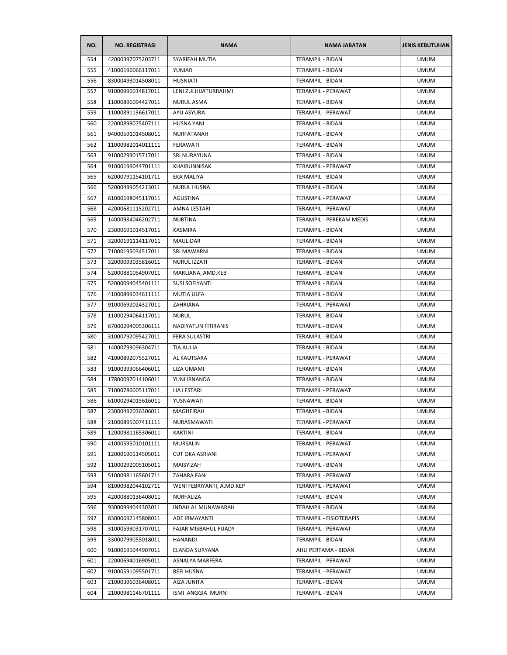| NO. | <b>NO. REGISTRASI</b> | <b>NAMA</b>               | <b>NAMA JABATAN</b>       | <b>JENIS KEBUTUHAN</b> |
|-----|-----------------------|---------------------------|---------------------------|------------------------|
| 554 | 42000397075203711     | SYARIFAH MUTIA            | <b>TERAMPIL - BIDAN</b>   | <b>UMUM</b>            |
| 555 | 41000196066117011     | YUNIAR                    | TERAMPIL - BIDAN          | <b>UMUM</b>            |
| 556 | 83000493014508011     | <b>HUSNIATI</b>           | TERAMPIL - BIDAN          | <b>UMUM</b>            |
| 557 | 91000996034817011     | LENI ZULHIJATURRAHMI      | TERAMPIL - PERAWAT        | <b>UMUM</b>            |
| 558 | 11000896094427011     | <b>NURUL ASMA</b>         | TERAMPIL - BIDAN          | <b>UMUM</b>            |
| 559 | 11000891136617011     | AYU ASYURA                | TERAMPIL - PERAWAT        | <b>UMUM</b>            |
| 560 | 22000898075407111     | <b>HUSNA YANI</b>         | TERAMPIL - BIDAN          | <b>UMUM</b>            |
| 561 | 94000591014508011     | NURFATANAH                | TERAMPIL - BIDAN          | <b>UMUM</b>            |
| 562 | 11000982014011111     | FERAWATI                  | TERAMPIL - BIDAN          | <b>UMUM</b>            |
| 563 | 91000293015717011     | SRI NURAYUNA              | TERAMPIL - BIDAN          | <b>UMUM</b>            |
| 564 | 91000199044701111     | KHAIRUNNISAK              | TERAMPIL - PERAWAT        | <b>UMUM</b>            |
| 565 | 62000791154101711     | <b>EKA MALIYA</b>         | TERAMPIL - BIDAN          | <b>UMUM</b>            |
| 566 | 52000499054213011     | <b>NURUL HUSNA</b>        | TERAMPIL - BIDAN          | <b>UMUM</b>            |
| 567 | 61000198045117011     | AGUSTINA                  | TERAMPIL - PERAWAT        | <b>UMUM</b>            |
| 568 | 42000681115202711     | AMNA LESTARI              | <b>TERAMPIL - PERAWAT</b> | <b>UMUM</b>            |
| 569 | 14000984046202711     | <b>NURTINA</b>            | TERAMPIL - PEREKAM MEDIS  | <b>UMUM</b>            |
| 570 | 23000691014517011     | KASMIRA                   | TERAMPIL - BIDAN          | <b>UMUM</b>            |
| 571 | 32000191114117011     | MAULIDAR                  | TERAMPIL - BIDAN          | <b>UMUM</b>            |
| 572 | 71000195034517011     | SRI MAWARNI               | TERAMPIL - BIDAN          | <b>UMUM</b>            |
| 573 | 32000093035816011     | <b>NURUL IZZATI</b>       | TERAMPIL - BIDAN          | <b>UMUM</b>            |
| 574 | 52000881054907011     | MARLIANA, AMD.KEB         | TERAMPIL - BIDAN          | <b>UMUM</b>            |
| 575 | 52000094045401111     | SUSI SOFIYANTI            | TERAMPIL - BIDAN          | <b>UMUM</b>            |
| 576 | 41000899034611111     | MUTIA ULFA                | TERAMPIL - BIDAN          | <b>UMUM</b>            |
| 577 | 91000692024327011     | ZAHRIANA                  | TERAMPIL - PERAWAT        | <b>UMUM</b>            |
| 578 | 11000294064117011     | <b>NURUL</b>              | TERAMPIL - BIDAN          | <b>UMUM</b>            |
| 579 | 67000294005306111     | NADIYATUN FITIRANIS       | TERAMPIL - BIDAN          | <b>UMUM</b>            |
| 580 | 31000792095427011     | <b>FERA SULASTRI</b>      | TERAMPIL - BIDAN          | <b>UMUM</b>            |
| 581 | 14000793096304711     | TIA AULIA                 | TERAMPIL - BIDAN          | <b>UMUM</b>            |
| 582 | 41000892075527011     | AL KAUTSARA               | TERAMPIL - PERAWAT        | <b>UMUM</b>            |
| 583 | 91000393066406011     | LIZA UMAMI                | TERAMPIL - BIDAN          | <b>UMUM</b>            |
| 584 | 17800097014106011     | YUNI IRNANDA              | <b>TERAMPIL - BIDAN</b>   | <b>UMUM</b>            |
| 585 | 71000786005117011     | LIA LESTARI               | TERAMPIL - PERAWAT        | <b>UMUM</b>            |
| 586 | 61000294015616011     | YUSNAWATI                 | <b>TERAMPIL - BIDAN</b>   | <b>UMUM</b>            |
| 587 | 23000492036306011     | <b>MAGHFIRAH</b>          | TERAMPIL - BIDAN          | <b>UMUM</b>            |
| 588 | 21000895007411111     | NURASMAWATI               | TERAMPIL - PERAWAT        | <b>UMUM</b>            |
| 589 | 12000981165306011     | KARTINI                   | <b>TERAMPIL - BIDAN</b>   | <b>UMUM</b>            |
| 590 | 41000595010101111     | MURSALIN                  | TERAMPIL - PERAWAT        | <b>UMUM</b>            |
| 591 | 12000190114505011     | <b>CUT OKA ASRIANI</b>    | TERAMPIL - PERAWAT        | <b>UMUM</b>            |
| 592 | 11000292005105011     | MAISYIZAH                 | TERAMPIL - BIDAN          | <b>UMUM</b>            |
| 593 | 51000981165601711     | ZAHARA FANI               | TERAMPIL - PERAWAT        | <b>UMUM</b>            |
| 594 | 81000982044102711     | WENI FEBRIYANTI, A.MD.KEP | TERAMPIL - PERAWAT        | <b>UMUM</b>            |
| 595 | 42000880136408011     | NURFALIZA                 | TERAMPIL - BIDAN          | <b>UMUM</b>            |
| 596 | 93000994044303011     | <b>INDAH AL MUNAWARAH</b> | TERAMPIL - BIDAN          | <b>UMUM</b>            |
| 597 | 83000692145808011     | ADE IRMAYANTI             | TERAMPIL - FISIOTERAPIS   | <b>UMUM</b>            |
| 598 | 31000593031707011     | FAJAR MISBAHUL FUADY      | TERAMPIL - PERAWAT        | <b>UMUM</b>            |
| 599 | 33000799055018011     | HANANDI                   | <b>TERAMPIL - BIDAN</b>   | <b>UMUM</b>            |
| 600 | 91000191044907011     | ELANDA SURYANA            | AHLI PERTAMA - BIDAN      | <b>UMUM</b>            |
| 601 | 22000694016905011     | ASNALYA MARFERA           | TERAMPIL - PERAWAT        | <b>UMUM</b>            |
| 602 | 91000591095501711     | REFI HUSNA                | TERAMPIL - PERAWAT        | <b>UMUM</b>            |
| 603 | 21000396036408011     | AIZA JUNITA               | TERAMPIL - BIDAN          | <b>UMUM</b>            |
| 604 |                       |                           |                           | <b>UMUM</b>            |
|     | 21000981146701111     | ISMI ANGGIA MURNI         | TERAMPIL - BIDAN          |                        |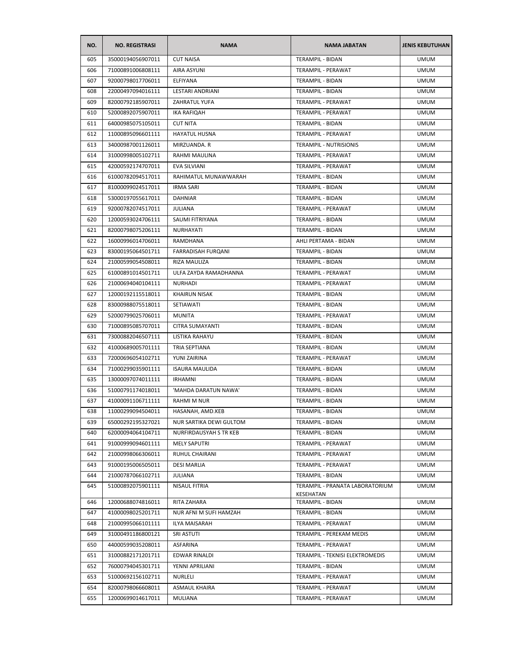| NO. | <b>NO. REGISTRASI</b> | <b>NAMA</b>             | <b>NAMA JABATAN</b>                          | <b>JENIS KEBUTUHAN</b> |
|-----|-----------------------|-------------------------|----------------------------------------------|------------------------|
| 605 | 35000194056907011     | <b>CUT NAISA</b>        | <b>TERAMPIL - BIDAN</b>                      | <b>UMUM</b>            |
| 606 | 71000891006808111     | AIRA ASYUNI             | TERAMPIL - PERAWAT                           | <b>UMUM</b>            |
| 607 | 92000798017706011     | ELFIYANA                | <b>TERAMPIL - BIDAN</b>                      | <b>UMUM</b>            |
| 608 | 22000497094016111     | LESTARI ANDRIANI        | TERAMPIL - BIDAN                             | <b>UMUM</b>            |
| 609 | 82000792185907011     | <b>ZAHRATUL YUFA</b>    | TERAMPIL - PERAWAT                           | <b>UMUM</b>            |
| 610 | 52000892075907011     | IKA RAFIQAH             | TERAMPIL - PERAWAT                           | <b>UMUM</b>            |
| 611 | 64000985075105011     | <b>CUT NITA</b>         | <b>TERAMPIL - BIDAN</b>                      | <b>UMUM</b>            |
| 612 | 11000895096601111     | <b>HAYATUL HUSNA</b>    | TERAMPIL - PERAWAT                           | <b>UMUM</b>            |
| 613 | 34000987001126011     | MIRZUANDA. R            | <b>TERAMPIL - NUTRISIONIS</b>                | <b>UMUM</b>            |
| 614 | 31000998005102711     | RAHMI MAULINA           | TERAMPIL - PERAWAT                           | <b>UMUM</b>            |
| 615 | 42000592174707011     | <b>EVA SILVIANI</b>     | TERAMPIL - PERAWAT                           | <b>UMUM</b>            |
| 616 | 61000782094517011     | RAHIMATUL MUNAWWARAH    | TERAMPIL - BIDAN                             | <b>UMUM</b>            |
| 617 | 81000099024517011     | <b>IRMA SARI</b>        | TERAMPIL - BIDAN                             | <b>UMUM</b>            |
| 618 | 53000197055617011     | <b>DAHNIAR</b>          | TERAMPIL - BIDAN                             | <b>UMUM</b>            |
| 619 | 92000782074517011     | <b>JULIANA</b>          | TERAMPIL - PERAWAT                           | <b>UMUM</b>            |
| 620 | 12000593024706111     | SAUMI FITRIYANA         | TERAMPIL - BIDAN                             | <b>UMUM</b>            |
| 621 | 82000798075206111     | NURHAYATI               | <b>TERAMPIL - BIDAN</b>                      | <b>UMUM</b>            |
| 622 | 16000996014706011     | RAMDHANA                | AHLI PERTAMA - BIDAN                         | <b>UMUM</b>            |
| 623 | 83000195064501711     | FARRADISAH FURQANI      | TERAMPIL - BIDAN                             | <b>UMUM</b>            |
| 624 | 21000599054508011     | RIZA MAULIZA            | <b>TERAMPIL - BIDAN</b>                      | <b>UMUM</b>            |
| 625 | 61000891014501711     | ULFA ZAYDA RAMADHANNA   | TERAMPIL - PERAWAT                           | <b>UMUM</b>            |
| 626 | 21000694040104111     | NURHADI                 | TERAMPIL - PERAWAT                           | <b>UMUM</b>            |
| 627 | 12000192115518011     | <b>KHAIRUN NISAK</b>    | TERAMPIL - BIDAN                             | <b>UMUM</b>            |
| 628 | 83000988075518011     | SETIAWATI               | TERAMPIL - BIDAN                             | <b>UMUM</b>            |
| 629 | 52000799025706011     | <b>MUNITA</b>           | TERAMPIL - PERAWAT                           | <b>UMUM</b>            |
| 630 | 71000895085707011     | CITRA SUMAYANTI         | TERAMPIL - BIDAN                             | <b>UMUM</b>            |
| 631 | 73000882046507111     | LISTIKA RAHAYU          | TERAMPIL - BIDAN                             | <b>UMUM</b>            |
| 632 | 41000689005701111     | <b>TRIA SEPTIANA</b>    | <b>TERAMPIL - BIDAN</b>                      | <b>UMUM</b>            |
| 633 | 72000696054102711     | YUNI ZAIRINA            | TERAMPIL - PERAWAT                           | <b>UMUM</b>            |
| 634 | 71000299035901111     | <b>ISAURA MAULIDA</b>   | <b>TERAMPIL - BIDAN</b>                      | <b>UMUM</b>            |
| 635 | 13000097074011111     | <b>IRHAMNI</b>          | <b>TERAMPIL - BIDAN</b>                      | <b>UMUM</b>            |
| 636 | 51000791174018011     | 'MAHDA DARATUN NAWA'    | TERAMPIL - BIDAN                             | <b>UMUM</b>            |
| 637 | 41000091106711111     | <b>RAHMI M NUR</b>      | TERAMPIL - BIDAN                             | <b>UMUM</b>            |
| 638 | 11000299094504011     | HASANAH, AMD.KEB        | TERAMPIL - BIDAN                             | <b>UMUM</b>            |
| 639 | 65000292195327021     | NUR SARTIKA DEWI GULTOM | TERAMPIL - BIDAN                             | <b>UMUM</b>            |
| 640 | 62000094064104711     | NURFIRDAUSYAH S TR KEB  | TERAMPIL - BIDAN                             | <b>UMUM</b>            |
| 641 | 91000999094601111     | <b>MELY SAPUTRI</b>     | TERAMPIL - PERAWAT                           | <b>UMUM</b>            |
| 642 | 21000998066306011     | RUHUL CHAIRANI          | TERAMPIL - PERAWAT                           | <b>UMUM</b>            |
| 643 | 91000195006505011     | <b>DESI MARLIA</b>      | TERAMPIL - PERAWAT                           | <b>UMUM</b>            |
| 644 | 21000787066102711     | JULIANA                 | <b>TERAMPIL - BIDAN</b>                      | <b>UMUM</b>            |
| 645 | 51000892075901111     | NISAUL FITRIA           | TERAMPIL - PRANATA LABORATORIUM<br>KESEHATAN | <b>UMUM</b>            |
| 646 | 12000688074816011     | RITA ZAHARA             | TERAMPIL - BIDAN                             | <b>UMUM</b>            |
| 647 | 41000098025201711     | NUR AFNI M SUFI HAMZAH  | TERAMPIL - BIDAN                             | <b>UMUM</b>            |
| 648 | 21000995066101111     | ILYA MAISARAH           | TERAMPIL - PERAWAT                           | <b>UMUM</b>            |
| 649 | 31000491186800121     | SRI ASTUTI              | TERAMPIL - PEREKAM MEDIS                     | <b>UMUM</b>            |
| 650 | 44000599035208011     | ASFARINA                | TERAMPIL - PERAWAT                           | <b>UMUM</b>            |
| 651 | 31000882171201711     | EDWAR RINALDI           | TERAMPIL - TEKNISI ELEKTROMEDIS              | <b>UMUM</b>            |
| 652 | 76000794045301711     | YENNI APRILIANI         | TERAMPIL - BIDAN                             | <b>UMUM</b>            |
| 653 | 51000692156102711     | NURLELI                 | TERAMPIL - PERAWAT                           | <b>UMUM</b>            |
| 654 | 82000798066608011     | <b>ASMAUL KHAIRA</b>    | TERAMPIL - PERAWAT                           | <b>UMUM</b>            |
| 655 | 12000699014617011     | <b>MULIANA</b>          | TERAMPIL - PERAWAT                           | <b>UMUM</b>            |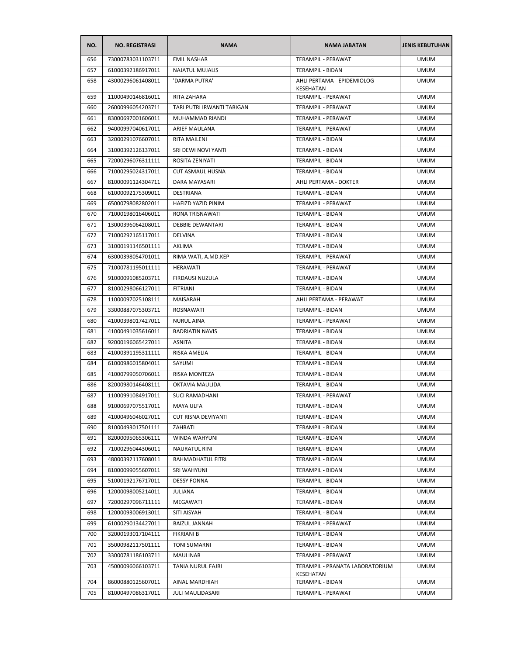| NO. | <b>NO. REGISTRASI</b> | <b>NAMA</b>                | <b>NAMA JABATAN</b>                     | <b>JENIS KEBUTUHAN</b> |
|-----|-----------------------|----------------------------|-----------------------------------------|------------------------|
| 656 | 73000783031103711     | <b>EMIL NASHAR</b>         | TERAMPIL - PERAWAT                      | <b>UMUM</b>            |
| 657 | 61000392186917011     | <b>NAJATUL MUJALIS</b>     | TERAMPIL - BIDAN                        | <b>UMUM</b>            |
| 658 | 43000296061408011     | 'DARMA PUTRA'              | AHLI PERTAMA - EPIDEMIOLOG<br>KESEHATAN | <b>UMUM</b>            |
| 659 | 11000490146816011     | RITA ZAHARA                | TERAMPIL - PERAWAT                      | <b>UMUM</b>            |
| 660 | 26000996054203711     | TARI PUTRI IRWANTI TARIGAN | TERAMPIL - PERAWAT                      | <b>UMUM</b>            |
| 661 | 83000697001606011     | MUHAMMAD RIANDI            | TERAMPIL - PERAWAT                      | <b>UMUM</b>            |
| 662 | 94000997040617011     | ARIEF MAULANA              | TERAMPIL - PERAWAT                      | <b>UMUM</b>            |
| 663 | 32000291076607011     | RITA MAILENI               | <b>TERAMPIL - BIDAN</b>                 | <b>UMUM</b>            |
| 664 | 31000392126137011     | SRI DEWI NOVI YANTI        | <b>TERAMPIL - BIDAN</b>                 | <b>UMUM</b>            |
| 665 | 72000296076311111     | ROSITA ZENIYATI            | TERAMPIL - BIDAN                        | <b>UMUM</b>            |
| 666 | 71000295024317011     | CUT ASMAUL HUSNA           | TERAMPIL - BIDAN                        | <b>UMUM</b>            |
| 667 | 81000091124304711     | DARA MAYASARI              | AHLI PERTAMA - DOKTER                   | <b>UMUM</b>            |
| 668 | 61000092175309011     | DESTRIANA                  | TERAMPIL - BIDAN                        | <b>UMUM</b>            |
| 669 | 65000798082802011     | HAFIZD YAZID PINIM         | <b>TERAMPIL - PERAWAT</b>               | <b>UMUM</b>            |
| 670 | 71000198016406011     | RONA TRISNAWATI            | TERAMPIL - BIDAN                        | UMUM                   |
| 671 | 13000396064208011     | <b>DEBBIE DEWANTARI</b>    | <b>TERAMPIL - BIDAN</b>                 | <b>UMUM</b>            |
| 672 | 71000292165117011     | <b>DELVINA</b>             | TERAMPIL - BIDAN                        | <b>UMUM</b>            |
| 673 | 31000191146501111     | AKLIMA                     | TERAMPIL - BIDAN                        | <b>UMUM</b>            |
| 674 | 63000398054701011     | RIMA WATI, A.MD.KEP        | TERAMPIL - PERAWAT                      | <b>UMUM</b>            |
| 675 | 71000781195011111     | HERAWATI                   | TERAMPIL - PERAWAT                      | <b>UMUM</b>            |
| 676 | 91000091085203711     | FIRDAUSI NUZULA            | TERAMPIL - BIDAN                        | <b>UMUM</b>            |
| 677 | 81000298066127011     | <b>FITRIANI</b>            | TERAMPIL - BIDAN                        | <b>UMUM</b>            |
| 678 | 11000097025108111     | MAISARAH                   | AHLI PERTAMA - PERAWAT                  | <b>UMUM</b>            |
| 679 | 33000887075303711     | ROSNAWATI                  | TERAMPIL - BIDAN                        | <b>UMUM</b>            |
| 680 | 41000398017427011     | <b>NURUL AINA</b>          | TERAMPIL - PERAWAT                      | <b>UMUM</b>            |
| 681 | 41000491035616011     | <b>BADRIATIN NAVIS</b>     | TERAMPIL - BIDAN                        | <b>UMUM</b>            |
| 682 | 92000196065427011     | ASNITA                     | TERAMPIL - BIDAN                        | <b>UMUM</b>            |
| 683 | 41000391195311111     | RISKA AMELIA               | TERAMPIL - BIDAN                        | <b>UMUM</b>            |
| 684 | 61000986015804011     | SAYUMI                     | TERAMPIL - BIDAN                        | <b>UMUM</b>            |
| 685 | 41000799050706011     | <b>RISKA MONTEZA</b>       | TERAMPIL - BIDAN                        | <b>UMUM</b>            |
| 686 | 82000980146408111     | OKTAVIA MAULIDA            | TERAMPIL - BIDAN                        | <b>UMUM</b>            |
| 687 | 11000991084917011     | <b>SUCI RAMADHANI</b>      | TERAMPIL - PERAWAT                      | <b>UMUM</b>            |
| 688 | 91000697075517011     | MAYA ULFA                  | TERAMPIL - BIDAN                        | <b>UMUM</b>            |
| 689 | 41000496046027011     | <b>CUT RISNA DEVIYANTI</b> | TERAMPIL - BIDAN                        | <b>UMUM</b>            |
| 690 | 81000493017501111     | ZAHRATI                    | TERAMPIL - BIDAN                        | <b>UMUM</b>            |
| 691 | 82000095065306111     | WINDA WAHYUNI              | TERAMPIL - BIDAN                        | <b>UMUM</b>            |
| 692 | 71000296044306011     | <b>NAURATUL RINI</b>       | TERAMPIL - BIDAN                        | <b>UMUM</b>            |
| 693 | 48000392117608011     | RAHMADHATUL FITRI          | TERAMPIL - BIDAN                        | <b>UMUM</b>            |
| 694 | 81000099055607011     | SRI WAHYUNI                | TERAMPIL - BIDAN                        | <b>UMUM</b>            |
| 695 | 51000192176717011     | <b>DESSY FONNA</b>         | <b>TERAMPIL - BIDAN</b>                 | <b>UMUM</b>            |
| 696 | 12000098005214011     | <b>JULIANA</b>             | TERAMPIL - BIDAN                        | <b>UMUM</b>            |
| 697 | 72000297096711111     | MEGAWATI                   | <b>TERAMPIL - BIDAN</b>                 | <b>UMUM</b>            |
| 698 | 12000093006913011     | SITI AISYAH                | TERAMPIL - BIDAN                        | <b>UMUM</b>            |
| 699 | 61000290134427011     | <b>BAIZUL JANNAH</b>       | TERAMPIL - PERAWAT                      | <b>UMUM</b>            |
| 700 | 32000193017104111     | <b>FIKRIANI B</b>          | TERAMPIL - BIDAN                        | <b>UMUM</b>            |
| 701 | 35000982117501111     | <b>TONI SUMARNI</b>        | TERAMPIL - BIDAN                        | <b>UMUM</b>            |
| 702 | 33000781186103711     | MAULINAR                   | TERAMPIL - PERAWAT                      | <b>UMUM</b>            |
| 703 | 45000096066103711     | TANIA NURUL FAJRI          | TERAMPIL - PRANATA LABORATORIUM         | <b>UMUM</b>            |
| 704 | 86000880125607011     | AINAL MARDHIAH             | KESEHATAN<br>TERAMPIL - BIDAN           | <b>UMUM</b>            |
| 705 | 81000497086317011     | JULI MAULIDASARI           | TERAMPIL - PERAWAT                      | <b>UMUM</b>            |
|     |                       |                            |                                         |                        |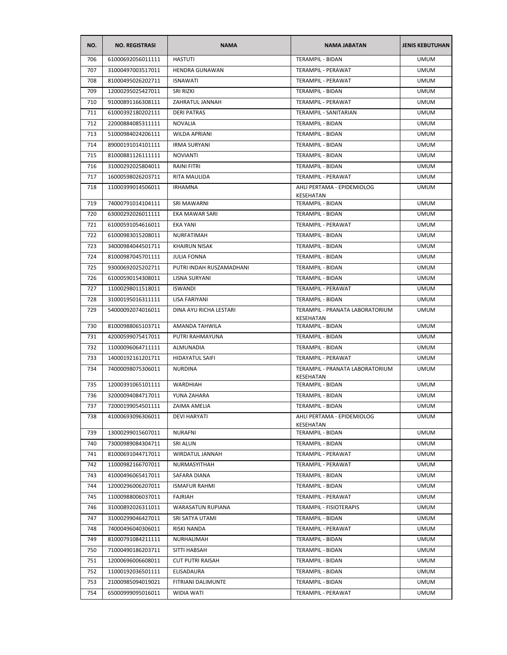| NO. | <b>NO. REGISTRASI</b> | <b>NAMA</b>              | <b>NAMA JABATAN</b>                          | <b>JENIS KEBUTUHAN</b> |
|-----|-----------------------|--------------------------|----------------------------------------------|------------------------|
| 706 | 61000692056011111     | <b>HASTUTI</b>           | <b>TERAMPIL - BIDAN</b>                      | <b>UMUM</b>            |
| 707 | 31000497003517011     | HENDRA GUNAWAN           | TERAMPIL - PERAWAT                           | <b>UMUM</b>            |
| 708 | 81000495026202711     | <b>ISNAWATI</b>          | TERAMPIL - PERAWAT                           | <b>UMUM</b>            |
| 709 | 12000295025427011     | SRI RIZKI                | TERAMPIL - BIDAN                             | <b>UMUM</b>            |
| 710 | 91000891166308111     | ZAHRATUL JANNAH          | TERAMPIL - PERAWAT                           | <b>UMUM</b>            |
| 711 | 61000392180202111     | <b>DERI PATRAS</b>       | TERAMPIL - SANITARIAN                        | <b>UMUM</b>            |
| 712 | 22000884085311111     | <b>NOVALIA</b>           | <b>TERAMPIL - BIDAN</b>                      | <b>UMUM</b>            |
| 713 | 51000984024206111     | <b>WILDA APRIANI</b>     | <b>TERAMPIL - BIDAN</b>                      | <b>UMUM</b>            |
| 714 | 89000191014101111     | <b>IRMA SURYANI</b>      | TERAMPIL - BIDAN                             | <b>UMUM</b>            |
| 715 | 81000881126111111     | <b>NOVIANTI</b>          | TERAMPIL - BIDAN                             | <b>UMUM</b>            |
| 716 | 31000292025804011     | <b>RAINI FITRI</b>       | TERAMPIL - BIDAN                             | <b>UMUM</b>            |
| 717 | 16000598026203711     | RITA MAULIDA             | TERAMPIL - PERAWAT                           | <b>UMUM</b>            |
| 718 | 11000399014506011     | <b>IRHAMNA</b>           | AHLI PERTAMA - EPIDEMIOLOG<br>KESEHATAN      | <b>UMUM</b>            |
| 719 | 74000791014104111     | SRI MAWARNI              | TERAMPIL - BIDAN                             | <b>UMUM</b>            |
| 720 | 63000292026011111     | EKA MAWAR SARI           | TERAMPIL - BIDAN                             | <b>UMUM</b>            |
| 721 | 61000591054616011     | EKA YANI                 | TERAMPIL - PERAWAT                           | <b>UMUM</b>            |
| 722 | 61000983015208011     | <b>NURFATIMAH</b>        | <b>TERAMPIL - BIDAN</b>                      | <b>UMUM</b>            |
| 723 | 34000984044501711     | <b>KHAIRUN NISAK</b>     | TERAMPIL - BIDAN                             | <b>UMUM</b>            |
| 724 | 81000987045701111     | <b>JULIA FONNA</b>       | <b>TERAMPIL - BIDAN</b>                      | <b>UMUM</b>            |
| 725 | 93000692025202711     | PUTRI INDAH RUSZAMADHANI | <b>TERAMPIL - BIDAN</b>                      | <b>UMUM</b>            |
| 726 | 61000590154308011     | LISNA SURYANI            | TERAMPIL - BIDAN                             | <b>UMUM</b>            |
| 727 | 11000298011518011     | <b>ISWANDI</b>           | TERAMPIL - PERAWAT                           | <b>UMUM</b>            |
| 728 | 31000195016311111     | LISA FARIYANI            | TERAMPIL - BIDAN                             | <b>UMUM</b>            |
| 729 | 54000092074016011     | DINA AYU RICHA LESTARI   | TERAMPIL - PRANATA LABORATORIUM<br>KESEHATAN | <b>UMUM</b>            |
| 730 | 81000988065103711     | AMANDA TAHWILA           | TERAMPIL - BIDAN                             | <b>UMUM</b>            |
| 731 | 42000599075417011     | PUTRI RAHMAYUNA          | TERAMPIL - BIDAN                             | <b>UMUM</b>            |
| 732 | 11000096064711111     | ALMUNADIA                | TERAMPIL - BIDAN                             | <b>UMUM</b>            |
| 733 | 14000192161201711     | <b>HIDAYATUL SAIFI</b>   | TERAMPIL - PERAWAT                           | <b>UMUM</b>            |
| 734 | 74000098075306011     | <b>NURDINA</b>           | TERAMPIL - PRANATA LABORATORIUM<br>KESEHATAN | <b>UMUM</b>            |
| 735 | 12000391065101111     | WARDHIAH                 | TERAMPIL - BIDAN                             | <b>UMUM</b>            |
| 736 | 32000094084717011     | YUNA ZAHARA              | TERAMPIL - BIDAN                             | <b>UMUM</b>            |
| 737 | 72000199054501111     | ZAIMA AMELIA             | TERAMPIL - BIDAN                             | UMUM                   |
| 738 | 41000693096306011     | <b>DEVI HARYATI</b>      | AHLI PERTAMA - EPIDEMIOLOG<br>KESEHATAN      | <b>UMUM</b>            |
| 739 | 13000299015607011     | <b>NURAFNI</b>           | TERAMPIL - BIDAN                             | <b>UMUM</b>            |
| 740 | 73000989084304711     | SRI ALUN                 | TERAMPIL - BIDAN                             | <b>UMUM</b>            |
| 741 | 81000691044717011     | WIRDATUL JANNAH          | <b>TERAMPIL - PERAWAT</b>                    | <b>UMUM</b>            |
| 742 | 11000982166707011     | NURMASYITHAH             | TERAMPIL - PERAWAT                           | <b>UMUM</b>            |
| 743 | 41000496065417011     | SAFARA DIANA             | TERAMPIL - BIDAN                             | <b>UMUM</b>            |
| 744 | 12000296006207011     | <b>ISMAFUR RAHMI</b>     | TERAMPIL - BIDAN                             | <b>UMUM</b>            |
| 745 | 11000988006037011     | FAJRIAH                  | TERAMPIL - PERAWAT                           | <b>UMUM</b>            |
| 746 | 31000892026311011     | WARASATUN RUPIANA        | TERAMPIL - FISIOTERAPIS                      | <b>UMUM</b>            |
| 747 | 31000299046427011     | SRI SATYA UTAMI          | TERAMPIL - BIDAN                             | <b>UMUM</b>            |
| 748 | 74000496040306011     | RISKI NANDA              | TERAMPIL - PERAWAT                           | <b>UMUM</b>            |
| 749 | 81000791084211111     | NURHALIMAH               | TERAMPIL - BIDAN                             | <b>UMUM</b>            |
| 750 | 71000490186203711     | SITTI HABSAH             | TERAMPIL - BIDAN                             | <b>UMUM</b>            |
| 751 | 12000696006608011     | <b>CUT PUTRI RAISAH</b>  | TERAMPIL - BIDAN                             | <b>UMUM</b>            |
| 752 | 11000192036501111     | ELISADAURA               | TERAMPIL - BIDAN                             | <b>UMUM</b>            |
| 753 | 21000985094019021     | FITRIANI DALIMUNTE       | TERAMPIL - BIDAN                             | <b>UMUM</b>            |
| 754 | 65000999095016011     | WIDIA WATI               | TERAMPIL - PERAWAT                           | <b>UMUM</b>            |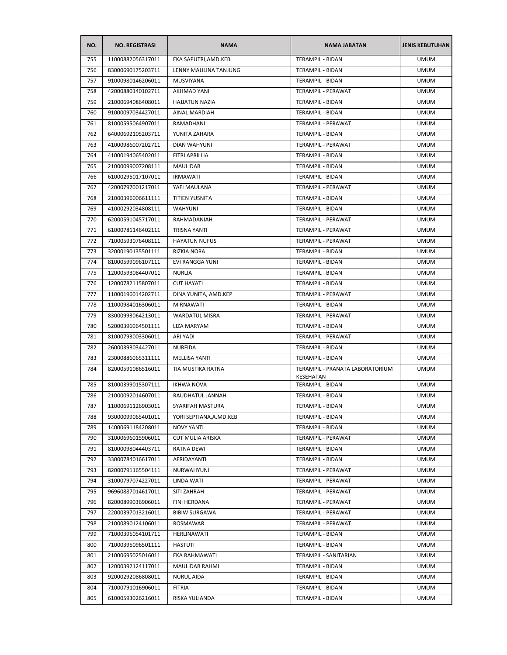| NO. | <b>NO. REGISTRASI</b> | <b>NAMA</b>              | <b>NAMA JABATAN</b>                          | <b>JENIS KEBUTUHAN</b> |
|-----|-----------------------|--------------------------|----------------------------------------------|------------------------|
| 755 | 11000882056317011     | EKA SAPUTRI, AMD. KEB    | TERAMPIL - BIDAN                             | <b>UMUM</b>            |
| 756 | 83000690175203711     | LENNY MAULINA TANJUNG    | TERAMPIL - BIDAN                             | <b>UMUM</b>            |
| 757 | 91000980146206011     | <b>MUSVIYANA</b>         | TERAMPIL - BIDAN                             | <b>UMUM</b>            |
| 758 | 42000880140102711     | AKHMAD YANI              | TERAMPIL - PERAWAT                           | <b>UMUM</b>            |
| 759 | 21000694086408011     | <b>HAJJATUN NAZIA</b>    | TERAMPIL - BIDAN                             | <b>UMUM</b>            |
| 760 | 91000097034427011     | AINAL MARDIAH            | TERAMPIL - BIDAN                             | <b>UMUM</b>            |
| 761 | 81000595064907011     | RAMADHANI                | TERAMPIL - PERAWAT                           | <b>UMUM</b>            |
| 762 | 64000692105203711     | YUNITA ZAHARA            | TERAMPIL - BIDAN                             | UMUM                   |
| 763 | 41000986007202711     | <b>DIAN WAHYUNI</b>      | TERAMPIL - PERAWAT                           | <b>UMUM</b>            |
| 764 | 41000194065402011     | FITRI APRILLIA           | TERAMPIL - BIDAN                             | <b>UMUM</b>            |
| 765 | 21000099007208111     | MAULIDAR                 | TERAMPIL - BIDAN                             | <b>UMUM</b>            |
| 766 | 61000295017107011     | <b>IRMAWATI</b>          | TERAMPIL - BIDAN                             | <b>UMUM</b>            |
| 767 | 42000797001217011     | YAFI MAULANA             | TERAMPIL - PERAWAT                           | <b>UMUM</b>            |
| 768 | 21000396006611111     | TITIEN YUSNITA           | TERAMPIL - BIDAN                             | <b>UMUM</b>            |
| 769 | 41000292034808111     | <b>WAHYUNI</b>           | TERAMPIL - BIDAN                             | <b>UMUM</b>            |
| 770 | 62000591045717011     | RAHMADANIAH              | <b>TERAMPIL - PERAWAT</b>                    | <b>UMUM</b>            |
| 771 | 61000781146402111     | TRISNA YANTI             | TERAMPIL - PERAWAT                           | <b>UMUM</b>            |
| 772 | 71000593076408111     | <b>HAYATUN NUFUS</b>     | TERAMPIL - PERAWAT                           | <b>UMUM</b>            |
| 773 | 32000190135501111     | RIZKIA NORA              | TERAMPIL - BIDAN                             | <b>UMUM</b>            |
| 774 | 81000599096107111     | EVI RANGGA YUNI          | TERAMPIL - BIDAN                             | <b>UMUM</b>            |
| 775 | 12000593084407011     | <b>NURLIA</b>            | <b>TERAMPIL - BIDAN</b>                      | <b>UMUM</b>            |
| 776 | 12000782115807011     | <b>CUT HAYATI</b>        | TERAMPIL - BIDAN                             | <b>UMUM</b>            |
| 777 | 11000196014202711     | DINA YUNITA, AMD.KEP     | TERAMPIL - PERAWAT                           | UMUM                   |
| 778 | 11000984016306011     | MIRNAWATI                | TERAMPIL - BIDAN                             | <b>UMUM</b>            |
| 779 | 83000993064213011     | <b>WARDATUL MISRA</b>    | TERAMPIL - PERAWAT                           | <b>UMUM</b>            |
| 780 | 52000396064501111     | LIZA MARYAM              | TERAMPIL - BIDAN                             | <b>UMUM</b>            |
| 781 | 81000793003306011     | ARI YADI                 | TERAMPIL - PERAWAT                           | <b>UMUM</b>            |
| 782 | 26000393034427011     | <b>NURFIDA</b>           | TERAMPIL - BIDAN                             | <b>UMUM</b>            |
| 783 | 23000886065311111     | <b>MELLISA YANTI</b>     | <b>TERAMPIL - BIDAN</b>                      | <b>UMUM</b>            |
| 784 | 82000591086516011     | TIA MUSTIKA RATNA        | TERAMPIL - PRANATA LABORATORIUM<br>KESEHATAN | <b>UMUM</b>            |
| 785 | 81000399015307111     | <b>IKHWA NOVA</b>        | TERAMPIL - BIDAN                             | <b>UMUM</b>            |
| 786 | 21000092014607011     | RAUDHATUL JANNAH         | TERAMPIL - BIDAN                             | <b>UMUM</b>            |
| 787 | 11000691126903011     | SYARIFAH MASTURA         | TERAMPIL - BIDAN                             | <b>UMUM</b>            |
| 788 | 93000099065401011     | YORI SEPTIANA, A.MD. KEB | <b>TERAMPIL - BIDAN</b>                      | <b>UMUM</b>            |
| 789 | 14000691184208011     | <b>NOVY YANTI</b>        | TERAMPIL - BIDAN                             | <b>UMUM</b>            |
| 790 | 31000696015906011     | <b>CUT MULIA ARISKA</b>  | TERAMPIL - PERAWAT                           | <b>UMUM</b>            |
| 791 | 81000098044403711     | RATNA DEWI               | TERAMPIL - BIDAN                             | <b>UMUM</b>            |
| 792 | 33000784016617011     | AFRIDAYANTI              | TERAMPIL - BIDAN                             | <b>UMUM</b>            |
| 793 | 82000791165504111     | NURWAHYUNI               | TERAMPIL - PERAWAT                           | <b>UMUM</b>            |
| 794 | 31000797074227011     | LINDA WATI               | TERAMPIL - PERAWAT                           | <b>UMUM</b>            |
| 795 | 96960887014617011     | SITI ZAHRAH              | TERAMPIL - PERAWAT                           | <b>UMUM</b>            |
| 796 | 82000899036906011     | FINI HERDANA             | TERAMPIL - PERAWAT                           | <b>UMUM</b>            |
| 797 | 22000397013216011     | <b>BIBIW SURGAWA</b>     | TERAMPIL - PERAWAT                           | <b>UMUM</b>            |
| 798 | 21000890124106011     | ROSMAWAR                 | TERAMPIL - PERAWAT                           | <b>UMUM</b>            |
| 799 | 71000395054101711     | HERLINAWATI              | TERAMPIL - BIDAN                             | <b>UMUM</b>            |
| 800 | 71000395096501111     | <b>HASTUTI</b>           | TERAMPIL - BIDAN                             | <b>UMUM</b>            |
| 801 | 21000695025016011     | EKA RAHMAWATI            | TERAMPIL - SANITARIAN                        | <b>UMUM</b>            |
| 802 | 12000392124117011     | MAULIDAR RAHMI           | TERAMPIL - BIDAN                             | <b>UMUM</b>            |
| 803 | 92000292086808011     | NURUL AIDA               | TERAMPIL - BIDAN                             | <b>UMUM</b>            |
| 804 | 71000791016906011     | <b>FITRIA</b>            | TERAMPIL - BIDAN                             | <b>UMUM</b>            |
| 805 | 61000593026216011     | RISKA YULIANDA           | TERAMPIL - BIDAN                             | <b>UMUM</b>            |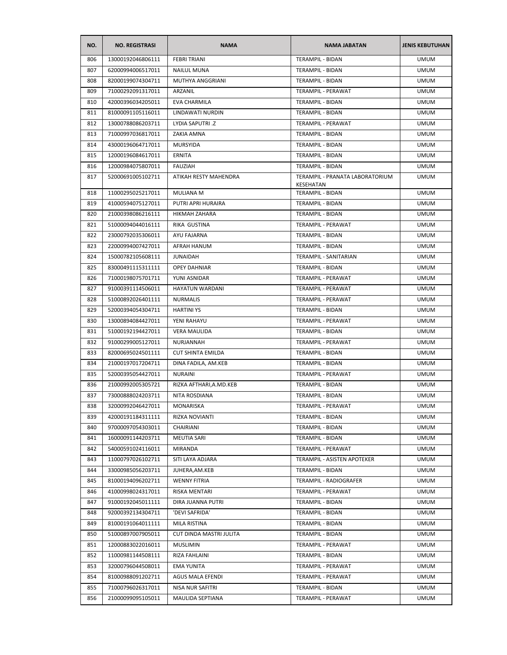| NO. | <b>NO. REGISTRASI</b> | <b>NAMA</b>              | <b>NAMA JABATAN</b>                          | <b>JENIS KEBUTUHAN</b> |
|-----|-----------------------|--------------------------|----------------------------------------------|------------------------|
| 806 | 13000192046806111     | <b>FEBRITRIANI</b>       | <b>TERAMPIL - BIDAN</b>                      | <b>UMUM</b>            |
| 807 | 62000994006517011     | <b>NAILUL MUNA</b>       | TERAMPIL - BIDAN                             | <b>UMUM</b>            |
| 808 | 82000199074304711     | MUTHYA ANGGRIANI         | TERAMPIL - BIDAN                             | <b>UMUM</b>            |
| 809 | 71000292091317011     | ARZANIL                  | TERAMPIL - PERAWAT                           | <b>UMUM</b>            |
| 810 | 42000396034205011     | EVA CHARMILA             | TERAMPIL - BIDAN                             | <b>UMUM</b>            |
| 811 | 81000091105116011     | LINDAWATI NURDIN         | TERAMPIL - BIDAN                             | <b>UMUM</b>            |
| 812 | 13000788086203711     | LYDIA SAPUTRI .Z         | TERAMPIL - PERAWAT                           | <b>UMUM</b>            |
| 813 | 71000997036817011     | ZAKIA AMNA               | <b>TERAMPIL - BIDAN</b>                      | <b>UMUM</b>            |
| 814 | 43000196064717011     | <b>MURSYIDA</b>          | TERAMPIL - BIDAN                             | <b>UMUM</b>            |
| 815 | 12000196084617011     | <b>ERNITA</b>            | <b>TERAMPIL - BIDAN</b>                      | <b>UMUM</b>            |
| 816 | 12000984075807011     | <b>FAUZIAH</b>           | TERAMPIL - BIDAN                             | <b>UMUM</b>            |
| 817 | 52000691005102711     | ATIKAH RESTY MAHENDRA    | TERAMPIL - PRANATA LABORATORIUM<br>KESEHATAN | <b>UMUM</b>            |
| 818 | 11000295025217011     | MULIANA M                | TERAMPIL - BIDAN                             | <b>UMUM</b>            |
| 819 | 41000594075127011     | PUTRI APRI HURAIRA       | <b>TERAMPIL - BIDAN</b>                      | <b>UMUM</b>            |
| 820 | 21000398086216111     | HIKMAH ZAHARA            | <b>TERAMPIL - BIDAN</b>                      | <b>UMUM</b>            |
| 821 | 51000094044016111     | RIKA GUSTINA             | TERAMPIL - PERAWAT                           | <b>UMUM</b>            |
| 822 | 23000792035306011     | AYU FAJARNA              | <b>TERAMPIL - BIDAN</b>                      | <b>UMUM</b>            |
| 823 | 22000994007427011     | AFRAH HANUM              | TERAMPIL - BIDAN                             | <b>UMUM</b>            |
| 824 | 15000782105608111     | <b>JUNAIDAH</b>          | <b>TERAMPIL - SANITARIAN</b>                 | <b>UMUM</b>            |
| 825 | 83000491115311111     | <b>OPEY DAHNIAR</b>      | TERAMPIL - BIDAN                             | <b>UMUM</b>            |
| 826 | 71000198075701711     | YUNI ASNIDAR             | TERAMPIL - PERAWAT                           | <b>UMUM</b>            |
| 827 | 91000391114506011     | HAYATUN WARDANI          | TERAMPIL - PERAWAT                           | <b>UMUM</b>            |
| 828 | 51000892026401111     | <b>NURMALIS</b>          | TERAMPIL - PERAWAT                           | <b>UMUM</b>            |
| 829 | 52000394054304711     | <b>HARTINI YS</b>        | TERAMPIL - BIDAN                             | <b>UMUM</b>            |
| 830 | 13000894084427011     | YENI RAHAYU              | TERAMPIL - PERAWAT                           | <b>UMUM</b>            |
| 831 | 51000192194427011     | <b>VERA MAULIDA</b>      | TERAMPIL - BIDAN                             | <b>UMUM</b>            |
| 832 | 91000299005127011     | NURJANNAH                | TERAMPIL - PERAWAT                           | <b>UMUM</b>            |
| 833 | 82000695024501111     | <b>CUT SHINTA EMILDA</b> | TERAMPIL - BIDAN                             | <b>UMUM</b>            |
| 834 | 21000197017204711     | DINA FADILA, AM.KEB      | TERAMPIL - BIDAN                             | <b>UMUM</b>            |
| 835 | 52000395054427011     | <b>NURAINI</b>           | TERAMPIL - PERAWAT                           | <b>UMUM</b>            |
| 836 | 21000992005305721     | RIZKA AFTHARI, A.MD.KEB  | TERAMPIL - BIDAN                             | <b>UMUM</b>            |
| 837 | 73000888024203711     | NITA ROSDIANA            | <b>TERAMPIL - BIDAN</b>                      | <b>UMUM</b>            |
| 838 | 32000992046427011     | MONARISKA                | TERAMPIL - PERAWAT                           | <b>UMUM</b>            |
| 839 | 42000191184311111     | <b>RIZKA NOVIANTI</b>    | TERAMPIL - BIDAN                             | <b>UMUM</b>            |
| 840 | 97000097054303011     | CHAIRIANI                | TERAMPIL - BIDAN                             | <b>UMUM</b>            |
| 841 | 16000091144203711     | MEUTIA SARI              | <b>TERAMPIL - BIDAN</b>                      | <b>UMUM</b>            |
| 842 | 54000591024116011     | <b>MIRANDA</b>           | TERAMPIL - PERAWAT                           | <b>UMUM</b>            |
| 843 | 11000797026102711     | SITI LAYA ADJARA         | TERAMPIL - ASISTEN APOTEKER                  | <b>UMUM</b>            |
| 844 | 33000985056203711     | JUHERA, AM. KEB          | TERAMPIL - BIDAN                             | <b>UMUM</b>            |
| 845 | 81000194096202711     | <b>WENNY FITRIA</b>      | TERAMPIL - RADIOGRAFER                       | <b>UMUM</b>            |
| 846 | 41000998024317011     | RISKA MENTARI            | TERAMPIL - PERAWAT                           | <b>UMUM</b>            |
| 847 | 91000192045011111     | DIRA JUANNA PUTRI        | TERAMPIL - BIDAN                             | <b>UMUM</b>            |
| 848 | 92000392134304711     | 'DEVI SAFRIDA'           | TERAMPIL - BIDAN                             | <b>UMUM</b>            |
| 849 | 81000191064011111     | MILA RISTINA             | TERAMPIL - BIDAN                             | <b>UMUM</b>            |
| 850 | 51000897007905011     | CUT DINDA MASTRI JULITA  | TERAMPIL - BIDAN                             | <b>UMUM</b>            |
| 851 | 12000883022016011     | <b>MUSLIMIN</b>          | TERAMPIL - PERAWAT                           | <b>UMUM</b>            |
| 852 | 11000981144508111     | RIZA FAHLAINI            | TERAMPIL - BIDAN                             | <b>UMUM</b>            |
| 853 | 32000796044508011     | <b>EMA YUNITA</b>        | TERAMPIL - PERAWAT                           | <b>UMUM</b>            |
| 854 | 81000988091202711     | AGUS MALA EFENDI         | TERAMPIL - PERAWAT                           | UMUM                   |
| 855 | 71000796026317011     | NISA NUR SAFITRI         | TERAMPIL - BIDAN                             | <b>UMUM</b>            |
| 856 | 21000099095105011     | MAULIDA SEPTIANA         | TERAMPIL - PERAWAT                           | <b>UMUM</b>            |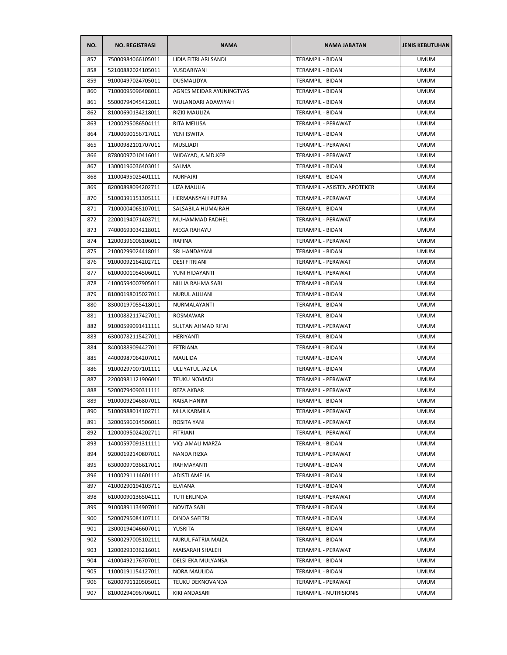| NO. | <b>NO. REGISTRASI</b> | <b>NAMA</b>              | <b>NAMA JABATAN</b>         | <b>JENIS KEBUTUHAN</b> |
|-----|-----------------------|--------------------------|-----------------------------|------------------------|
| 857 | 75000984066105011     | LIDIA FITRI ARI SANDI    | <b>TERAMPIL - BIDAN</b>     | <b>UMUM</b>            |
| 858 | 52100882024105011     | YUSDARIYANI              | TERAMPIL - BIDAN            | <b>UMUM</b>            |
| 859 | 91000497024705011     | DUSMALIDYA               | <b>TERAMPIL - BIDAN</b>     | <b>UMUM</b>            |
| 860 | 71000095096408011     | AGNES MEIDAR AYUNINGTYAS | TERAMPIL - BIDAN            | <b>UMUM</b>            |
| 861 | 55000794045412011     | WULANDARI ADAWIYAH       | TERAMPIL - BIDAN            | <b>UMUM</b>            |
| 862 | 81000690134218011     | RIZKI MAULIZA            | TERAMPIL - BIDAN            | <b>UMUM</b>            |
| 863 | 12000295086504111     | RITA MEILISA             | TERAMPIL - PERAWAT          | <b>UMUM</b>            |
| 864 | 71000690156717011     | YENI ISWITA              | <b>TERAMPIL - BIDAN</b>     | <b>UMUM</b>            |
| 865 | 11000982101707011     | MUSLIADI                 | TERAMPIL - PERAWAT          | <b>UMUM</b>            |
| 866 | 87800097010416011     | WIDAYAD, A.MD.KEP        | TERAMPIL - PERAWAT          | <b>UMUM</b>            |
| 867 | 13000196036403011     | SALMA                    | TERAMPIL - BIDAN            | <b>UMUM</b>            |
| 868 | 11000495025401111     | NURFAJRI                 | TERAMPIL - BIDAN            | <b>UMUM</b>            |
| 869 | 82000898094202711     | LIZA MAULIA              | TERAMPIL - ASISTEN APOTEKER | <b>UMUM</b>            |
| 870 | 51000391151305111     | HERMANSYAH PUTRA         | TERAMPIL - PERAWAT          | <b>UMUM</b>            |
| 871 | 71000004065107011     | SALSABILA HUMAIRAH       | TERAMPIL - BIDAN            | <b>UMUM</b>            |
| 872 | 22000194071403711     | MUHAMMAD FADHEL          | TERAMPIL - PERAWAT          | <b>UMUM</b>            |
| 873 | 74000693034218011     | <b>MEGA RAHAYU</b>       | TERAMPIL - BIDAN            | <b>UMUM</b>            |
| 874 | 12000396006106011     | RAFINA                   | TERAMPIL - PERAWAT          | <b>UMUM</b>            |
| 875 | 21000299024418011     | SRI HANDAYANI            | TERAMPIL - BIDAN            | <b>UMUM</b>            |
| 876 | 91000092164202711     | <b>DESI FITRIANI</b>     | TERAMPIL - PERAWAT          | <b>UMUM</b>            |
| 877 | 61000001054506011     | YUNI HIDAYANTI           | TERAMPIL - PERAWAT          | UMUM                   |
| 878 | 41000594007905011     | NILLIA RAHMA SARI        | TERAMPIL - BIDAN            | <b>UMUM</b>            |
| 879 | 81000198015027011     | <b>NURUL AULIANI</b>     | TERAMPIL - BIDAN            | <b>UMUM</b>            |
| 880 | 83000197055418011     | NURMALAYANTI             | TERAMPIL - BIDAN            | <b>UMUM</b>            |
| 881 | 11000882117427011     | ROSMAWAR                 | TERAMPIL - BIDAN            | <b>UMUM</b>            |
| 882 | 91000599091411111     | SULTAN AHMAD RIFAI       | TERAMPIL - PERAWAT          | <b>UMUM</b>            |
| 883 | 63000782115427011     | HERIYANTI                | TERAMPIL - BIDAN            | <b>UMUM</b>            |
| 884 | 84000889094427011     | FETRIANA                 | TERAMPIL - BIDAN            | <b>UMUM</b>            |
| 885 | 44000987064207011     | MAULIDA                  | <b>TERAMPIL - BIDAN</b>     | <b>UMUM</b>            |
| 886 | 91000297007101111     | ULLIYATUL JAZILA         | TERAMPIL - BIDAN            | <b>UMUM</b>            |
| 887 | 22000981121906011     | <b>TEUKU NOVIADI</b>     | TERAMPIL - PERAWAT          | <b>UMUM</b>            |
| 888 | 52000794090311111     | REZA AKBAR               | TERAMPIL - PERAWAT          | <b>UMUM</b>            |
| 889 | 91000092046807011     | RAISA HANIM              | <b>TERAMPIL - BIDAN</b>     | <b>UMUM</b>            |
| 890 | 51000988014102711     | MILA KARMILA             | TERAMPIL - PERAWAT          | <b>UMUM</b>            |
| 891 | 32000596014506011     | ROSITA YANI              | TERAMPIL - PERAWAT          | <b>UMUM</b>            |
| 892 | 12000095024202711     | FITRIANI                 | TERAMPIL - PERAWAT          | <b>UMUM</b>            |
| 893 | 14000597091311111     | VIQI AMALI MARZA         | TERAMPIL - BIDAN            | <b>UMUM</b>            |
| 894 | 92000192140807011     | NANDA RIZKA              | TERAMPIL - PERAWAT          | <b>UMUM</b>            |
| 895 | 63000097036617011     | RAHMAYANTI               | TERAMPIL - BIDAN            | <b>UMUM</b>            |
| 896 | 11000291114601111     | <b>ADISTI AMELIA</b>     | <b>TERAMPIL - BIDAN</b>     | <b>UMUM</b>            |
| 897 | 41000290194103711     | <b>ELVIANA</b>           | TERAMPIL - BIDAN            | UMUM                   |
| 898 | 61000090136504111     | TUTI ERLINDA             | TERAMPIL - PERAWAT          | <b>UMUM</b>            |
| 899 | 91000891134907011     | NOVITA SARI              | TERAMPIL - BIDAN            | <b>UMUM</b>            |
| 900 | 52000795084107111     | DINDA SAFITRI            | TERAMPIL - BIDAN            | <b>UMUM</b>            |
| 901 | 23000194046607011     | YUSRITA                  | TERAMPIL - BIDAN            | <b>UMUM</b>            |
| 902 | 53000297005102111     | NURUL FATRIA MAIZA       | TERAMPIL - BIDAN            | <b>UMUM</b>            |
| 903 | 12000293036216011     | MAISARAH SHALEH          | TERAMPIL - PERAWAT          | <b>UMUM</b>            |
| 904 | 41000492176707011     | DELSI EKA MULYANSA       | TERAMPIL - BIDAN            | <b>UMUM</b>            |
| 905 | 11000191154127011     | NORA MAULIDA             | TERAMPIL - BIDAN            | <b>UMUM</b>            |
| 906 | 62000791120505011     | TEUKU DEKNOVANDA         | TERAMPIL - PERAWAT          | <b>UMUM</b>            |
| 907 | 81000294096706011     | KIKI ANDASARI            | TERAMPIL - NUTRISIONIS      | <b>UMUM</b>            |
|     |                       |                          |                             |                        |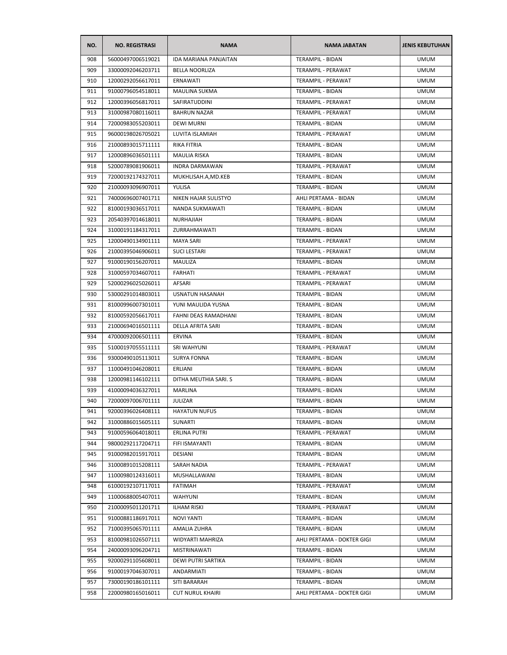| NO. | <b>NO. REGISTRASI</b> | <b>NAMA</b>                  | <b>NAMA JABATAN</b>        | <b>JENIS KEBUTUHAN</b> |
|-----|-----------------------|------------------------------|----------------------------|------------------------|
| 908 | 56000497006519021     | <b>IDA MARIANA PANJAITAN</b> | <b>TERAMPIL - BIDAN</b>    | <b>UMUM</b>            |
| 909 | 33000092046203711     | <b>BELLA NOORLIZA</b>        | TERAMPIL - PERAWAT         | <b>UMUM</b>            |
| 910 | 12000292056617011     | <b>ERNAWATI</b>              | TERAMPIL - PERAWAT         | <b>UMUM</b>            |
| 911 | 91000796054518011     | <b>MAULINA SUKMA</b>         | TERAMPIL - BIDAN           | <b>UMUM</b>            |
| 912 | 12000396056817011     | SAFIRATUDDINI                | TERAMPIL - PERAWAT         | <b>UMUM</b>            |
| 913 | 31000987080116011     | <b>BAHRUN NAZAR</b>          | TERAMPIL - PERAWAT         | <b>UMUM</b>            |
| 914 | 72000983055203011     | <b>DEWI MURNI</b>            | TERAMPIL - BIDAN           | <b>UMUM</b>            |
| 915 | 96000198026705021     | LUVITA ISLAMIAH              | TERAMPIL - PERAWAT         | <b>UMUM</b>            |
| 916 | 21000893015711111     | <b>RIKA FITRIA</b>           | TERAMPIL - BIDAN           | <b>UMUM</b>            |
| 917 | 12000896036501111     | <b>MAULIA RISKA</b>          | TERAMPIL - BIDAN           | <b>UMUM</b>            |
| 918 | 52000789081906011     | <b>INDRA DARMAWAN</b>        | TERAMPIL - PERAWAT         | <b>UMUM</b>            |
| 919 | 72000192174327011     | MUKHLISAH.A,MD.KEB           | TERAMPIL - BIDAN           | <b>UMUM</b>            |
| 920 | 21000093096907011     | YULISA                       | TERAMPIL - BIDAN           | <b>UMUM</b>            |
| 921 | 74000696007401711     | NIKEN HAJAR SULISTYO         | AHLI PERTAMA - BIDAN       | <b>UMUM</b>            |
| 922 | 81000193036517011     | NANDA SUKMAWATI              | TERAMPIL - BIDAN           | <b>UMUM</b>            |
| 923 | 20540397014618011     | NURHAJIAH                    | TERAMPIL - BIDAN           | <b>UMUM</b>            |
| 924 | 31000191184317011     | ZURRAHMAWATI                 | TERAMPIL - BIDAN           | <b>UMUM</b>            |
| 925 | 12000490134901111     | <b>MAYA SARI</b>             | TERAMPIL - PERAWAT         | <b>UMUM</b>            |
| 926 | 21000395046906011     | <b>SUCI LESTARI</b>          | <b>TERAMPIL - PERAWAT</b>  | <b>UMUM</b>            |
| 927 | 91000190156207011     | <b>MAULIZA</b>               | TERAMPIL - BIDAN           | <b>UMUM</b>            |
| 928 | 31000597034607011     | <b>FARHATI</b>               | TERAMPIL - PERAWAT         | UMUM                   |
| 929 | 52000296025026011     | AFSARI                       | TERAMPIL - PERAWAT         | <b>UMUM</b>            |
| 930 | 53000291014803011     | USNATUN HASANAH              | TERAMPIL - BIDAN           | <b>UMUM</b>            |
| 931 | 81000996007301011     | YUNI MAULIDA YUSNA           | TERAMPIL - BIDAN           | <b>UMUM</b>            |
| 932 | 81000592056617011     | FAHNI DEAS RAMADHANI         | TERAMPIL - BIDAN           | <b>UMUM</b>            |
| 933 | 21000694016501111     | DELLA AFRITA SARI            | TERAMPIL - BIDAN           | <b>UMUM</b>            |
| 934 | 47000092006501111     | <b>ERVINA</b>                | TERAMPIL - BIDAN           | <b>UMUM</b>            |
| 935 | 51000197055511111     | SRI WAHYUNI                  | TERAMPIL - PERAWAT         | <b>UMUM</b>            |
| 936 | 93000490105113011     | <b>SURYA FONNA</b>           | <b>TERAMPIL - BIDAN</b>    | <b>UMUM</b>            |
| 937 | 11000491046208011     | ERLIANI                      | TERAMPIL - BIDAN           | <b>UMUM</b>            |
| 938 | 12000981146102111     | DITHA MEUTHIA SARI. S        | TERAMPIL - BIDAN           | <b>UMUM</b>            |
| 939 | 41000094036327011     | <b>MARLINA</b>               | TERAMPIL - BIDAN           | <b>UMUM</b>            |
| 940 | 72000097006701111     | <b>JULIZAR</b>               | <b>TERAMPIL - BIDAN</b>    | <b>UMUM</b>            |
| 941 | 92000396026408111     | <b>HAYATUN NUFUS</b>         | TERAMPIL - BIDAN           | <b>UMUM</b>            |
| 942 | 31000886015605111     | SUNARTI                      | TERAMPIL - BIDAN           | <b>UMUM</b>            |
| 943 | 91000596064018011     | ERLINA PUTRI                 | TERAMPIL - PERAWAT         | <b>UMUM</b>            |
| 944 | 98000292117204711     | FIFI ISMAYANTI               | TERAMPIL - BIDAN           | <b>UMUM</b>            |
| 945 | 91000982015917011     | DESIANI                      | TERAMPIL - BIDAN           | <b>UMUM</b>            |
| 946 | 31000891015208111     | SARAH NADIA                  | TERAMPIL - PERAWAT         | <b>UMUM</b>            |
| 947 | 11000980124316011     | MUSHALLAWANI                 | TERAMPIL - BIDAN           | <b>UMUM</b>            |
| 948 | 61000192107117011     | <b>FATIMAH</b>               | <b>TERAMPIL - PERAWAT</b>  | <b>UMUM</b>            |
| 949 | 11000688005407011     | WAHYUNI                      | TERAMPIL - BIDAN           | <b>UMUM</b>            |
| 950 | 21000095011201711     | <b>ILHAM RISKI</b>           | TERAMPIL - PERAWAT         | <b>UMUM</b>            |
| 951 | 91000881186917011     | NOVI YANTI                   | TERAMPIL - BIDAN           | <b>UMUM</b>            |
| 952 | 71000395065701111     | AMALIA ZUHRA                 | TERAMPIL - BIDAN           | <b>UMUM</b>            |
| 953 | 81000981026507111     | WIDYARTI MAHRIZA             | AHLI PERTAMA - DOKTER GIGI | <b>UMUM</b>            |
| 954 | 24000093096204711     | MISTRINAWATI                 | TERAMPIL - BIDAN           | <b>UMUM</b>            |
|     | 92000291105608011     |                              |                            |                        |
| 955 |                       | DEWI PUTRI SARTIKA           | TERAMPIL - BIDAN           | <b>UMUM</b>            |
| 956 | 91000197046307011     | ANDARMIATI                   | TERAMPIL - BIDAN           | <b>UMUM</b>            |
| 957 | 73000190186101111     | SITI BARARAH                 | TERAMPIL - BIDAN           | <b>UMUM</b>            |
| 958 | 22000980165016011     | <b>CUT NURUL KHAIRI</b>      | AHLI PERTAMA - DOKTER GIGI | <b>UMUM</b>            |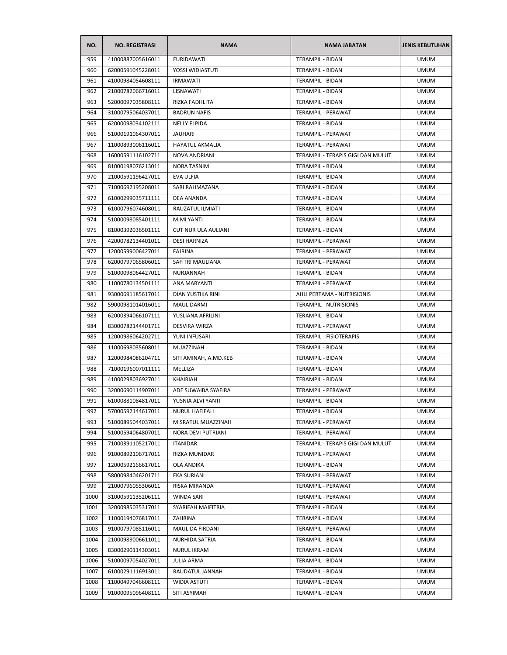| NO.  | <b>NO. REGISTRASI</b> | <b>NAMA</b>            | <b>NAMA JABATAN</b>               | <b>JENIS KEBUTUHAN</b> |
|------|-----------------------|------------------------|-----------------------------------|------------------------|
| 959  | 41000887005616011     | <b>FURIDAWATI</b>      | TERAMPIL - BIDAN                  | <b>UMUM</b>            |
| 960  | 62000591045228011     | YOSSI WIDIASTUTI       | TERAMPIL - BIDAN                  | <b>UMUM</b>            |
| 961  | 41000984054608111     | <b>IRMAWATI</b>        | TERAMPIL - BIDAN                  | <b>UMUM</b>            |
| 962  | 21000782066716011     | LISNAWATI              | TERAMPIL - BIDAN                  | <b>UMUM</b>            |
| 963  | 52000097035808111     | RIZKA FADHLITA         | TERAMPIL - BIDAN                  | <b>UMUM</b>            |
| 964  | 31000795064037011     | <b>BADRUN NAFIS</b>    | TERAMPIL - PERAWAT                | <b>UMUM</b>            |
| 965  | 62000098034102111     | <b>NELLY ELPIDA</b>    | <b>TERAMPIL - BIDAN</b>           | <b>UMUM</b>            |
| 966  | 51000191064307011     | <b>JAUHARI</b>         | TERAMPIL - PERAWAT                | <b>UMUM</b>            |
| 967  | 11000893006116011     | <b>HAYATUL AKMALIA</b> | TERAMPIL - PERAWAT                | <b>UMUM</b>            |
| 968  | 16000591116102711     | <b>NOVA ANDRIANI</b>   | TERAMPIL - TERAPIS GIGI DAN MULUT | <b>UMUM</b>            |
| 969  | 81000198076213011     | NORA TASNIM            | TERAMPIL - BIDAN                  | <b>UMUM</b>            |
| 970  | 21000591196427011     | EVA ULFIA              | TERAMPIL - BIDAN                  | <b>UMUM</b>            |
| 971  | 71000692195208011     | SARI RAHMAZANA         | TERAMPIL - BIDAN                  | <b>UMUM</b>            |
| 972  | 61000299035711111     | <b>DEA ANANDA</b>      | TERAMPIL - BIDAN                  | <b>UMUM</b>            |
| 973  | 61000796074608011     | RAUZATUL ILMIATI       | <b>TERAMPIL - BIDAN</b>           | <b>UMUM</b>            |
| 974  | 51000098085401111     | <b>MIMI YANTI</b>      | TERAMPIL - BIDAN                  | <b>UMUM</b>            |
| 975  | 81000392036501111     | CUT NUR ULA AULIANI    | <b>TERAMPIL - BIDAN</b>           | <b>UMUM</b>            |
| 976  | 42000782134401011     | <b>DESI HARNIZA</b>    | TERAMPIL - PERAWAT                | <b>UMUM</b>            |
| 977  | 12000599006427011     | <b>FAJRINA</b>         | TERAMPIL - PERAWAT                | <b>UMUM</b>            |
| 978  | 62000797065806011     | SAFITRI MAULIANA       | <b>TERAMPIL - PERAWAT</b>         | <b>UMUM</b>            |
| 979  | 51000098064427011     | NURJANNAH              | <b>TERAMPIL - BIDAN</b>           | <b>UMUM</b>            |
| 980  | 11000780134501111     | ANA MARYANTI           | TERAMPIL - PERAWAT                | <b>UMUM</b>            |
| 981  | 93000691185617011     | DIAN YUSTIKA RINI      | AHLI PERTAMA - NUTRISIONIS        | <b>UMUM</b>            |
| 982  | 59000981014016011     | MAULIDARMI             | TERAMPIL - NUTRISIONIS            | <b>UMUM</b>            |
| 983  | 62000394066107111     | YUSLIANA AFRILINI      | TERAMPIL - BIDAN                  | <b>UMUM</b>            |
| 984  | 83000782144401711     | DESVIRA WIRZA          | TERAMPIL - PERAWAT                | <b>UMUM</b>            |
| 985  | 12000986064202711     | YUNI INFUSARI          | TERAMPIL - FISIOTERAPIS           | <b>UMUM</b>            |
| 986  | 11000698035608011     | MUAZZINAH              | TERAMPIL - BIDAN                  | <b>UMUM</b>            |
| 987  | 12000984086204711     | SITI AMINAH, A.MD.KEB  | <b>TERAMPIL - BIDAN</b>           | <b>UMUM</b>            |
| 988  | 71000196007011111     | MELLIZA                | TERAMPIL - BIDAN                  | <b>UMUM</b>            |
| 989  | 41000298036927011     | KHAIRIAH               | TERAMPIL - BIDAN                  | <b>UMUM</b>            |
| 990  | 32000690114907011     | ADE SUWAIBA SYAFIRA    | TERAMPIL - PERAWAT                | <b>UMUM</b>            |
| 991  | 61000881084817011     | YUSNIA ALVI YANTI      | TERAMPIL - BIDAN                  | <b>UMUM</b>            |
| 992  | 57000592144617011     | <b>NURUL HAFIFAH</b>   | TERAMPIL - BIDAN                  | <b>UMUM</b>            |
| 993  | 51000895044037011     | MISRATUL MUAZZINAH     | TERAMPIL - PERAWAT                | <b>UMUM</b>            |
| 994  | 51000594064807011     | NORA DEVI PUTRIANI     | TERAMPIL - PERAWAT                | <b>UMUM</b>            |
| 995  | 71000391105217011     | <b>ITANIDAR</b>        | TERAMPIL - TERAPIS GIGI DAN MULUT | <b>UMUM</b>            |
| 996  | 91000892106717011     | RIZKA MUNIDAR          | TERAMPIL - PERAWAT                | <b>UMUM</b>            |
| 997  | 12000592166617011     | <b>OLA ANDIKA</b>      | TERAMPIL - BIDAN                  | <b>UMUM</b>            |
|      |                       |                        |                                   | <b>UMUM</b>            |
| 998  | 58000984046201711     | EKA SURIANI            | TERAMPIL - PERAWAT                | <b>UMUM</b>            |
| 999  | 21000796055306011     | RISKA MIRANDA          | TERAMPIL - PERAWAT                |                        |
| 1000 | 31000591135206111     | WINDA SARI             | TERAMPIL - PERAWAT                | <b>UMUM</b>            |
| 1001 | 32000985035317011     | SYARIFAH MAIFITRIA     | TERAMPIL - BIDAN                  | <b>UMUM</b>            |
| 1002 | 11000194076817011     | ZAHRINA                | TERAMPIL - BIDAN                  | <b>UMUM</b>            |
| 1003 | 91000797085116011     | MAULIDA FIRDANI        | TERAMPIL - PERAWAT                | <b>UMUM</b>            |
| 1004 | 21000989006611011     | NURHIDA SATRIA         | TERAMPIL - BIDAN                  | <b>UMUM</b>            |
| 1005 | 83000290114303011     | <b>NURUL IKRAM</b>     | <b>TERAMPIL - BIDAN</b>           | <b>UMUM</b>            |
| 1006 | 51000097054027011     | <b>JULIA ARMA</b>      | TERAMPIL - BIDAN                  | <b>UMUM</b>            |
| 1007 | 61000291116913011     | RAUDATUL JANNAH        | TERAMPIL - BIDAN                  | <b>UMUM</b>            |
| 1008 | 11000497046608111     | <b>WIDIA ASTUTI</b>    | TERAMPIL - BIDAN                  | <b>UMUM</b>            |
| 1009 | 91000095096408111     | SITI ASYIMAH           | TERAMPIL - BIDAN                  | <b>UMUM</b>            |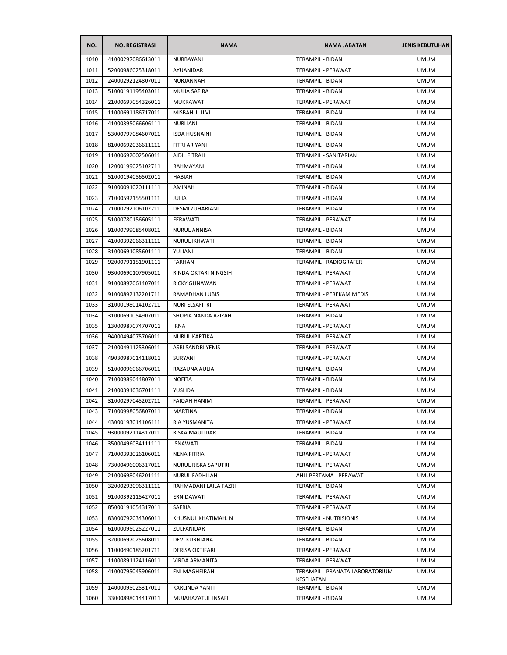| NO.  | <b>NO. REGISTRASI</b> | <b>NAMA</b>            | <b>NAMA JABATAN</b>             | <b>JENIS KEBUTUHAN</b> |
|------|-----------------------|------------------------|---------------------------------|------------------------|
| 1010 | 41000297086613011     | NURBAYANI              | TERAMPIL - BIDAN                | <b>UMUM</b>            |
| 1011 | 52000986025318011     | AYUANIDAR              | TERAMPIL - PERAWAT              | <b>UMUM</b>            |
| 1012 | 24000292124807011     | NURJANNAH              | TERAMPIL - BIDAN                | <b>UMUM</b>            |
| 1013 | 51000191195403011     | <b>MULIA SAFIRA</b>    | TERAMPIL - BIDAN                | <b>UMUM</b>            |
| 1014 | 21000697054326011     | MUKRAWATI              | TERAMPIL - PERAWAT              | <b>UMUM</b>            |
| 1015 | 11000691186717011     | MISBAHUL ILVI          | TERAMPIL - BIDAN                | <b>UMUM</b>            |
| 1016 | 41000395066606111     | <b>NURLIANI</b>        | TERAMPIL - BIDAN                | <b>UMUM</b>            |
| 1017 | 53000797084607011     | <b>ISDA HUSNAINI</b>   | TERAMPIL - BIDAN                | UMUM                   |
| 1018 | 81000692036611111     | FITRI ARIYANI          | <b>TERAMPIL - BIDAN</b>         | <b>UMUM</b>            |
| 1019 | 11000692002506011     | AIDIL FITRAH           | <b>TERAMPIL - SANITARIAN</b>    | <b>UMUM</b>            |
| 1020 | 12000199025102711     | RAHMAYANI              | TERAMPIL - BIDAN                | <b>UMUM</b>            |
| 1021 | 51000194056502011     | HABIAH                 | TERAMPIL - BIDAN                | <b>UMUM</b>            |
| 1022 | 91000091020111111     | AMINAH                 | TERAMPIL - BIDAN                | <b>UMUM</b>            |
| 1023 | 71000592155501111     | <b>JULIA</b>           | TERAMPIL - BIDAN                | <b>UMUM</b>            |
| 1024 | 71000292106102711     | <b>DESMI ZUHARIANI</b> | TERAMPIL - BIDAN                | <b>UMUM</b>            |
| 1025 | 51000780156605111     | FERAWATI               | TERAMPIL - PERAWAT              | <b>UMUM</b>            |
| 1026 | 91000799085408011     | <b>NURUL ANNISA</b>    | TERAMPIL - BIDAN                | <b>UMUM</b>            |
| 1027 | 41000392066311111     | <b>NURUL IKHWATI</b>   | TERAMPIL - BIDAN                | <b>UMUM</b>            |
| 1028 | 31000691085601111     | YULIANI                | TERAMPIL - BIDAN                | <b>UMUM</b>            |
| 1029 | 92000791151901111     | <b>FARHAN</b>          | <b>TERAMPIL - RADIOGRAFER</b>   | <b>UMUM</b>            |
| 1030 | 93000690107905011     | RINDA OKTARI NINGSIH   | TERAMPIL - PERAWAT              | <b>UMUM</b>            |
| 1031 | 91000897061407011     | <b>RICKY GUNAWAN</b>   | TERAMPIL - PERAWAT              | UMUM                   |
| 1032 | 91000892132201711     | RAMADHAN LUBIS         | TERAMPIL - PEREKAM MEDIS        | <b>UMUM</b>            |
| 1033 | 31000198014102711     | NURI ELSAFITRI         | TERAMPIL - PERAWAT              | <b>UMUM</b>            |
| 1034 | 31000691054907011     | SHOPIA NANDA AZIZAH    | TERAMPIL - BIDAN                | <b>UMUM</b>            |
| 1035 | 13000987074707011     | <b>IRNA</b>            | TERAMPIL - PERAWAT              | <b>UMUM</b>            |
| 1036 | 94000494075706011     | <b>NURUL KARTIKA</b>   | TERAMPIL - PERAWAT              | <b>UMUM</b>            |
| 1037 | 21000491125306011     | ASRI SANDRI YENIS      | TERAMPIL - PERAWAT              | <b>UMUM</b>            |
| 1038 | 49030987014118011     | SURYANI                | TERAMPIL - PERAWAT              | <b>UMUM</b>            |
| 1039 | 51000096066706011     | RAZAUNA AULIA          | TERAMPIL - BIDAN                | <b>UMUM</b>            |
| 1040 | 71000989044807011     | <b>NOFITA</b>          | TERAMPIL - BIDAN                | <b>UMUM</b>            |
| 1041 | 21000391036701111     | YUSLIDA                | TERAMPIL - BIDAN                | <b>UMUM</b>            |
| 1042 | 31000297045202711     | <b>FAIQAH HANIM</b>    | TERAMPIL - PERAWAT              | <b>UMUM</b>            |
| 1043 | 71000998056807011     | MARTINA                | TERAMPIL - BIDAN                | <b>UMUM</b>            |
| 1044 | 43000193014106111     | RIA YUSMANITA          | TERAMPIL - PERAWAT              | <b>UMUM</b>            |
| 1045 | 93000092114317011     | RISKA MAULIDAR         | TERAMPIL - BIDAN                | <b>UMUM</b>            |
| 1046 | 35000496034111111     | <b>ISNAWATI</b>        | TERAMPIL - BIDAN                | <b>UMUM</b>            |
| 1047 | 71000393026106011     | <b>NENA FITRIA</b>     | TERAMPIL - PERAWAT              | <b>UMUM</b>            |
| 1048 | 73000496006317011     | NURUL RISKA SAPUTRI    | TERAMPIL - PERAWAT              | <b>UMUM</b>            |
| 1049 | 21000698046201111     | NURUL FADHILAH         | AHLI PERTAMA - PERAWAT          | <b>UMUM</b>            |
| 1050 | 32000293096311111     | RAHMADANI LAILA FAZRI  | TERAMPIL - BIDAN                | <b>UMUM</b>            |
| 1051 | 91000392115427011     | ERNIDAWATI             | TERAMPIL - PERAWAT              | UMUM                   |
| 1052 | 85000191054317011     | SAFRIA                 | TERAMPIL - PERAWAT              | <b>UMUM</b>            |
| 1053 | 83000792034306011     | KHUSNUL KHATIMAH. N    | TERAMPIL - NUTRISIONIS          | <b>UMUM</b>            |
| 1054 | 61000095025227011     | ZULFANIDAR             | TERAMPIL - BIDAN                | <b>UMUM</b>            |
| 1055 | 32000697025608011     | DEVI KURNIANA          | TERAMPIL - BIDAN                | <b>UMUM</b>            |
| 1056 | 11000490185201711     | <b>DERISA OKTIFARI</b> | TERAMPIL - PERAWAT              | <b>UMUM</b>            |
| 1057 | 11000891124116011     | VIRDA ARMANITA         | TERAMPIL - PERAWAT              | <b>UMUM</b>            |
| 1058 | 41000795045906011     | ENI MAGHFIRAH          | TERAMPIL - PRANATA LABORATORIUM | <b>UMUM</b>            |
|      |                       |                        | KESEHATAN                       |                        |
| 1059 | 14000095025317011     | KARLINDA YANTI         | TERAMPIL - BIDAN                | <b>UMUM</b>            |
| 1060 | 33000898014417011     | MUJAHAZATUL INSAFI     | TERAMPIL - BIDAN                | <b>UMUM</b>            |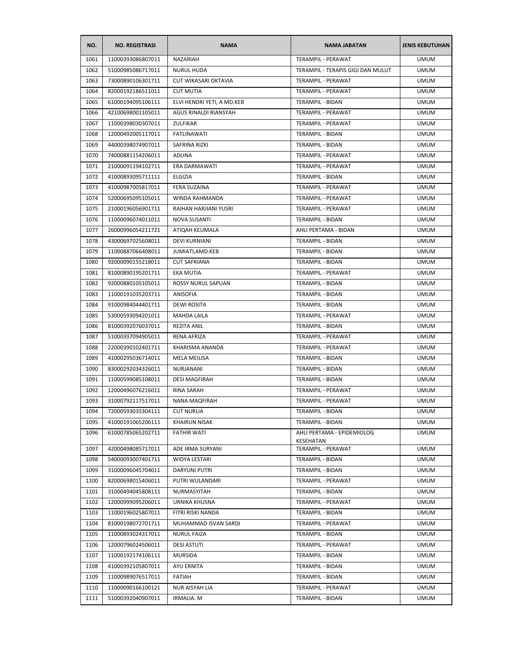| NO.  | <b>NO. REGISTRASI</b> | <b>NAMA</b>                | <b>NAMA JABATAN</b>               | <b>JENIS KEBUTUHAN</b> |
|------|-----------------------|----------------------------|-----------------------------------|------------------------|
| 1061 | 11000393086807011     | <b>NAZARIAH</b>            | TERAMPIL - PERAWAT                | <b>UMUM</b>            |
| 1062 | 51000985086717011     | <b>NURUL HUDA</b>          | TERAMPIL - TERAPIS GIGI DAN MULUT | <b>UMUM</b>            |
| 1063 | 73000890106301711     | CUT WIKASARI OKTAVIA       | <b>TERAMPIL - PERAWAT</b>         | <b>UMUM</b>            |
| 1064 | 82000192186511011     | <b>CUT MUTIA</b>           | TERAMPIL - PERAWAT                | <b>UMUM</b>            |
| 1065 | 61000194095106111     | ELVI HENDRI YETI, A MD.KEB | TERAMPIL - BIDAN                  | <b>UMUM</b>            |
| 1066 | 42100698001105011     | AGUS RINALDI RIANSYAH      | TERAMPIL - PERAWAT                | <b>UMUM</b>            |
| 1067 | 11000398030307011     | ZULFIKAR                   | TERAMPIL - PERAWAT                | <b>UMUM</b>            |
| 1068 | 12000492005117011     | FATLINAWATI                | TERAMPIL - BIDAN                  | <b>UMUM</b>            |
| 1069 | 44000398074907011     | SAFRINA RIZKI              | <b>TERAMPIL - BIDAN</b>           | <b>UMUM</b>            |
| 1070 | 74000881154206011     | <b>ADLINA</b>              | <b>TERAMPIL - PERAWAT</b>         | <b>UMUM</b>            |
| 1071 | 21000091194102711     | ERA DARMAWATI              | TERAMPIL - PERAWAT                | <b>UMUM</b>            |
| 1072 | 41000893095711111     | ELGIZIA                    | TERAMPIL - BIDAN                  | <b>UMUM</b>            |
| 1073 | 41000987005817011     | <b>FERA SUZAINA</b>        | TERAMPIL - PERAWAT                | <b>UMUM</b>            |
| 1074 | 52000695095105011     | WINDA RAHMANDA             | TERAMPIL - PERAWAT                | <b>UMUM</b>            |
| 1075 | 21000196056901711     | RAIHAN HARJIANI YUSRI      | TERAMPIL - PERAWAT                | <b>UMUM</b>            |
| 1076 | 11000096074011011     | NOVA SUSANTI               | <b>TERAMPIL - BIDAN</b>           | <b>UMUM</b>            |
| 1077 | 26000996054211721     | ATIQAH KEUMALA             | AHLI PERTAMA - BIDAN              | <b>UMUM</b>            |
| 1078 | 43000697025608011     | <b>DEVI KURNIANI</b>       | <b>TERAMPIL - BIDAN</b>           | <b>UMUM</b>            |
| 1079 | 11000887066408011     | JUMIATI, AMD. KEB          | <b>TERAMPIL - BIDAN</b>           | <b>UMUM</b>            |
| 1080 | 92000090155218011     | <b>CUT SAFRIANA</b>        | TERAMPIL - BIDAN                  | <b>UMUM</b>            |
| 1081 | 81000890195201711     | EKA MUTIA                  | TERAMPIL - PERAWAT                | <b>UMUM</b>            |
| 1082 | 92000880105105011     | ROSSY NURUL SAPUAN         | TERAMPIL - BIDAN                  | <b>UMUM</b>            |
| 1083 | 11000191035203711     | ANISOFIA                   | TERAMPIL - BIDAN                  | UMUM                   |
| 1084 | 91000984044401711     | <b>DEWI ROSITA</b>         | TERAMPIL - BIDAN                  | <b>UMUM</b>            |
| 1085 | 53000593094201011     | <b>MAHDA LAILA</b>         | TERAMPIL - PERAWAT                | <b>UMUM</b>            |
| 1086 | 81000392076037011     | REZITA ANIL                | TERAMPIL - BIDAN                  | <b>UMUM</b>            |
| 1087 | 51000397094905011     | RENA AFRIZA                | TERAMPIL - PERAWAT                | <b>UMUM</b>            |
| 1088 | 22000390102401711     | KHARISMA ANANDA            | TERAMPIL - PERAWAT                | <b>UMUM</b>            |
| 1089 | 41000295036714011     | MELA MEILISA               | TERAMPIL - BIDAN                  | <b>UMUM</b>            |
| 1090 | 83000292034326011     | <b>NURJANANI</b>           | <b>TERAMPIL - BIDAN</b>           | <b>UMUM</b>            |
| 1091 | 11000599085108011     | <b>DESI MAGFIRAH</b>       | TERAMPIL - BIDAN                  | <b>UMUM</b>            |
| 1092 | 12000496076216011     | RINA SARAH                 | TERAMPIL - PERAWAT                | <b>UMUM</b>            |
| 1093 | 31000792117517011     | <b>NANA MAQFIRAH</b>       | TERAMPIL - PERAWAT                | <b>UMUM</b>            |
| 1094 | 72000593035304111     | <b>CUT NURLIA</b>          | TERAMPIL - BIDAN                  | <b>UMUM</b>            |
| 1095 | 41000191065206111     | <b>KHAIRUN NISAK</b>       | TERAMPIL - BIDAN                  | <b>UMUM</b>            |
| 1096 | 61000785065202711     | <b>FATHIR WATI</b>         | AHLI PERTAMA - EPIDEMIOLOG        | <b>UMUM</b>            |
| 1097 | 42000498085717011     | ADE IRMA SURYANI           | KESEHATAN<br>TERAMPIL - PERAWAT   | <b>UMUM</b>            |
| 1098 | 54000093007401711     | WIDYA LESTARI              | TERAMPIL - BIDAN                  | <b>UMUM</b>            |
| 1099 | 31000096045704011     | <b>DARYUNI PUTRI</b>       | TERAMPIL - BIDAN                  | <b>UMUM</b>            |
| 1100 | 82000698015406011     | PUTRI WULANDARI            | <b>TERAMPIL - PERAWAT</b>         | <b>UMUM</b>            |
| 1101 | 31000494045808111     | NURMASYITAH                | TERAMPIL - BIDAN                  | <b>UMUM</b>            |
| 1102 | 12000999095206011     | URNIKA KHUSNA              | TERAMPIL - PERAWAT                | <b>UMUM</b>            |
| 1103 | 11000196025807011     | FITRI RISKI NANDA          | <b>TERAMPIL - BIDAN</b>           | <b>UMUM</b>            |
| 1104 | 81000198072701711     | MUHAMMAD ISVAN SARDI       | TERAMPIL - PERAWAT                | <b>UMUM</b>            |
| 1105 | 11000893024317011     | <b>NURUL FAIZA</b>         | TERAMPIL - BIDAN                  | <b>UMUM</b>            |
| 1106 | 12000796024506011     | <b>DESI ASTUTI</b>         | TERAMPIL - PERAWAT                | <b>UMUM</b>            |
| 1107 | 11000192174106111     | <b>MURSIDA</b>             | TERAMPIL - BIDAN                  | <b>UMUM</b>            |
| 1108 | 41000392105807011     | AYU ERNITA                 | TERAMPIL - BIDAN                  | <b>UMUM</b>            |
| 1109 | 11000989076517011     | FATIAH                     | TERAMPIL - BIDAN                  | <b>UMUM</b>            |
| 1110 | 11000090166100121     | NUR AISYAH LIA             | TERAMPIL - PERAWAT                | <b>UMUM</b>            |
| 1111 | 51000392040907011     | IRMALIA. M                 | TERAMPIL - BIDAN                  | <b>UMUM</b>            |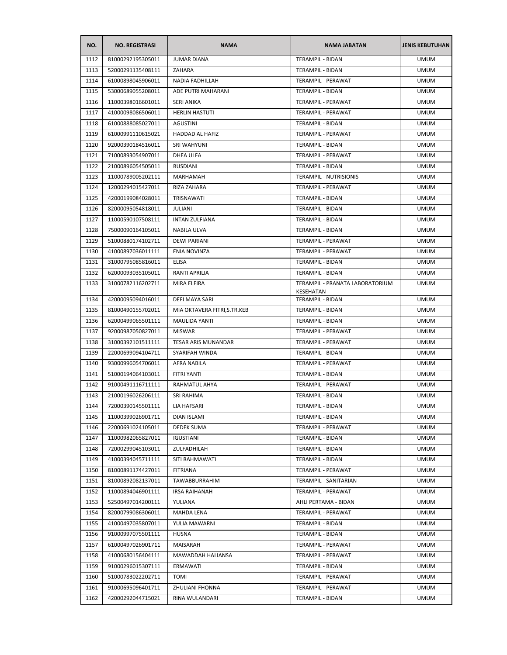| NO.  | <b>NO. REGISTRASI</b> | <b>NAMA</b>                  | <b>NAMA JABATAN</b>                          | <b>JENIS KEBUTUHAN</b> |
|------|-----------------------|------------------------------|----------------------------------------------|------------------------|
| 1112 | 81000292195305011     | <b>JUMAR DIANA</b>           | TERAMPIL - BIDAN                             | <b>UMUM</b>            |
| 1113 | 52000291135408111     | ZAHARA                       | TERAMPIL - BIDAN                             | <b>UMUM</b>            |
| 1114 | 61000898045906011     | NADIA FADHILLAH              | TERAMPIL - PERAWAT                           | UMUM                   |
| 1115 | 53000689055208011     | ADE PUTRI MAHARANI           | TERAMPIL - BIDAN                             | <b>UMUM</b>            |
| 1116 | 11000398016601011     | <b>SERI ANIKA</b>            | TERAMPIL - PERAWAT                           | <b>UMUM</b>            |
| 1117 | 41000098086506011     | <b>HERLIN HASTUTI</b>        | TERAMPIL - PERAWAT                           | <b>UMUM</b>            |
| 1118 | 61000888085027011     | AGUSTINI                     | TERAMPIL - BIDAN                             | <b>UMUM</b>            |
| 1119 | 61000991110615021     | HADDAD AL HAFIZ              | TERAMPIL - PERAWAT                           | <b>UMUM</b>            |
| 1120 | 92000390184516011     | SRI WAHYUNI                  | TERAMPIL - BIDAN                             | <b>UMUM</b>            |
| 1121 | 71000893054907011     | DHEA ULFA                    | TERAMPIL - PERAWAT                           | <b>UMUM</b>            |
| 1122 | 21000896054505011     | <b>RUSDIANI</b>              | TERAMPIL - BIDAN                             | <b>UMUM</b>            |
| 1123 | 11000789005202111     | <b>MARHAMAH</b>              | TERAMPIL - NUTRISIONIS                       | <b>UMUM</b>            |
| 1124 | 12000294015427011     | RIZA ZAHARA                  | TERAMPIL - PERAWAT                           | <b>UMUM</b>            |
| 1125 | 42000199084028011     | TRISNAWATI                   | <b>TERAMPIL - BIDAN</b>                      | <b>UMUM</b>            |
| 1126 | 82000095054818011     | <b>JULIANI</b>               | TERAMPIL - BIDAN                             | <b>UMUM</b>            |
| 1127 | 11000590107508111     | <b>INTAN ZULFIANA</b>        | TERAMPIL - BIDAN                             | UMUM                   |
| 1128 | 75000090164105011     | NABILA ULVA                  | TERAMPIL - BIDAN                             | <b>UMUM</b>            |
| 1129 | 51000880174102711     | <b>DEWI PARIANI</b>          | TERAMPIL - PERAWAT                           | <b>UMUM</b>            |
| 1130 | 41000897036011111     | ENIA NOVINZA                 | TERAMPIL - PERAWAT                           | <b>UMUM</b>            |
| 1131 | 31000795085816011     | <b>ELISA</b>                 | TERAMPIL - BIDAN                             | <b>UMUM</b>            |
| 1132 | 62000093035105011     | <b>RANTI APRILIA</b>         | <b>TERAMPIL - BIDAN</b>                      | <b>UMUM</b>            |
| 1133 | 31000782116202711     | MIRA ELFIRA                  | TERAMPIL - PRANATA LABORATORIUM<br>KESEHATAN | <b>UMUM</b>            |
| 1134 | 42000095094016011     | DEFI MAYA SARI               | TERAMPIL - BIDAN                             | <b>UMUM</b>            |
| 1135 | 81000490155702011     | MIA OKTAVERA FITRI, S.TR.KEB | TERAMPIL - BIDAN                             | <b>UMUM</b>            |
| 1136 | 62000499065501111     | <b>MAULIDA YANTI</b>         | TERAMPIL - BIDAN                             | <b>UMUM</b>            |
| 1137 | 92000987050827011     | <b>MISWAR</b>                | TERAMPIL - PERAWAT                           | <b>UMUM</b>            |
| 1138 | 31000392101511111     | TESAR ARIS MUNANDAR          | TERAMPIL - PERAWAT                           | UMUM                   |
| 1139 | 22000699094104711     | SYARIFAH WINDA               | TERAMPIL - BIDAN                             | UMUM                   |
| 1140 | 93000996054706011     | AFRA NABILA                  | TERAMPIL - PERAWAT                           | <b>UMUM</b>            |
| 1141 | 51000194064103011     | FITRI YANTI                  | TERAMPIL - BIDAN                             | <b>UMUM</b>            |
| 1142 | 91000491116711111     | RAHMATUL AHYA                | TERAMPIL - PERAWAT                           | <b>UMUM</b>            |
| 1143 | 21000196026206111     | SRI RAHIMA                   | <b>TERAMPIL - BIDAN</b>                      | <b>UMUM</b>            |
| 1144 | 72000390145501111     | LIA HAFSARI                  | TERAMPIL - BIDAN                             | <b>UMUM</b>            |
| 1145 | 11000399026901711     | DIAN ISLAMI                  | TERAMPIL - BIDAN                             | <b>UMUM</b>            |
| 1146 | 22000691024105011     | DEDEK SUMA                   | TERAMPIL - PERAWAT                           | <b>UMUM</b>            |
| 1147 | 11000982065827011     | IGUSTIANI                    | TERAMPIL - BIDAN                             | <b>UMUM</b>            |
| 1148 | 72000299045103011     | ZULFADHILAH                  | TERAMPIL - BIDAN                             | <b>UMUM</b>            |
| 1149 | 41000394045711111     | SITI RAHMAWATI               | <b>TERAMPIL - BIDAN</b>                      | <b>UMUM</b>            |
| 1150 | 81000891174427011     | <b>FITRIANA</b>              | TERAMPIL - PERAWAT                           | <b>UMUM</b>            |
| 1151 | 81000892082137011     | TAWABBURRAHIM                | TERAMPIL - SANITARIAN                        | <b>UMUM</b>            |
| 1152 | 11000894046901111     | <b>IRSA RAIHANAH</b>         | TERAMPIL - PERAWAT                           | <b>UMUM</b>            |
| 1153 | 52500497014200111     | YULIANA                      | AHLI PERTAMA - BIDAN                         | UMUM                   |
| 1154 | 82000799086306011     | MAHDA LENA                   | TERAMPIL - PERAWAT                           | <b>UMUM</b>            |
| 1155 | 41000497035807011     | YULIA MAWARNI                | TERAMPIL - BIDAN                             | <b>UMUM</b>            |
| 1156 | 91000997075501111     | HUSNA                        | TERAMPIL - BIDAN                             | <b>UMUM</b>            |
| 1157 | 61000497026901711     | MAISARAH                     | TERAMPIL - PERAWAT                           | <b>UMUM</b>            |
| 1158 | 41000680156404111     | MAWADDAH HALIANSA            | TERAMPIL - PERAWAT                           | <b>UMUM</b>            |
| 1159 | 91000296015307111     | ERMAWATI                     | TERAMPIL - BIDAN                             | UMUM                   |
| 1160 | 51000783022202711     | TOMI                         | TERAMPIL - PERAWAT                           | <b>UMUM</b>            |
| 1161 | 91000695096401711     | ZHULIANI FHONNA              | TERAMPIL - PERAWAT                           | <b>UMUM</b>            |
| 1162 | 42000292044715021     | RINA WULANDARI               | TERAMPIL - BIDAN                             | <b>UMUM</b>            |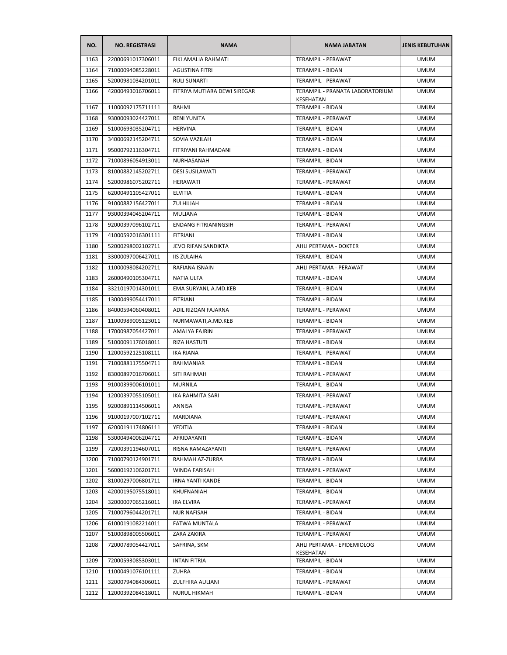| NO.  | <b>NO. REGISTRASI</b> | <b>NAMA</b>                  | <b>NAMA JABATAN</b>                          | <b>JENIS KEBUTUHAN</b> |
|------|-----------------------|------------------------------|----------------------------------------------|------------------------|
| 1163 | 22000691017306011     | FIKI AMALIA RAHMATI          | <b>TERAMPIL - PERAWAT</b>                    | <b>UMUM</b>            |
| 1164 | 71000094085228011     | <b>AGUSTINA FITRI</b>        | TERAMPIL - BIDAN                             | <b>UMUM</b>            |
| 1165 | 52000981034201011     | <b>RULI SUNARTI</b>          | TERAMPIL - PERAWAT                           | <b>UMUM</b>            |
| 1166 | 42000493016706011     | FITRIYA MUTIARA DEWI SIREGAR | TERAMPIL - PRANATA LABORATORIUM<br>KESEHATAN | <b>UMUM</b>            |
| 1167 | 11000092175711111     | RAHMI                        | TERAMPIL - BIDAN                             | <b>UMUM</b>            |
| 1168 | 93000093024427011     | <b>RENI YUNITA</b>           | TERAMPIL - PERAWAT                           | <b>UMUM</b>            |
| 1169 | 51000693035204711     | <b>HERVINA</b>               | TERAMPIL - BIDAN                             | <b>UMUM</b>            |
| 1170 | 34000692145204711     | SOVIA VAZILAH                | TERAMPIL - BIDAN                             | <b>UMUM</b>            |
| 1171 | 95000792116304711     | FITRIYANI RAHMADANI          | TERAMPIL - BIDAN                             | <b>UMUM</b>            |
| 1172 | 71000896054913011     | NURHASANAH                   | TERAMPIL - BIDAN                             | <b>UMUM</b>            |
| 1173 | 81000882145202711     | <b>DESI SUSILAWATI</b>       | TERAMPIL - PERAWAT                           | <b>UMUM</b>            |
| 1174 | 52000986075202711     | HERAWATI                     | TERAMPIL - PERAWAT                           | <b>UMUM</b>            |
| 1175 | 62000491105427011     | ELVITIA                      | TERAMPIL - BIDAN                             | <b>UMUM</b>            |
| 1176 | 91000882156427011     | ZULHIJJAH                    | <b>TERAMPIL - BIDAN</b>                      | <b>UMUM</b>            |
| 1177 | 93000394045204711     | MULIANA                      | <b>TERAMPIL - BIDAN</b>                      | <b>UMUM</b>            |
| 1178 | 92000397096102711     | <b>ENDANG FITRIANINGSIH</b>  | TERAMPIL - PERAWAT                           | <b>UMUM</b>            |
| 1179 | 41000592016301111     | <b>FITRIANI</b>              | TERAMPIL - BIDAN                             | <b>UMUM</b>            |
| 1180 | 52000298002102711     | JEVO RIFAN SANDIKTA          | AHLI PERTAMA - DOKTER                        | <b>UMUM</b>            |
| 1181 | 33000097006427011     | <b>IIS ZULAIHA</b>           | TERAMPIL - BIDAN                             | <b>UMUM</b>            |
| 1182 | 11000098084202711     | RAFIANA ISNAIN               | AHLI PERTAMA - PERAWAT                       | <b>UMUM</b>            |
| 1183 | 26000490105304711     | <b>NATIA ULFA</b>            | TERAMPIL - BIDAN                             | <b>UMUM</b>            |
| 1184 | 33210197014301011     | EMA SURYANI, A.MD.KEB        | TERAMPIL - BIDAN                             | <b>UMUM</b>            |
| 1185 | 13000499054417011     | <b>FITRIANI</b>              | TERAMPIL - BIDAN                             | <b>UMUM</b>            |
| 1186 | 84000594060408011     | ADIL RIZQAN FAJARNA          | TERAMPIL - PERAWAT                           | <b>UMUM</b>            |
| 1187 | 11000989005123011     | NURMAWATI, A.MD.KEB          | TERAMPIL - BIDAN                             | <b>UMUM</b>            |
| 1188 | 17000987054427011     | AMALYA FAJRIN                | TERAMPIL - PERAWAT                           | <b>UMUM</b>            |
| 1189 | 51000091176018011     | RIZA HASTUTI                 | TERAMPIL - BIDAN                             | <b>UMUM</b>            |
| 1190 | 12000592125108111     | <b>IKA RIANA</b>             | TERAMPIL - PERAWAT                           | <b>UMUM</b>            |
| 1191 | 71000881175504711     | RAHMANIAR                    | <b>TERAMPIL - BIDAN</b>                      | <b>UMUM</b>            |
| 1192 | 83000897016706011     | SITI RAHMAH                  | TERAMPIL - PERAWAT                           | <b>UMUM</b>            |
| 1193 | 91000399006101011     | <b>MURNILA</b>               | TERAMPIL - BIDAN                             | <b>UMUM</b>            |
| 1194 | 12000397055105011     | IKA RAHMITA SARI             | TERAMPIL - PERAWAT                           | <b>UMUM</b>            |
| 1195 | 92000891114506011     | ANNISA                       | TERAMPIL - PERAWAT                           | <b>UMUM</b>            |
| 1196 | 91000197007102711     | MARDIANA                     | TERAMPIL - PERAWAT                           | <b>UMUM</b>            |
| 1197 | 62000191174806111     | YEDITIA                      | TERAMPIL - BIDAN                             | <b>UMUM</b>            |
| 1198 | 53000494006204711     | AFRIDAYANTI                  | TERAMPIL - BIDAN                             | <b>UMUM</b>            |
| 1199 | 72000391194607011     | RISNA RAMAZAYANTI            | <b>TERAMPIL - PERAWAT</b>                    | <b>UMUM</b>            |
| 1200 | 71000790124901711     | RAHMAH AZ-ZURRA              | TERAMPIL - BIDAN                             | <b>UMUM</b>            |
| 1201 | 56000192106201711     | WINDA FARISAH                | TERAMPIL - PERAWAT                           | <b>UMUM</b>            |
| 1202 | 81000297006801711     | IRNA YANTI KANDE             | TERAMPIL - BIDAN                             | <b>UMUM</b>            |
| 1203 | 42000195075518011     | KHUFNANIAH                   | TERAMPIL - BIDAN                             | <b>UMUM</b>            |
| 1204 | 32000007065216011     | IRA ELVIRA                   | TERAMPIL - PERAWAT                           | <b>UMUM</b>            |
| 1205 | 71000796044201711     | <b>NUR NAFISAH</b>           | TERAMPIL - BIDAN                             | <b>UMUM</b>            |
| 1206 | 61000191082214011     | FATWA MUNTALA                | TERAMPIL - PERAWAT                           | <b>UMUM</b>            |
| 1207 | 51000898005506011     | ZARA ZAKIRA                  | TERAMPIL - PERAWAT                           | <b>UMUM</b>            |
| 1208 | 72000789054427011     | SAFRINA, SKM                 | AHLI PERTAMA - EPIDEMIOLOG<br>KESEHATAN      | <b>UMUM</b>            |
| 1209 | 72000593085303011     | <b>INTAN FITRIA</b>          | TERAMPIL - BIDAN                             | <b>UMUM</b>            |
| 1210 | 11000491076101111     | ZUHRA                        | TERAMPIL - BIDAN                             | <b>UMUM</b>            |
| 1211 | 32000794084306011     | ZULFHIRA AULIANI             | TERAMPIL - PERAWAT                           | <b>UMUM</b>            |
| 1212 | 12000392084518011     | NURUL HIKMAH                 | TERAMPIL - BIDAN                             | <b>UMUM</b>            |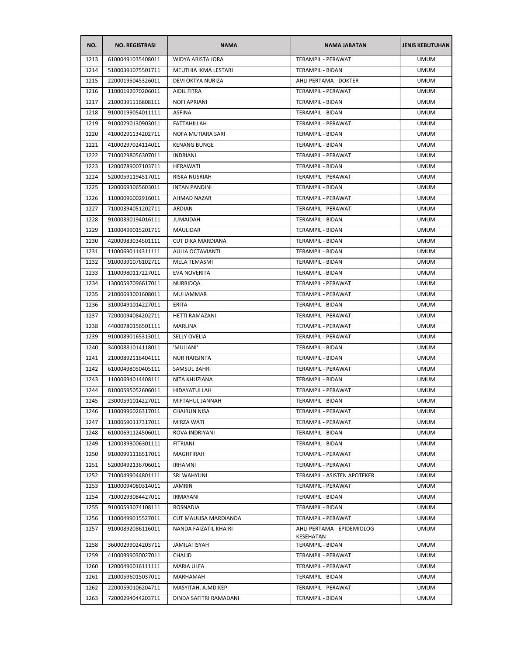| NO.  | <b>NO. REGISTRASI</b> | <b>NAMA</b>              | <b>NAMA JABATAN</b>         | <b>JENIS KEBUTUHAN</b> |
|------|-----------------------|--------------------------|-----------------------------|------------------------|
| 1213 | 61000491035408011     | WIDYA ARISTA JORA        | TERAMPIL - PERAWAT          | <b>UMUM</b>            |
| 1214 | 51000391075501711     | MEUTHIA IKMA LESTARI     | TERAMPIL - BIDAN            | <b>UMUM</b>            |
| 1215 | 22000195045326011     | DEVI OKTYA NURIZA        | AHLI PERTAMA - DOKTER       | <b>UMUM</b>            |
| 1216 | 11000192070206011     | AIDIL FITRA              | TERAMPIL - PERAWAT          | <b>UMUM</b>            |
| 1217 | 21000391116808111     | <b>NOFI APRIANI</b>      | TERAMPIL - BIDAN            | <b>UMUM</b>            |
| 1218 | 91000199054011111     | <b>ASFINA</b>            | TERAMPIL - BIDAN            | <b>UMUM</b>            |
| 1219 | 91000290130903011     | FATTAHILLAH              | TERAMPIL - PERAWAT          | <b>UMUM</b>            |
| 1220 | 41000291134202711     | <b>NOFA MUTIARA SARI</b> | TERAMPIL - BIDAN            | UMUM                   |
| 1221 | 41000297024114011     | <b>KENANG BUNGE</b>      | TERAMPIL - BIDAN            | <b>UMUM</b>            |
| 1222 | 71000298056307011     | <b>INDRIANI</b>          | TERAMPIL - PERAWAT          | <b>UMUM</b>            |
| 1223 | 12000789007103711     | HERAWATI                 | TERAMPIL - BIDAN            | <b>UMUM</b>            |
| 1224 | 52000591194517011     | RISKA NUSRIAH            | TERAMPIL - PERAWAT          | <b>UMUM</b>            |
| 1225 | 12000693065603011     | <b>INTAN PANDINI</b>     | TERAMPIL - BIDAN            | <b>UMUM</b>            |
| 1226 | 11000096002916011     | AHMAD NAZAR              | TERAMPIL - PERAWAT          | <b>UMUM</b>            |
| 1227 | 71000394051202711     | <b>ARDIAN</b>            | TERAMPIL - PERAWAT          | <b>UMUM</b>            |
| 1228 | 91000390194016111     | <b>JUMAIDAH</b>          | <b>TERAMPIL - BIDAN</b>     | <b>UMUM</b>            |
| 1229 | 11000499015201711     | MAULIDAR                 | TERAMPIL - BIDAN            | <b>UMUM</b>            |
| 1230 | 42000983034501111     | <b>CUT DIKA MARDIANA</b> | TERAMPIL - BIDAN            | <b>UMUM</b>            |
| 1231 | 11000690114311111     | AULIA OCTAVIANTI         | <b>TERAMPIL - BIDAN</b>     | <b>UMUM</b>            |
| 1232 | 91000391076102711     | MELA TEMASMI             | TERAMPIL - BIDAN            | <b>UMUM</b>            |
| 1233 | 11000980117227011     | EVA NOVERITA             | TERAMPIL - BIDAN            | <b>UMUM</b>            |
| 1234 | 13000597096617011     | NURRIDQA                 | TERAMPIL - PERAWAT          | UMUM                   |
| 1235 | 21000693001608011     | <b>MUHAMMAR</b>          | TERAMPIL - PERAWAT          | UMUM                   |
| 1236 | 31000491014227011     | ERITA                    | TERAMPIL - BIDAN            | <b>UMUM</b>            |
| 1237 | 72000094084202711     | <b>HETTI RAMAZANI</b>    | TERAMPIL - PERAWAT          | <b>UMUM</b>            |
| 1238 | 44000780156501111     | MARLINA                  | TERAMPIL - PERAWAT          | <b>UMUM</b>            |
| 1239 | 91000890165313011     | <b>SELLY OVELIA</b>      | TERAMPIL - PERAWAT          | <b>UMUM</b>            |
| 1240 | 34000881014118011     | 'MULIANI'                | TERAMPIL - BIDAN            | <b>UMUM</b>            |
| 1241 | 21000892116404111     | <b>NUR HARSINTA</b>      | TERAMPIL - BIDAN            | <b>UMUM</b>            |
| 1242 | 61000498050405111     | <b>SAMSUL BAHRI</b>      | TERAMPIL - PERAWAT          | <b>UMUM</b>            |
| 1243 | 11000694014408111     | NITA KHUZIANA            | TERAMPIL - BIDAN            | <b>UMUM</b>            |
| 1244 | 81000595052606011     | HIDAYATULLAH             | TERAMPIL - PERAWAT          | <b>UMUM</b>            |
| 1245 | 23000591014227011     | MIFTAHUL JANNAH          | TERAMPIL - BIDAN            | <b>UMUM</b>            |
| 1246 | 11000996026317011     | <b>CHAIRUN NISA</b>      | TERAMPIL - PERAWAT          | <b>UMUM</b>            |
| 1247 | 11000590117317011     | <b>MIRZA WATI</b>        | TERAMPIL - PERAWAT          | <b>UMUM</b>            |
| 1248 | 61000691124506011     | ROVA INDRIYANI           | TERAMPIL - BIDAN            | <b>UMUM</b>            |
| 1249 | 12000393006301111     | <b>FITRIANI</b>          | TERAMPIL - BIDAN            | <b>UMUM</b>            |
| 1250 | 91000991116517011     | MAGHFIRAH                | TERAMPIL - PERAWAT          | <b>UMUM</b>            |
| 1251 | 52000492136706011     | <b>IRHAMNI</b>           | TERAMPIL - PERAWAT          | <b>UMUM</b>            |
| 1252 | 71000499044801111     | SRI WAHYUNI              | TERAMPIL - ASISTEN APOTEKER | <b>UMUM</b>            |
| 1253 | 11000094080314011     | JAMRIN                   | TERAMPIL - PERAWAT          | <b>UMUM</b>            |
| 1254 | 71000293084427011     | <b>IRMAYANI</b>          | TERAMPIL - BIDAN            | <b>UMUM</b>            |
| 1255 | 91000593074108111     | ROSNADIA                 | <b>TERAMPIL - BIDAN</b>     | <b>UMUM</b>            |
| 1256 | 11000499015527011     | CUT MAULISA MARDIANDA    | TERAMPIL - PERAWAT          | <b>UMUM</b>            |
| 1257 | 91000892086116011     | NANDA FAIZATIL KHAIRI    | AHLI PERTAMA - EPIDEMIOLOG  | <b>UMUM</b>            |
|      |                       |                          | KESEHATAN                   |                        |
| 1258 | 36000299024203711     | JAMILATISYAH             | TERAMPIL - BIDAN            | <b>UMUM</b>            |
| 1259 | 41000999030027011     | <b>CHALID</b>            | TERAMPIL - PERAWAT          | <b>UMUM</b>            |
| 1260 | 12000496016111111     | MARIA ULFA               | TERAMPIL - PERAWAT          | <b>UMUM</b>            |
| 1261 | 21000596015037011     | MARHAMAH                 | TERAMPIL - BIDAN            | <b>UMUM</b>            |
| 1262 | 22000590106204711     | MASYITAH, A.MD.KEP       | TERAMPIL - PERAWAT          | <b>UMUM</b>            |
| 1263 | 72000294044203711     | DINDA SAFITRI RAMADANI   | TERAMPIL - BIDAN            | <b>UMUM</b>            |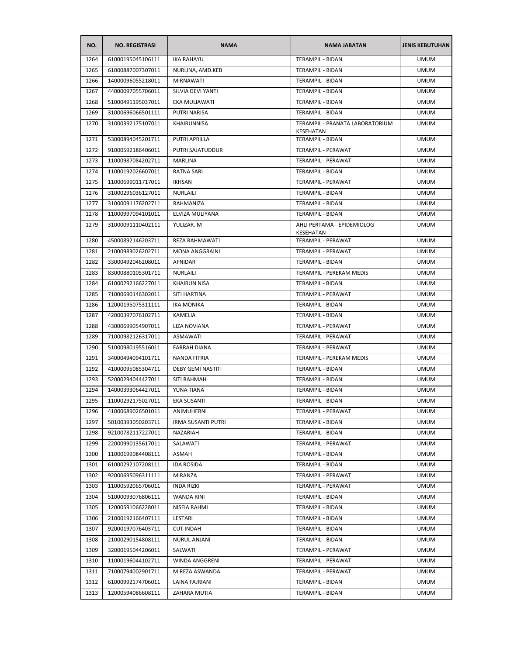| NO.          | <b>NO. REGISTRASI</b>                  | <b>NAMA</b>                         | <b>NAMA JABATAN</b>                           | <b>JENIS KEBUTUHAN</b>     |
|--------------|----------------------------------------|-------------------------------------|-----------------------------------------------|----------------------------|
| 1264         | 61000195045106111                      | <b>IKA RAHAYU</b>                   | <b>TERAMPIL - BIDAN</b>                       | <b>UMUM</b>                |
| 1265         | 61000887007307011                      | NURLINA, AMD.KEB                    | TERAMPIL - BIDAN                              | <b>UMUM</b>                |
| 1266         | 14000096055218011                      | <b>MIRNAWATI</b>                    | <b>TERAMPIL - BIDAN</b>                       | <b>UMUM</b>                |
| 1267         | 44000097055706011                      | SILVIA DEVI YANTI                   | TERAMPIL - BIDAN                              | <b>UMUM</b>                |
| 1268         | 51000491195037011                      | EKA MULIAWATI                       | TERAMPIL - BIDAN                              | <b>UMUM</b>                |
| 1269         | 31000696066501111                      | PUTRI NARISA                        | TERAMPIL - BIDAN                              | <b>UMUM</b>                |
| 1270         | 31000392175107011                      | KHAIRUNNISA                         | TERAMPIL - PRANATA LABORATORIUM               | <b>UMUM</b>                |
| 1271         | 53000894045201711                      | <b>PUTRI APRILLA</b>                | KESEHATAN<br>TERAMPIL - BIDAN                 | <b>UMUM</b>                |
| 1272         | 91000592186406011                      | PUTRI SAJATUDDUR                    | TERAMPIL - PERAWAT                            | <b>UMUM</b>                |
|              |                                        |                                     |                                               |                            |
| 1273<br>1274 | 11000987084202711<br>11000192026607011 | <b>MARLINA</b><br><b>RATNA SARI</b> | TERAMPIL - PERAWAT<br><b>TERAMPIL - BIDAN</b> | <b>UMUM</b><br><b>UMUM</b> |
|              |                                        |                                     |                                               |                            |
| 1275         | 11000699011717011                      | IKHSAN                              | TERAMPIL - PERAWAT                            | <b>UMUM</b>                |
| 1276         | 31000296036127011                      | NURLAILI                            | TERAMPIL - BIDAN                              | <b>UMUM</b>                |
| 1277         | 31000091176202711                      | RAHMANIZA                           | TERAMPIL - BIDAN                              | <b>UMUM</b>                |
| 1278         | 11000997094101011                      | ELVIZA MULIYANA                     | TERAMPIL - BIDAN                              | <b>UMUM</b>                |
| 1279         | 31000091110402111                      | YULIZAR. M                          | AHLI PERTAMA - EPIDEMIOLOG<br>KESEHATAN       | <b>UMUM</b>                |
| 1280         | 45000892146203711                      | REZA RAHMAWATI                      | <b>TERAMPIL - PERAWAT</b>                     | <b>UMUM</b>                |
| 1281         | 21000983026202711                      | MONA ANGGRAINI                      | TERAMPIL - PERAWAT                            | <b>UMUM</b>                |
| 1282         | 33000492046208011                      | <b>AFNIDAR</b>                      | <b>TERAMPIL - BIDAN</b>                       | <b>UMUM</b>                |
| 1283         | 83000880105301711                      | NURLAILI                            | TERAMPIL - PEREKAM MEDIS                      | <b>UMUM</b>                |
| 1284         | 61000292166227011                      | <b>KHAIRUN NISA</b>                 | TERAMPIL - BIDAN                              | <b>UMUM</b>                |
| 1285         | 71000690146302011                      | SITI HARTINA                        | TERAMPIL - PERAWAT                            | <b>UMUM</b>                |
| 1286         | 12000195075311111                      | <b>IKA MONIKA</b>                   | TERAMPIL - BIDAN                              | <b>UMUM</b>                |
| 1287         | 42000397076102711                      | <b>KAMELIA</b>                      | TERAMPIL - BIDAN                              | <b>UMUM</b>                |
| 1288         | 43000699054907011                      | LIZA NOVIANA                        | TERAMPIL - PERAWAT                            | <b>UMUM</b>                |
| 1289         | 71000982126317011                      | <b>ASMAWATI</b>                     | TERAMPIL - PERAWAT                            | <b>UMUM</b>                |
| 1290         | 51000980195516011                      | <b>FARRAH DIANA</b>                 | TERAMPIL - PERAWAT                            | <b>UMUM</b>                |
| 1291         | 34000494094101711                      | NANDA FITRIA                        | TERAMPIL - PEREKAM MEDIS                      | <b>UMUM</b>                |
| 1292         | 41000095085304711                      | <b>DEBY GEMI NASTITI</b>            | <b>TERAMPIL - BIDAN</b>                       | <b>UMUM</b>                |
| 1293         | 52000294044427011                      | SITI RAHMAH                         | TERAMPIL - BIDAN                              | <b>UMUM</b>                |
| 1294         | 14000393064427011                      | YUNA TIANA                          | TERAMPIL - BIDAN                              | <b>UMUM</b>                |
| 1295         | 11000292175027011                      | <b>EKA SUSANTI</b>                  | <b>TERAMPIL - BIDAN</b>                       | <b>UMUM</b>                |
| 1296         | 41000689026501011                      | ANIMUHERNI                          | TERAMPIL - PERAWAT                            | <b>UMUM</b>                |
| 1297         | 50100393050203711                      | <b>IRMA SUSANTI PUTRI</b>           | TERAMPIL - BIDAN                              | <b>UMUM</b>                |
| 1298         | 92100782117227011                      | NAZARIAH                            | <b>TERAMPIL - BIDAN</b>                       | <b>UMUM</b>                |
| 1299         | 22000990135617011                      | SALAWATI                            | TERAMPIL - PERAWAT                            | <b>UMUM</b>                |
| 1300         | 11000199084408111                      | ASMAH                               | TERAMPIL - BIDAN                              | <b>UMUM</b>                |
| 1301         | 61000292107208111                      | <b>IDA ROSIDA</b>                   | <b>TERAMPIL - BIDAN</b>                       | <b>UMUM</b>                |
| 1302         | 92000695096311111                      | MIRANZA                             | TERAMPIL - PERAWAT                            | <b>UMUM</b>                |
| 1303         | 11000592065706011                      | <b>INDA RIZKI</b>                   | TERAMPIL - PERAWAT                            | <b>UMUM</b>                |
| 1304         | 51000093076806111                      | WANDA RINI                          | <b>TERAMPIL - BIDAN</b>                       | <b>UMUM</b>                |
| 1305         | 12000591066228011                      | NISFIA RAHMI                        | TERAMPIL - BIDAN                              | <b>UMUM</b>                |
| 1306         | 21000192166407111                      | LESTARI                             | TERAMPIL - BIDAN                              | <b>UMUM</b>                |
| 1307         | 92000197076403711                      | <b>CUT INDAH</b>                    | TERAMPIL - BIDAN                              | <b>UMUM</b>                |
| 1308         | 21000290154808111                      | NURUL ANJANI                        | TERAMPIL - BIDAN                              | <b>UMUM</b>                |
| 1309         | 32000195044206011                      | SALWATI                             | TERAMPIL - PERAWAT                            | <b>UMUM</b>                |
| 1310         | 11000196044102711                      | WINDA ANGGRENI                      | TERAMPIL - PERAWAT                            | <b>UMUM</b>                |
| 1311         | 71000794002901711                      | M REZA ASWANDA                      | TERAMPIL - PERAWAT                            | <b>UMUM</b>                |
| 1312         | 61000992174706011                      | LAINA FAJRIANI                      | TERAMPIL - BIDAN                              | <b>UMUM</b>                |
| 1313         | 12000594086608111                      | ZAHARA MUTIA                        | TERAMPIL - BIDAN                              | <b>UMUM</b>                |
|              |                                        |                                     |                                               |                            |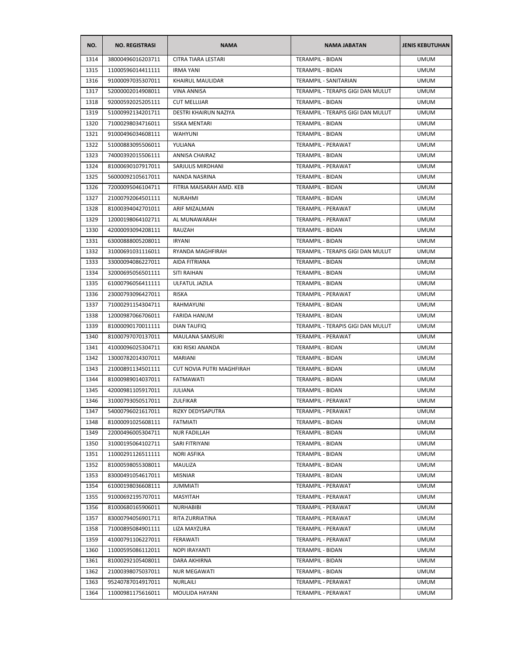| NO.          | <b>NO. REGISTRASI</b>                  | <b>NAMA</b>                | <b>NAMA JABATAN</b>                         | <b>JENIS KEBUTUHAN</b> |
|--------------|----------------------------------------|----------------------------|---------------------------------------------|------------------------|
| 1314         | 38000496016203711                      | <b>CITRA TIARA LESTARI</b> | <b>TERAMPIL - BIDAN</b>                     | <b>UMUM</b>            |
| 1315         | 11000596014411111                      | <b>IRMA YANI</b>           | TERAMPIL - BIDAN                            | <b>UMUM</b>            |
| 1316         | 91000097035307011                      | <b>KHAIRUL MAULIDAR</b>    | TERAMPIL - SANITARIAN                       | <b>UMUM</b>            |
| 1317         | 52000002014908011                      | <b>VINA ANNISA</b>         | TERAMPIL - TERAPIS GIGI DAN MULUT           | <b>UMUM</b>            |
| 1318         | 92000592025205111                      | <b>CUT MELLIJAR</b>        | TERAMPIL - BIDAN                            | <b>UMUM</b>            |
| 1319         | 51000992134201711                      | DESTRI KHAIRUN NAZIYA      | TERAMPIL - TERAPIS GIGI DAN MULUT           | <b>UMUM</b>            |
| 1320         | 71000298034716011                      | <b>SISKA MENTARI</b>       | <b>TERAMPIL - BIDAN</b>                     | <b>UMUM</b>            |
| 1321         | 91000496034608111                      | <b>WAHYUNI</b>             | <b>TERAMPIL - BIDAN</b>                     | <b>UMUM</b>            |
| 1322         | 51000883095506011                      | YULIANA                    | TERAMPIL - PERAWAT                          | <b>UMUM</b>            |
| 1323         | 74000392015506111                      | ANNISA CHAIRAZ             | TERAMPIL - BIDAN                            | <b>UMUM</b>            |
| 1324         | 81000690107917011                      | SARJULIS MIRDHANI          | TERAMPIL - PERAWAT                          | <b>UMUM</b>            |
| 1325         | 56000092105617011                      | NANDA NASRINA              | TERAMPIL - BIDAN                            | <b>UMUM</b>            |
| 1326         | 72000095046104711                      | FITRIA MAISARAH AMD. KEB   | TERAMPIL - BIDAN                            | <b>UMUM</b>            |
| 1327         | 21000792064501111                      | <b>NURAHMI</b>             | TERAMPIL - BIDAN                            | <b>UMUM</b>            |
| 1328         | 81000394042701011                      | ARIF MIZALMAN              | TERAMPIL - PERAWAT                          | <b>UMUM</b>            |
| 1329         | 12000198064102711                      | AL MUNAWARAH               | TERAMPIL - PERAWAT                          | <b>UMUM</b>            |
| 1330         | 42000093094208111                      | RAUZAH                     | TERAMPIL - BIDAN                            | <b>UMUM</b>            |
| 1331         | 63000888005208011                      | <b>IRYANI</b>              | TERAMPIL - BIDAN                            | <b>UMUM</b>            |
| 1332         | 31000691031116011                      | RYANDA MAGHFIRAH           | TERAMPIL - TERAPIS GIGI DAN MULUT           | <b>UMUM</b>            |
| 1333         | 33000094086227011                      | AIDA FITRIANA              | TERAMPIL - BIDAN                            | <b>UMUM</b>            |
| 1334         | 32000695056501111                      | <b>SITI RAIHAN</b>         | TERAMPIL - BIDAN                            | <b>UMUM</b>            |
| 1335         | 61000796056411111                      | ULFATUL JAZILA             | TERAMPIL - BIDAN                            | <b>UMUM</b>            |
| 1336         | 23000793096427011                      | <b>RISKA</b>               | TERAMPIL - PERAWAT                          | <b>UMUM</b>            |
| 1337         | 71000291154304711                      | RAHMAYUNI                  | TERAMPIL - BIDAN                            | <b>UMUM</b>            |
| 1338         | 12000987066706011                      | <b>FARIDA HANUM</b>        | TERAMPIL - BIDAN                            | <b>UMUM</b>            |
| 1339         | 81000090170011111                      | DIAN TAUFIQ                | TERAMPIL - TERAPIS GIGI DAN MULUT           | <b>UMUM</b>            |
| 1340         | 81000797070137011                      | MAULANA SAMSURI            | TERAMPIL - PERAWAT                          | <b>UMUM</b>            |
| 1341         | 41000096025304711                      | KIKI RISKI ANANDA          | TERAMPIL - BIDAN                            | <b>UMUM</b>            |
| 1342         | 13000782014307011                      | <b>MARIANI</b>             | TERAMPIL - BIDAN                            | <b>UMUM</b>            |
| 1343         | 21000891134501111                      | CUT NOVIA PUTRI MAGHFIRAH  | <b>TERAMPIL - BIDAN</b>                     | <b>UMUM</b>            |
| 1344         | 81000989014037011                      | <b>FATMAWATI</b>           | TERAMPIL - BIDAN                            | <b>UMUM</b>            |
| 1345         | 42000981105917011                      | <b>JULIANA</b>             | TERAMPIL - BIDAN                            | <b>UMUM</b>            |
| 1346         | 31000793050517011                      | <b>ZULFIKAR</b>            | <b>TERAMPIL - PERAWAT</b>                   | <b>UMUM</b>            |
| 1347         | 54000796021617011                      | RIZKY DEDYSAPUTRA          | TERAMPIL - PERAWAT                          | <b>UMUM</b>            |
| 1348         | 81000091025608111                      | FATMIATI                   | TERAMPIL - BIDAN                            | <b>UMUM</b>            |
| 1349         | 22000496005304711                      | <b>NUR FADILLAH</b>        | TERAMPIL - BIDAN                            | <b>UMUM</b>            |
| 1350         | 31000195064102711                      | SARI FITRIYANI             | TERAMPIL - BIDAN                            | <b>UMUM</b>            |
|              |                                        |                            |                                             | <b>UMUM</b>            |
| 1351<br>1352 | 11000291126511111<br>81000598055308011 | NORI ASFIKA<br>MAULIZA     | TERAMPIL - BIDAN<br><b>TERAMPIL - BIDAN</b> | <b>UMUM</b>            |
|              |                                        |                            | TERAMPIL - BIDAN                            |                        |
| 1353         | 83000491054617011                      | <b>MISNIAR</b>             |                                             | <b>UMUM</b>            |
| 1354         | 61000198036608111                      | <b>JUMMIATI</b>            | TERAMPIL - PERAWAT                          | <b>UMUM</b>            |
| 1355         | 91000692195707011                      | MASYITAH                   | TERAMPIL - PERAWAT                          | <b>UMUM</b>            |
| 1356         | 81000680165906011                      | NURHABIBI                  | TERAMPIL - PERAWAT                          | <b>UMUM</b>            |
| 1357         | 83000794056901711                      | RITA ZURRIATINA            | TERAMPIL - PERAWAT                          | <b>UMUM</b>            |
| 1358         | 71000895084901111                      | LIZA MAYZURA               | TERAMPIL - PERAWAT                          | <b>UMUM</b>            |
| 1359         | 41000791106227011                      | FERAWATI                   | TERAMPIL - PERAWAT                          | <b>UMUM</b>            |
| 1360         | 11000595086112011                      | NOPI IRAYANTI              | TERAMPIL - BIDAN                            | <b>UMUM</b>            |
| 1361         | 81000292105408011                      | DARA AKHIRNA               | TERAMPIL - BIDAN                            | <b>UMUM</b>            |
| 1362         | 21000398075037011                      | <b>NUR MEGAWATI</b>        | TERAMPIL - BIDAN                            | <b>UMUM</b>            |
| 1363         | 95240787014917011                      | NURLAILI                   | TERAMPIL - PERAWAT                          | <b>UMUM</b>            |
| 1364         | 11000981175616011                      | MOULIDA HAYANI             | TERAMPIL - PERAWAT                          | <b>UMUM</b>            |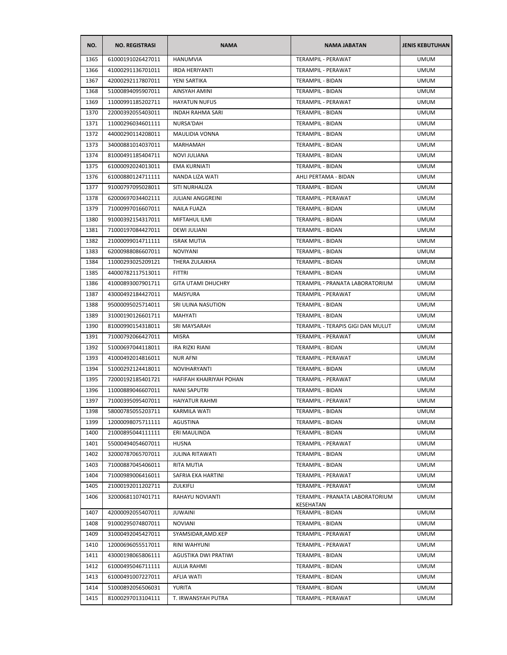| NO.  | <b>NO. REGISTRASI</b> | <b>NAMA</b>               | <b>NAMA JABATAN</b>                                 | <b>JENIS KEBUTUHAN</b> |
|------|-----------------------|---------------------------|-----------------------------------------------------|------------------------|
| 1365 | 61000191026427011     | <b>HANUMVIA</b>           | <b>TERAMPIL - PERAWAT</b>                           | <b>UMUM</b>            |
| 1366 | 41000291136701011     | <b>IRDA HERIYANTI</b>     | TERAMPIL - PERAWAT                                  | <b>UMUM</b>            |
| 1367 | 42000292117807011     | YENI SARTIKA              | TERAMPIL - BIDAN                                    | <b>UMUM</b>            |
| 1368 | 51000894095907011     | AINSYAH AMINI             | TERAMPIL - BIDAN                                    | <b>UMUM</b>            |
| 1369 | 11000991185202711     | <b>HAYATUN NUFUS</b>      | TERAMPIL - PERAWAT                                  | <b>UMUM</b>            |
| 1370 | 22000392055403011     | <b>INDAH RAHMA SARI</b>   | TERAMPIL - BIDAN                                    | <b>UMUM</b>            |
| 1371 | 11000296034601111     | NURSA'DAH                 | TERAMPIL - BIDAN                                    | <b>UMUM</b>            |
| 1372 | 44000290114208011     | MAULIDIA VONNA            | TERAMPIL - BIDAN                                    | <b>UMUM</b>            |
| 1373 | 34000881014037011     | MARHAMAH                  | <b>TERAMPIL - BIDAN</b>                             | <b>UMUM</b>            |
| 1374 | 81000491185404711     | <b>NOVI JULIANA</b>       | <b>TERAMPIL - BIDAN</b>                             | <b>UMUM</b>            |
| 1375 | 61000092024013011     | <b>EMA KURNIATI</b>       | TERAMPIL - BIDAN                                    | <b>UMUM</b>            |
| 1376 | 61000880124711111     | NANDA LIZA WATI           | AHLI PERTAMA - BIDAN                                | <b>UMUM</b>            |
| 1377 | 91000797095028011     | SITI NURHALIZA            | TERAMPIL - BIDAN                                    | <b>UMUM</b>            |
| 1378 | 62000697034402111     | JULIANI ANGGREINI         | TERAMPIL - PERAWAT                                  | <b>UMUM</b>            |
| 1379 | 71000997016607011     | NAILA FUAZA               | TERAMPIL - BIDAN                                    | <b>UMUM</b>            |
| 1380 | 91000392154317011     | MIFTAHUL ILMI             | TERAMPIL - BIDAN                                    | <b>UMUM</b>            |
| 1381 | 71000197084427011     | DEWI JULIANI              | TERAMPIL - BIDAN                                    | <b>UMUM</b>            |
| 1382 | 21000099014711111     | <b>ISRAK MUTIA</b>        | TERAMPIL - BIDAN                                    | <b>UMUM</b>            |
| 1383 | 62000988086607011     | <b>NOVIYANI</b>           | TERAMPIL - BIDAN                                    | <b>UMUM</b>            |
| 1384 | 11000293025209121     | THERA ZULAIKHA            | TERAMPIL - BIDAN                                    | <b>UMUM</b>            |
| 1385 | 44000782117513011     | <b>FITTRI</b>             | TERAMPIL - BIDAN                                    | UMUM                   |
| 1386 | 41000893007901711     | <b>GITA UTAMI DHUCHRY</b> | TERAMPIL - PRANATA LABORATORIUM                     | <b>UMUM</b>            |
| 1387 | 43000492184427011     | <b>MAISYURA</b>           | TERAMPIL - PERAWAT                                  | <b>UMUM</b>            |
| 1388 | 95000095025714011     | SRI ULINA NASUTION        | TERAMPIL - BIDAN                                    | <b>UMUM</b>            |
| 1389 | 31000190126601711     | MAHYATI                   | TERAMPIL - BIDAN                                    | <b>UMUM</b>            |
| 1390 | 81000990154318011     | SRI MAYSARAH              | TERAMPIL - TERAPIS GIGI DAN MULUT                   | <b>UMUM</b>            |
| 1391 | 71000792066427011     | <b>MISRA</b>              | TERAMPIL - PERAWAT                                  | <b>UMUM</b>            |
| 1392 | 51000697044118011     | IRA RIZKI RIANI           | TERAMPIL - BIDAN                                    | <b>UMUM</b>            |
| 1393 | 41000492014816011     | <b>NUR AFNI</b>           | TERAMPIL - PERAWAT                                  | <b>UMUM</b>            |
| 1394 | 51000292124418011     | NOVIHARYANTI              | TERAMPIL - BIDAN                                    | <b>UMUM</b>            |
| 1395 | 72000192185401721     | HAFIFAH KHAIRIYAH POHAN   | TERAMPIL - PERAWAT                                  | <b>UMUM</b>            |
| 1396 | 11000889046607011     | <b>NANI SAPUTRI</b>       | TERAMPIL - BIDAN                                    | <b>UMUM</b>            |
| 1397 | 71000395095407011     | <b>HAIYATUR RAHMI</b>     | TERAMPIL - PERAWAT                                  | <b>UMUM</b>            |
| 1398 | 58000785055203711     | KARMILA WATI              | TERAMPIL - BIDAN                                    | <b>UMUM</b>            |
| 1399 | 12000098075711111     | AGUSTINA                  | TERAMPIL - BIDAN                                    | <b>UMUM</b>            |
| 1400 | 21000895044111111     | ERI MAULINDA              | TERAMPIL - BIDAN                                    | <b>UMUM</b>            |
| 1401 | 55000494054607011     | <b>HUSNA</b>              | TERAMPIL - PERAWAT                                  | <b>UMUM</b>            |
| 1402 | 32000787065707011     | JULINA RITAWATI           | TERAMPIL - BIDAN                                    | <b>UMUM</b>            |
| 1403 | 71000887045406011     | RITA MUTIA                | TERAMPIL - BIDAN                                    | <b>UMUM</b>            |
| 1404 | 71000989006416011     | SAFRIA EKA HARTINI        | TERAMPIL - PERAWAT                                  | <b>UMUM</b>            |
| 1405 | 21000192011202711     | ZULKIFLI                  | TERAMPIL - PERAWAT                                  | <b>UMUM</b>            |
| 1406 | 32000681107401711     | RAHAYU NOVIANTI           | TERAMPIL - PRANATA LABORATORIUM<br><b>KESEHATAN</b> | <b>UMUM</b>            |
| 1407 | 42000092055407011     | <b>JUWAINI</b>            | TERAMPIL - BIDAN                                    | <b>UMUM</b>            |
| 1408 | 91000295074807011     | <b>NOVIANI</b>            | TERAMPIL - BIDAN                                    | <b>UMUM</b>            |
| 1409 | 31000492045427011     | SYAMSIDAR, AMD. KEP       | TERAMPIL - PERAWAT                                  | <b>UMUM</b>            |
| 1410 | 12000696055517011     | RINI WAHYUNI              | TERAMPIL - PERAWAT                                  | <b>UMUM</b>            |
| 1411 | 43000198065806111     | AGUSTIKA DWI PRATIWI      | TERAMPIL - BIDAN                                    | <b>UMUM</b>            |
| 1412 | 61000495046711111     | AULIA RAHMI               | TERAMPIL - BIDAN                                    | <b>UMUM</b>            |
| 1413 | 61000491007227011     | AFLIA WATI                | TERAMPIL - BIDAN                                    | <b>UMUM</b>            |
| 1414 | 51000892056506031     | YURITA                    | TERAMPIL - BIDAN                                    | <b>UMUM</b>            |
| 1415 | 81000297013104111     | T. IRWANSYAH PUTRA        | TERAMPIL - PERAWAT                                  | <b>UMUM</b>            |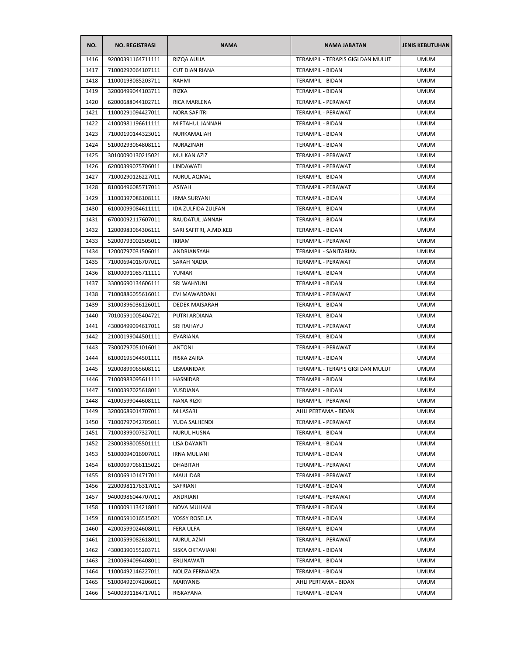| NO.  | <b>NO. REGISTRASI</b>                  | <b>NAMA</b>               | <b>NAMA JABATAN</b>                    | <b>JENIS KEBUTUHAN</b>     |
|------|----------------------------------------|---------------------------|----------------------------------------|----------------------------|
| 1416 | 92000391164711111                      | RIZQA AULIA               | TERAMPIL - TERAPIS GIGI DAN MULUT      | <b>UMUM</b>                |
| 1417 | 71000292064107111                      | <b>CUT DIAN RIANA</b>     | TERAMPIL - BIDAN                       | <b>UMUM</b>                |
| 1418 | 11000193085203711                      | RAHMI                     | <b>TERAMPIL - BIDAN</b>                | <b>UMUM</b>                |
| 1419 | 32000499044103711                      | <b>RIZKA</b>              | TERAMPIL - BIDAN                       | <b>UMUM</b>                |
| 1420 | 62000688044102711                      | RICA MARLENA              | TERAMPIL - PERAWAT                     | <b>UMUM</b>                |
| 1421 | 11000291094427011                      | <b>NORA SAFITRI</b>       | TERAMPIL - PERAWAT                     | <b>UMUM</b>                |
| 1422 | 41000981196611111                      | MIFTAHUL JANNAH           | TERAMPIL - BIDAN                       | <b>UMUM</b>                |
| 1423 | 71000190144323011                      | NURKAMALIAH               | TERAMPIL - BIDAN                       | <b>UMUM</b>                |
| 1424 | 51000293064808111                      | NURAZINAH                 | <b>TERAMPIL - BIDAN</b>                | <b>UMUM</b>                |
| 1425 | 30100090130215021                      | <b>MULKAN AZIZ</b>        | TERAMPIL - PERAWAT                     | <b>UMUM</b>                |
| 1426 | 62000399075706011                      | LINDAWATI                 | TERAMPIL - PERAWAT                     | <b>UMUM</b>                |
| 1427 | 71000290126227011                      | NURUL AQMAL               | TERAMPIL - BIDAN                       | <b>UMUM</b>                |
| 1428 | 81000496085717011                      | ASIYAH                    | TERAMPIL - PERAWAT                     | <b>UMUM</b>                |
| 1429 | 11000397086108111                      | <b>IRMA SURYANI</b>       | TERAMPIL - BIDAN                       | <b>UMUM</b>                |
| 1430 | 61000099084611111                      | <b>IDA ZULFIDA ZULFAN</b> | TERAMPIL - BIDAN                       | <b>UMUM</b>                |
| 1431 | 67000092117607011                      | RAUDATUL JANNAH           | TERAMPIL - BIDAN                       | <b>UMUM</b>                |
| 1432 | 12000983064306111                      | SARI SAFITRI, A.MD.KEB    | TERAMPIL - BIDAN                       | <b>UMUM</b>                |
| 1433 | 52000793002505011                      | <b>IKRAM</b>              | TERAMPIL - PERAWAT                     | <b>UMUM</b>                |
| 1434 | 12000797031506011                      | ANDRIANSYAH               | TERAMPIL - SANITARIAN                  | <b>UMUM</b>                |
| 1435 | 71000694016707011                      | <b>SARAH NADIA</b>        | <b>TERAMPIL - PERAWAT</b>              | <b>UMUM</b>                |
| 1436 | 81000091085711111                      | YUNIAR                    | TERAMPIL - BIDAN                       | <b>UMUM</b>                |
| 1437 | 33000690134606111                      | SRI WAHYUNI               | TERAMPIL - BIDAN                       | <b>UMUM</b>                |
| 1438 | 71000886055616011                      | EVI MAWARDANI             | TERAMPIL - PERAWAT                     | <b>UMUM</b>                |
| 1439 | 31000396036126011                      | <b>DEDEK MAISARAH</b>     | TERAMPIL - BIDAN                       | <b>UMUM</b>                |
| 1440 | 70100591005404721                      | PUTRI ARDIANA             | TERAMPIL - BIDAN                       | <b>UMUM</b>                |
| 1441 | 43000499094617011                      | <b>SRI RAHAYU</b>         | TERAMPIL - PERAWAT                     | <b>UMUM</b>                |
| 1442 | 21000199044501111                      | <b>EVARIANA</b>           | TERAMPIL - BIDAN                       | <b>UMUM</b>                |
| 1443 | 73000797051016011                      | <b>ANTONI</b>             | TERAMPIL - PERAWAT                     | <b>UMUM</b>                |
| 1444 | 61000195044501111                      | RISKA ZAIRA               | <b>TERAMPIL - BIDAN</b>                | <b>UMUM</b>                |
| 1445 | 92000899065608111                      | LISMANIDAR                | TERAMPIL - TERAPIS GIGI DAN MULUT      | <b>UMUM</b>                |
| 1446 | 71000983095611111                      | HASNIDAR                  | TERAMPIL - BIDAN                       | <b>UMUM</b>                |
| 1447 | 51000397025618011                      | YUSDIANA                  | TERAMPIL - BIDAN                       | <b>UMUM</b>                |
| 1448 | 41000599044608111                      | NANA RIZKI                | TERAMPIL - PERAWAT                     | <b>UMUM</b>                |
| 1449 | 32000689014707011                      | MILASARI                  | AHLI PERTAMA - BIDAN                   | <b>UMUM</b>                |
| 1450 | 71000797042705011                      | YUDA SALHENDI             | <b>TERAMPIL - PERAWAT</b>              | <b>UMUM</b>                |
| 1451 | 71000399007327011                      | <b>NURUL HUSNA</b>        | TERAMPIL - BIDAN                       | <b>UMUM</b>                |
| 1452 | 23000398005501111                      | LISA DAYANTI              | TERAMPIL - BIDAN                       | <b>UMUM</b>                |
| 1453 |                                        |                           |                                        | <b>UMUM</b>                |
| 1454 | 51000094016907011                      | <b>IRNA MULIANI</b>       | TERAMPIL - BIDAN<br>TERAMPIL - PERAWAT | <b>UMUM</b>                |
|      | 61000697066115021<br>81000691014717011 | <b>DHABITAH</b>           |                                        |                            |
| 1455 |                                        | MAULIDAR                  | TERAMPIL - PERAWAT                     | <b>UMUM</b><br><b>UMUM</b> |
| 1456 | 22000981176317011                      | SAFRIANI                  | TERAMPIL - BIDAN                       |                            |
| 1457 | 94000986044707011                      | ANDRIANI                  | TERAMPIL - PERAWAT                     | <b>UMUM</b>                |
| 1458 | 11000091134218011                      | NOVA MULIANI              | TERAMPIL - BIDAN                       | <b>UMUM</b>                |
| 1459 | 81000591016515021                      | YOSSY ROSELLA             | TERAMPIL - BIDAN                       | <b>UMUM</b>                |
| 1460 | 42000599024608011                      | FERA ULFA                 | TERAMPIL - BIDAN                       | <b>UMUM</b>                |
| 1461 | 21000599082618011                      | <b>NURUL AZMI</b>         | TERAMPIL - PERAWAT                     | <b>UMUM</b>                |
| 1462 | 43000390155203711                      | SISKA OKTAVIANI           | <b>TERAMPIL - BIDAN</b>                | <b>UMUM</b>                |
| 1463 | 21000694096408011                      | ERLINAWATI                | TERAMPIL - BIDAN                       | <b>UMUM</b>                |
| 1464 | 11000492146227011                      | NOLIZA FERNANZA           | TERAMPIL - BIDAN                       | <b>UMUM</b>                |
| 1465 | 51000492074206011                      | MARYANIS                  | AHLI PERTAMA - BIDAN                   | <b>UMUM</b>                |
| 1466 | 54000391184717011                      | RISKAYANA                 | <b>TERAMPIL - BIDAN</b>                | <b>UMUM</b>                |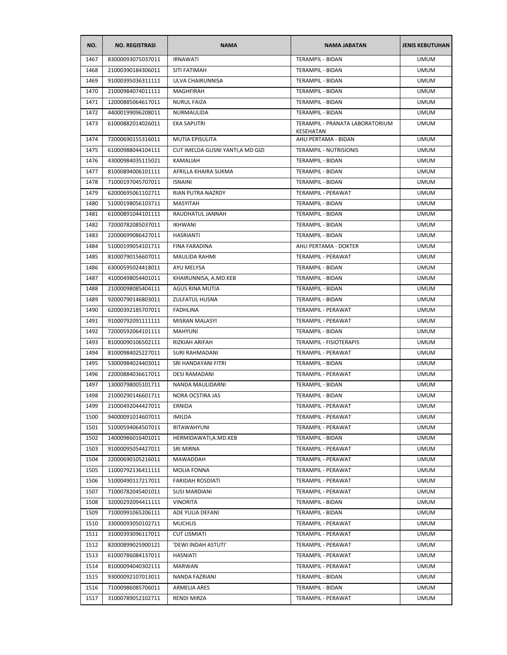| NO.  | <b>NO. REGISTRASI</b> | <b>NAMA</b>                       | <b>NAMA JABATAN</b>                                 | <b>JENIS KEBUTUHAN</b> |
|------|-----------------------|-----------------------------------|-----------------------------------------------------|------------------------|
| 1467 | 83000093075037011     | <b>IRNAWATI</b>                   | TERAMPIL - BIDAN                                    | <b>UMUM</b>            |
| 1468 | 21000390184306011     | SITI FATIMAH                      | TERAMPIL - BIDAN                                    | <b>UMUM</b>            |
| 1469 | 91000395036311111     | ULVA CHAIRUNNISA                  | TERAMPIL - BIDAN                                    | <b>UMUM</b>            |
| 1470 | 21000984074011111     | MAGHFIRAH                         | TERAMPIL - BIDAN                                    | <b>UMUM</b>            |
| 1471 | 12000885064617011     | <b>NURUL FAIZA</b>                | TERAMPIL - BIDAN                                    | <b>UMUM</b>            |
| 1472 | 44000199096208011     | NURMAULIDA                        | TERAMPIL - BIDAN                                    | <b>UMUM</b>            |
| 1473 | 61000882014026011     | <b>EKA SAPUTRI</b>                | TERAMPIL - PRANATA LABORATORIUM<br><b>KESEHATAN</b> | <b>UMUM</b>            |
| 1474 | 72000690155316011     | MUTIA EPISULITA                   | AHLI PERTAMA - BIDAN                                | <b>UMUM</b>            |
| 1475 | 61000988044104111     | CUT IMELDA GUSNI YANTI, A MD GIZI | <b>TERAMPIL - NUTRISIONIS</b>                       | <b>UMUM</b>            |
| 1476 | 43000984035115021     | KAMALIAH                          | TERAMPIL - BIDAN                                    | <b>UMUM</b>            |
| 1477 | 81000894006101111     | AFRILLA KHAIRA SUKMA              | TERAMPIL - BIDAN                                    | <b>UMUM</b>            |
| 1478 | 71000197045707011     | <b>ISNAINI</b>                    | TERAMPIL - BIDAN                                    | <b>UMUM</b>            |
| 1479 | 62000695061102711     | RIAN PUTRA NAZRDY                 | TERAMPIL - PERAWAT                                  | <b>UMUM</b>            |
| 1480 | 51000198056103711     | MASYITAH                          | TERAMPIL - BIDAN                                    | <b>UMUM</b>            |
| 1481 | 61000891044101111     | RAUDHATUL JANNAH                  | TERAMPIL - BIDAN                                    | UMUM                   |
| 1482 | 72000782085037011     | <b>IKHWANI</b>                    | <b>TERAMPIL - BIDAN</b>                             | <b>UMUM</b>            |
| 1483 | 22000699086427011     | <b>HASRIANTI</b>                  | TERAMPIL - BIDAN                                    | <b>UMUM</b>            |
| 1484 | 51000199054101711     | FINA FARADINA                     | AHLI PERTAMA - DOKTER                               | <b>UMUM</b>            |
| 1485 | 81000790156607011     | <b>MAULIDA RAHMI</b>              | TERAMPIL - PERAWAT                                  | <b>UMUM</b>            |
| 1486 | 63000595024418011     | AYU MELYSA                        | <b>TERAMPIL - BIDAN</b>                             | <b>UMUM</b>            |
| 1487 | 41000498054401011     | KHAIRUNNISA, A.MD.KEB             | TERAMPIL - BIDAN                                    | <b>UMUM</b>            |
| 1488 | 21000098085404111     | AGUS RINA MUTIA                   | TERAMPIL - BIDAN                                    | <b>UMUM</b>            |
| 1489 | 92000790146803011     | <b>ZULFATUL HUSNA</b>             | TERAMPIL - BIDAN                                    | <b>UMUM</b>            |
| 1490 | 62000392185707011     | <b>FADHLINA</b>                   | TERAMPIL - PERAWAT                                  | <b>UMUM</b>            |
| 1491 | 91000792091111111     | MISRAN MALASYI                    | TERAMPIL - PERAWAT                                  | <b>UMUM</b>            |
| 1492 | 72000592064101111     | <b>MAHYUNI</b>                    | TERAMPIL - BIDAN                                    | <b>UMUM</b>            |
| 1493 | 81000090106502111     | RIZKIAH ARIFAH                    | TERAMPIL - FISIOTERAPIS                             | <b>UMUM</b>            |
| 1494 | 81000984025227011     | SURI RAHMADANI                    | TERAMPIL - PERAWAT                                  | <b>UMUM</b>            |
| 1495 | 53000984024403011     | SRI HANDAYANI FITRI               | TERAMPIL - BIDAN                                    | <b>UMUM</b>            |
| 1496 | 22000884036617011     | <b>DESI RAMADANI</b>              | TERAMPIL - PERAWAT                                  | <b>UMUM</b>            |
| 1497 | 13000798005101711     | NANDA MAULIDARNI                  | <b>TERAMPIL - BIDAN</b>                             | <b>UMUM</b>            |
| 1498 | 21000290146601711     | NORA OCSTIRA JAS                  | TERAMPIL - BIDAN                                    | <b>UMUM</b>            |
| 1499 | 21000492044427011     | ERNIDA                            | TERAMPIL - PERAWAT                                  | <b>UMUM</b>            |
| 1500 | 94000091014607011     | IMILDA                            | TERAMPIL - PERAWAT                                  | <b>UMUM</b>            |
| 1501 | 51000594064507011     | RITAWAHYUNI                       | TERAMPIL - PERAWAT                                  | <b>UMUM</b>            |
| 1502 | 14000986016401011     | HERMIDAWATI, A.MD.KEB             | TERAMPIL - BIDAN                                    | <b>UMUM</b>            |
| 1503 | 91000095054427011     | SRI MIRNA                         | TERAMPIL - PERAWAT                                  | <b>UMUM</b>            |
| 1504 | 22000690105216011     | MAWADDAH                          | TERAMPIL - PERAWAT                                  | <b>UMUM</b>            |
| 1505 | 11000792136411111     | <b>MOLIA FONNA</b>                | TERAMPIL - PERAWAT                                  | <b>UMUM</b>            |
| 1506 | 51000490117217011     | <b>FARIDAH ROSDIATI</b>           | TERAMPIL - PERAWAT                                  | <b>UMUM</b>            |
| 1507 | 71000782045401011     | <b>SUSI MARDIANI</b>              | TERAMPIL - PERAWAT                                  | <b>UMUM</b>            |
| 1508 | 32000292094411111     | VINORITA                          | <b>TERAMPIL - BIDAN</b>                             | <b>UMUM</b>            |
| 1509 | 71000991065206111     | ADE YULIA DEFANI                  | TERAMPIL - BIDAN                                    | <b>UMUM</b>            |
| 1510 | 33000093050102711     | <b>MUCHLIS</b>                    | TERAMPIL - PERAWAT                                  | <b>UMUM</b>            |
| 1511 | 31000393096117011     | <b>CUT LISMIATI</b>               | TERAMPIL - PERAWAT                                  | <b>UMUM</b>            |
| 1512 | 82000899025900121     | 'DEWI INDAH ASTUTI'               | TERAMPIL - PERAWAT                                  | <b>UMUM</b>            |
| 1513 | 61000786084137011     | HASNIATI                          | TERAMPIL - PERAWAT                                  | <b>UMUM</b>            |
| 1514 | 81000094040302111     | MARWAN                            | TERAMPIL - PERAWAT                                  | <b>UMUM</b>            |
| 1515 | 93000092107013011     | NANDA FAZRIANI                    | TERAMPIL - BIDAN                                    | <b>UMUM</b>            |
| 1516 | 71000986085706011     | ARMELIA ARES                      | TERAMPIL - BIDAN                                    | <b>UMUM</b>            |
| 1517 | 31000789052102711     | RENDI MIRZA                       | TERAMPIL - PERAWAT                                  | <b>UMUM</b>            |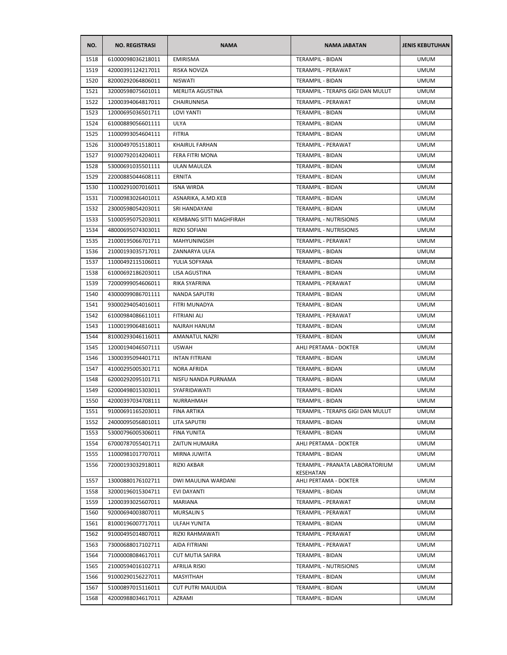| NO.  | <b>NO. REGISTRASI</b> | <b>NAMA</b>               | <b>NAMA JABATAN</b>                          | <b>JENIS KEBUTUHAN</b> |
|------|-----------------------|---------------------------|----------------------------------------------|------------------------|
| 1518 | 61000098036218011     | <b>EMIRISMA</b>           | TERAMPIL - BIDAN                             | <b>UMUM</b>            |
| 1519 | 42000391124217011     | RISKA NOVIZA              | TERAMPIL - PERAWAT                           | <b>UMUM</b>            |
| 1520 | 82000292064806011     | <b>NISWATI</b>            | TERAMPIL - BIDAN                             | <b>UMUM</b>            |
| 1521 | 32000598075601011     | MERLITA AGUSTINA          | TERAMPIL - TERAPIS GIGI DAN MULUT            | <b>UMUM</b>            |
| 1522 | 12000394064817011     | CHAIRUNNISA               | TERAMPIL - PERAWAT                           | <b>UMUM</b>            |
| 1523 | 12000695036501711     | <b>LOVI YANTI</b>         | TERAMPIL - BIDAN                             | <b>UMUM</b>            |
| 1524 | 61000889056601111     | <b>ULYA</b>               | TERAMPIL - BIDAN                             | <b>UMUM</b>            |
| 1525 | 11000993054604111     | <b>FITRIA</b>             | <b>TERAMPIL - BIDAN</b>                      | <b>UMUM</b>            |
| 1526 | 31000497051518011     | <b>KHAIRUL FARHAN</b>     | TERAMPIL - PERAWAT                           | <b>UMUM</b>            |
| 1527 | 91000792014204011     | FERA FITRI MONA           | TERAMPIL - BIDAN                             | <b>UMUM</b>            |
| 1528 | 53000691035501111     | ULAN MAULIZA              | TERAMPIL - BIDAN                             | <b>UMUM</b>            |
| 1529 | 22000885044608111     | ERNITA                    | TERAMPIL - BIDAN                             | <b>UMUM</b>            |
| 1530 | 11000291007016011     | <b>ISNA WIRDA</b>         | TERAMPIL - BIDAN                             | <b>UMUM</b>            |
| 1531 | 71000983026401011     | ASNARIKA, A.MD.KEB        | TERAMPIL - BIDAN                             | <b>UMUM</b>            |
| 1532 | 23000598054203011     | SRI HANDAYANI             | TERAMPIL - BIDAN                             | UMUM                   |
| 1533 | 51000595075203011     | KEMBANG SITTI MAGHFIRAH   | TERAMPIL - NUTRISIONIS                       | <b>UMUM</b>            |
| 1534 | 48000695074303011     | RIZKI SOFIANI             | <b>TERAMPIL - NUTRISIONIS</b>                | <b>UMUM</b>            |
| 1535 | 21000195066701711     | <b>MAHYUNINGSIH</b>       | TERAMPIL - PERAWAT                           | <b>UMUM</b>            |
| 1536 | 21000193035717011     | ZANNARYA ULFA             | TERAMPIL - BIDAN                             | <b>UMUM</b>            |
| 1537 | 11000492115106011     | YULIA SOFYANA             | TERAMPIL - BIDAN                             | <b>UMUM</b>            |
| 1538 | 61000692186203011     | LISA AGUSTINA             | TERAMPIL - BIDAN                             | UMUM                   |
| 1539 | 72000999054606011     | RIKA SYAFRINA             | TERAMPIL - PERAWAT                           | <b>UMUM</b>            |
| 1540 | 43000099086701111     | <b>NANDA SAPUTRI</b>      | TERAMPIL - BIDAN                             | <b>UMUM</b>            |
| 1541 | 93000294054016011     | FITRI MUNADYA             | TERAMPIL - BIDAN                             | <b>UMUM</b>            |
| 1542 | 61000984086611011     | FITRIANI ALI              | TERAMPIL - PERAWAT                           | <b>UMUM</b>            |
| 1543 | 11000199064816011     | NAJRAH HANUM              | TERAMPIL - BIDAN                             | <b>UMUM</b>            |
| 1544 | 81000293046116011     | <b>AMANATUL NAZRI</b>     | TERAMPIL - BIDAN                             | <b>UMUM</b>            |
| 1545 | 12000194046507111     | <b>USWAH</b>              | AHLI PERTAMA - DOKTER                        | <b>UMUM</b>            |
| 1546 | 13000395094401711     | <b>INTAN FITRIANI</b>     | TERAMPIL - BIDAN                             | <b>UMUM</b>            |
| 1547 | 41000295005301711     | NORA AFRIDA               | TERAMPIL - BIDAN                             | <b>UMUM</b>            |
| 1548 | 62000292095101711     | NISFU NANDA PURNAMA       | TERAMPIL - BIDAN                             | <b>UMUM</b>            |
| 1549 | 62000498015303011     | SYAFRIDAWATI              | TERAMPIL - BIDAN                             | <b>UMUM</b>            |
| 1550 | 42000397034708111     | <b>NURRAHMAH</b>          | <b>TERAMPIL - BIDAN</b>                      | <b>UMUM</b>            |
| 1551 | 91000691165203011     | FINA ARTIKA               | TERAMPIL - TERAPIS GIGI DAN MULUT            | <b>UMUM</b>            |
| 1552 | 24000095056801011     | LITA SAPUTRI              | TERAMPIL - BIDAN                             | <b>UMUM</b>            |
| 1553 | 53000796005306011     | <b>FINA YUNITA</b>        | TERAMPIL - BIDAN                             | <b>UMUM</b>            |
| 1554 | 67000787055401711     | ZAITUN HUMAIRA            | AHLI PERTAMA - DOKTER                        | <b>UMUM</b>            |
| 1555 | 11000981017707011     | MIRNA JUWITA              | TERAMPIL - BIDAN                             | <b>UMUM</b>            |
| 1556 | 72000193032918011     | RIZKI AKBAR               | TERAMPIL - PRANATA LABORATORIUM<br>KESEHATAN | <b>UMUM</b>            |
| 1557 | 13000880176102711     | DWI MAULINA WARDANI       | AHLI PERTAMA - DOKTER                        | <b>UMUM</b>            |
| 1558 | 32000196015304711     | EVI DAYANTI               | TERAMPIL - BIDAN                             | <b>UMUM</b>            |
| 1559 | 12000393025607011     | MARIANA                   | TERAMPIL - PERAWAT                           | <b>UMUM</b>            |
| 1560 | 92000694003807011     | <b>MURSALINS</b>          | TERAMPIL - PERAWAT                           | <b>UMUM</b>            |
| 1561 | 81000196007717011     | <b>ULFAH YUNITA</b>       | TERAMPIL - BIDAN                             | <b>UMUM</b>            |
| 1562 | 91000495014807011     | RIZKI RAHMAWATI           | TERAMPIL - PERAWAT                           | <b>UMUM</b>            |
| 1563 | 73000688017102711     | AIDA FITRIANI             | TERAMPIL - PERAWAT                           | <b>UMUM</b>            |
| 1564 | 71000008084617011     | <b>CUT MUTIA SAFIRA</b>   | TERAMPIL - BIDAN                             | <b>UMUM</b>            |
| 1565 | 21000594016102711     | AFRILIA RISKI             | TERAMPIL - NUTRISIONIS                       | <b>UMUM</b>            |
| 1566 | 91000290156227011     | MASYITHAH                 | TERAMPIL - BIDAN                             | <b>UMUM</b>            |
| 1567 | 51000897015116011     | <b>CUT PUTRI MAULIDIA</b> | TERAMPIL - BIDAN                             | <b>UMUM</b>            |
| 1568 | 42000988034617011     | AZRAMI                    | TERAMPIL - BIDAN                             | <b>UMUM</b>            |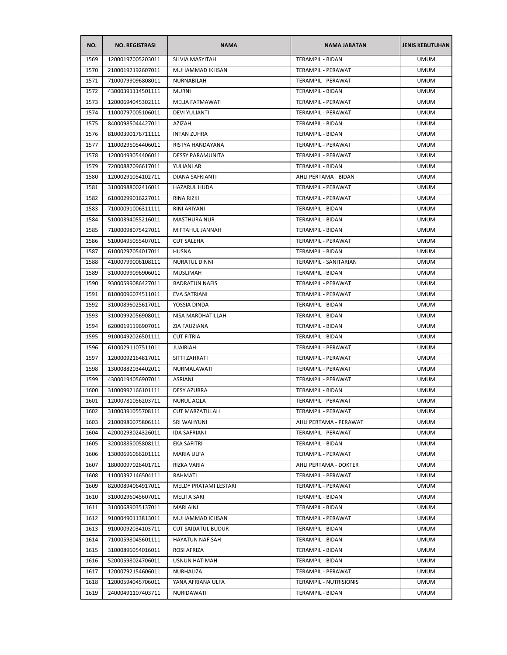| NO.  | <b>NO. REGISTRASI</b> | <b>NAMA</b>               | <b>NAMA JABATAN</b>          | <b>JENIS KEBUTUHAN</b> |
|------|-----------------------|---------------------------|------------------------------|------------------------|
| 1569 | 12000197005203011     | SILVIA MASYITAH           | <b>TERAMPIL - BIDAN</b>      | <b>UMUM</b>            |
| 1570 | 21000192192607011     | MUHAMMAD IKHSAN           | TERAMPIL - PERAWAT           | <b>UMUM</b>            |
| 1571 | 71000799096808011     | NURNABILAH                | TERAMPIL - PERAWAT           | <b>UMUM</b>            |
| 1572 | 43000391114501111     | <b>MURNI</b>              | TERAMPIL - BIDAN             | <b>UMUM</b>            |
| 1573 | 12000694045302111     | <b>MELIA FATMAWATI</b>    | TERAMPIL - PERAWAT           | <b>UMUM</b>            |
| 1574 | 11000797005106011     | <b>DEVI YULIANTI</b>      | TERAMPIL - PERAWAT           | <b>UMUM</b>            |
| 1575 | 84000985044427011     | AZIZAH                    | TERAMPIL - BIDAN             | <b>UMUM</b>            |
| 1576 | 81000390176711111     | <b>INTAN ZUHRA</b>        | TERAMPIL - BIDAN             | <b>UMUM</b>            |
| 1577 | 11000295054406011     | RISTYA HANDAYANA          | TERAMPIL - PERAWAT           | <b>UMUM</b>            |
| 1578 | 12000493054406011     | <b>DESSY PARAMUNITA</b>   | TERAMPIL - PERAWAT           | <b>UMUM</b>            |
| 1579 | 72000887096617011     | YULIANI AR                | TERAMPIL - BIDAN             | <b>UMUM</b>            |
| 1580 | 12000291054102711     | DIANA SAFRIANTI           | AHLI PERTAMA - BIDAN         | <b>UMUM</b>            |
| 1581 | 31000988002416011     | <b>HAZARUL HUDA</b>       | TERAMPIL - PERAWAT           | <b>UMUM</b>            |
| 1582 | 61000299016227011     | <b>RINA RIZKI</b>         | TERAMPIL - PERAWAT           | <b>UMUM</b>            |
| 1583 | 71000091006311111     | RINI ARIYANI              | <b>TERAMPIL - BIDAN</b>      | <b>UMUM</b>            |
| 1584 | 51000394055216011     | <b>MASTHURA NUR</b>       | TERAMPIL - BIDAN             | <b>UMUM</b>            |
| 1585 | 71000098075427011     | MIFTAHUL JANNAH           | <b>TERAMPIL - BIDAN</b>      | <b>UMUM</b>            |
| 1586 | 51000495055407011     | <b>CUT SALEHA</b>         | TERAMPIL - PERAWAT           | <b>UMUM</b>            |
| 1587 | 61000297054017011     | <b>HUSNA</b>              | TERAMPIL - BIDAN             | <b>UMUM</b>            |
| 1588 | 41000799006108111     | <b>NURATUL DINNI</b>      | <b>TERAMPIL - SANITARIAN</b> | <b>UMUM</b>            |
| 1589 | 31000099096906011     | <b>MUSLIMAH</b>           | TERAMPIL - BIDAN             | <b>UMUM</b>            |
| 1590 | 93000599086427011     | <b>BADRATUN NAFIS</b>     | TERAMPIL - PERAWAT           | <b>UMUM</b>            |
| 1591 | 81000096074511011     | <b>EVA SATRIANI</b>       | TERAMPIL - PERAWAT           | <b>UMUM</b>            |
| 1592 | 31000896025617011     | YOSSIA DINDA              | TERAMPIL - BIDAN             | <b>UMUM</b>            |
| 1593 | 31000992056908011     | NISA MARDHATILLAH         | TERAMPIL - BIDAN             | <b>UMUM</b>            |
| 1594 | 62000191196907011     | ZIA FAUZIANA              | TERAMPIL - BIDAN             | <b>UMUM</b>            |
| 1595 | 91000492026501111     | <b>CUT FITRIA</b>         | TERAMPIL - BIDAN             | <b>UMUM</b>            |
| 1596 | 61000291107511011     | <b>JUAIRIAH</b>           | TERAMPIL - PERAWAT           | <b>UMUM</b>            |
| 1597 | 12000092164817011     | SITTI ZAHRATI             | TERAMPIL - PERAWAT           | <b>UMUM</b>            |
| 1598 | 13000882034402011     | NURMALAWATI               | TERAMPIL - PERAWAT           | <b>UMUM</b>            |
| 1599 | 43000194056907011     | ASRIANI                   | <b>TERAMPIL - PERAWAT</b>    | <b>UMUM</b>            |
| 1600 | 31000992166101111     | DESY AZURRA               | TERAMPIL - BIDAN             | <b>UMUM</b>            |
| 1601 | 12000781056203711     | <b>NURUL AQLA</b>         | TERAMPIL - PERAWAT           | <b>UMUM</b>            |
| 1602 | 31000391055708111     | <b>CUT MARZATILLAH</b>    | TERAMPIL - PERAWAT           | <b>UMUM</b>            |
| 1603 | 21000986075806111     | SRI WAHYUNI               | AHLI PERTAMA - PERAWAT       | <b>UMUM</b>            |
| 1604 | 42000293024326011     | <b>IDA SAFRIANI</b>       | TERAMPIL - PERAWAT           | <b>UMUM</b>            |
| 1605 | 32000885005808111     | EKA SAFITRI               | TERAMPIL - BIDAN             | <b>UMUM</b>            |
|      |                       |                           |                              |                        |
| 1606 | 13000696066201111     | MARIA ULFA                | TERAMPIL - PERAWAT           | <b>UMUM</b>            |
| 1607 | 18000097026401711     | RIZKA VARIA               | AHLI PERTAMA - DOKTER        | <b>UMUM</b>            |
| 1608 | 11000392146504111     | RAHMATI                   | TERAMPIL - PERAWAT           | <b>UMUM</b>            |
| 1609 | 82000894064917011     | MELDY PRATAMI LESTARI     | TERAMPIL - PERAWAT           | <b>UMUM</b>            |
| 1610 | 31000296045607011     | <b>MELITA SARI</b>        | TERAMPIL - BIDAN             | <b>UMUM</b>            |
| 1611 | 31000689035137011     | MARLAINI                  | <b>TERAMPIL - BIDAN</b>      | <b>UMUM</b>            |
| 1612 | 91000490113813011     | MUHAMMAD ICHSAN           | TERAMPIL - PERAWAT           | <b>UMUM</b>            |
| 1613 | 91000092034103711     | <b>CUT SAIDATUL BUDUR</b> | TERAMPIL - BIDAN             | <b>UMUM</b>            |
| 1614 | 71000598045601111     | <b>HAYATUN NAFISAH</b>    | TERAMPIL - BIDAN             | <b>UMUM</b>            |
| 1615 | 31000896054016011     | ROSI AFRIZA               | TERAMPIL - BIDAN             | <b>UMUM</b>            |
| 1616 | 52000598024706011     | <b>USNUN HATIMAH</b>      | TERAMPIL - BIDAN             | <b>UMUM</b>            |
| 1617 | 12000792154606011     | NURHALIZA                 | TERAMPIL - PERAWAT           | <b>UMUM</b>            |
| 1618 | 12000594045706011     | YANA AFRIANA ULFA         | TERAMPIL - NUTRISIONIS       | <b>UMUM</b>            |
| 1619 | 24000491107403711     | NURIDAWATI                | TERAMPIL - BIDAN             | <b>UMUM</b>            |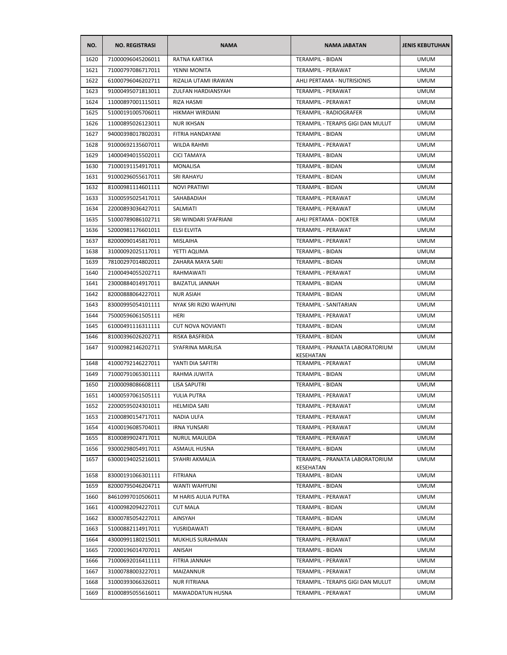| 71000096045206011<br>RATNA KARTIKA<br><b>TERAMPIL - BIDAN</b><br>1620<br>1621<br>TERAMPIL - PERAWAT<br>71000797086717011<br>YENNI MONITA<br>1622<br>61000796046202711<br>RIZALIA UTAMI IRAWAN<br>AHLI PERTAMA - NUTRISIONIS<br>1623<br>91000495071813011<br>ZULFAN HARDIANSYAH<br>TERAMPIL - PERAWAT<br>1624<br>11000897001115011<br>RIZA HASMI<br>TERAMPIL - PERAWAT<br>1625<br>51000191005706011<br>HIKMAH WIRDIANI<br>TERAMPIL - RADIOGRAFER<br>1626<br>11000895026123011<br><b>NUR IKHSAN</b><br>TERAMPIL - TERAPIS GIGI DAN MULUT | <b>JENIS KEBUTUHAN</b> |
|----------------------------------------------------------------------------------------------------------------------------------------------------------------------------------------------------------------------------------------------------------------------------------------------------------------------------------------------------------------------------------------------------------------------------------------------------------------------------------------------------------------------------------------|------------------------|
|                                                                                                                                                                                                                                                                                                                                                                                                                                                                                                                                        | <b>UMUM</b>            |
|                                                                                                                                                                                                                                                                                                                                                                                                                                                                                                                                        | <b>UMUM</b>            |
|                                                                                                                                                                                                                                                                                                                                                                                                                                                                                                                                        | <b>UMUM</b>            |
|                                                                                                                                                                                                                                                                                                                                                                                                                                                                                                                                        | <b>UMUM</b>            |
|                                                                                                                                                                                                                                                                                                                                                                                                                                                                                                                                        | <b>UMUM</b>            |
|                                                                                                                                                                                                                                                                                                                                                                                                                                                                                                                                        | <b>UMUM</b>            |
|                                                                                                                                                                                                                                                                                                                                                                                                                                                                                                                                        | <b>UMUM</b>            |
| 1627<br>94000398017802031<br>FITRIA HANDAYANI<br>TERAMPIL - BIDAN                                                                                                                                                                                                                                                                                                                                                                                                                                                                      | <b>UMUM</b>            |
| 1628<br>91000692135607011<br>TERAMPIL - PERAWAT<br>WILDA RAHMI                                                                                                                                                                                                                                                                                                                                                                                                                                                                         | <b>UMUM</b>            |
| 1629<br>14000494015502011<br><b>CICI TAMAYA</b><br>TERAMPIL - BIDAN                                                                                                                                                                                                                                                                                                                                                                                                                                                                    | <b>UMUM</b>            |
| 1630<br>71000191154917011<br>MONALISA<br>TERAMPIL - BIDAN                                                                                                                                                                                                                                                                                                                                                                                                                                                                              | <b>UMUM</b>            |
| 1631<br>91000296055617011<br><b>SRI RAHAYU</b><br>TERAMPIL - BIDAN                                                                                                                                                                                                                                                                                                                                                                                                                                                                     | <b>UMUM</b>            |
| 1632<br>81000981114601111<br><b>NOVI PRATIWI</b><br>TERAMPIL - BIDAN                                                                                                                                                                                                                                                                                                                                                                                                                                                                   | <b>UMUM</b>            |
| 1633<br>31000595025417011<br>SAHABADIAH<br>TERAMPIL - PERAWAT                                                                                                                                                                                                                                                                                                                                                                                                                                                                          | <b>UMUM</b>            |
| 1634<br>22000893036427011<br>SALMIATI<br>TERAMPIL - PERAWAT                                                                                                                                                                                                                                                                                                                                                                                                                                                                            | <b>UMUM</b>            |
| 1635<br>51000789086102711<br>SRI WINDARI SYAFRIANI<br>AHLI PERTAMA - DOKTER                                                                                                                                                                                                                                                                                                                                                                                                                                                            | <b>UMUM</b>            |
| 1636<br>52000981176601011<br>ELSI ELVITA<br>TERAMPIL - PERAWAT                                                                                                                                                                                                                                                                                                                                                                                                                                                                         | <b>UMUM</b>            |
| 1637<br>82000090145817011<br><b>MISLAIHA</b><br>TERAMPIL - PERAWAT                                                                                                                                                                                                                                                                                                                                                                                                                                                                     | <b>UMUM</b>            |
| 1638<br>31000092025117011<br>YETTI AQLIMA<br>TERAMPIL - BIDAN                                                                                                                                                                                                                                                                                                                                                                                                                                                                          | <b>UMUM</b>            |
| 1639<br>78100297014802011<br>ZAHARA MAYA SARI<br>TERAMPIL - BIDAN                                                                                                                                                                                                                                                                                                                                                                                                                                                                      | <b>UMUM</b>            |
| 1640<br>21000494055202711<br>RAHMAWATI<br>TERAMPIL - PERAWAT                                                                                                                                                                                                                                                                                                                                                                                                                                                                           | <b>UMUM</b>            |
| 1641<br>23000884014917011<br><b>BAIZATUL JANNAH</b><br>TERAMPIL - BIDAN                                                                                                                                                                                                                                                                                                                                                                                                                                                                | <b>UMUM</b>            |
| 1642<br>82000888064227011<br><b>NUR ASIAH</b><br>TERAMPIL - BIDAN                                                                                                                                                                                                                                                                                                                                                                                                                                                                      | <b>UMUM</b>            |
| NYAK SRI RIZKI WAHYUNI<br>1643<br>83000995054101111<br>TERAMPIL - SANITARIAN                                                                                                                                                                                                                                                                                                                                                                                                                                                           | <b>UMUM</b>            |
| 1644<br>75000596061505111<br>HERI<br>TERAMPIL - PERAWAT                                                                                                                                                                                                                                                                                                                                                                                                                                                                                | <b>UMUM</b>            |
| 1645<br>61000491116311111<br><b>CUT NOVA NOVIANTI</b><br>TERAMPIL - BIDAN                                                                                                                                                                                                                                                                                                                                                                                                                                                              | <b>UMUM</b>            |
| 81000396026202711<br>1646<br>RISKA BASFRIDA<br>TERAMPIL - BIDAN                                                                                                                                                                                                                                                                                                                                                                                                                                                                        | <b>UMUM</b>            |
| TERAMPIL - PRANATA LABORATORIUM<br>1647<br>91000982146202711<br>SYAFRINA MARLISA                                                                                                                                                                                                                                                                                                                                                                                                                                                       | <b>UMUM</b>            |
| KESEHATAN                                                                                                                                                                                                                                                                                                                                                                                                                                                                                                                              |                        |
| 1648<br>41000792146227011<br>YANTI DIA SAFITRI<br>TERAMPIL - PERAWAT                                                                                                                                                                                                                                                                                                                                                                                                                                                                   | <b>UMUM</b>            |
| TERAMPIL - BIDAN<br>1649<br>71000791065301111<br>RAHMA JUWITA                                                                                                                                                                                                                                                                                                                                                                                                                                                                          | <b>UMUM</b>            |
| 1650<br>21000098086608111<br>LISA SAPUTRI<br>TERAMPIL - BIDAN                                                                                                                                                                                                                                                                                                                                                                                                                                                                          | <b>UMUM</b>            |
| 1651<br>14000597061505111<br>YULIA PUTRA<br>TERAMPIL - PERAWAT                                                                                                                                                                                                                                                                                                                                                                                                                                                                         | <b>UMUM</b>            |
| 1652<br>22000595024301011<br>HELMIDA SARI<br>TERAMPIL - PERAWAT                                                                                                                                                                                                                                                                                                                                                                                                                                                                        | UMUM                   |
| 21000890154717011<br>TERAMPIL - PERAWAT<br>1653<br>NADIA ULFA                                                                                                                                                                                                                                                                                                                                                                                                                                                                          | <b>UMUM</b>            |
| 1654<br>TERAMPIL - PERAWAT<br>41000196085704011<br>IRNA YUNSARI                                                                                                                                                                                                                                                                                                                                                                                                                                                                        | <b>UMUM</b>            |
| 1655<br>81000899024717011<br><b>NURUL MAULIDA</b><br>TERAMPIL - PERAWAT                                                                                                                                                                                                                                                                                                                                                                                                                                                                | <b>UMUM</b>            |
| 1656<br>93000298054917011<br>TERAMPIL - BIDAN<br><b>ASMAUL HUSNA</b>                                                                                                                                                                                                                                                                                                                                                                                                                                                                   | <b>UMUM</b>            |
| 1657<br>63000194025216011<br>SYAHRI AKMALIA<br>TERAMPIL - PRANATA LABORATORIUM<br>KESEHATAN                                                                                                                                                                                                                                                                                                                                                                                                                                            | <b>UMUM</b>            |
| 1658<br>83000191066301111<br><b>FITRIANA</b><br>TERAMPIL - BIDAN                                                                                                                                                                                                                                                                                                                                                                                                                                                                       | <b>UMUM</b>            |
| 1659<br>82000795046204711<br><b>WANTI WAHYUNI</b><br>TERAMPIL - BIDAN                                                                                                                                                                                                                                                                                                                                                                                                                                                                  | <b>UMUM</b>            |
| 1660<br>84610997010506011<br>M HARIS AULIA PUTRA<br>TERAMPIL - PERAWAT                                                                                                                                                                                                                                                                                                                                                                                                                                                                 | <b>UMUM</b>            |
| 1661<br>41000982094227011<br><b>CUT MALA</b><br>TERAMPIL - BIDAN                                                                                                                                                                                                                                                                                                                                                                                                                                                                       | <b>UMUM</b>            |
| 1662<br>83000785054227011<br>AINSYAH<br>TERAMPIL - BIDAN                                                                                                                                                                                                                                                                                                                                                                                                                                                                               | <b>UMUM</b>            |
| 1663<br>51000882114917011<br>YUSRIDAWATI<br>TERAMPIL - BIDAN                                                                                                                                                                                                                                                                                                                                                                                                                                                                           | <b>UMUM</b>            |
| 1664<br>43000991180215011<br><b>MUKHLIS SURAHMAN</b><br>TERAMPIL - PERAWAT                                                                                                                                                                                                                                                                                                                                                                                                                                                             | <b>UMUM</b>            |
| ANISAH<br>TERAMPIL - BIDAN<br>1665<br>72000196014707011                                                                                                                                                                                                                                                                                                                                                                                                                                                                                | <b>UMUM</b>            |
| 1666<br>71000692016411111<br>FITRIA JANNAH<br>TERAMPIL - PERAWAT                                                                                                                                                                                                                                                                                                                                                                                                                                                                       | <b>UMUM</b>            |
| 1667<br>31000788003227011<br>TERAMPIL - PERAWAT<br>MAIZANNUR                                                                                                                                                                                                                                                                                                                                                                                                                                                                           | <b>UMUM</b>            |
| 1668<br>31000393066326011<br><b>NUR FITRIANA</b><br>TERAMPIL - TERAPIS GIGI DAN MULUT                                                                                                                                                                                                                                                                                                                                                                                                                                                  | <b>UMUM</b>            |
| 1669<br>81000895055616011<br>MAWADDATUN HUSNA<br>TERAMPIL - PERAWAT                                                                                                                                                                                                                                                                                                                                                                                                                                                                    | <b>UMUM</b>            |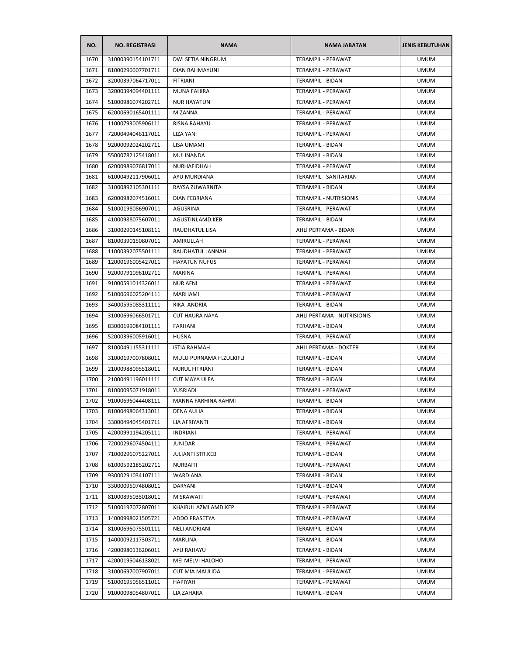| NO.  | <b>NO. REGISTRASI</b> | <b>NAMA</b>                | <b>NAMA JABATAN</b>           | <b>JENIS KEBUTUHAN</b> |
|------|-----------------------|----------------------------|-------------------------------|------------------------|
| 1670 | 31000390154101711     | <b>DWI SETIA NINGRUM</b>   | TERAMPIL - PERAWAT            | <b>UMUM</b>            |
| 1671 | 81000296007701711     | <b>DIAN RAHMAYUNI</b>      | TERAMPIL - PERAWAT            | <b>UMUM</b>            |
| 1672 | 32000397064717011     | <b>FITRIANI</b>            | TERAMPIL - BIDAN              | <b>UMUM</b>            |
| 1673 | 32000394094401111     | <b>MUNA FAHIRA</b>         | TERAMPIL - PERAWAT            | <b>UMUM</b>            |
| 1674 | 51000986074202711     | <b>NUR HAYATUN</b>         | TERAMPIL - PERAWAT            | <b>UMUM</b>            |
| 1675 | 62000690165401111     | <b>MIZANNA</b>             | TERAMPIL - PERAWAT            | <b>UMUM</b>            |
| 1676 | 11000793005906111     | RISNA RAHAYU               | TERAMPIL - PERAWAT            | <b>UMUM</b>            |
| 1677 | 72000494046117011     | LIZA YANI                  | TERAMPIL - PERAWAT            | <b>UMUM</b>            |
| 1678 | 92000092024202711     | LISA UMAMI                 | TERAMPIL - BIDAN              | <b>UMUM</b>            |
| 1679 | 55000782125418011     | MULINANDA                  | <b>TERAMPIL - BIDAN</b>       | <b>UMUM</b>            |
| 1680 | 62000989076817011     | NURHAFIDHAH                | TERAMPIL - PERAWAT            | <b>UMUM</b>            |
| 1681 | 61000492117906011     | AYU MURDIANA               | TERAMPIL - SANITARIAN         | <b>UMUM</b>            |
| 1682 | 31000892105301111     | RAYSA ZUWARNITA            | TERAMPIL - BIDAN              | <b>UMUM</b>            |
| 1683 | 62000982074516011     | <b>DIAN FEBRIANA</b>       | <b>TERAMPIL - NUTRISIONIS</b> | <b>UMUM</b>            |
| 1684 | 51000198086907011     | AGUSRINA                   | TERAMPIL - PERAWAT            | <b>UMUM</b>            |
| 1685 | 41000988075607011     | AGUSTINI, AMD. KEB         | TERAMPIL - BIDAN              | <b>UMUM</b>            |
| 1686 | 31000290145108111     | RAUDHATUL LISA             | AHLI PERTAMA - BIDAN          | <b>UMUM</b>            |
| 1687 | 81000390150807011     | AMIRULLAH                  | TERAMPIL - PERAWAT            | <b>UMUM</b>            |
| 1688 | 11000392075501111     | RAUDHATUL JANNAH           | TERAMPIL - PERAWAT            | <b>UMUM</b>            |
| 1689 | 12000196005427011     | <b>HAYATUN NUFUS</b>       | TERAMPIL - PERAWAT            | <b>UMUM</b>            |
| 1690 | 92000791096102711     | MARINA                     | TERAMPIL - PERAWAT            | <b>UMUM</b>            |
| 1691 | 91000591014326011     | <b>NUR AFNI</b>            | TERAMPIL - PERAWAT            | <b>UMUM</b>            |
| 1692 | 51000696025204111     | <b>MARHAMI</b>             | TERAMPIL - PERAWAT            | <b>UMUM</b>            |
| 1693 | 34000595085311111     | RIKA ANDRIA                | TERAMPIL - BIDAN              | <b>UMUM</b>            |
| 1694 | 31000696066501711     | <b>CUT HAURA NAYA</b>      | AHLI PERTAMA - NUTRISIONIS    | <b>UMUM</b>            |
| 1695 | 83000199084101111     | FARHANI                    | TERAMPIL - BIDAN              | <b>UMUM</b>            |
| 1696 | 52000396005916011     | <b>HUSNA</b>               | TERAMPIL - PERAWAT            | <b>UMUM</b>            |
| 1697 | 81000491155311111     | <b>ISTIA RAHMAH</b>        | AHLI PERTAMA - DOKTER         | <b>UMUM</b>            |
| 1698 | 31000197007808011     | MULU PURNAMA H.ZULKIFLI    | <b>TERAMPIL - BIDAN</b>       | <b>UMUM</b>            |
| 1699 | 21000988095518011     | <b>NURUL FITRIANI</b>      | <b>TERAMPIL - BIDAN</b>       | <b>UMUM</b>            |
| 1700 | 21000491196011111     | <b>CUT MAYA ULFA</b>       | TERAMPIL - BIDAN              | <b>UMUM</b>            |
| 1701 | 81000095071918011     | YUSRIADI                   | TERAMPIL - PERAWAT            | <b>UMUM</b>            |
| 1702 | 91000696044408111     | <b>MANNA FARHINA RAHMI</b> | <b>TERAMPIL - BIDAN</b>       | <b>UMUM</b>            |
| 1703 | 81000498064313011     | DENA AULIA                 | TERAMPIL - BIDAN              | <b>UMUM</b>            |
| 1704 | 33000494045401711     | LIA AFRIYANTI              | TERAMPIL - BIDAN              | <b>UMUM</b>            |
| 1705 | 42000991194205111     | INDRIANI                   | TERAMPIL - PERAWAT            | <b>UMUM</b>            |
| 1706 | 72000296074504111     | <b>JUNIDAR</b>             | TERAMPIL - PERAWAT            | <b>UMUM</b>            |
| 1707 | 71000296075227011     | <b>JULIANTI STR.KEB</b>    | TERAMPIL - BIDAN              | <b>UMUM</b>            |
| 1708 | 61000592185202711     | <b>NURBAITI</b>            | TERAMPIL - PERAWAT            | <b>UMUM</b>            |
| 1709 | 93000291034107111     | WARDIANA                   | TERAMPIL - BIDAN              | <b>UMUM</b>            |
| 1710 | 33000095074808011     | DARYANI                    | TERAMPIL - BIDAN              | <b>UMUM</b>            |
| 1711 | 81000895035018011     | MISKAWATI                  | TERAMPIL - PERAWAT            | <b>UMUM</b>            |
| 1712 | 51000197072807011     | KHAIRUL AZMI AMD.KEP       | TERAMPIL - PERAWAT            | <b>UMUM</b>            |
| 1713 | 14000998021505721     | ADDO PRASETYA              | TERAMPIL - PERAWAT            | <b>UMUM</b>            |
| 1714 | 81000696075501111     | NELI ANDRIANI              | TERAMPIL - BIDAN              | <b>UMUM</b>            |
| 1715 | 14000092117303711     | MARLINA                    | TERAMPIL - BIDAN              | <b>UMUM</b>            |
| 1716 | 42000980136206011     | AYU RAHAYU                 | TERAMPIL - BIDAN              | <b>UMUM</b>            |
| 1717 | 42000195046138021     | MEI MELVI HALOHO           | TERAMPIL - PERAWAT            | <b>UMUM</b>            |
| 1718 | 31000697007907011     | <b>CUT MIA MAULIDA</b>     | TERAMPIL - PERAWAT            | <b>UMUM</b>            |
| 1719 | 51000195056511011     | HAPIYAH                    | TERAMPIL - PERAWAT            | <b>UMUM</b>            |
| 1720 | 91000098054807011     | LIA ZAHARA                 | TERAMPIL - BIDAN              | <b>UMUM</b>            |
|      |                       |                            |                               |                        |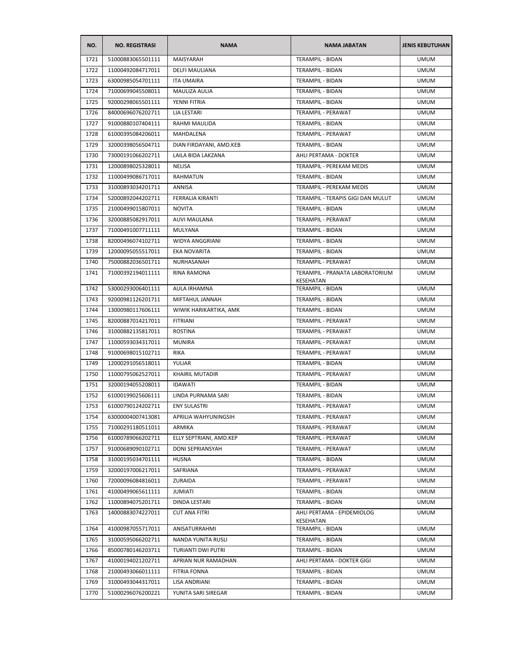| NO.  | <b>NO. REGISTRASI</b> | <b>NAMA</b>             | <b>NAMA JABATAN</b>                          | <b>JENIS KEBUTUHAN</b> |
|------|-----------------------|-------------------------|----------------------------------------------|------------------------|
| 1721 | 51000883065501111     | MAISYARAH               | <b>TERAMPIL - BIDAN</b>                      | <b>UMUM</b>            |
| 1722 | 11000492084717011     | DELFI MAULIANA          | <b>TERAMPIL - BIDAN</b>                      | <b>UMUM</b>            |
| 1723 | 63000985054701111     | <b>ITA UMAIRA</b>       | <b>TERAMPIL - BIDAN</b>                      | <b>UMUM</b>            |
| 1724 | 71000699045508011     | MAULIZA AULIA           | TERAMPIL - BIDAN                             | <b>UMUM</b>            |
| 1725 | 92000298065501111     | YENNI FITRIA            | TERAMPIL - BIDAN                             | <b>UMUM</b>            |
| 1726 | 84000696076202711     | LIA LESTARI             | TERAMPIL - PERAWAT                           | <b>UMUM</b>            |
| 1727 | 91000880107404111     | RAHMI MAULIDA           | TERAMPIL - BIDAN                             | <b>UMUM</b>            |
| 1728 | 61000395084206011     | MAHDALENA               | TERAMPIL - PERAWAT                           | <b>UMUM</b>            |
| 1729 | 32000398056504711     | DIAN FIRDAYANI, AMD.KEB | TERAMPIL - BIDAN                             | <b>UMUM</b>            |
| 1730 | 73000191066202711     | LAILA BIDA LAKZANA      | AHLI PERTAMA - DOKTER                        | <b>UMUM</b>            |
| 1731 | 12000898025328011     | NELISA                  | TERAMPIL - PEREKAM MEDIS                     | <b>UMUM</b>            |
| 1732 | 11000499086717011     | <b>RAHMATUN</b>         | TERAMPIL - BIDAN                             | <b>UMUM</b>            |
| 1733 | 31000893034201711     | ANNISA                  | TERAMPIL - PEREKAM MEDIS                     | <b>UMUM</b>            |
| 1734 | 52000892044202711     | <b>FERRALIA KIRANTI</b> | TERAMPIL - TERAPIS GIGI DAN MULUT            | <b>UMUM</b>            |
| 1735 | 21000499015807011     | <b>NOVITA</b>           | <b>TERAMPIL - BIDAN</b>                      | <b>UMUM</b>            |
| 1736 | 32000885082917011     | <b>AUVI MAULANA</b>     | TERAMPIL - PERAWAT                           | <b>UMUM</b>            |
| 1737 | 71000491007711111     | MULYANA                 | TERAMPIL - BIDAN                             | <b>UMUM</b>            |
| 1738 | 82000496074102711     | WIDYA ANGGRIANI         | TERAMPIL - BIDAN                             | <b>UMUM</b>            |
| 1739 | 12000095055517011     | <b>EKA NOVARITA</b>     | TERAMPIL - BIDAN                             | <b>UMUM</b>            |
| 1740 | 75000882036501711     | NURHASANAH              | TERAMPIL - PERAWAT                           | <b>UMUM</b>            |
| 1741 | 71000392194011111     | <b>RINA RAMONA</b>      | TERAMPIL - PRANATA LABORATORIUM<br>KESEHATAN | <b>UMUM</b>            |
| 1742 | 53000293006401111     | AULA IRHAMNA            | TERAMPIL - BIDAN                             | <b>UMUM</b>            |
| 1743 | 92000981126201711     | MIFTAHUL JANNAH         | TERAMPIL - BIDAN                             | <b>UMUM</b>            |
| 1744 | 13000980117606111     | WIWIK HARIKARTIKA, AMK  | TERAMPIL - BIDAN                             | <b>UMUM</b>            |
| 1745 | 82000887014217011     | <b>FITRIANI</b>         | TERAMPIL - PERAWAT                           | <b>UMUM</b>            |
| 1746 | 31000882135817011     | <b>ROSTINA</b>          | TERAMPIL - PERAWAT                           | <b>UMUM</b>            |
| 1747 | 11000593034317011     | <b>MUNIRA</b>           | TERAMPIL - PERAWAT                           | <b>UMUM</b>            |
| 1748 | 91000698015102711     | <b>RIKA</b>             | TERAMPIL - PERAWAT                           | <b>UMUM</b>            |
| 1749 | 12000291056518011     | YULIAR                  | TERAMPIL - BIDAN                             | <b>UMUM</b>            |
| 1750 | 11000795062527011     | <b>KHAIRIL MUTADIR</b>  | TERAMPIL - PERAWAT                           | <b>UMUM</b>            |
| 1751 | 32000194055208011     | <b>IDAWATI</b>          | <b>TERAMPIL - BIDAN</b>                      | <b>UMUM</b>            |
| 1752 | 61000199025606111     | LINDA PURNAMA SARI      | TERAMPIL - BIDAN                             | <b>UMUM</b>            |
| 1753 | 61000790124202711     | <b>ENY SULASTRI</b>     | TERAMPIL - PERAWAT                           | <b>UMUM</b>            |
| 1754 | 63000004007413081     | APRILIA WAHYUNINGSIH    | TERAMPIL - PERAWAT                           | <b>UMUM</b>            |
| 1755 | 71000291180511011     | <b>ARMIKA</b>           | TERAMPIL - PERAWAT                           | <b>UMUM</b>            |
| 1756 | 61000789066202711     | ELLY SEPTRIANI, AMD.KEP | TERAMPIL - PERAWAT                           | <b>UMUM</b>            |
| 1757 | 91000689090102711     | DONI SEPRIANSYAH        | <b>TERAMPIL - PERAWAT</b>                    | <b>UMUM</b>            |
| 1758 | 31000195034701111     | HUSNA                   | TERAMPIL - BIDAN                             | <b>UMUM</b>            |
| 1759 | 32000197006217011     | SAFRIANA                | TERAMPIL - PERAWAT                           | <b>UMUM</b>            |
| 1760 | 72000096084816011     | ZURAIDA                 | TERAMPIL - PERAWAT                           | <b>UMUM</b>            |
| 1761 | 41000499065611111     | JUMIATI                 | TERAMPIL - BIDAN                             | <b>UMUM</b>            |
| 1762 | 11000894075201711     | DINDA LESTARI           | TERAMPIL - BIDAN                             | <b>UMUM</b>            |
| 1763 | 14000883074227011     | <b>CUT ANA FITRI</b>    | AHLI PERTAMA - EPIDEMIOLOG                   | <b>UMUM</b>            |
| 1764 | 41000987055717011     | ANISATURRAHMI           | KESEHATAN<br>TERAMPIL - BIDAN                | <b>UMUM</b>            |
| 1765 | 31000595066202711     | NANDA YUNITA RUSLI      | TERAMPIL - BIDAN                             | <b>UMUM</b>            |
| 1766 | 85000780146203711     | TURIANTI DWI PUTRI      | TERAMPIL - BIDAN                             | <b>UMUM</b>            |
| 1767 | 41000194021202711     | APRIAN NUR RAMADHAN     | AHLI PERTAMA - DOKTER GIGI                   | <b>UMUM</b>            |
| 1768 | 21000493066011111     | <b>FITRIA FONNA</b>     | TERAMPIL - BIDAN                             | <b>UMUM</b>            |
| 1769 | 31000493044317011     |                         | TERAMPIL - BIDAN                             | <b>UMUM</b>            |
|      |                       | LISA ANDRIANI           |                                              |                        |
| 1770 | 51000296076200221     | YUNITA SARI SIREGAR     | TERAMPIL - BIDAN                             | <b>UMUM</b>            |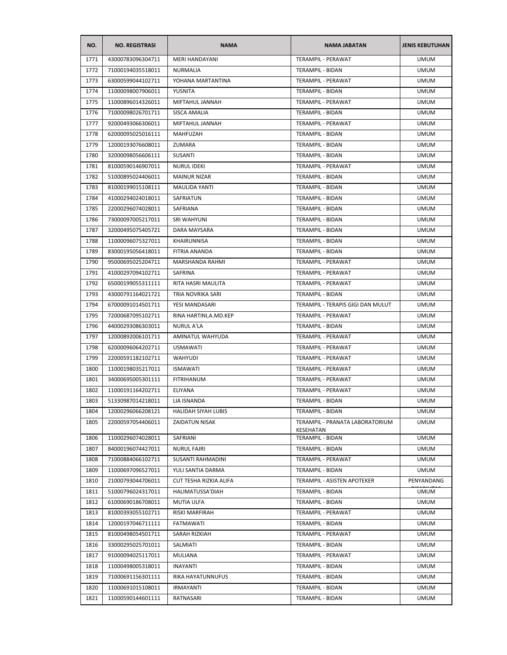| NO.  | <b>NO. REGISTRASI</b> | <b>NAMA</b>              | <b>NAMA JABATAN</b>                          | <b>JENIS KEBUTUHAN</b> |
|------|-----------------------|--------------------------|----------------------------------------------|------------------------|
| 1771 | 43000783096304711     | <b>MERI HANDAYANI</b>    | TERAMPIL - PERAWAT                           | <b>UMUM</b>            |
| 1772 | 71000194035518011     | NURMALIA                 | TERAMPIL - BIDAN                             | <b>UMUM</b>            |
| 1773 | 63000599044102711     | YOHANA MARTANTINA        | <b>TERAMPIL - PERAWAT</b>                    | <b>UMUM</b>            |
| 1774 | 11000098007906011     | YUSNITA                  | TERAMPIL - BIDAN                             | <b>UMUM</b>            |
| 1775 | 11000896014326011     | MIFTAHUL JANNAH          | TERAMPIL - PERAWAT                           | <b>UMUM</b>            |
| 1776 | 71000098026701711     | SISCA AMALIA             | TERAMPIL - BIDAN                             | <b>UMUM</b>            |
| 1777 | 92000493066306011     | MIFTAHUL JANNAH          | <b>TERAMPIL - PERAWAT</b>                    | <b>UMUM</b>            |
| 1778 | 62000095025016111     | MAHFUZAH                 | TERAMPIL - BIDAN                             | <b>UMUM</b>            |
| 1779 | 12000193076608011     | ZUMARA                   | TERAMPIL - BIDAN                             | <b>UMUM</b>            |
| 1780 | 32000098056606111     | SUSANTI                  | <b>TERAMPIL - BIDAN</b>                      | <b>UMUM</b>            |
| 1781 | 81000590146907011     | NURUL IDEKI              | TERAMPIL - PERAWAT                           | <b>UMUM</b>            |
| 1782 | 51000895024406011     | <b>MAINUR NIZAR</b>      | TERAMPIL - BIDAN                             | <b>UMUM</b>            |
| 1783 | 81000199015108111     | <b>MAULIDA YANTI</b>     | TERAMPIL - BIDAN                             | <b>UMUM</b>            |
| 1784 | 41000294024018011     | <b>SAFRIATUN</b>         | TERAMPIL - BIDAN                             | <b>UMUM</b>            |
| 1785 | 22000296074028011     | SAFRIANA                 | <b>TERAMPIL - BIDAN</b>                      | <b>UMUM</b>            |
| 1786 | 73000097005217011     | SRI WAHYUNI              | TERAMPIL - BIDAN                             | <b>UMUM</b>            |
| 1787 | 32000495075405721     | DARA MAYSARA             | TERAMPIL - BIDAN                             | <b>UMUM</b>            |
| 1788 | 11000096075327011     | KHAIRUNNISA              | TERAMPIL - BIDAN                             | <b>UMUM</b>            |
| 1789 | 83000195056418011     | FITRIA ANANDA            | TERAMPIL - BIDAN                             | <b>UMUM</b>            |
| 1790 | 95000695025204711     | MARSHANDA RAHMI          | TERAMPIL - PERAWAT                           | <b>UMUM</b>            |
| 1791 | 41000297094102711     | SAFRINA                  | TERAMPIL - PERAWAT                           | <b>UMUM</b>            |
| 1792 | 65000199055311111     | RITA HASRI MAULITA       | TERAMPIL - PERAWAT                           | <b>UMUM</b>            |
| 1793 | 43000791164021721     | TRIA NOVRIKA SARI        | TERAMPIL - BIDAN                             | <b>UMUM</b>            |
| 1794 | 67000091014501711     | YESI MANDASARI           | TERAMPIL - TERAPIS GIGI DAN MULUT            | <b>UMUM</b>            |
| 1795 | 72000687095102711     | RINA HARTINI, A.MD.KEP   | TERAMPIL - PERAWAT                           | <b>UMUM</b>            |
| 1796 | 44000293086303011     | <b>NURUL A'LA</b>        | TERAMPIL - BIDAN                             | <b>UMUM</b>            |
| 1797 | 12000892006101711     | AMINATUL WAHYUDA         | TERAMPIL - PERAWAT                           | <b>UMUM</b>            |
| 1798 | 62000096064202711     | USMAWATI                 | TERAMPIL - PERAWAT                           | <b>UMUM</b>            |
| 1799 | 22000591182102711     | <b>WAHYUDI</b>           | TERAMPIL - PERAWAT                           | <b>UMUM</b>            |
| 1800 | 11000198035217011     | <b>ISMAWATI</b>          | TERAMPIL - PERAWAT                           | <b>UMUM</b>            |
| 1801 | 34000695005301111     | FITRIHANUM               | TERAMPIL - PERAWAT                           | <b>UMUM</b>            |
| 1802 | 11000191164202711     | <b>ELIYANA</b>           | TERAMPIL - PERAWAT                           | <b>UMUM</b>            |
| 1803 | 51330987014218011     | LIA ISNANDA              | TERAMPIL - BIDAN                             | <b>UMUM</b>            |
| 1804 | 12000296066208121     | HALIDAH SIYAH LUBIS      | TERAMPIL - BIDAN                             | <b>UMUM</b>            |
| 1805 | 22000597054406011     | ZAIDATUN NISAK           | TERAMPIL - PRANATA LABORATORIUM<br>KESEHATAN | <b>UMUM</b>            |
| 1806 | 11000296074028011     | SAFRIANI                 | TERAMPIL - BIDAN                             | <b>UMUM</b>            |
| 1807 | 84000196074427011     | <b>NURUL FAJRI</b>       | TERAMPIL - BIDAN                             | <b>UMUM</b>            |
| 1808 | 71000884066102711     | <b>SUSANTI RAHMADINI</b> | TERAMPIL - PERAWAT                           | <b>UMUM</b>            |
| 1809 | 11000697096527011     | YULI SANTIA DARMA        | TERAMPIL - BIDAN                             | <b>UMUM</b>            |
| 1810 | 21000793044706011     | CUT TESHA RIZKIA ALIFA   | <b>TERAMPIL - ASISTEN APOTEKER</b>           | PENYANDANG             |
| 1811 | 51000796024317011     | HALIMATUSSA'DIAH         | <b>TERAMPIL - BIDAN</b>                      | <b>UMUM</b>            |
| 1812 | 61000690186708011     | <b>MUTIA ULFA</b>        | <b>TERAMPIL - BIDAN</b>                      | <b>UMUM</b>            |
| 1813 | 81000393055102711     | RISKI MARFIRAH           | TERAMPIL - PERAWAT                           | <b>UMUM</b>            |
| 1814 | 12000197046711111     | FATMAWATI                | TERAMPIL - BIDAN                             | <b>UMUM</b>            |
| 1815 | 81000498054501711     | SARAH RIZKIAH            | TERAMPIL - PERAWAT                           | <b>UMUM</b>            |
| 1816 | 33000295025701011     | SALMIATI                 | TERAMPIL - BIDAN                             | <b>UMUM</b>            |
| 1817 | 91000094025117011     | MULIANA                  | TERAMPIL - PERAWAT                           | <b>UMUM</b>            |
| 1818 | 11000498005318011     | INAYANTI                 | TERAMPIL - BIDAN                             | <b>UMUM</b>            |
| 1819 | 71000691156301111     | RIKA HAYATUNNUFUS        | TERAMPIL - BIDAN                             | <b>UMUM</b>            |
| 1820 | 11000691015108011     | IRMAYANTI                | TERAMPIL - BIDAN                             | <b>UMUM</b>            |
| 1821 | 11000590144601111     | RATNASARI                | TERAMPIL - BIDAN                             | <b>UMUM</b>            |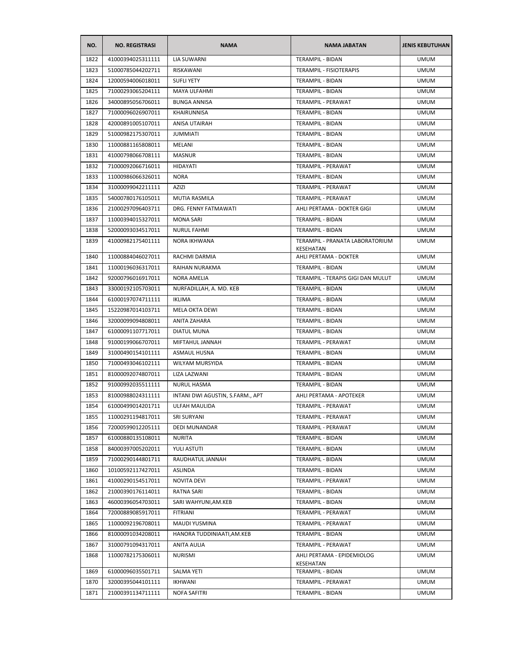| NO.  | <b>NO. REGISTRASI</b> | <b>NAMA</b>                      | <b>NAMA JABATAN</b>                     | <b>JENIS KEBUTUHAN</b> |
|------|-----------------------|----------------------------------|-----------------------------------------|------------------------|
| 1822 | 41000394025311111     | LIA SUWARNI                      | TERAMPIL - BIDAN                        | <b>UMUM</b>            |
| 1823 | 51000785044202711     | RISKAWANI                        | TERAMPIL - FISIOTERAPIS                 | <b>UMUM</b>            |
| 1824 | 12000594006018011     | <b>SUFLI YETY</b>                | TERAMPIL - BIDAN                        | <b>UMUM</b>            |
| 1825 | 71000293065204111     | MAYA ULFAHMI                     | TERAMPIL - BIDAN                        | <b>UMUM</b>            |
| 1826 | 34000895056706011     | <b>BUNGA ANNISA</b>              | TERAMPIL - PERAWAT                      | <b>UMUM</b>            |
| 1827 | 71000096026907011     | KHAIRUNNISA                      | TERAMPIL - BIDAN                        | <b>UMUM</b>            |
| 1828 | 42000891005107011     | <b>ANISA UTAIRAH</b>             | TERAMPIL - BIDAN                        | <b>UMUM</b>            |
| 1829 | 51000982175307011     | <b>JUMMIATI</b>                  | TERAMPIL - BIDAN                        | <b>UMUM</b>            |
| 1830 | 11000881165808011     | MELANI                           | TERAMPIL - BIDAN                        | <b>UMUM</b>            |
| 1831 | 41000798066708111     | <b>MASNUR</b>                    | TERAMPIL - BIDAN                        | <b>UMUM</b>            |
| 1832 | 71000092066716011     | <b>HIDAYATI</b>                  | TERAMPIL - PERAWAT                      | <b>UMUM</b>            |
| 1833 | 11000986066326011     | <b>NORA</b>                      | TERAMPIL - BIDAN                        | <b>UMUM</b>            |
| 1834 | 31000099042211111     | AZIZI                            | TERAMPIL - PERAWAT                      | <b>UMUM</b>            |
| 1835 | 54000780176105011     | MUTIA RASMILA                    | TERAMPIL - PERAWAT                      | <b>UMUM</b>            |
| 1836 | 21000297096403711     | DRG. FENNY FATMAWATI             | AHLI PERTAMA - DOKTER GIGI              | <b>UMUM</b>            |
| 1837 | 11000394015327011     | <b>MONA SARI</b>                 | TERAMPIL - BIDAN                        | <b>UMUM</b>            |
| 1838 | 52000093034517011     | <b>NURUL FAHMI</b>               | TERAMPIL - BIDAN                        | <b>UMUM</b>            |
| 1839 | 41000982175401111     | NORA IKHWANA                     | TERAMPIL - PRANATA LABORATORIUM         | <b>UMUM</b>            |
|      |                       |                                  | KESEHATAN                               |                        |
| 1840 | 11000884046027011     | RACHMI DARMIA                    | AHLI PERTAMA - DOKTER                   | <b>UMUM</b>            |
| 1841 | 11000196036317011     | RAIHAN NURAKMA                   | TERAMPIL - BIDAN                        | <b>UMUM</b>            |
| 1842 | 92000796016917011     | <b>NORA AMELIA</b>               | TERAMPIL - TERAPIS GIGI DAN MULUT       | <b>UMUM</b>            |
| 1843 | 33000192105703011     | NURFADILLAH, A. MD. KEB          | TERAMPIL - BIDAN                        | <b>UMUM</b>            |
| 1844 | 61000197074711111     | <b>IKLIMA</b>                    | TERAMPIL - BIDAN                        | <b>UMUM</b>            |
| 1845 | 15220987014103711     | <b>MELA OKTA DEWI</b>            | TERAMPIL - BIDAN                        | <b>UMUM</b>            |
| 1846 | 32000099094808011     | ANITA ZAHARA                     | TERAMPIL - BIDAN                        | <b>UMUM</b>            |
| 1847 | 61000091107717011     | DIATUL MUNA                      | TERAMPIL - BIDAN                        | <b>UMUM</b>            |
| 1848 | 91000199066707011     | MIFTAHUL JANNAH                  | TERAMPIL - PERAWAT                      | <b>UMUM</b>            |
| 1849 | 31000490154101111     | ASMAUL HUSNA                     | TERAMPIL - BIDAN                        | <b>UMUM</b>            |
| 1850 | 71000493046102111     | <b>WILYAM MURSYIDA</b>           | TERAMPIL - BIDAN                        | <b>UMUM</b>            |
| 1851 | 81000092074807011     | LIZA LAZWANI                     | TERAMPIL - BIDAN                        | <b>UMUM</b>            |
| 1852 | 91000992035511111     | NURUL HASMA                      | <b>TERAMPIL - BIDAN</b>                 | <b>UMUM</b>            |
| 1853 | 81000988024311111     | INTANI DWI AGUSTIN, S.FARM., APT | AHLI PERTAMA - APOTEKER                 | <b>UMUM</b>            |
| 1854 | 61000499014201711     | ULFAH MAULIDA                    | TERAMPIL - PERAWAT                      | UMUM                   |
| 1855 | 11000291194817011     | SRI SURYANI                      | TERAMPIL - PERAWAT                      | <b>UMUM</b>            |
| 1856 | 72000599012205111     | <b>DEDI MUNANDAR</b>             | TERAMPIL - PERAWAT                      | <b>UMUM</b>            |
| 1857 | 61000880135108011     | <b>NURITA</b>                    | TERAMPIL - BIDAN                        | <b>UMUM</b>            |
| 1858 | 84000397005202011     | YULI ASTUTI                      | TERAMPIL - BIDAN                        | <b>UMUM</b>            |
| 1859 | 71000290144801711     | RAUDHATUL JANNAH                 | TERAMPIL - BIDAN                        | <b>UMUM</b>            |
| 1860 | 10100592117427011     | ASLINDA                          | TERAMPIL - BIDAN                        | <b>UMUM</b>            |
| 1861 | 41000290154517011     | <b>NOVITA DEVI</b>               | TERAMPIL - PERAWAT                      | <b>UMUM</b>            |
| 1862 | 21000390176114011     | RATNA SARI                       | TERAMPIL - BIDAN                        | <b>UMUM</b>            |
| 1863 | 46000396054703011     | SARI WAHYUNI, AM.KEB             | TERAMPIL - BIDAN                        | <b>UMUM</b>            |
| 1864 | 72000889085917011     | FITRIANI                         | TERAMPIL - PERAWAT                      | <b>UMUM</b>            |
| 1865 | 11000092196708011     | MAUDI YUSMINA                    | TERAMPIL - PERAWAT                      | <b>UMUM</b>            |
| 1866 | 81000091034208011     | HANORA TUDDINIAATI, AM. KEB      | TERAMPIL - BIDAN                        | <b>UMUM</b>            |
| 1867 | 31000791094317011     | ANITA AULIA                      | TERAMPIL - PERAWAT                      | <b>UMUM</b>            |
| 1868 | 11000782175306011     | <b>NURISMI</b>                   | AHLI PERTAMA - EPIDEMIOLOG<br>KESEHATAN | <b>UMUM</b>            |
| 1869 | 61000096035501711     | SALMA YETI                       | TERAMPIL - BIDAN                        | <b>UMUM</b>            |
| 1870 | 32000395044101111     | IKHWANI                          | TERAMPIL - PERAWAT                      | <b>UMUM</b>            |
| 1871 | 21000391134711111     | NOFA SAFITRI                     | TERAMPIL - BIDAN                        | <b>UMUM</b>            |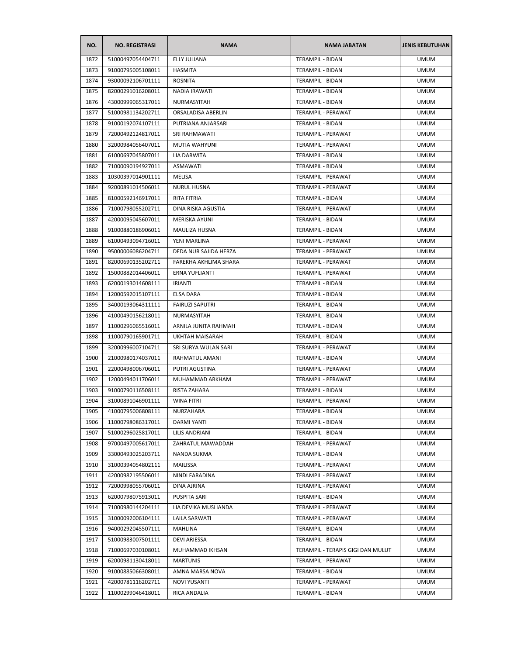| NO.  | <b>NO. REGISTRASI</b> | <b>NAMA</b>            | <b>NAMA JABATAN</b>               | <b>JENIS KEBUTUHAN</b> |
|------|-----------------------|------------------------|-----------------------------------|------------------------|
| 1872 | 51000497054404711     | <b>ELLY JULIANA</b>    | <b>TERAMPIL - BIDAN</b>           | <b>UMUM</b>            |
| 1873 | 91000795005108011     | HASMITA                | TERAMPIL - BIDAN                  | <b>UMUM</b>            |
| 1874 | 93000092106701111     | <b>ROSNITA</b>         | <b>TERAMPIL - BIDAN</b>           | <b>UMUM</b>            |
| 1875 | 82000291016208011     | NADIA IRAWATI          | TERAMPIL - BIDAN                  | <b>UMUM</b>            |
| 1876 | 43000999065317011     | NURMASYITAH            | TERAMPIL - BIDAN                  | <b>UMUM</b>            |
| 1877 | 51000981134202711     | ORSALADISA ABERLIN     | TERAMPIL - PERAWAT                | <b>UMUM</b>            |
| 1878 | 91000192074107111     | PUTRIANA ANJARSARI     | TERAMPIL - BIDAN                  | <b>UMUM</b>            |
| 1879 | 72000492124817011     | SRI RAHMAWATI          | TERAMPIL - PERAWAT                | <b>UMUM</b>            |
| 1880 | 32000984056407011     | MUTIA WAHYUNI          | TERAMPIL - PERAWAT                | <b>UMUM</b>            |
| 1881 | 61000697045807011     | LIA DARWITA            | TERAMPIL - BIDAN                  | <b>UMUM</b>            |
| 1882 | 71000090194927011     | ASMAWATI               | TERAMPIL - BIDAN                  | <b>UMUM</b>            |
| 1883 | 10300397014901111     | MELISA                 | TERAMPIL - PERAWAT                | <b>UMUM</b>            |
| 1884 | 92000891014506011     | <b>NURUL HUSNA</b>     | <b>TERAMPIL - PERAWAT</b>         | <b>UMUM</b>            |
| 1885 | 81000592146917011     | RITA FITRIA            | TERAMPIL - BIDAN                  | <b>UMUM</b>            |
| 1886 | 71000798055202711     | DINA RISKA AGUSTIA     | TERAMPIL - PERAWAT                | <b>UMUM</b>            |
| 1887 | 42000095045607011     | <b>MERISKA AYUNI</b>   | <b>TERAMPIL - BIDAN</b>           | <b>UMUM</b>            |
| 1888 | 91000880186906011     | MAULIZA HUSNA          | TERAMPIL - BIDAN                  | <b>UMUM</b>            |
| 1889 | 61000493094716011     | YENI MARLINA           | <b>TERAMPIL - PERAWAT</b>         | <b>UMUM</b>            |
| 1890 | 95000006086204711     | DEDA NUR SAJIDA HERZA  | TERAMPIL - PERAWAT                | <b>UMUM</b>            |
| 1891 | 82000690135202711     | FAREKHA AKHLIMA SHARA  | TERAMPIL - PERAWAT                | <b>UMUM</b>            |
| 1892 | 15000882014406011     | ERNA YUFLIANTI         | TERAMPIL - PERAWAT                | <b>UMUM</b>            |
| 1893 | 62000193014608111     | <b>IRIANTI</b>         | TERAMPIL - BIDAN                  | <b>UMUM</b>            |
| 1894 | 12000592015107111     | <b>ELSA DARA</b>       | TERAMPIL - BIDAN                  | <b>UMUM</b>            |
| 1895 | 34000193064311111     | <b>FAIRUZI SAPUTRI</b> | TERAMPIL - BIDAN                  | <b>UMUM</b>            |
| 1896 | 41000490156218011     | NURMASYITAH            | TERAMPIL - BIDAN                  | <b>UMUM</b>            |
| 1897 | 11000296065516011     | ARNILA JUNITA RAHMAH   | TERAMPIL - BIDAN                  | <b>UMUM</b>            |
| 1898 | 11000790165901711     | UKHTAH MAISARAH        | TERAMPIL - BIDAN                  | <b>UMUM</b>            |
| 1899 | 32000996007104711     | SRI SURYA WULAN SARI   | TERAMPIL - PERAWAT                | <b>UMUM</b>            |
| 1900 | 21000980174037011     | RAHMATUL AMANI         | TERAMPIL - BIDAN                  | <b>UMUM</b>            |
| 1901 | 22000498006706011     | PUTRI AGUSTINA         | TERAMPIL - PERAWAT                | <b>UMUM</b>            |
| 1902 | 12000494011706011     | MUHAMMAD ARKHAM        | TERAMPIL - PERAWAT                | <b>UMUM</b>            |
| 1903 | 91000790116508111     | RISTA ZAHARA           | <b>TERAMPIL - BIDAN</b>           | <b>UMUM</b>            |
| 1904 | 31000891046901111     | <b>WINA FITRI</b>      | <b>TERAMPIL - PERAWAT</b>         | <b>UMUM</b>            |
| 1905 | 41000795006808111     | NURZAHARA              | TERAMPIL - BIDAN                  | <b>UMUM</b>            |
| 1906 | 11000798086317011     | DARMI YANTI            | TERAMPIL - BIDAN                  | <b>UMUM</b>            |
| 1907 | 51000296025817011     | LILIS ANDRIANI         | TERAMPIL - BIDAN                  | <b>UMUM</b>            |
| 1908 | 97000497005617011     | ZAHRATUL MAWADDAH      | TERAMPIL - PERAWAT                | <b>UMUM</b>            |
| 1909 | 33000493025203711     | <b>NANDA SUKMA</b>     | TERAMPIL - BIDAN                  | <b>UMUM</b>            |
| 1910 | 31000394054802111     | MAILISSA               | TERAMPIL - PERAWAT                | <b>UMUM</b>            |
| 1911 | 42000982195506011     | NINDI FARADINA         | TERAMPIL - PERAWAT                | <b>UMUM</b>            |
| 1912 | 72000998055706011     | DINA AJRINA            | TERAMPIL - PERAWAT                | <b>UMUM</b>            |
| 1913 | 62000798075913011     | <b>PUSPITA SARI</b>    | TERAMPIL - BIDAN                  | <b>UMUM</b>            |
| 1914 | 71000980144204111     | LIA DEVIKA MUSLIANDA   | TERAMPIL - PERAWAT                | <b>UMUM</b>            |
| 1915 | 31000092006104111     | LAILA SARWATI          | TERAMPIL - PERAWAT                | <b>UMUM</b>            |
| 1916 | 94000292045507111     | MAHLINA                | TERAMPIL - BIDAN                  | <b>UMUM</b>            |
| 1917 | 51000983007501111     | <b>DEVI ARIESSA</b>    | TERAMPIL - BIDAN                  | <b>UMUM</b>            |
| 1918 | 71000697030108011     | MUHAMMAD IKHSAN        | TERAMPIL - TERAPIS GIGI DAN MULUT | <b>UMUM</b>            |
| 1919 | 62000981130418011     | <b>MARTUNIS</b>        | TERAMPIL - PERAWAT                | <b>UMUM</b>            |
| 1920 | 91000885066308011     | AMNA MARSA NOVA        | TERAMPIL - BIDAN                  | <b>UMUM</b>            |
| 1921 | 42000781116202711     | <b>NOVI YUSANTI</b>    | TERAMPIL - PERAWAT                | <b>UMUM</b>            |
| 1922 | 11000299046418011     | RICA ANDALIA           | TERAMPIL - BIDAN                  | <b>UMUM</b>            |
|      |                       |                        |                                   |                        |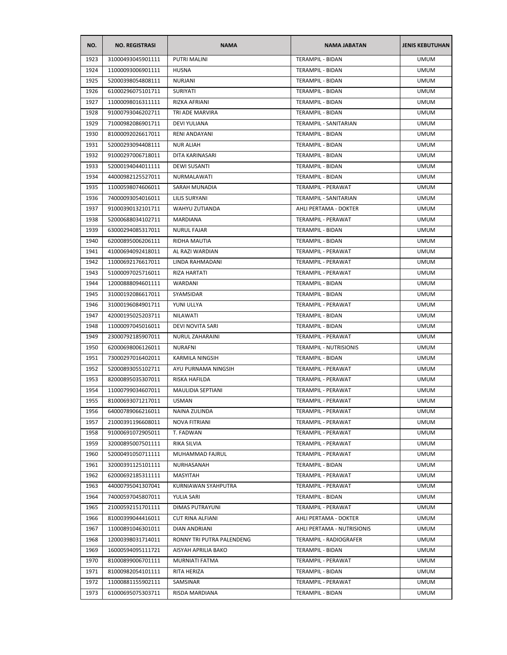| NO.  | <b>NO. REGISTRASI</b> | <b>NAMA</b>               | <b>NAMA JABATAN</b>           | <b>JENIS KEBUTUHAN</b> |
|------|-----------------------|---------------------------|-------------------------------|------------------------|
| 1923 | 31000493045901111     | <b>PUTRI MALINI</b>       | <b>TERAMPIL - BIDAN</b>       | <b>UMUM</b>            |
| 1924 | 11000093006901111     | <b>HUSNA</b>              | <b>TERAMPIL - BIDAN</b>       | <b>UMUM</b>            |
| 1925 | 52000398054808111     | <b>NURJANI</b>            | TERAMPIL - BIDAN              | <b>UMUM</b>            |
| 1926 | 61000296075101711     | SURIYATI                  | <b>TERAMPIL - BIDAN</b>       | <b>UMUM</b>            |
| 1927 | 11000098016311111     | RIZKA AFRIANI             | TERAMPIL - BIDAN              | <b>UMUM</b>            |
| 1928 | 91000793046202711     | TRI ADE MARVIRA           | TERAMPIL - BIDAN              | <b>UMUM</b>            |
| 1929 | 71000982086901711     | <b>DEVI YULIANA</b>       | <b>TERAMPIL - SANITARIAN</b>  | <b>UMUM</b>            |
| 1930 | 81000092026617011     | RENI ANDAYANI             | <b>TERAMPIL - BIDAN</b>       | <b>UMUM</b>            |
| 1931 | 52000293094408111     | <b>NUR ALIAH</b>          | TERAMPIL - BIDAN              | <b>UMUM</b>            |
| 1932 | 91000297006718011     | DITA KARINASARI           | TERAMPIL - BIDAN              | <b>UMUM</b>            |
| 1933 | 52000194044011111     | <b>DEWI SUSANTI</b>       | TERAMPIL - BIDAN              | <b>UMUM</b>            |
| 1934 | 44000982125527011     | NURMALAWATI               | TERAMPIL - BIDAN              | <b>UMUM</b>            |
| 1935 | 11000598074606011     | SARAH MUNADIA             | TERAMPIL - PERAWAT            | <b>UMUM</b>            |
| 1936 | 74000093054016011     | LILIS SURYANI             | <b>TERAMPIL - SANITARIAN</b>  | <b>UMUM</b>            |
| 1937 | 91000390132101711     | WAHYU ZUTIANDA            | AHLI PERTAMA - DOKTER         | <b>UMUM</b>            |
| 1938 | 52000688034102711     | MARDIANA                  | TERAMPIL - PERAWAT            | <b>UMUM</b>            |
| 1939 | 63000294085317011     | <b>NURUL FAJAR</b>        | TERAMPIL - BIDAN              | <b>UMUM</b>            |
| 1940 | 62000895006206111     | RIDHA MAUTIA              | TERAMPIL - BIDAN              | <b>UMUM</b>            |
| 1941 | 41000694092418011     | AL RAZI WARDIAN           | <b>TERAMPIL - PERAWAT</b>     | <b>UMUM</b>            |
| 1942 | 11000692176617011     | LINDA RAHMADANI           | TERAMPIL - PERAWAT            | <b>UMUM</b>            |
| 1943 | 51000097025716011     | <b>RIZA HARTATI</b>       | TERAMPIL - PERAWAT            | <b>UMUM</b>            |
| 1944 | 12000888094601111     | WARDANI                   | TERAMPIL - BIDAN              | <b>UMUM</b>            |
| 1945 | 31000192086617011     | SYAMSIDAR                 | TERAMPIL - BIDAN              | <b>UMUM</b>            |
| 1946 | 31000196084901711     | YUNI ULLYA                | TERAMPIL - PERAWAT            | <b>UMUM</b>            |
| 1947 | 42000195025203711     | NILAWATI                  | TERAMPIL - BIDAN              | <b>UMUM</b>            |
| 1948 | 11000097045016011     | DEVI NOVITA SARI          | TERAMPIL - BIDAN              | <b>UMUM</b>            |
| 1949 | 23000792185907011     | NURUL ZAHARAINI           | TERAMPIL - PERAWAT            | <b>UMUM</b>            |
| 1950 | 62000698006126011     | <b>NURAFNI</b>            | <b>TERAMPIL - NUTRISIONIS</b> | <b>UMUM</b>            |
| 1951 | 73000297016402011     | KARMILA NINGSIH           | TERAMPIL - BIDAN              | <b>UMUM</b>            |
| 1952 | 52000893055102711     | AYU PURNAMA NINGSIH       | TERAMPIL - PERAWAT            | <b>UMUM</b>            |
| 1953 | 82000895035307011     | RISKA HAFILDA             | TERAMPIL - PERAWAT            | <b>UMUM</b>            |
| 1954 | 11000799034607011     | MAULIDIA SEPTIANI         | TERAMPIL - PERAWAT            | <b>UMUM</b>            |
| 1955 | 81000693071217011     | <b>USMAN</b>              | <b>TERAMPIL - PERAWAT</b>     | <b>UMUM</b>            |
| 1956 | 64000789066216011     | NAINA ZULINDA             | TERAMPIL - PERAWAT            | <b>UMUM</b>            |
| 1957 | 21000391196608011     | <b>NOVA FITRIANI</b>      | TERAMPIL - PERAWAT            | <b>UMUM</b>            |
| 1958 | 91000691072905011     | T. FADWAN                 | TERAMPIL - PERAWAT            | <b>UMUM</b>            |
| 1959 | 32000895007501111     | RIKA SILVIA               | TERAMPIL - PERAWAT            | <b>UMUM</b>            |
| 1960 | 52000491050711111     | MUHAMMAD FAJRUL           | TERAMPIL - PERAWAT            | <b>UMUM</b>            |
| 1961 | 32000391125101111     | NURHASANAH                | TERAMPIL - BIDAN              | <b>UMUM</b>            |
| 1962 | 62000692185311111     | MASYITAH                  | TERAMPIL - PERAWAT            | <b>UMUM</b>            |
| 1963 | 44000795041307041     | KURNIAWAN SYAHPUTRA       | TERAMPIL - PERAWAT            | <b>UMUM</b>            |
| 1964 | 74000597045807011     | YULIA SARI                | <b>TERAMPIL - BIDAN</b>       | <b>UMUM</b>            |
| 1965 | 21000592151701111     | <b>DIMAS PUTRAYUNI</b>    | TERAMPIL - PERAWAT            | <b>UMUM</b>            |
| 1966 | 81000399044416011     | CUT RINA ALFIANI          | AHLI PERTAMA - DOKTER         | <b>UMUM</b>            |
| 1967 | 11000891046301011     | DIAN ANDRIANI             | AHLI PERTAMA - NUTRISIONIS    | <b>UMUM</b>            |
| 1968 | 12000398031714011     | RONNY TRI PUTRA PALENDENG | TERAMPIL - RADIOGRAFER        | <b>UMUM</b>            |
| 1969 | 16000594095111721     | AISYAH APRILIA BAKO       | TERAMPIL - BIDAN              | <b>UMUM</b>            |
| 1970 | 81000899006701111     | MURNIATI FATMA            | TERAMPIL - PERAWAT            | <b>UMUM</b>            |
| 1971 | 81000982054101111     | RITA HERIZA               | TERAMPIL - BIDAN              | <b>UMUM</b>            |
| 1972 | 11000881155902111     | SAMSINAR                  | TERAMPIL - PERAWAT            | <b>UMUM</b>            |
| 1973 | 61000695075303711     | RISDA MARDIANA            | TERAMPIL - BIDAN              | <b>UMUM</b>            |
|      |                       |                           |                               |                        |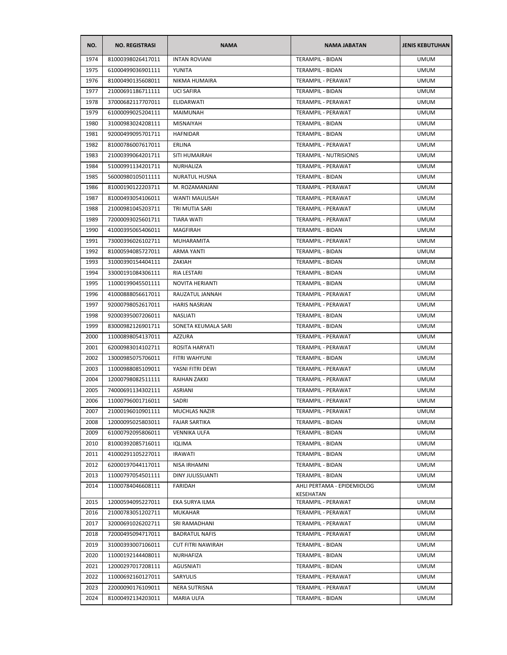| NO.  | <b>NO. REGISTRASI</b> | <b>NAMA</b>              | <b>NAMA JABATAN</b>                         | <b>JENIS KEBUTUHAN</b> |
|------|-----------------------|--------------------------|---------------------------------------------|------------------------|
| 1974 | 81000398026417011     | <b>INTAN ROVIANI</b>     | <b>TERAMPIL - BIDAN</b>                     | <b>UMUM</b>            |
| 1975 | 61000499036901111     | YUNITA                   | TERAMPIL - BIDAN                            | <b>UMUM</b>            |
| 1976 | 81000490135608011     | NIKMA HUMAIRA            | TERAMPIL - PERAWAT                          | <b>UMUM</b>            |
| 1977 | 21000691186711111     | <b>UCI SAFIRA</b>        | TERAMPIL - BIDAN                            | <b>UMUM</b>            |
| 1978 | 37000682117707011     | ELIDARWATI               | TERAMPIL - PERAWAT                          | <b>UMUM</b>            |
| 1979 | 61000099025204111     | <b>MAIMUNAH</b>          | TERAMPIL - PERAWAT                          | <b>UMUM</b>            |
| 1980 | 31000983024208111     | <b>MISNAIYAH</b>         | TERAMPIL - BIDAN                            | <b>UMUM</b>            |
| 1981 | 92000499095701711     | <b>HAFNIDAR</b>          | TERAMPIL - BIDAN                            | <b>UMUM</b>            |
| 1982 | 81000786007617011     | ERLINA                   | TERAMPIL - PERAWAT                          | <b>UMUM</b>            |
| 1983 | 21000399064201711     | SITI HUMAIRAH            | <b>TERAMPIL - NUTRISIONIS</b>               | <b>UMUM</b>            |
| 1984 | 51000991134201711     | NURHALIZA                | TERAMPIL - PERAWAT                          | <b>UMUM</b>            |
| 1985 | 56000980105011111     | NURATUL HUSNA            | TERAMPIL - BIDAN                            | <b>UMUM</b>            |
| 1986 | 81000190122203711     | M. ROZAMANJANI           | TERAMPIL - PERAWAT                          | <b>UMUM</b>            |
| 1987 | 81000493054106011     | WANTI MAULISAH           | TERAMPIL - PERAWAT                          | <b>UMUM</b>            |
| 1988 | 21000981045203711     | TRI MUTIA SARI           | <b>TERAMPIL - PERAWAT</b>                   | <b>UMUM</b>            |
| 1989 | 72000093025601711     | TIARA WATI               | <b>TERAMPIL - PERAWAT</b>                   | <b>UMUM</b>            |
| 1990 | 41000395065406011     | <b>MAGFIRAH</b>          | <b>TERAMPIL - BIDAN</b>                     | <b>UMUM</b>            |
| 1991 | 73000396026102711     | MUHARAMITA               | TERAMPIL - PERAWAT                          | <b>UMUM</b>            |
| 1992 | 81000594085727011     | <b>ARMA YANTI</b>        | <b>TERAMPIL - BIDAN</b>                     | <b>UMUM</b>            |
| 1993 | 31000390154404111     | ZAKIAH                   | <b>TERAMPIL - BIDAN</b>                     | <b>UMUM</b>            |
| 1994 | 33000191084306111     | RIA LESTARI              | TERAMPIL - BIDAN                            | <b>UMUM</b>            |
| 1995 | 11000199045501111     | NOVITA HERIANTI          | TERAMPIL - BIDAN                            | <b>UMUM</b>            |
| 1996 | 41000888056617011     | RAUZATUL JANNAH          | TERAMPIL - PERAWAT                          | <b>UMUM</b>            |
| 1997 | 92000798052617011     | <b>HARIS NASRIAN</b>     | TERAMPIL - PERAWAT                          | <b>UMUM</b>            |
| 1998 | 92000395007206011     | <b>NASLIATI</b>          | TERAMPIL - BIDAN                            | <b>UMUM</b>            |
| 1999 | 83000982126901711     | SONETA KEUMALA SARI      | TERAMPIL - BIDAN                            | <b>UMUM</b>            |
| 2000 | 11000898054137011     | <b>AZZURA</b>            | TERAMPIL - PERAWAT                          | <b>UMUM</b>            |
| 2001 | 62000983014102711     | ROSITA HARYATI           | TERAMPIL - PERAWAT                          | <b>UMUM</b>            |
| 2002 | 13000985075706011     | FITRI WAHYUNI            | <b>TERAMPIL - BIDAN</b>                     | <b>UMUM</b>            |
| 2003 | 11000988085109011     | YASNI FITRI DEWI         | TERAMPIL - PERAWAT                          | <b>UMUM</b>            |
| 2004 | 12000798082511111     | RAIHAN ZAKKI             | TERAMPIL - PERAWAT                          | <b>UMUM</b>            |
| 2005 | 74000691134302111     | <b>ASRIANI</b>           | TERAMPIL - PERAWAT                          | <b>UMUM</b>            |
| 2006 |                       |                          | TERAMPIL - PERAWAT                          |                        |
|      | 11000796001716011     | SADRI                    |                                             | <b>UMUM</b>            |
| 2007 | 21000196010901111     | MUCHLAS NAZIR            | TERAMPIL - PERAWAT                          | <b>UMUM</b>            |
| 2008 | 12000095025803011     | <b>FAJAR SARTIKA</b>     | TERAMPIL - BIDAN<br><b>TERAMPIL - BIDAN</b> | <b>UMUM</b>            |
| 2009 | 61000792095806011     | <b>VENNIKA ULFA</b>      |                                             | <b>UMUM</b>            |
| 2010 | 81000392085716011     | <b>IQLIMA</b>            | TERAMPIL - BIDAN                            | <b>UMUM</b>            |
| 2011 | 41000291105227011     | <b>IRAWATI</b>           | TERAMPIL - BIDAN                            | <b>UMUM</b>            |
| 2012 | 62000197044117011     | NISA IRHAMNI             | TERAMPIL - BIDAN                            | <b>UMUM</b>            |
| 2013 | 11000797054501111     | DINY JULISSUANTI         | <b>TERAMPIL - BIDAN</b>                     | <b>UMUM</b>            |
| 2014 | 11000784046608111     | FARIDAH                  | AHLI PERTAMA - EPIDEMIOLOG<br>KESEHATAN     | <b>UMUM</b>            |
| 2015 | 12000594095227011     | EKA SURYA ILMA           | TERAMPIL - PERAWAT                          | <b>UMUM</b>            |
| 2016 | 21000783051202711     | <b>MUKAHAR</b>           | TERAMPIL - PERAWAT                          | <b>UMUM</b>            |
| 2017 | 32000691026202711     | SRI RAMADHANI            | TERAMPIL - PERAWAT                          | <b>UMUM</b>            |
| 2018 | 72000495094717011     | <b>BADRATUL NAFIS</b>    | TERAMPIL - PERAWAT                          | <b>UMUM</b>            |
| 2019 | 31000393007106011     | <b>CUT FITRI NAWIRAH</b> | TERAMPIL - BIDAN                            | <b>UMUM</b>            |
| 2020 | 11000192144408011     | NURHAFIZA                | TERAMPIL - BIDAN                            | <b>UMUM</b>            |
| 2021 | 12000297017208111     | AGUSNIATI                | TERAMPIL - BIDAN                            | <b>UMUM</b>            |
| 2022 | 11000692160127011     | SARYULIS                 | TERAMPIL - PERAWAT                          | <b>UMUM</b>            |
| 2023 | 22000090176109011     | NERA SUTRISNA            | TERAMPIL - PERAWAT                          | <b>UMUM</b>            |
| 2024 | 81000492134203011     | <b>MARIA ULFA</b>        | TERAMPIL - BIDAN                            | <b>UMUM</b>            |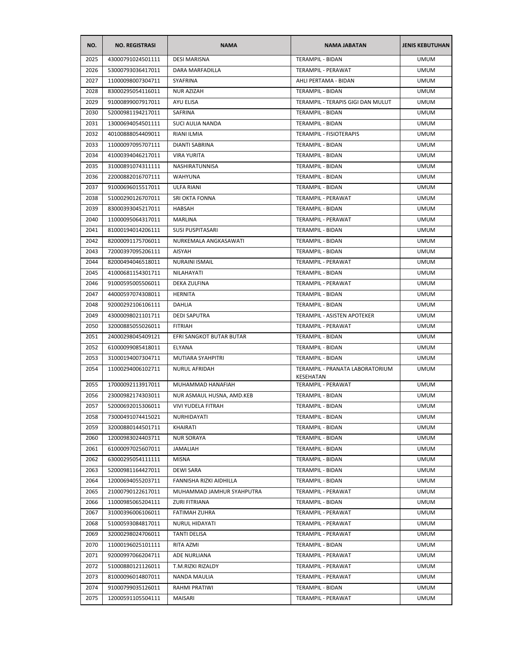| NO.  | <b>NO. REGISTRASI</b> | <b>NAMA</b>               | <b>NAMA JABATAN</b>                                 | <b>JENIS KEBUTUHAN</b> |
|------|-----------------------|---------------------------|-----------------------------------------------------|------------------------|
| 2025 | 43000791024501111     | <b>DESI MARISNA</b>       | TERAMPIL - BIDAN                                    | <b>UMUM</b>            |
| 2026 | 53000793036417011     | DARA MARFADILLA           | TERAMPIL - PERAWAT                                  | <b>UMUM</b>            |
| 2027 | 11000098007304711     | <b>SYAFRINA</b>           | AHLI PERTAMA - BIDAN                                | <b>UMUM</b>            |
| 2028 | 83000295054116011     | <b>NUR AZIZAH</b>         | TERAMPIL - BIDAN                                    | <b>UMUM</b>            |
| 2029 | 91000899007917011     | AYU ELISA                 | TERAMPIL - TERAPIS GIGI DAN MULUT                   | <b>UMUM</b>            |
| 2030 | 52000981194217011     | SAFRINA                   | TERAMPIL - BIDAN                                    | <b>UMUM</b>            |
| 2031 | 13000694054501111     | SUCI AULIA NANDA          | TERAMPIL - BIDAN                                    | <b>UMUM</b>            |
| 2032 | 40100888054409011     | RIANI ILMIA               | <b>TERAMPIL - FISIOTERAPIS</b>                      | UMUM                   |
| 2033 | 11000097095707111     | DIANTI SABRINA            | TERAMPIL - BIDAN                                    | <b>UMUM</b>            |
| 2034 | 41000394046217011     | <b>VIRA YURITA</b>        | <b>TERAMPIL - BIDAN</b>                             | <b>UMUM</b>            |
| 2035 | 31000891074311111     | NASHIRATUNNISA            | TERAMPIL - BIDAN                                    | <b>UMUM</b>            |
| 2036 | 22000882016707111     | <b>WAHYUNA</b>            | TERAMPIL - BIDAN                                    | <b>UMUM</b>            |
| 2037 | 91000696015517011     | ULFA RIANI                | TERAMPIL - BIDAN                                    | <b>UMUM</b>            |
| 2038 | 51000290126707011     | SRI OKTA FONNA            | TERAMPIL - PERAWAT                                  | <b>UMUM</b>            |
| 2039 | 83000393045217011     | HABSAH                    | TERAMPIL - BIDAN                                    | <b>UMUM</b>            |
| 2040 | 11000095064317011     | MARLINA                   | <b>TERAMPIL - PERAWAT</b>                           | <b>UMUM</b>            |
| 2041 | 81000194014206111     | <b>SUSI PUSPITASARI</b>   | <b>TERAMPIL - BIDAN</b>                             | <b>UMUM</b>            |
| 2042 | 82000091175706011     | NURKEMALA ANGKASAWATI     | TERAMPIL - BIDAN                                    | <b>UMUM</b>            |
| 2043 | 72000397095206111     | AISYAH                    | <b>TERAMPIL - BIDAN</b>                             | <b>UMUM</b>            |
| 2044 | 82000494046518011     | <b>NURAINI ISMAIL</b>     | TERAMPIL - PERAWAT                                  | <b>UMUM</b>            |
| 2045 | 41000681154301711     | NILAHAYATI                | <b>TERAMPIL - BIDAN</b>                             | <b>UMUM</b>            |
| 2046 | 91000595005506011     | DEKA ZULFINA              | TERAMPIL - PERAWAT                                  | <b>UMUM</b>            |
| 2047 | 44000597074308011     | <b>HERNITA</b>            | TERAMPIL - BIDAN                                    | <b>UMUM</b>            |
| 2048 | 92000292106106111     | DAHLIA                    | TERAMPIL - BIDAN                                    | <b>UMUM</b>            |
| 2049 | 43000098021101711     | <b>DEDI SAPUTRA</b>       | TERAMPIL - ASISTEN APOTEKER                         | <b>UMUM</b>            |
| 2050 | 32000885055026011     | <b>FITRIAH</b>            | TERAMPIL - PERAWAT                                  | <b>UMUM</b>            |
| 2051 | 24000298045409121     | EFRI SANGKOT BUTAR BUTAR  | TERAMPIL - BIDAN                                    | <b>UMUM</b>            |
| 2052 | 61000099085418011     | ELYANA                    | TERAMPIL - BIDAN                                    | <b>UMUM</b>            |
| 2053 | 31000194007304711     | MUTIARA SYAHPITRI         | TERAMPIL - BIDAN                                    | <b>UMUM</b>            |
| 2054 | 11000294006102711     | <b>NURUL AFRIDAH</b>      | TERAMPIL - PRANATA LABORATORIUM<br><b>KESEHATAN</b> | <b>UMUM</b>            |
| 2055 | 17000092113917011     | MUHAMMAD HANAFIAH         | <b>TERAMPIL - PERAWAT</b>                           | <b>UMUM</b>            |
| 2056 | 23000982174303011     | NUR ASMAUL HUSNA, AMD.KEB | TERAMPIL - BIDAN                                    | <b>UMUM</b>            |
| 2057 | 52000692015306011     | VIVI YUDELA FITRAH        | TERAMPIL - BIDAN                                    | <b>UMUM</b>            |
| 2058 | 73000491074415021     | NURHIDAYATI               | TERAMPIL - BIDAN                                    | <b>UMUM</b>            |
| 2059 | 32000880144501711     | KHAIRATI                  | TERAMPIL - BIDAN                                    | <b>UMUM</b>            |
| 2060 | 12000983024403711     | <b>NUR SORAYA</b>         | TERAMPIL - BIDAN                                    | <b>UMUM</b>            |
| 2061 | 61000097025607011     | <b>JAMALIAH</b>           | <b>TERAMPIL - BIDAN</b>                             | <b>UMUM</b>            |
| 2062 | 63000295054111111     | <b>MISNA</b>              | TERAMPIL - BIDAN                                    | <b>UMUM</b>            |
| 2063 | 52000981164427011     | <b>DEWI SARA</b>          | <b>TERAMPIL - BIDAN</b>                             | <b>UMUM</b>            |
| 2064 | 12000694055203711     | FANNISHA RIZKI AIDHILLA   | TERAMPIL - BIDAN                                    | <b>UMUM</b>            |
| 2065 | 21000790122617011     | MUHAMMAD JAMHUR SYAHPUTRA | TERAMPIL - PERAWAT                                  | <b>UMUM</b>            |
| 2066 | 11000985065204111     | ZURI FITRIANA             | <b>TERAMPIL - BIDAN</b>                             | <b>UMUM</b>            |
| 2067 | 31000396006106011     | FATIMAH ZUHRA             | TERAMPIL - PERAWAT                                  | <b>UMUM</b>            |
| 2068 | 51000593084817011     | NURUL HIDAYATI            | TERAMPIL - PERAWAT                                  | <b>UMUM</b>            |
| 2069 | 32000298024706011     | <b>TANTI DELISA</b>       | TERAMPIL - PERAWAT                                  | <b>UMUM</b>            |
| 2070 | 11000196025101111     | RITA AZMI                 | TERAMPIL - BIDAN                                    | <b>UMUM</b>            |
| 2071 | 92000997066204711     | ADE NURLIANA              | TERAMPIL - PERAWAT                                  | <b>UMUM</b>            |
| 2072 | 51000880121126011     | T.M.RIZKI RIZALDY         | TERAMPIL - PERAWAT                                  | <b>UMUM</b>            |
| 2073 | 81000096014807011     | NANDA MAULIA              | TERAMPIL - PERAWAT                                  | <b>UMUM</b>            |
| 2074 | 91000799035126011     | RAHMI PRATIWI             | TERAMPIL - BIDAN                                    | <b>UMUM</b>            |
| 2075 | 12000591105504111     | MAISARI                   | TERAMPIL - PERAWAT                                  | <b>UMUM</b>            |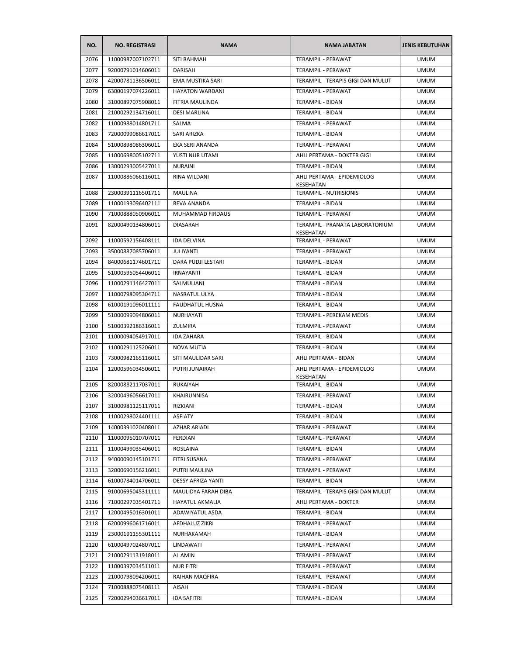| NO.  | <b>NO. REGISTRASI</b> | <b>NAMA</b>            | <b>NAMA JABATAN</b>                          | <b>JENIS KEBUTUHAN</b> |
|------|-----------------------|------------------------|----------------------------------------------|------------------------|
| 2076 | 11000987007102711     | SITI RAHMAH            | TERAMPIL - PERAWAT                           | <b>UMUM</b>            |
| 2077 | 92000791014606011     | DARISAH                | TERAMPIL - PERAWAT                           | <b>UMUM</b>            |
| 2078 | 42000781136506011     | EMA MUSTIKA SARI       | TERAMPIL - TERAPIS GIGI DAN MULUT            | <b>UMUM</b>            |
| 2079 | 63000197074226011     | <b>HAYATON WARDANI</b> | <b>TERAMPIL - PERAWAT</b>                    | <b>UMUM</b>            |
| 2080 | 31000897075908011     | FITRIA MAULINDA        | TERAMPIL - BIDAN                             | <b>UMUM</b>            |
| 2081 | 21000292134716011     | <b>DESI MARLINA</b>    | TERAMPIL - BIDAN                             | <b>UMUM</b>            |
| 2082 | 11000988014801711     | SALMA                  | TERAMPIL - PERAWAT                           | <b>UMUM</b>            |
| 2083 | 72000099086617011     | SARI ARIZKA            | TERAMPIL - BIDAN                             | <b>UMUM</b>            |
| 2084 | 51000898086306011     | EKA SERI ANANDA        | TERAMPIL - PERAWAT                           | <b>UMUM</b>            |
| 2085 | 11000698005102711     | YUSTI NUR UTAMI        | AHLI PERTAMA - DOKTER GIGI                   | <b>UMUM</b>            |
| 2086 | 13000293005427011     | <b>NURAINI</b>         | TERAMPIL - BIDAN                             | <b>UMUM</b>            |
| 2087 | 11000886066116011     | RINA WILDANI           | AHLI PERTAMA - EPIDEMIOLOG<br>KESEHATAN      | <b>UMUM</b>            |
| 2088 | 23000391116501711     | <b>MAULINA</b>         | TERAMPIL - NUTRISIONIS                       | <b>UMUM</b>            |
| 2089 | 11000193096402111     | <b>REVA ANANDA</b>     | TERAMPIL - BIDAN                             | <b>UMUM</b>            |
| 2090 | 71000888050906011     | MUHAMMAD FIRDAUS       | TERAMPIL - PERAWAT                           | <b>UMUM</b>            |
| 2091 | 82000490134806011     | <b>DIASARAH</b>        | TERAMPIL - PRANATA LABORATORIUM<br>KESEHATAN | <b>UMUM</b>            |
| 2092 | 11000592156408111     | IDA DELVINA            | TERAMPIL - PERAWAT                           | <b>UMUM</b>            |
| 2093 | 35000887085706011     | JULIYANTI              | TERAMPIL - PERAWAT                           | <b>UMUM</b>            |
| 2094 | 84000681174601711     | DARA PUDJI LESTARI     | TERAMPIL - BIDAN                             | <b>UMUM</b>            |
| 2095 | 51000595054406011     | <b>IRNAYANTI</b>       | TERAMPIL - BIDAN                             | <b>UMUM</b>            |
| 2096 | 11000291146427011     | SALMULIANI             | TERAMPIL - BIDAN                             | <b>UMUM</b>            |
| 2097 | 11000798095304711     | NASRATUL ULYA          | TERAMPIL - BIDAN                             | <b>UMUM</b>            |
| 2098 | 61000191096011111     | <b>FAUDHATUL HUSNA</b> | TERAMPIL - BIDAN                             | <b>UMUM</b>            |
| 2099 | 51000099094806011     | NURHAYATI              | TERAMPIL - PEREKAM MEDIS                     | <b>UMUM</b>            |
| 2100 | 51000392186316011     | ZULMIRA                | TERAMPIL - PERAWAT                           | <b>UMUM</b>            |
| 2101 | 11000094054917011     | <b>IDA ZAHARA</b>      | TERAMPIL - BIDAN                             | <b>UMUM</b>            |
| 2102 | 11000291125206011     | NOVA MUTIA             | TERAMPIL - BIDAN                             | <b>UMUM</b>            |
| 2103 | 73000982165116011     | SITI MAULIDAR SARI     | AHLI PERTAMA - BIDAN                         | <b>UMUM</b>            |
| 2104 | 12000596034506011     | PUTRI JUNAIRAH         | AHLI PERTAMA - EPIDEMIOLOG<br>KESEHATAN      | <b>UMUM</b>            |
| 2105 | 82000882117037011     | <b>RUKAIYAH</b>        | <b>TERAMPIL - BIDAN</b>                      | <b>UMUM</b>            |
| 2106 | 32000496056617011     | KHAIRUNNISA            | TERAMPIL - PERAWAT                           | <b>UMUM</b>            |
| 2107 | 31000981125117011     | RIZKIANI               | TERAMPIL - BIDAN                             | <b>UMUM</b>            |
| 2108 | 11000298024401111     | <b>ASFIATY</b>         | <b>TERAMPIL - BIDAN</b>                      | <b>UMUM</b>            |
| 2109 | 14000391020408011     | AZHAR ARIADI           | TERAMPIL - PERAWAT                           | <b>UMUM</b>            |
| 2110 | 11000095010707011     | FERDIAN                | TERAMPIL - PERAWAT                           | <b>UMUM</b>            |
| 2111 | 11000499035406011     | ROSLAINA               | <b>TERAMPIL - BIDAN</b>                      | <b>UMUM</b>            |
| 2112 | 94000090145101711     | FITRI SUSANA           | TERAMPIL - PERAWAT                           | <b>UMUM</b>            |
| 2113 | 32000690156216011     | <b>PUTRI MAULINA</b>   | TERAMPIL - PERAWAT                           | <b>UMUM</b>            |
| 2114 | 61000784014706011     | DESSY AFRIZA YANTI     | TERAMPIL - BIDAN                             | <b>UMUM</b>            |
| 2115 | 91000695045311111     | MAULIDYA FARAH DIBA    | TERAMPIL - TERAPIS GIGI DAN MULUT            | <b>UMUM</b>            |
| 2116 | 71000297035401711     | <b>HAYATUL AKMALIA</b> | AHLI PERTAMA - DOKTER                        | <b>UMUM</b>            |
| 2117 | 12000495016301011     | ADAWIYATUL ASDA        | TERAMPIL - BIDAN                             | <b>UMUM</b>            |
| 2118 | 62000996061716011     | AFDHALUZ ZIKRI         | TERAMPIL - PERAWAT                           | <b>UMUM</b>            |
| 2119 | 23000191155301111     | NURHAKAMAH             | TERAMPIL - BIDAN                             | <b>UMUM</b>            |
| 2120 | 61000497024807011     | LINDAWATI              | TERAMPIL - PERAWAT                           | <b>UMUM</b>            |
| 2121 | 21000291131918011     | AL AMIN                | TERAMPIL - PERAWAT                           | <b>UMUM</b>            |
| 2122 | 11000397034511011     | NUR FITRI              | TERAMPIL - PERAWAT                           | <b>UMUM</b>            |
| 2123 | 21000798094206011     | RAIHAN MAQFIRA         | TERAMPIL - PERAWAT                           | <b>UMUM</b>            |
| 2124 | 71000888075408111     | AISAH                  | TERAMPIL - BIDAN                             | <b>UMUM</b>            |
| 2125 | 72000294036617011     | <b>IDA SAFITRI</b>     | TERAMPIL - BIDAN                             | <b>UMUM</b>            |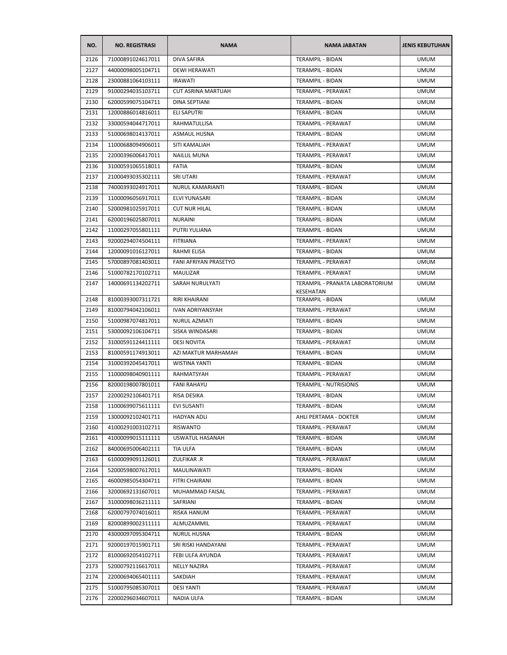| NO.  | <b>NO. REGISTRASI</b> | <b>NAMA</b>               | <b>NAMA JABATAN</b>                          | <b>JENIS KEBUTUHAN</b> |
|------|-----------------------|---------------------------|----------------------------------------------|------------------------|
| 2126 | 71000891024617011     | <b>DIVA SAFIRA</b>        | TERAMPIL - BIDAN                             | <b>UMUM</b>            |
| 2127 | 44000098005104711     | <b>DEWI HERAWATI</b>      | TERAMPIL - BIDAN                             | <b>UMUM</b>            |
| 2128 | 23000881064103111     | <b>IRAWATI</b>            | TERAMPIL - BIDAN                             | <b>UMUM</b>            |
| 2129 | 91000294035103711     | <b>CUT ASRINA MARTUAH</b> | TERAMPIL - PERAWAT                           | <b>UMUM</b>            |
| 2130 | 62000599075104711     | DINA SEPTIANI             | TERAMPIL - BIDAN                             | <b>UMUM</b>            |
| 2131 | 12000886014816011     | ELI SAPUTRI               | TERAMPIL - BIDAN                             | <b>UMUM</b>            |
| 2132 | 33000594044717011     | RAHMATULLISA              | TERAMPIL - PERAWAT                           | <b>UMUM</b>            |
| 2133 | 51000698014137011     | <b>ASMAUL HUSNA</b>       | TERAMPIL - BIDAN                             | <b>UMUM</b>            |
| 2134 | 11000688094906011     | SITI KAMALIAH             | <b>TERAMPIL - PERAWAT</b>                    | <b>UMUM</b>            |
| 2135 | 22000396006417011     | <b>NAILUL MUNA</b>        | TERAMPIL - PERAWAT                           | <b>UMUM</b>            |
| 2136 | 31000591065518011     | <b>FATIA</b>              | TERAMPIL - BIDAN                             | <b>UMUM</b>            |
| 2137 | 21000493035302111     | <b>SRI UTARI</b>          | TERAMPIL - PERAWAT                           | <b>UMUM</b>            |
| 2138 | 74000393024917011     | <b>NURUL KAMARIANTI</b>   | TERAMPIL - BIDAN                             | <b>UMUM</b>            |
| 2139 | 11000096056917011     | ELVI YUNASARI             | TERAMPIL - BIDAN                             | <b>UMUM</b>            |
| 2140 | 52000981025917011     | <b>CUT NUR HILAL</b>      | TERAMPIL - BIDAN                             | <b>UMUM</b>            |
| 2141 | 62000196025807011     | <b>NURAINI</b>            | TERAMPIL - BIDAN                             | <b>UMUM</b>            |
| 2142 | 11000297055801111     | PUTRI YULIANA             | TERAMPIL - BIDAN                             | <b>UMUM</b>            |
| 2143 | 92000294074504111     | <b>FITRIANA</b>           | TERAMPIL - PERAWAT                           | <b>UMUM</b>            |
| 2144 | 12000091016127011     | RAHMI ELISA               | <b>TERAMPIL - BIDAN</b>                      | <b>UMUM</b>            |
| 2145 | 57000897081403011     | FANI AFRIYAN PRASETYO     | TERAMPIL - PERAWAT                           | <b>UMUM</b>            |
| 2146 | 51000782170102711     | MAULIZAR                  | TERAMPIL - PERAWAT                           | <b>UMUM</b>            |
| 2147 | 14000691134202711     | SARAH NURULYATI           | TERAMPIL - PRANATA LABORATORIUM<br>KESEHATAN | <b>UMUM</b>            |
| 2148 | 81000393007311721     | RIRI KHAIRANI             | TERAMPIL - BIDAN                             | <b>UMUM</b>            |
| 2149 | 81000794042106011     | IVAN ADRIYANSYAH          | TERAMPIL - PERAWAT                           | <b>UMUM</b>            |
| 2150 | 51000987074817011     | NURUL AZMIATI             | TERAMPIL - BIDAN                             | <b>UMUM</b>            |
| 2151 | 53000092106104711     | SISKA WINDASARI           | TERAMPIL - BIDAN                             | <b>UMUM</b>            |
| 2152 | 31000591124411111     | <b>DESI NOVITA</b>        | TERAMPIL - PERAWAT                           | <b>UMUM</b>            |
| 2153 | 81000591174913011     | AZI MAKTUR MARHAMAH       | TERAMPIL - BIDAN                             | <b>UMUM</b>            |
| 2154 | 31000392045417011     | WISTINA YANTI             | <b>TERAMPIL - BIDAN</b>                      | <b>UMUM</b>            |
| 2155 | 11000098040901111     | RAHMATSYAH                | TERAMPIL - PERAWAT                           | <b>UMUM</b>            |
| 2156 | 82000198007801011     | <b>FANI RAHAYU</b>        | <b>TERAMPIL - NUTRISIONIS</b>                | <b>UMUM</b>            |
| 2157 | 22000292106401711     | RISA DESIKA               | TERAMPIL - BIDAN                             | <b>UMUM</b>            |
| 2158 | 11000699075611111     | EVI SUSANTI               | TERAMPIL - BIDAN                             | <b>UMUM</b>            |
| 2159 | 13000092102401711     | <b>HADYAN ADLI</b>        | AHLI PERTAMA - DOKTER                        | <b>UMUM</b>            |
| 2160 | 41000291003102711     | RISWANTO                  | TERAMPIL - PERAWAT                           | <b>UMUM</b>            |
| 2161 | 41000099015111111     | <b>USWATUL HASANAH</b>    | TERAMPIL - BIDAN                             | <b>UMUM</b>            |
| 2162 | 84000695006402111     | TIA ULFA                  | TERAMPIL - BIDAN                             | <b>UMUM</b>            |
| 2163 | 61000099091126011     | ZULFIKAR .R               | TERAMPIL - PERAWAT                           | <b>UMUM</b>            |
| 2164 | 52000598007617011     | MAULINAWATI               | TERAMPIL - BIDAN                             | <b>UMUM</b>            |
| 2165 | 46000985054304711     | FITRI CHAIRANI            | TERAMPIL - BIDAN                             | <b>UMUM</b>            |
| 2166 | 32000692131607011     | MUHAMMAD FAISAL           | TERAMPIL - PERAWAT                           | <b>UMUM</b>            |
| 2167 | 31000098036211111     | SAFRIANI                  | <b>TERAMPIL - BIDAN</b>                      | <b>UMUM</b>            |
| 2168 | 62000797074016011     | RISKA HANUM               | TERAMPIL - PERAWAT                           | <b>UMUM</b>            |
| 2169 | 82000899002311111     | ALMUZAMMIL                | TERAMPIL - PERAWAT                           | <b>UMUM</b>            |
| 2170 | 43000097095304711     | NURUL HUSNA               | TERAMPIL - BIDAN                             | <b>UMUM</b>            |
| 2171 | 92000197015901711     | SRI RISKI HANDAYANI       | TERAMPIL - PERAWAT                           | <b>UMUM</b>            |
| 2172 | 81000692054102711     | FEBI ULFA AYUNDA          | TERAMPIL - PERAWAT                           | <b>UMUM</b>            |
| 2173 | 52000792116617011     | NELLY NAZIRA              | TERAMPIL - PERAWAT                           | <b>UMUM</b>            |
| 2174 | 22000694065401111     | SAKDIAH                   | TERAMPIL - PERAWAT                           | <b>UMUM</b>            |
| 2175 | 51000795085307011     | <b>DESI YANTI</b>         | TERAMPIL - PERAWAT                           | <b>UMUM</b>            |
| 2176 | 22000296034607011     | NADIA ULFA                | TERAMPIL - BIDAN                             | <b>UMUM</b>            |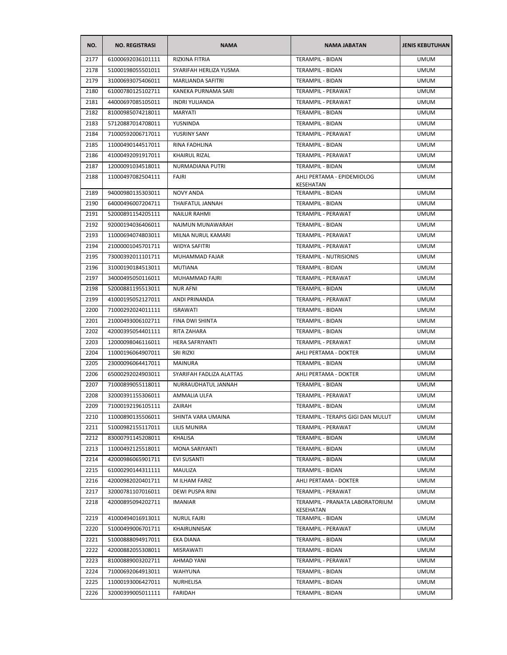| NO.  | <b>NO. REGISTRASI</b> | <b>NAMA</b>              | <b>NAMA JABATAN</b>                          | <b>JENIS KEBUTUHAN</b> |
|------|-----------------------|--------------------------|----------------------------------------------|------------------------|
| 2177 | 61000692036101111     | RIZKINA FITRIA           | <b>TERAMPIL - BIDAN</b>                      | <b>UMUM</b>            |
| 2178 | 51000198055501011     | SYARIFAH HERLIZA YUSMA   | TERAMPIL - BIDAN                             | <b>UMUM</b>            |
| 2179 | 31000693075406011     | MARLIANDA SAFITRI        | TERAMPIL - BIDAN                             | <b>UMUM</b>            |
| 2180 | 61000780125102711     | KANEKA PURNAMA SARI      | <b>TERAMPIL - PERAWAT</b>                    | <b>UMUM</b>            |
| 2181 | 44000697085105011     | <b>INDRI YULIANDA</b>    | TERAMPIL - PERAWAT                           | <b>UMUM</b>            |
| 2182 | 81000985074218011     | <b>MARYATI</b>           | TERAMPIL - BIDAN                             | UMUM                   |
| 2183 | 57120887014708011     | YUSNINDA                 | TERAMPIL - BIDAN                             | <b>UMUM</b>            |
| 2184 | 71000592006717011     | YUSRINY SANY             | TERAMPIL - PERAWAT                           | <b>UMUM</b>            |
| 2185 | 11000490144517011     | RINA FADHLINA            | TERAMPIL - BIDAN                             | <b>UMUM</b>            |
| 2186 | 41000492091917011     | <b>KHAIRUL RIZAL</b>     | TERAMPIL - PERAWAT                           | <b>UMUM</b>            |
| 2187 | 12000091034518011     | NURMADIANA PUTRI         | TERAMPIL - BIDAN                             | <b>UMUM</b>            |
| 2188 | 11000497082504111     | FAJRI                    | AHLI PERTAMA - EPIDEMIOLOG<br>KESEHATAN      | <b>UMUM</b>            |
| 2189 | 94000980135303011     | NOVY ANDA                | TERAMPIL - BIDAN                             | <b>UMUM</b>            |
| 2190 | 64000496007204711     | THAIFATUL JANNAH         | TERAMPIL - BIDAN                             | <b>UMUM</b>            |
| 2191 | 52000891154205111     | <b>NAILUR RAHMI</b>      | TERAMPIL - PERAWAT                           | <b>UMUM</b>            |
| 2192 | 92000194036406011     | NAJMUN MUNAWARAH         | TERAMPIL - BIDAN                             | <b>UMUM</b>            |
| 2193 | 11000694074803011     | MILNA NURUL KAMARI       | <b>TERAMPIL - PERAWAT</b>                    | <b>UMUM</b>            |
| 2194 | 21000001045701711     | <b>WIDYA SAFITRI</b>     | TERAMPIL - PERAWAT                           | <b>UMUM</b>            |
| 2195 | 73000392011101711     | MUHAMMAD FAJAR           | <b>TERAMPIL - NUTRISIONIS</b>                | <b>UMUM</b>            |
| 2196 | 31000190184513011     | <b>MUTIANA</b>           | TERAMPIL - BIDAN                             | <b>UMUM</b>            |
| 2197 | 34000495050116011     | MUHAMMAD FAJRI           | TERAMPIL - PERAWAT                           | <b>UMUM</b>            |
| 2198 | 52000881195513011     | <b>NUR AFNI</b>          | TERAMPIL - BIDAN                             | <b>UMUM</b>            |
| 2199 | 41000195052127011     | ANDI PRINANDA            | TERAMPIL - PERAWAT                           | <b>UMUM</b>            |
| 2200 | 71000292024011111     | <b>ISRAWATI</b>          | TERAMPIL - BIDAN                             | <b>UMUM</b>            |
| 2201 | 21000493006102711     | FINA DWI SHINTA          | TERAMPIL - BIDAN                             | <b>UMUM</b>            |
| 2202 | 42000395054401111     | RITA ZAHARA              | TERAMPIL - BIDAN                             | UMUM                   |
| 2203 | 12000098046116011     | HERA SAFRIYANTI          | TERAMPIL - PERAWAT                           | UMUM                   |
| 2204 | 11000196064907011     | SRI RIZKI                | AHLI PERTAMA - DOKTER                        | UMUM                   |
| 2205 | 23000096064417011     | <b>MAINURA</b>           | TERAMPIL - BIDAN                             | <b>UMUM</b>            |
| 2206 | 65000292024903011     | SYARIFAH FADLIZA ALATTAS | AHLI PERTAMA - DOKTER                        | <b>UMUM</b>            |
| 2207 | 71000899055118011     | NURRAUDHATUL JANNAH      | TERAMPIL - BIDAN                             | <b>UMUM</b>            |
| 2208 | 32000391155306011     | AMMALIA ULFA             | <b>TERAMPIL - PERAWAT</b>                    | <b>UMUM</b>            |
| 2209 | 71000192196105111     | ZAIRAH                   | TERAMPIL - BIDAN                             | <b>UMUM</b>            |
| 2210 | 11000890135506011     | SHINTA VARA UMAINA       | TERAMPIL - TERAPIS GIGI DAN MULUT            | <b>UMUM</b>            |
| 2211 | 51000982155117011     | LILIS MUNIRA             | TERAMPIL - PERAWAT                           | <b>UMUM</b>            |
| 2212 | 83000791145208011     | KHALISA                  | TERAMPIL - BIDAN                             | <b>UMUM</b>            |
| 2213 | 11000492125518011     | MONA SARIYANTI           | TERAMPIL - BIDAN                             | <b>UMUM</b>            |
| 2214 | 42000986065901711     | <b>EVI SUSANTI</b>       | TERAMPIL - BIDAN                             | <b>UMUM</b>            |
| 2215 | 61000290144311111     | MAULIZA                  | TERAMPIL - BIDAN                             | <b>UMUM</b>            |
| 2216 | 42000982020401711     | M ILHAM FARIZ            | AHLI PERTAMA - DOKTER                        | <b>UMUM</b>            |
| 2217 | 32000781107016011     | DEWI PUSPA RINI          | TERAMPIL - PERAWAT                           | <b>UMUM</b>            |
| 2218 | 42000895094202711     | IMANIAR                  | TERAMPIL - PRANATA LABORATORIUM<br>KESEHATAN | UMUM                   |
| 2219 | 41000494016913011     | <b>NURUL FAJRI</b>       | TERAMPIL - BIDAN                             | <b>UMUM</b>            |
| 2220 | 51000499006701711     | KHAIRUNNISAK             | TERAMPIL - PERAWAT                           | <b>UMUM</b>            |
| 2221 | 51000888094917011     | EKA DIANA                | TERAMPIL - BIDAN                             | <b>UMUM</b>            |
| 2222 | 42000882055308011     | MISRAWATI                | TERAMPIL - BIDAN                             | <b>UMUM</b>            |
| 2223 | 81000889003202711     | AHMAD YANI               | TERAMPIL - PERAWAT                           | <b>UMUM</b>            |
| 2224 | 71000692064913011     | <b>WAHYUNA</b>           | TERAMPIL - BIDAN                             | <b>UMUM</b>            |
| 2225 | 11000193006427011     | NURHELISA                | TERAMPIL - BIDAN                             | <b>UMUM</b>            |
| 2226 | 32000399005011111     | FARIDAH                  | TERAMPIL - BIDAN                             | <b>UMUM</b>            |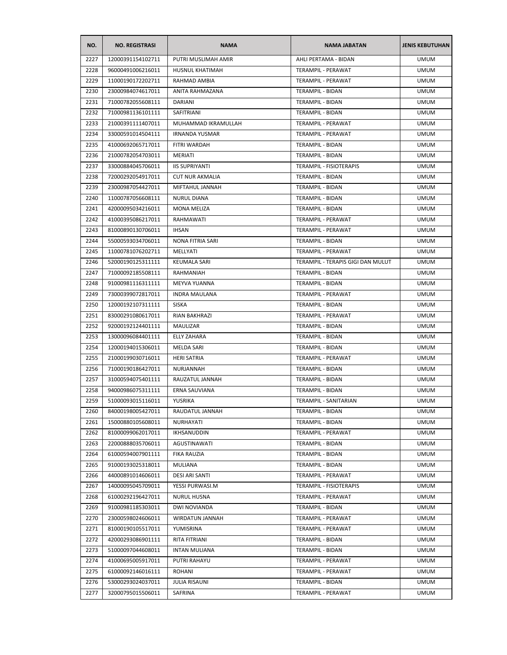| NO.  | <b>NO. REGISTRASI</b> | <b>NAMA</b>            | <b>NAMA JABATAN</b>                    | <b>JENIS KEBUTUHAN</b> |
|------|-----------------------|------------------------|----------------------------------------|------------------------|
| 2227 | 12000391154102711     | PUTRI MUSLIMAH AMIR    | AHLI PERTAMA - BIDAN                   | <b>UMUM</b>            |
| 2228 | 96000491006216011     | HUSNUL KHATIMAH        | TERAMPIL - PERAWAT                     | <b>UMUM</b>            |
| 2229 | 11000190172202711     | RAHMAD AMBIA           | TERAMPIL - PERAWAT                     | <b>UMUM</b>            |
| 2230 | 23000984074617011     | ANITA RAHMAZANA        | TERAMPIL - BIDAN                       | <b>UMUM</b>            |
| 2231 | 71000782055608111     | <b>DARIANI</b>         | TERAMPIL - BIDAN                       | <b>UMUM</b>            |
| 2232 | 71000981136101111     | SAFITRIANI             | TERAMPIL - BIDAN                       | <b>UMUM</b>            |
| 2233 | 21000391111407011     | MUHAMMAD IKRAMULLAH    | TERAMPIL - PERAWAT                     | <b>UMUM</b>            |
| 2234 | 33000591014504111     | <b>IRNANDA YUSMAR</b>  | TERAMPIL - PERAWAT                     | <b>UMUM</b>            |
| 2235 | 41000692065717011     | FITRI WARDAH           | <b>TERAMPIL - BIDAN</b>                | <b>UMUM</b>            |
| 2236 | 21000782054703011     | MERIATI                | TERAMPIL - BIDAN                       | <b>UMUM</b>            |
| 2237 | 33000884045706011     | <b>IIS SUPRIYANTI</b>  | TERAMPIL - FISIOTERAPIS                | <b>UMUM</b>            |
| 2238 | 72000292054917011     | <b>CUT NUR AKMALIA</b> | TERAMPIL - BIDAN                       | <b>UMUM</b>            |
| 2239 | 23000987054427011     | MIFTAHUL JANNAH        | TERAMPIL - BIDAN                       | <b>UMUM</b>            |
| 2240 | 11000787056608111     | <b>NURUL DIANA</b>     | TERAMPIL - BIDAN                       | <b>UMUM</b>            |
| 2241 | 42000095034216011     | <b>MONA MELIZA</b>     | TERAMPIL - BIDAN                       | <b>UMUM</b>            |
| 2242 | 41000395086217011     | RAHMAWATI              | TERAMPIL - PERAWAT                     | <b>UMUM</b>            |
| 2243 | 81000890130706011     | <b>IHSAN</b>           | TERAMPIL - PERAWAT                     | <b>UMUM</b>            |
| 2244 | 55000593034706011     | NONA FITRIA SARI       | <b>TERAMPIL - BIDAN</b>                | <b>UMUM</b>            |
| 2245 | 11000781076202711     | MELLYATI               | TERAMPIL - PERAWAT                     | <b>UMUM</b>            |
| 2246 | 52000190125311111     | <b>KEUMALA SARI</b>    | TERAMPIL - TERAPIS GIGI DAN MULUT      | <b>UMUM</b>            |
| 2247 | 71000092185508111     | RAHMANIAH              | <b>TERAMPIL - BIDAN</b>                | <b>UMUM</b>            |
| 2248 | 91000981116311111     | MEYVA YUANNA           | TERAMPIL - BIDAN                       | <b>UMUM</b>            |
| 2249 | 73000399072817011     | <b>INDRA MAULANA</b>   | TERAMPIL - PERAWAT                     | <b>UMUM</b>            |
| 2250 | 12000192107311111     | <b>SISKA</b>           | TERAMPIL - BIDAN                       | <b>UMUM</b>            |
| 2251 | 83000291080617011     | <b>RIAN BAKHRAZI</b>   | TERAMPIL - PERAWAT                     | <b>UMUM</b>            |
| 2252 | 92000192124401111     | MAULIZAR               | TERAMPIL - BIDAN                       | <b>UMUM</b>            |
| 2253 | 13000096084401111     | <b>ELLY ZAHARA</b>     | TERAMPIL - BIDAN                       | <b>UMUM</b>            |
| 2254 | 12000194015306011     | <b>MELDA SARI</b>      | <b>TERAMPIL - BIDAN</b>                | <b>UMUM</b>            |
| 2255 | 21000199030716011     | <b>HERI SATRIA</b>     | TERAMPIL - PERAWAT                     | <b>UMUM</b>            |
| 2256 | 71000190186427011     | NURJANNAH              | <b>TERAMPIL - BIDAN</b>                | <b>UMUM</b>            |
| 2257 | 31000594075401111     | RAUZATUL JANNAH        | <b>TERAMPIL - BIDAN</b>                | <b>UMUM</b>            |
| 2258 | 94000986075311111     | <b>ERNA SAUVIANA</b>   | TERAMPIL - BIDAN                       | <b>UMUM</b>            |
| 2259 | 51000093015116011     | <b>YUSRIKA</b>         | TERAMPIL - SANITARIAN                  | <b>UMUM</b>            |
|      | 84000198005427011     |                        |                                        | <b>UMUM</b>            |
| 2260 |                       | RAUDATUL JANNAH        | TERAMPIL - BIDAN                       |                        |
| 2261 | 15000880105608011     | NURHAYATI              | TERAMPIL - BIDAN<br>TERAMPIL - PERAWAT | <b>UMUM</b>            |
| 2262 | 81000099062017011     | IKHSANUDDIN            |                                        | <b>UMUM</b>            |
| 2263 | 22000888035706011     | AGUSTINAWATI           | TERAMPIL - BIDAN                       | <b>UMUM</b>            |
| 2264 | 61000594007901111     | <b>FIKA RAUZIA</b>     | TERAMPIL - BIDAN                       | <b>UMUM</b>            |
| 2265 | 91000193025318011     | MULIANA                | TERAMPIL - BIDAN                       | <b>UMUM</b>            |
| 2266 | 44000891014606011     | DESI ARI SANTI         | TERAMPIL - PERAWAT                     | <b>UMUM</b>            |
| 2267 | 14000095045709011     | YESSI PURWASI.M        | TERAMPIL - FISIOTERAPIS                | <b>UMUM</b>            |
| 2268 | 61000292196427011     | NURUL HUSNA            | TERAMPIL - PERAWAT                     | <b>UMUM</b>            |
| 2269 | 91000981185303011     | DWI NOVIANDA           | TERAMPIL - BIDAN                       | <b>UMUM</b>            |
| 2270 | 23000598024606011     | WIRDATUN JANNAH        | TERAMPIL - PERAWAT                     | <b>UMUM</b>            |
| 2271 | 81000190105517011     | YUMISRINA              | TERAMPIL - PERAWAT                     | <b>UMUM</b>            |
| 2272 | 42000293086901111     | RITA FITRIANI          | <b>TERAMPIL - BIDAN</b>                | <b>UMUM</b>            |
| 2273 | 51000097044608011     | <b>INTAN MULIANA</b>   | <b>TERAMPIL - BIDAN</b>                | <b>UMUM</b>            |
| 2274 | 41000695005917011     | PUTRI RAHAYU           | TERAMPIL - PERAWAT                     | <b>UMUM</b>            |
| 2275 | 61000092146016111     | ROHANI                 | TERAMPIL - PERAWAT                     | <b>UMUM</b>            |
| 2276 | 53000293024037011     | <b>JULIA RISAUNI</b>   | TERAMPIL - BIDAN                       | <b>UMUM</b>            |
| 2277 | 32000795015506011     | SAFRINA                | TERAMPIL - PERAWAT                     | <b>UMUM</b>            |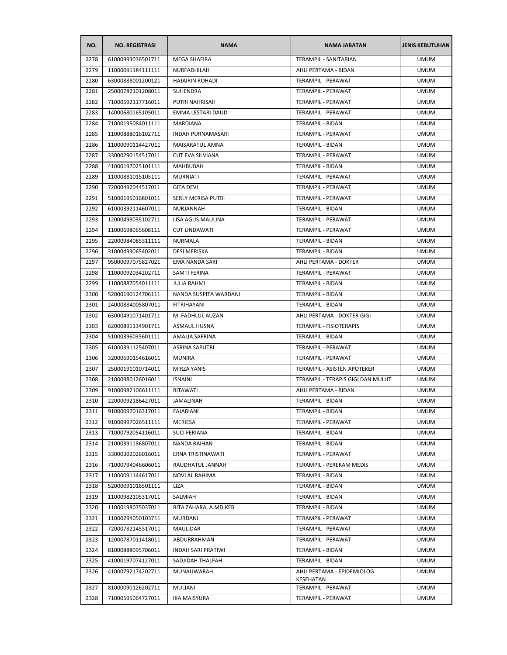| NO.  | <b>NO. REGISTRASI</b> | <b>NAMA</b>               | <b>NAMA JABATAN</b>                     | <b>JENIS KEBUTUHAN</b> |
|------|-----------------------|---------------------------|-----------------------------------------|------------------------|
| 2278 | 61000993036501711     | <b>MEGA SHAFIRA</b>       | TERAMPIL - SANITARIAN                   | <b>UMUM</b>            |
| 2279 | 11000091184111111     | NURFADHILAH               | AHLI PERTAMA - BIDAN                    | <b>UMUM</b>            |
| 2280 | 63000888001200121     | <b>HAJAIRIN ROHADI</b>    | TERAMPIL - PERAWAT                      | <b>UMUM</b>            |
| 2281 | 25000782101208011     | SUHENDRA                  | TERAMPIL - PERAWAT                      | <b>UMUM</b>            |
| 2282 | 71000592117716011     | PUTRI NAHRISAH            | TERAMPIL - PERAWAT                      | <b>UMUM</b>            |
| 2283 | 14000680165105011     | EMMA LESTARI DAUD         | TERAMPIL - PERAWAT                      | <b>UMUM</b>            |
| 2284 | 71000195084011111     | <b>MARDIANA</b>           | TERAMPIL - BIDAN                        | <b>UMUM</b>            |
| 2285 | 11000888016102711     | <b>INDAH PURNAMASARI</b>  | TERAMPIL - PERAWAT                      | <b>UMUM</b>            |
| 2286 | 11000090114427011     | MAISARATUL AMNA           | TERAMPIL - BIDAN                        | <b>UMUM</b>            |
| 2287 | 33000290154517011     | <b>CUT EVA SILVIANA</b>   | TERAMPIL - PERAWAT                      | <b>UMUM</b>            |
| 2288 | 41000197025101111     | <b>MAHBUBAH</b>           | TERAMPIL - BIDAN                        | <b>UMUM</b>            |
| 2289 | 11000881015105111     | <b>MURNIATI</b>           | TERAMPIL - PERAWAT                      | <b>UMUM</b>            |
| 2290 | 72000492044517011     | <b>GITA DEVI</b>          | TERAMPIL - PERAWAT                      | <b>UMUM</b>            |
| 2291 | 51000195016801011     | <b>SERLY MERISA PUTRI</b> | TERAMPIL - PERAWAT                      | <b>UMUM</b>            |
| 2292 | 61000392114607011     | NURJANNAH                 | TERAMPIL - BIDAN                        | <b>UMUM</b>            |
| 2293 | 12000498035102711     | LISA AGUS MAULINA         | TERAMPIL - PERAWAT                      | <b>UMUM</b>            |
| 2294 | 11000698065608111     | <b>CUT LINDAWATI</b>      | TERAMPIL - PERAWAT                      | <b>UMUM</b>            |
| 2295 | 22000984085311111     | <b>NURMALA</b>            | <b>TERAMPIL - BIDAN</b>                 | <b>UMUM</b>            |
| 2296 | 31000493065402011     | DESI MERISKA              | <b>TERAMPIL - BIDAN</b>                 | <b>UMUM</b>            |
| 2297 | 95000097075827021     | EMA NANDA SARI            | AHLI PERTAMA - DOKTER                   | <b>UMUM</b>            |
| 2298 | 11000092034202711     | SAMTI FERINA              | TERAMPIL - PERAWAT                      | <b>UMUM</b>            |
| 2299 | 11000887054011111     | <b>JULIA RAHMI</b>        | TERAMPIL - BIDAN                        | <b>UMUM</b>            |
| 2300 | 52000190124706111     | NANDA SUSPITA WARDANI     | TERAMPIL - BIDAN                        | UMUM                   |
| 2301 | 24000884005807011     | FITRIHAYANI               | TERAMPIL - BIDAN                        | <b>UMUM</b>            |
| 2302 | 63000491071401711     | M. FADHLUL AUZAN          | AHLI PERTAMA - DOKTER GIGI              | <b>UMUM</b>            |
| 2303 | 62000891134901711     | ASMAUL HUSNA              | TERAMPIL - FISIOTERAPIS                 | <b>UMUM</b>            |
| 2304 | 51000396035601111     | AMALIA SAFRINA            | TERAMPIL - BIDAN                        | <b>UMUM</b>            |
| 2305 | 61000391125407011     | <b>ASRINA SAPUTRI</b>     | TERAMPIL - PERAWAT                      | <b>UMUM</b>            |
| 2306 | 32000690154616011     | <b>MUNIRA</b>             | <b>TERAMPIL - PERAWAT</b>               | <b>UMUM</b>            |
| 2307 | 25000191010714011     | <b>MIRZA YANIS</b>        | TERAMPIL - ASISTEN APOTEKER             | <b>UMUM</b>            |
| 2308 | 21000980126016011     | <b>ISNAINI</b>            | TERAMPIL - TERAPIS GIGI DAN MULUT       | <b>UMUM</b>            |
| 2309 | 91000982106611111     | RITAWATI                  | AHLI PERTAMA - BIDAN                    | <b>UMUM</b>            |
| 2310 | 22000092186427011     | <b>JAMALINAH</b>          | TERAMPIL - BIDAN                        | <b>UMUM</b>            |
| 2311 | 91000097016317011     | FAJARIANI                 | TERAMPIL - BIDAN                        | <b>UMUM</b>            |
| 2312 | 91000997026511111     | MERIESA                   | TERAMPIL - PERAWAT                      | <b>UMUM</b>            |
| 2313 | 71000792054116011     | <b>SUCI FERIANA</b>       | <b>TERAMPIL - BIDAN</b>                 | <b>UMUM</b>            |
| 2314 | 21000391186807011     | NANDA RAIHAN              | TERAMPIL - BIDAN                        | <b>UMUM</b>            |
| 2315 | 33000392026016011     | ERNA TRISTINAWATI         | TERAMPIL - PERAWAT                      | <b>UMUM</b>            |
| 2316 | 71000794046606011     | RAUDHATUL JANNAH          | TERAMPIL - PEREKAM MEDIS                | <b>UMUM</b>            |
| 2317 | 11000091144617011     | NOVI AL RAHIMA            | TERAMPIL - BIDAN                        | <b>UMUM</b>            |
| 2318 | 52000091016501111     | LIZA                      | TERAMPIL - BIDAN                        | <b>UMUM</b>            |
| 2319 | 11000982105317011     | SALMIAH                   | TERAMPIL - BIDAN                        | <b>UMUM</b>            |
| 2320 | 11000198035037011     | RITA ZAHARA, A.MD.KEB     | TERAMPIL - BIDAN                        | <b>UMUM</b>            |
| 2321 | 11000294050103711     | MURDANI                   | TERAMPIL - PERAWAT                      | <b>UMUM</b>            |
| 2322 | 72000782145517011     | MAULIDAR                  | TERAMPIL - PERAWAT                      | <b>UMUM</b>            |
| 2323 | 12000787011418011     | ABDURRAHMAN               | TERAMPIL - PERAWAT                      | <b>UMUM</b>            |
| 2324 | 81000888095706011     | <b>INDAH SARI PRATIWI</b> | TERAMPIL - BIDAN                        | <b>UMUM</b>            |
| 2325 | 41000197074127011     | SADJIDAH THALFAH          | TERAMPIL - BIDAN                        | <b>UMUM</b>            |
| 2326 | 41000792174202711     | MUNAUWARAH                | AHLI PERTAMA - EPIDEMIOLOG<br>KESEHATAN | <b>UMUM</b>            |
| 2327 | 81000090126202711     | MULIANI                   | TERAMPIL - PERAWAT                      | <b>UMUM</b>            |
| 2328 | 71000595064727011     | <b>IKA MAISYURA</b>       | TERAMPIL - PERAWAT                      | <b>UMUM</b>            |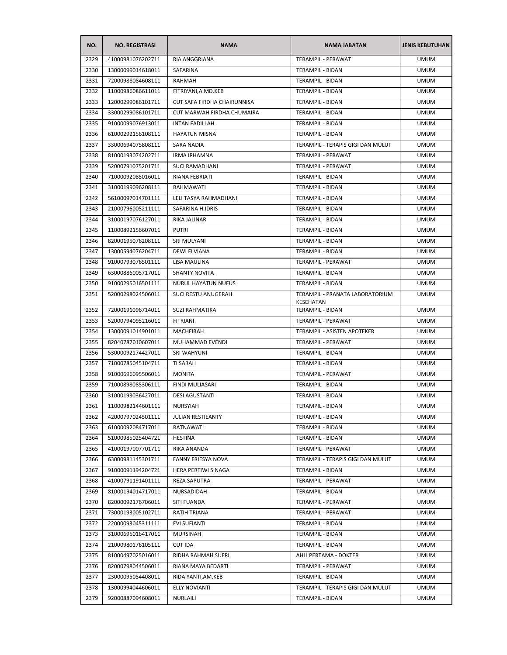| NO.  | <b>NO. REGISTRASI</b> | <b>NAMA</b>                 | <b>NAMA JABATAN</b>                | <b>JENIS KEBUTUHAN</b> |
|------|-----------------------|-----------------------------|------------------------------------|------------------------|
| 2329 | 41000981076202711     | RIA ANGGRIANA               | <b>TERAMPIL - PERAWAT</b>          | <b>UMUM</b>            |
| 2330 | 13000099014618011     | SAFARINA                    | TERAMPIL - BIDAN                   | <b>UMUM</b>            |
| 2331 | 72000988084608111     | RAHMAH                      | TERAMPIL - BIDAN                   | <b>UMUM</b>            |
| 2332 | 11000986086611011     | FITRIYANI, A.MD. KEB        | TERAMPIL - BIDAN                   | <b>UMUM</b>            |
| 2333 | 12000299086101711     | CUT SAFA FIRDHA CHAIRUNNISA | TERAMPIL - BIDAN                   | <b>UMUM</b>            |
| 2334 | 33000299086101711     | CUT MARWAH FIRDHA CHUMAIRA  | TERAMPIL - BIDAN                   | <b>UMUM</b>            |
| 2335 | 91000099076913011     | <b>INTAN FADILLAH</b>       | TERAMPIL - BIDAN                   | <b>UMUM</b>            |
| 2336 | 61000292156108111     | <b>HAYATUN MISNA</b>        | <b>TERAMPIL - BIDAN</b>            | <b>UMUM</b>            |
| 2337 | 33000694075808111     | SARA NADIA                  | TERAMPIL - TERAPIS GIGI DAN MULUT  | <b>UMUM</b>            |
| 2338 | 81000193074202711     | <b>IRMA IRHAMNA</b>         | TERAMPIL - PERAWAT                 | <b>UMUM</b>            |
| 2339 | 52000791075201711     | <b>SUCI RAMADHANI</b>       | TERAMPIL - PERAWAT                 | <b>UMUM</b>            |
| 2340 | 71000092085016011     | RIANA FEBRIATI              | TERAMPIL - BIDAN                   | <b>UMUM</b>            |
| 2341 | 31000199096208111     | RAHMAWATI                   | TERAMPIL - BIDAN                   | <b>UMUM</b>            |
| 2342 | 56100097014701111     | LELI TASYA RAHMADHANI       | <b>TERAMPIL - BIDAN</b>            | <b>UMUM</b>            |
| 2343 | 21000796005211111     | SAFARINA H.IDRIS            | TERAMPIL - BIDAN                   | <b>UMUM</b>            |
| 2344 | 31000197076127011     | RIKA JALINAR                | TERAMPIL - BIDAN                   | <b>UMUM</b>            |
| 2345 | 11000892156607011     | <b>PUTRI</b>                | TERAMPIL - BIDAN                   | <b>UMUM</b>            |
| 2346 | 82000195076208111     | SRI MULYANI                 | TERAMPIL - BIDAN                   | <b>UMUM</b>            |
| 2347 | 13000594076204711     | <b>DEWI ELVIANA</b>         | TERAMPIL - BIDAN                   | <b>UMUM</b>            |
| 2348 | 91000793076501111     | LISA MAULINA                | TERAMPIL - PERAWAT                 | <b>UMUM</b>            |
| 2349 | 63000886005717011     | <b>SHANTY NOVITA</b>        | TERAMPIL - BIDAN                   | <b>UMUM</b>            |
| 2350 | 91000295016501111     | NURUL HAYATUN NUFUS         | TERAMPIL - BIDAN                   | <b>UMUM</b>            |
| 2351 | 52000298024506011     | <b>SUCI RESTU ANUGERAH</b>  | TERAMPIL - PRANATA LABORATORIUM    | <b>UMUM</b>            |
| 2352 | 72000191096714011     | <b>SUZI RAHMATIKA</b>       | KESEHATAN<br>TERAMPIL - BIDAN      | <b>UMUM</b>            |
| 2353 | 52000794095216011     | <b>FITRIANI</b>             | TERAMPIL - PERAWAT                 | <b>UMUM</b>            |
| 2354 | 13000091014901011     | <b>MACHFIRAH</b>            | <b>TERAMPIL - ASISTEN APOTEKER</b> | <b>UMUM</b>            |
| 2355 | 82040787010607011     | MUHAMMAD EVENDI             | TERAMPIL - PERAWAT                 | <b>UMUM</b>            |
| 2356 | 53000092174427011     | <b>SRI WAHYUNI</b>          | TERAMPIL - BIDAN                   | <b>UMUM</b>            |
| 2357 | 71000785045104711     | TI SARAH                    | TERAMPIL - BIDAN                   | <b>UMUM</b>            |
| 2358 | 91000696095506011     | <b>MONITA</b>               | TERAMPIL - PERAWAT                 | <b>UMUM</b>            |
| 2359 | 71000898085306111     | <b>FINDI MULIASARI</b>      | <b>TERAMPIL - BIDAN</b>            | <b>UMUM</b>            |
| 2360 | 31000193036427011     | <b>DESI AGUSTANTI</b>       | TERAMPIL - BIDAN                   | <b>UMUM</b>            |
| 2361 | 11000982144601111     | NURSYIAH                    | TERAMPIL - BIDAN                   | <b>UMUM</b>            |
| 2362 | 42000797024501111     | JULIAN RESTIEANTY           | TERAMPIL - BIDAN                   | <b>UMUM</b>            |
| 2363 | 61000092084717011     | RATNAWATI                   | TERAMPIL - BIDAN                   | <b>UMUM</b>            |
| 2364 | 51000985025404721     | <b>HESTINA</b>              | TERAMPIL - BIDAN                   | <b>UMUM</b>            |
| 2365 | 41000197007701711     | RIKA ANANDA                 | TERAMPIL - PERAWAT                 | <b>UMUM</b>            |
| 2366 | 63000981145301711     | FANNY FRIESYA NOVA          | TERAMPIL - TERAPIS GIGI DAN MULUT  | <b>UMUM</b>            |
| 2367 | 91000091194204721     | HERA PERTIWI SINAGA         | TERAMPIL - BIDAN                   | <b>UMUM</b>            |
| 2368 | 41000791191401111     | REZA SAPUTRA                | TERAMPIL - PERAWAT                 | <b>UMUM</b>            |
| 2369 | 81000194014717011     | NURSADIDAH                  | <b>TERAMPIL - BIDAN</b>            | <b>UMUM</b>            |
| 2370 | 82000092176706011     | SITI FUANDA                 | TERAMPIL - PERAWAT                 | <b>UMUM</b>            |
| 2371 | 73000193005102711     | RATIH TRIANA                | TERAMPIL - PERAWAT                 | <b>UMUM</b>            |
| 2372 | 22000093045311111     | EVI SUFIANTI                | TERAMPIL - BIDAN                   | <b>UMUM</b>            |
| 2373 | 31000695016417011     | <b>MURSINAH</b>             | TERAMPIL - BIDAN                   | <b>UMUM</b>            |
| 2374 | 21000980176105111     | <b>CUT IDA</b>              | TERAMPIL - BIDAN                   | <b>UMUM</b>            |
| 2375 | 81000497025016011     | RIDHA RAHMAH SUFRI          | AHLI PERTAMA - DOKTER              | <b>UMUM</b>            |
| 2376 | 82000798044506011     | RIANA MAYA BEDARTI          | TERAMPIL - PERAWAT                 | <b>UMUM</b>            |
| 2377 | 23000095054408011     | RIDA YANTI, AM. KEB         | TERAMPIL - BIDAN                   | <b>UMUM</b>            |
| 2378 | 13000994044606011     | ELLY NOVIANTI               | TERAMPIL - TERAPIS GIGI DAN MULUT  | <b>UMUM</b>            |
| 2379 | 92000887094608011     | NURLAILI                    | <b>TERAMPIL - BIDAN</b>            | <b>UMUM</b>            |
|      |                       |                             |                                    |                        |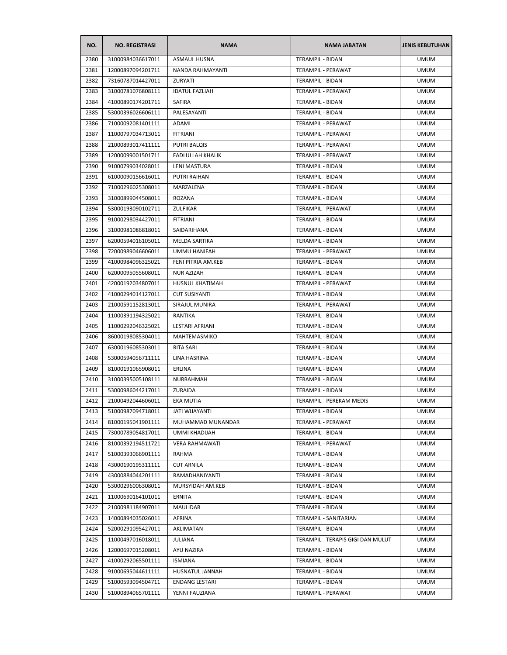| NO.          | <b>NO. REGISTRASI</b> | <b>NAMA</b>           | <b>NAMA JABATAN</b>                    | <b>JENIS KEBUTUHAN</b>     |
|--------------|-----------------------|-----------------------|----------------------------------------|----------------------------|
| 2380         | 31000984036617011     | <b>ASMAUL HUSNA</b>   | <b>TERAMPIL - BIDAN</b>                | <b>UMUM</b>                |
| 2381         | 12000897094201711     | NANDA RAHMAYANTI      | TERAMPIL - PERAWAT                     | <b>UMUM</b>                |
| 2382         | 73160787014427011     | ZURYATI               | <b>TERAMPIL - BIDAN</b>                | <b>UMUM</b>                |
| 2383         | 31000781076808111     | <b>IDATUL FAZLIAH</b> | TERAMPIL - PERAWAT                     | <b>UMUM</b>                |
| 2384         | 41000890174201711     | SAFIRA                | TERAMPIL - BIDAN                       | <b>UMUM</b>                |
| 2385         | 53000396026606111     | PALESAYANTI           | TERAMPIL - BIDAN                       | <b>UMUM</b>                |
| 2386         | 71000092081401111     | ADAMI                 | <b>TERAMPIL - PERAWAT</b>              | <b>UMUM</b>                |
| 2387         | 11000797034713011     | <b>FITRIANI</b>       | TERAMPIL - PERAWAT                     | <b>UMUM</b>                |
| 2388         | 21000893017411111     | <b>PUTRI BALQIS</b>   | <b>TERAMPIL - PERAWAT</b>              | <b>UMUM</b>                |
| 2389         | 12000099001501711     | FADLULLAH KHALIK      | TERAMPIL - PERAWAT                     | <b>UMUM</b>                |
| 2390         | 91000799034028011     | LENI MASTURA          | TERAMPIL - BIDAN                       | <b>UMUM</b>                |
| 2391         | 61000090156616011     | PUTRI RAIHAN          | TERAMPIL - BIDAN                       | <b>UMUM</b>                |
| 2392         | 71000296025308011     | MARZALENA             | TERAMPIL - BIDAN                       | <b>UMUM</b>                |
| 2393         | 31000899044508011     | <b>ROZANA</b>         | TERAMPIL - BIDAN                       | <b>UMUM</b>                |
| 2394         | 53000193090102711     | ZULFIKAR              | TERAMPIL - PERAWAT                     | <b>UMUM</b>                |
| 2395         | 91000298034427011     | <b>FITRIANI</b>       | TERAMPIL - BIDAN                       | <b>UMUM</b>                |
| 2396         | 31000981086818011     | SAIDARIHANA           | TERAMPIL - BIDAN                       | <b>UMUM</b>                |
| 2397         | 62000594016105011     | MELDA SARTIKA         | TERAMPIL - BIDAN                       | <b>UMUM</b>                |
| 2398         | 72000989046606011     | <b>UMMU HANIFAH</b>   | TERAMPIL - PERAWAT                     | <b>UMUM</b>                |
| 2399         | 41000984096325021     | FENI PITRIA AM.KEB    | TERAMPIL - BIDAN                       | <b>UMUM</b>                |
| 2400         | 62000095055608011     | <b>NUR AZIZAH</b>     | TERAMPIL - BIDAN                       | <b>UMUM</b>                |
| 2401         | 42000192034807011     | HUSNUL KHATIMAH       | TERAMPIL - PERAWAT                     | <b>UMUM</b>                |
| 2402         | 41000294014127011     | <b>CUT SUSIYANTI</b>  | TERAMPIL - BIDAN                       | <b>UMUM</b>                |
| 2403         | 21000591152813011     | SIRAJUL MUNIRA        | TERAMPIL - PERAWAT                     | <b>UMUM</b>                |
| 2404         | 11000391194325021     | RANTIKA               | TERAMPIL - BIDAN                       | <b>UMUM</b>                |
| 2405         | 11000292046325021     | LESTARI AFRIANI       | TERAMPIL - BIDAN                       | <b>UMUM</b>                |
| 2406         | 86000198085304011     | MAHTEMASMIKO          | TERAMPIL - BIDAN                       | <b>UMUM</b>                |
| 2407         | 63000196085303011     | <b>RITA SARI</b>      | TERAMPIL - BIDAN                       | <b>UMUM</b>                |
| 2408         | 53000594056711111     | LINA HASRINA          | TERAMPIL - BIDAN                       | <b>UMUM</b>                |
| 2409         | 81000191065908011     | ERLINA                | TERAMPIL - BIDAN                       | <b>UMUM</b>                |
| 2410         | 31000395005108111     | NURRAHMAH             | TERAMPIL - BIDAN                       | <b>UMUM</b>                |
| 2411         | 53000986044217011     | ZURAIDA               | <b>TERAMPIL - BIDAN</b>                | <b>UMUM</b>                |
| 2412         | 21000492044606011     | EKA MUTIA             | TERAMPIL - PEREKAM MEDIS               | <b>UMUM</b>                |
| 2413         | 51000987094718011     | JATI WIJAYANTI        | TERAMPIL - BIDAN                       | <b>UMUM</b>                |
|              |                       | MUHAMMAD MUNANDAR     |                                        |                            |
| 2414<br>2415 | 81000195041901111     |                       | TERAMPIL - PERAWAT                     | <b>UMUM</b><br><b>UMUM</b> |
|              | 73000789054817011     | UMMI KHADIJAH         | TERAMPIL - BIDAN<br>TERAMPIL - PERAWAT |                            |
| 2416         | 81000392194511721     | VERA RAHMAWATI        |                                        | <b>UMUM</b>                |
| 2417         | 51000393066901111     | RAHMA                 | TERAMPIL - BIDAN                       | <b>UMUM</b>                |
| 2418         | 43000190195311111     | <b>CUT ARNILA</b>     | TERAMPIL - BIDAN                       | <b>UMUM</b>                |
| 2419         | 43000884044201111     | RAMADHANIYANTI        | <b>TERAMPIL - BIDAN</b>                | <b>UMUM</b>                |
| 2420         | 53000296006308011     | MURSYIDAH AM.KEB      | TERAMPIL - BIDAN                       | <b>UMUM</b>                |
| 2421         | 11000690164101011     | ERNITA                | TERAMPIL - BIDAN                       | <b>UMUM</b>                |
| 2422         | 21000981184907011     | MAULIDAR              | TERAMPIL - BIDAN                       | <b>UMUM</b>                |
| 2423         | 14000894035026011     | AFRINA                | TERAMPIL - SANITARIAN                  | <b>UMUM</b>                |
| 2424         | 52000291095427011     | AKLIMATAN             | TERAMPIL - BIDAN                       | <b>UMUM</b>                |
| 2425         | 11000497016018011     | JULIANA               | TERAMPIL - TERAPIS GIGI DAN MULUT      | <b>UMUM</b>                |
| 2426         | 12000697015208011     | AYU NAZIRA            | TERAMPIL - BIDAN                       | <b>UMUM</b>                |
| 2427         | 41000292065501111     | <b>ISMIANA</b>        | TERAMPIL - BIDAN                       | <b>UMUM</b>                |
| 2428         | 91000695044611111     | HUSNATUL JANNAH       | TERAMPIL - BIDAN                       | <b>UMUM</b>                |
| 2429         | 51000593094504711     | <b>ENDANG LESTARI</b> | TERAMPIL - BIDAN                       | <b>UMUM</b>                |
| 2430         | 51000894065701111     | YENNI FAUZIANA        | TERAMPIL - PERAWAT                     | <b>UMUM</b>                |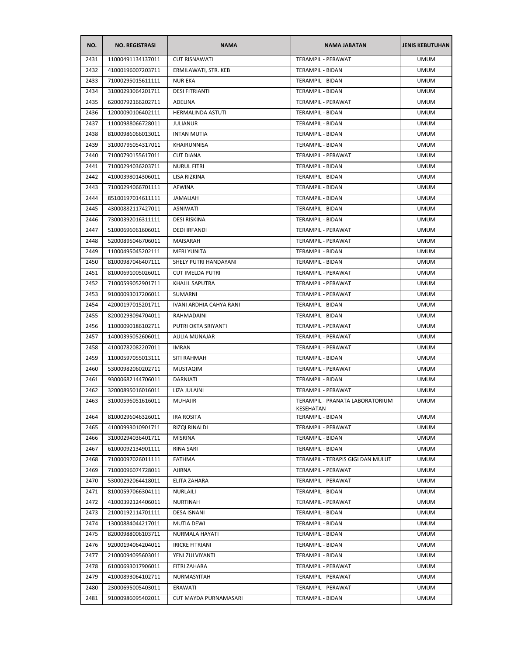| NO.  | <b>NO. REGISTRASI</b> | <b>NAMA</b>                    | <b>NAMA JABATAN</b>                          | <b>JENIS KEBUTUHAN</b> |
|------|-----------------------|--------------------------------|----------------------------------------------|------------------------|
| 2431 | 11000491134137011     | <b>CUT RISNAWATI</b>           | TERAMPIL - PERAWAT                           | <b>UMUM</b>            |
| 2432 | 41000196007203711     | ERMILAWATI, STR. KEB           | TERAMPIL - BIDAN                             | <b>UMUM</b>            |
| 2433 | 71000295015611111     | <b>NUR EKA</b>                 | TERAMPIL - BIDAN                             | <b>UMUM</b>            |
| 2434 | 31000293064201711     | <b>DESI FITRIANTI</b>          | TERAMPIL - BIDAN                             | <b>UMUM</b>            |
| 2435 | 62000792166202711     | ADELINA                        | TERAMPIL - PERAWAT                           | <b>UMUM</b>            |
| 2436 | 12000090106402111     | HERMALINDA ASTUTI              | TERAMPIL - BIDAN                             | <b>UMUM</b>            |
| 2437 | 11000988066728011     | <b>JULIANUR</b>                | TERAMPIL - BIDAN                             | <b>UMUM</b>            |
| 2438 | 81000986066013011     | <b>INTAN MUTIA</b>             | TERAMPIL - BIDAN                             | <b>UMUM</b>            |
| 2439 | 31000795054317011     | KHAIRUNNISA                    | <b>TERAMPIL - BIDAN</b>                      | <b>UMUM</b>            |
| 2440 | 71000790155617011     | <b>CUT DIANA</b>               | TERAMPIL - PERAWAT                           | <b>UMUM</b>            |
| 2441 | 71000294036203711     | <b>NURUL FITRI</b>             | TERAMPIL - BIDAN                             | <b>UMUM</b>            |
| 2442 | 41000398014306011     | LISA RIZKINA                   | TERAMPIL - BIDAN                             | <b>UMUM</b>            |
| 2443 | 71000294066701111     | <b>AFWINA</b>                  | TERAMPIL - BIDAN                             | <b>UMUM</b>            |
| 2444 | 85100197014611111     | <b>JAMALIAH</b>                | TERAMPIL - BIDAN                             | <b>UMUM</b>            |
| 2445 | 43000882117427011     | <b>ASNIWATI</b>                | TERAMPIL - BIDAN                             | <b>UMUM</b>            |
| 2446 | 73000392016311111     | DESI RISKINA                   | TERAMPIL - BIDAN                             | <b>UMUM</b>            |
| 2447 | 51000696061606011     | <b>DEDI IRFANDI</b>            | TERAMPIL - PERAWAT                           | <b>UMUM</b>            |
| 2448 | 52000895046706011     | MAISARAH                       | TERAMPIL - PERAWAT                           | <b>UMUM</b>            |
| 2449 | 11000495045202111     | <b>MERI YUNITA</b>             | TERAMPIL - BIDAN                             | <b>UMUM</b>            |
| 2450 | 81000987046407111     | SHELY PUTRI HANDAYANI          | TERAMPIL - BIDAN                             | <b>UMUM</b>            |
| 2451 | 81000691005026011     | <b>CUT IMELDA PUTRI</b>        | TERAMPIL - PERAWAT                           | <b>UMUM</b>            |
| 2452 | 71000599052901711     | KHALIL SAPUTRA                 | TERAMPIL - PERAWAT                           | <b>UMUM</b>            |
| 2453 | 91000093017206011     | <b>SUMARNI</b>                 | TERAMPIL - PERAWAT                           | UMUM                   |
| 2454 | 42000197015201711     | <b>IVANI ARDHIA CAHYA RANI</b> | TERAMPIL - BIDAN                             | <b>UMUM</b>            |
| 2455 | 82000293094704011     | RAHMADAINI                     | TERAMPIL - BIDAN                             | <b>UMUM</b>            |
| 2456 | 11000090186102711     | PUTRI OKTA SRIYANTI            | TERAMPIL - PERAWAT                           | <b>UMUM</b>            |
| 2457 | 14000395052606011     | AULIA MUNAJAR                  | TERAMPIL - PERAWAT                           | <b>UMUM</b>            |
| 2458 | 41000782082207011     | <b>IMRAN</b>                   | TERAMPIL - PERAWAT                           | <b>UMUM</b>            |
| 2459 | 11000597055013111     | SITI RAHMAH                    | TERAMPIL - BIDAN                             | <b>UMUM</b>            |
| 2460 | 53000982060202711     | <b>MUSTAQIM</b>                | TERAMPIL - PERAWAT                           | <b>UMUM</b>            |
| 2461 | 93000682144706011     | DARNIATI                       | TERAMPIL - BIDAN                             | <b>UMUM</b>            |
| 2462 | 32000895016016011     | LIZA JULAINI                   | TERAMPIL - PERAWAT                           | <b>UMUM</b>            |
| 2463 | 31000596051616011     | <b>MUHAJIR</b>                 | TERAMPIL - PRANATA LABORATORIUM<br>KESEHATAN | <b>UMUM</b>            |
| 2464 | 81000296046326011     | <b>IRA ROSITA</b>              | <b>TERAMPIL - BIDAN</b>                      | <b>UMUM</b>            |
| 2465 | 41000993010901711     | RIZQI RINALDI                  | TERAMPIL - PERAWAT                           | <b>UMUM</b>            |
| 2466 | 31000294036401711     | <b>MISRINA</b>                 | <b>TERAMPIL - BIDAN</b>                      | <b>UMUM</b>            |
| 2467 | 61000092134901111     | RINA SARI                      | TERAMPIL - BIDAN                             | <b>UMUM</b>            |
| 2468 | 71000097026011111     | <b>FATHMA</b>                  | TERAMPIL - TERAPIS GIGI DAN MULUT            | <b>UMUM</b>            |
| 2469 | 71000096074728011     | <b>AJIRNA</b>                  | TERAMPIL - PERAWAT                           | <b>UMUM</b>            |
| 2470 | 53000292064418011     | ELITA ZAHARA                   | TERAMPIL - PERAWAT                           | <b>UMUM</b>            |
| 2471 | 81000597066304111     | NURLAILI                       | <b>TERAMPIL - BIDAN</b>                      | <b>UMUM</b>            |
| 2472 | 41000392124406011     | <b>NURTINAH</b>                | TERAMPIL - PERAWAT                           | <b>UMUM</b>            |
| 2473 | 21000192114701111     | DESA ISNANI                    | TERAMPIL - BIDAN                             | <b>UMUM</b>            |
| 2474 | 13000884044217011     | MUTIA DEWI                     | TERAMPIL - BIDAN                             | <b>UMUM</b>            |
| 2475 | 82000988006103711     | NURMALA HAYATI                 | TERAMPIL - BIDAN                             | <b>UMUM</b>            |
| 2476 | 92000194064204011     | <b>IRICKE FITRIANI</b>         | TERAMPIL - BIDAN                             | <b>UMUM</b>            |
| 2477 | 21000094095603011     | YENI ZULVIYANTI                | TERAMPIL - BIDAN                             | <b>UMUM</b>            |
| 2478 | 61000693017906011     | FITRI ZAHARA                   | TERAMPIL - PERAWAT                           | <b>UMUM</b>            |
| 2479 | 41000893064102711     | NURMASYITAH                    | TERAMPIL - PERAWAT                           | <b>UMUM</b>            |
| 2480 | 23000695005403011     | ERAWATI                        | TERAMPIL - PERAWAT                           | <b>UMUM</b>            |
| 2481 | 91000986095402011     | CUT MAYDA PURNAMASARI          | TERAMPIL - BIDAN                             | <b>UMUM</b>            |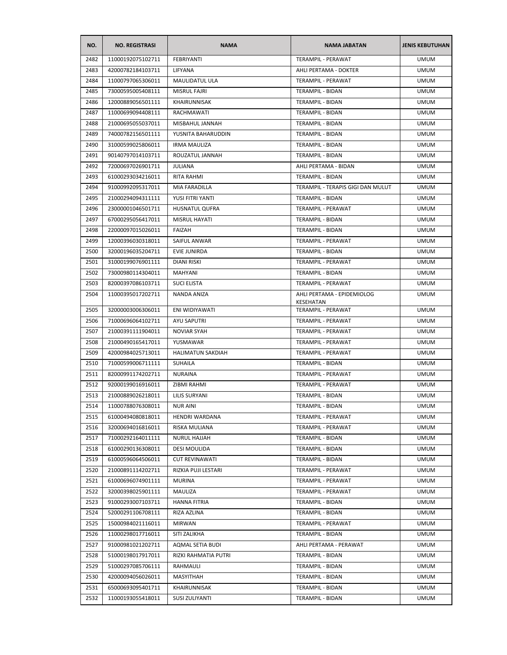| NO.  | <b>NO. REGISTRASI</b> | <b>NAMA</b>              | <b>NAMA JABATAN</b>                     | <b>JENIS KEBUTUHAN</b> |
|------|-----------------------|--------------------------|-----------------------------------------|------------------------|
| 2482 | 11000192075102711     | FEBRIYANTI               | TERAMPIL - PERAWAT                      | <b>UMUM</b>            |
| 2483 | 42000782184103711     | LIFYANA                  | AHLI PERTAMA - DOKTER                   | <b>UMUM</b>            |
| 2484 | 11000797065306011     | MAULIDATUL ULA           | <b>TERAMPIL - PERAWAT</b>               | UMUM                   |
| 2485 | 73000595005408111     | <b>MISRUL FAJRI</b>      | TERAMPIL - BIDAN                        | <b>UMUM</b>            |
| 2486 | 12000889056501111     | KHAIRUNNISAK             | TERAMPIL - BIDAN                        | <b>UMUM</b>            |
| 2487 | 11000699094408111     | RACHMAWATI               | TERAMPIL - BIDAN                        | <b>UMUM</b>            |
| 2488 | 21000695055037011     | MISBAHUL JANNAH          | <b>TERAMPIL - BIDAN</b>                 | <b>UMUM</b>            |
| 2489 | 74000782156501111     | YUSNITA BAHARUDDIN       | TERAMPIL - BIDAN                        | UMUM                   |
| 2490 | 31000599025806011     | <b>IRMA MAULIZA</b>      | <b>TERAMPIL - BIDAN</b>                 | <b>UMUM</b>            |
| 2491 | 90140797014103711     | ROUZATUL JANNAH          | <b>TERAMPIL - BIDAN</b>                 | <b>UMUM</b>            |
| 2492 | 72000697026901711     | <b>JULIANA</b>           | AHLI PERTAMA - BIDAN                    | <b>UMUM</b>            |
| 2493 | 61000293034216011     | RITA RAHMI               | TERAMPIL - BIDAN                        | <b>UMUM</b>            |
| 2494 | 91000992095317011     | MIA FARADILLA            | TERAMPIL - TERAPIS GIGI DAN MULUT       | <b>UMUM</b>            |
| 2495 | 21000294094311111     | YUSI FITRI YANTI         | TERAMPIL - BIDAN                        | <b>UMUM</b>            |
| 2496 | 23000001046501711     | <b>HUSNATUL QUFRA</b>    | <b>TERAMPIL - PERAWAT</b>               | <b>UMUM</b>            |
| 2497 | 67000295056417011     | MISRUL HAYATI            | TERAMPIL - BIDAN                        | <b>UMUM</b>            |
| 2498 | 22000097015026011     | FAIZAH                   | TERAMPIL - BIDAN                        | <b>UMUM</b>            |
| 2499 | 12000396030318011     | SAIFUL ANWAR             | TERAMPIL - PERAWAT                      | <b>UMUM</b>            |
| 2500 | 32000196035204711     | EVIE JUNIRDA             | TERAMPIL - BIDAN                        | <b>UMUM</b>            |
| 2501 | 31000199076901111     | <b>DIANI RISKI</b>       | TERAMPIL - PERAWAT                      | <b>UMUM</b>            |
| 2502 | 73000980114304011     | MAHYANI                  | <b>TERAMPIL - BIDAN</b>                 | <b>UMUM</b>            |
| 2503 | 82000397086103711     | SUCI ELISTA              | TERAMPIL - PERAWAT                      | UMUM                   |
| 2504 | 11000395017202711     | NANDA ANIZA              | AHLI PERTAMA - EPIDEMIOLOG<br>KESEHATAN | UMUM                   |
| 2505 | 32000003006306011     | ENI WIDIYAWATI           | TERAMPIL - PERAWAT                      | <b>UMUM</b>            |
| 2506 | 71000696064102711     | AYU SAPUTRI              | TERAMPIL - PERAWAT                      | <b>UMUM</b>            |
| 2507 | 21000391111904011     | <b>NOVIAR SYAH</b>       | TERAMPIL - PERAWAT                      | <b>UMUM</b>            |
| 2508 | 21000490165417011     | YUSMAWAR                 | TERAMPIL - PERAWAT                      | <b>UMUM</b>            |
| 2509 | 42000984025713011     | <b>HALIMATUN SAKDIAH</b> | TERAMPIL - PERAWAT                      | <b>UMUM</b>            |
| 2510 | 71000599006711111     | <b>SUHAILA</b>           | <b>TERAMPIL - BIDAN</b>                 | <b>UMUM</b>            |
| 2511 | 82000991174202711     | <b>NURAINA</b>           | <b>TERAMPIL - PERAWAT</b>               | <b>UMUM</b>            |
| 2512 | 92000199016916011     | ZIBMI RAHMI              | TERAMPIL - PERAWAT                      | <b>UMUM</b>            |
| 2513 | 21000889026218011     | LILIS SURYANI            | TERAMPIL - BIDAN                        | <b>UMUM</b>            |
| 2514 | 11000788076308011     | <b>NUR AINI</b>          | TERAMPIL - BIDAN                        | <b>UMUM</b>            |
| 2515 | 61000494080818011     | HENDRI WARDANA           | TERAMPIL - PERAWAT                      | <b>UMUM</b>            |
| 2516 | 32000694016816011     | RISKA MULIANA            | TERAMPIL - PERAWAT                      | <b>UMUM</b>            |
| 2517 | 71000292164011111     | NURUL HAJJAH             | TERAMPIL - BIDAN                        | <b>UMUM</b>            |
| 2518 | 61000290136308011     | DESI MOULIDA             | TERAMPIL - BIDAN                        | <b>UMUM</b>            |
| 2519 | 61000596064506011     | <b>CUT REVINAWATI</b>    | TERAMPIL - BIDAN                        | <b>UMUM</b>            |
| 2520 | 21000891114202711     | RIZKIA PUJI LESTARI      | TERAMPIL - PERAWAT                      | <b>UMUM</b>            |
| 2521 | 61000696074901111     | <b>MURINA</b>            | TERAMPIL - PERAWAT                      | <b>UMUM</b>            |
| 2522 | 32000398025901111     | MAULIZA                  | <b>TERAMPIL - PERAWAT</b>               | <b>UMUM</b>            |
| 2523 | 91000293007103711     | <b>HANNA FITRIA</b>      | <b>TERAMPIL - BIDAN</b>                 | <b>UMUM</b>            |
| 2524 | 52000291106708111     | RIZA AZLINA              | TERAMPIL - BIDAN                        | <b>UMUM</b>            |
| 2525 | 15000984021116011     | MIRWAN                   | TERAMPIL - PERAWAT                      | <b>UMUM</b>            |
| 2526 | 11000298017716011     | SITI ZALIKHA             | TERAMPIL - BIDAN                        | <b>UMUM</b>            |
| 2527 | 91000981021202711     | AQMAL SETIA BUDI         | AHLI PERTAMA - PERAWAT                  | <b>UMUM</b>            |
| 2528 | 51000198017917011     | RIZKI RAHMATIA PUTRI     | TERAMPIL - BIDAN                        | <b>UMUM</b>            |
| 2529 | 51000297085706111     | RAHMAULI                 | TERAMPIL - BIDAN                        | <b>UMUM</b>            |
| 2530 | 42000094056026011     | MASYITHAH                | TERAMPIL - BIDAN                        | <b>UMUM</b>            |
| 2531 | 65000693095401711     | KHAIRUNNISAK             | TERAMPIL - BIDAN                        | <b>UMUM</b>            |
| 2532 | 11000193055418011     | <b>SUSI ZULIYANTI</b>    | TERAMPIL - BIDAN                        | <b>UMUM</b>            |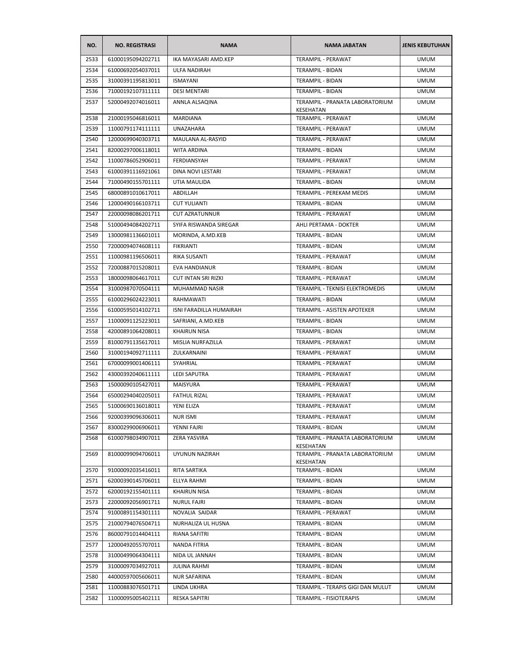| NO.  | <b>NO. REGISTRASI</b> | <b>NAMA</b>                | <b>NAMA JABATAN</b>                          | <b>JENIS KEBUTUHAN</b> |
|------|-----------------------|----------------------------|----------------------------------------------|------------------------|
| 2533 | 61000195094202711     | IKA MAYASARI AMD.KEP       | <b>TERAMPIL - PERAWAT</b>                    | <b>UMUM</b>            |
| 2534 | 61000692054037011     | <b>ULFA NADIRAH</b>        | TERAMPIL - BIDAN                             | <b>UMUM</b>            |
| 2535 | 31000391195813011     | <b>ISMAYANI</b>            | TERAMPIL - BIDAN                             | <b>UMUM</b>            |
| 2536 | 71000192107311111     | <b>DESI MENTARI</b>        | TERAMPIL - BIDAN                             | <b>UMUM</b>            |
| 2537 | 52000492074016011     | ANNLA ALSAQINA             | TERAMPIL - PRANATA LABORATORIUM<br>KESEHATAN | <b>UMUM</b>            |
| 2538 | 21000195046816011     | <b>MARDIANA</b>            | <b>TERAMPIL - PERAWAT</b>                    | <b>UMUM</b>            |
| 2539 | 11000791174111111     | <b>UNAZAHARA</b>           | TERAMPIL - PERAWAT                           | <b>UMUM</b>            |
| 2540 | 12000699040303711     | MAULANA AL-RASYID          | TERAMPIL - PERAWAT                           | <b>UMUM</b>            |
| 2541 | 82000297006118011     | <b>WITA ARDINA</b>         | TERAMPIL - BIDAN                             | <b>UMUM</b>            |
| 2542 | 11000786052906011     | FERDIANSYAH                | TERAMPIL - PERAWAT                           | <b>UMUM</b>            |
| 2543 | 61000391116921061     | DINA NOVI LESTARI          | TERAMPIL - PERAWAT                           | <b>UMUM</b>            |
| 2544 | 71000490155701111     | UTIA MAULIDA               | TERAMPIL - BIDAN                             | <b>UMUM</b>            |
| 2545 | 68000891010617011     | ABDILLAH                   | TERAMPIL - PEREKAM MEDIS                     | <b>UMUM</b>            |
| 2546 | 12000490166103711     | <b>CUT YULIANTI</b>        | TERAMPIL - BIDAN                             | <b>UMUM</b>            |
| 2547 | 22000098086201711     | <b>CUT AZRATUNNUR</b>      | <b>TERAMPIL - PERAWAT</b>                    | UMUM                   |
| 2548 | 51000494084202711     | SYIFA RISWANDA SIREGAR     | AHLI PERTAMA - DOKTER                        | <b>UMUM</b>            |
| 2549 | 13000981136601011     | MORINDA, A.MD.KEB          | TERAMPIL - BIDAN                             | <b>UMUM</b>            |
| 2550 | 72000094074608111     | <b>FIKRIANTI</b>           | TERAMPIL - BIDAN                             | <b>UMUM</b>            |
| 2551 | 11000981196506011     | RIKA SUSANTI               | <b>TERAMPIL - PERAWAT</b>                    | <b>UMUM</b>            |
| 2552 | 72000887015208011     | EVA HANDIANUR              | TERAMPIL - BIDAN                             | <b>UMUM</b>            |
| 2553 | 18000098064617011     | <b>CUT INTAN SRI RIZKI</b> | TERAMPIL - PERAWAT                           | <b>UMUM</b>            |
| 2554 | 31000987070504111     | MUHAMMAD NASIR             | TERAMPIL - TEKNISI ELEKTROMEDIS              | <b>UMUM</b>            |
| 2555 | 61000296024223011     | RAHMAWATI                  | TERAMPIL - BIDAN                             | <b>UMUM</b>            |
| 2556 | 61000595014102711     | ISNI FARADILLA HUMAIRAH    | TERAMPIL - ASISTEN APOTEKER                  | <b>UMUM</b>            |
| 2557 | 11000091125223011     | SAFRIANI, A.MD.KEB         | TERAMPIL - BIDAN                             | <b>UMUM</b>            |
| 2558 | 42000891064208011     | <b>KHAIRUN NISA</b>        | TERAMPIL - BIDAN                             | <b>UMUM</b>            |
| 2559 | 81000791135617011     | MISLIA NURFAZILLA          | TERAMPIL - PERAWAT                           | UMUM                   |
| 2560 | 31000194092711111     | ZULKARNAINI                | TERAMPIL - PERAWAT                           | UMUM                   |
| 2561 | 67000099001406111     | SYAHRIAL                   | TERAMPIL - PERAWAT                           | <b>UMUM</b>            |
| 2562 | 43000392040611111     | <b>LEDI SAPUTRA</b>        | TERAMPIL - PERAWAT                           | <b>UMUM</b>            |
| 2563 | 15000090105427011     | MAISYURA                   | TERAMPIL - PERAWAT                           | <b>UMUM</b>            |
| 2564 | 65000294040205011     | <b>FATHUL RIZAL</b>        | TERAMPIL - PERAWAT                           | <b>UMUM</b>            |
| 2565 | 51000690136018011     | YENI ELIZA                 | TERAMPIL - PERAWAT                           | <b>UMUM</b>            |
| 2566 | 92000399096306011     | NUR ISMI                   | TERAMPIL - PERAWAT                           | <b>UMUM</b>            |
| 2567 | 83000299006906011     | YENNI FAJRI                | TERAMPIL - BIDAN                             | <b>UMUM</b>            |
| 2568 | 61000798034907011     | <b>ZERA YASVIRA</b>        | TERAMPIL - PRANATA LABORATORIUM<br>KESEHATAN | <b>UMUM</b>            |
| 2569 | 81000099094706011     | UYUNUN NAZIRAH             | TERAMPIL - PRANATA LABORATORIUM<br>KESEHATAN | <b>UMUM</b>            |
| 2570 | 91000092035416011     | RITA SARTIKA               | <b>TERAMPIL - BIDAN</b>                      | <b>UMUM</b>            |
| 2571 | 62000390145706011     | ELLYA RAHMI                | TERAMPIL - BIDAN                             | <b>UMUM</b>            |
| 2572 | 62000192155401111     | <b>KHAIRUN NISA</b>        | TERAMPIL - BIDAN                             | <b>UMUM</b>            |
| 2573 | 22000092056901711     | <b>NURUL FAJRI</b>         | <b>TERAMPIL - BIDAN</b>                      | <b>UMUM</b>            |
| 2574 | 91000891154301111     | NOVALIA SAIDAR             | TERAMPIL - PERAWAT                           | <b>UMUM</b>            |
| 2575 | 21000794076504711     | NURHALIZA UL HUSNA         | TERAMPIL - BIDAN                             | <b>UMUM</b>            |
| 2576 | 86000791014404111     | RIANA SAFITRI              | TERAMPIL - BIDAN                             | <b>UMUM</b>            |
| 2577 | 12000492055707011     | NANDA FITRIA               | TERAMPIL - BIDAN                             | <b>UMUM</b>            |
| 2578 | 31000499064304111     | NIDA UL JANNAH             | TERAMPIL - BIDAN                             | <b>UMUM</b>            |
| 2579 | 31000097034927011     | <b>JULINA RAHMI</b>        | TERAMPIL - BIDAN                             | UMUM                   |
| 2580 | 44000597005606011     | <b>NUR SAFARINA</b>        | TERAMPIL - BIDAN                             | <b>UMUM</b>            |
| 2581 | 11000883076501711     | LINDA UKHRA                | TERAMPIL - TERAPIS GIGI DAN MULUT            | <b>UMUM</b>            |
| 2582 | 11000095005402111     | <b>RESKA SAPITRI</b>       | TERAMPIL - FISIOTERAPIS                      | <b>UMUM</b>            |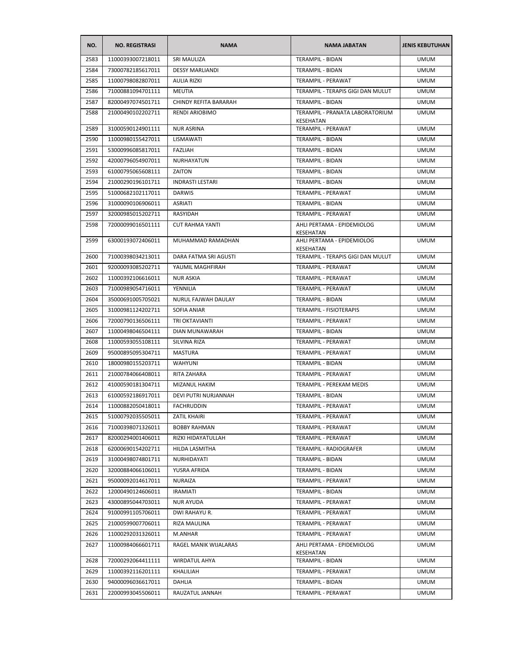| NO.  | <b>NO. REGISTRASI</b> | <b>NAMA</b>             | <b>NAMA JABATAN</b>                            | <b>JENIS KEBUTUHAN</b> |
|------|-----------------------|-------------------------|------------------------------------------------|------------------------|
| 2583 | 11000393007218011     | <b>SRI MAULIZA</b>      | <b>TERAMPIL - BIDAN</b>                        | <b>UMUM</b>            |
| 2584 | 73000782185617011     | <b>DESSY MARLIANDI</b>  | TERAMPIL - BIDAN                               | <b>UMUM</b>            |
| 2585 | 11000798082807011     | <b>AULIA RIZKI</b>      | TERAMPIL - PERAWAT                             | <b>UMUM</b>            |
| 2586 | 71000881094701111     | MEUTIA                  | TERAMPIL - TERAPIS GIGI DAN MULUT              | <b>UMUM</b>            |
| 2587 | 82000497074501711     | CHINDY REFITA BARARAH   | TERAMPIL - BIDAN                               | <b>UMUM</b>            |
| 2588 | 21000490102202711     | RENDI ARIOBIMO          | TERAMPIL - PRANATA LABORATORIUM<br>KESEHATAN   | <b>UMUM</b>            |
| 2589 | 31000590124901111     | <b>NUR ASRINA</b>       | TERAMPIL - PERAWAT                             | <b>UMUM</b>            |
| 2590 | 11000980155427011     | LISMAWATI               | TERAMPIL - BIDAN                               | <b>UMUM</b>            |
| 2591 | 53000996085817011     | <b>FAZLIAH</b>          | TERAMPIL - BIDAN                               | <b>UMUM</b>            |
| 2592 | 42000796054907011     | NURHAYATUN              | TERAMPIL - BIDAN                               | <b>UMUM</b>            |
| 2593 | 61000795065608111     | ZAITON                  | TERAMPIL - BIDAN                               | <b>UMUM</b>            |
| 2594 | 21000290196101711     | <b>INDRASTI LESTARI</b> | TERAMPIL - BIDAN                               | <b>UMUM</b>            |
| 2595 | 51000682102117011     | <b>DARWIS</b>           | TERAMPIL - PERAWAT                             | <b>UMUM</b>            |
| 2596 | 31000090106906011     | ASRIATI                 | <b>TERAMPIL - BIDAN</b>                        | <b>UMUM</b>            |
| 2597 | 32000985015202711     | RASYIDAH                | TERAMPIL - PERAWAT                             | <b>UMUM</b>            |
| 2598 | 72000099016501111     | <b>CUT RAHMA YANTI</b>  | AHLI PERTAMA - EPIDEMIOLOG                     | <b>UMUM</b>            |
| 2599 | 63000193072406011     | MUHAMMAD RAMADHAN       | KESEHATAN<br>AHLI PERTAMA - EPIDEMIOLOG        | <b>UMUM</b>            |
| 2600 | 71000398034213011     | DARA FATMA SRI AGUSTI   | KESEHATAN<br>TERAMPIL - TERAPIS GIGI DAN MULUT | <b>UMUM</b>            |
| 2601 | 92000093085202711     | YAUMIL MAGHFIRAH        | TERAMPIL - PERAWAT                             | <b>UMUM</b>            |
| 2602 | 11000392106616011     | <b>NUR ASKIA</b>        | TERAMPIL - PERAWAT                             | <b>UMUM</b>            |
| 2603 | 71000989054716011     | YENNILIA                | TERAMPIL - PERAWAT                             | <b>UMUM</b>            |
| 2604 | 35000691005705021     | NURUL FAJWAH DAULAY     | TERAMPIL - BIDAN                               | <b>UMUM</b>            |
| 2605 | 31000981124202711     | SOFIA ANIAR             | TERAMPIL - FISIOTERAPIS                        | <b>UMUM</b>            |
| 2606 | 72000790136506111     | TRI OKTAVIANTI          | TERAMPIL - PERAWAT                             | <b>UMUM</b>            |
| 2607 | 11000498046504111     | DIAN MUNAWARAH          | TERAMPIL - BIDAN                               | <b>UMUM</b>            |
| 2608 | 11000593055108111     | SILVINA RIZA            | TERAMPIL - PERAWAT                             | <b>UMUM</b>            |
| 2609 | 95000895095304711     | MASTURA                 | TERAMPIL - PERAWAT                             | <b>UMUM</b>            |
| 2610 | 18000980155203711     | <b>WAHYUNI</b>          | TERAMPIL - BIDAN                               | <b>UMUM</b>            |
| 2611 | 21000784066408011     | RITA ZAHARA             | TERAMPIL - PERAWAT                             | <b>UMUM</b>            |
| 2612 | 41000590181304711     | MIZANUL HAKIM           | TERAMPIL - PEREKAM MEDIS                       | <b>UMUM</b>            |
| 2613 | 61000592186917011     | DEVI PUTRI NURJANNAH    | TERAMPIL - BIDAN                               | <b>UMUM</b>            |
| 2614 | 11000882050418011     | FACHRUDDIN              | TERAMPIL - PERAWAT                             | UMUM                   |
| 2615 | 51000792035505011     | ZATIL KHAIRI            | TERAMPIL - PERAWAT                             | <b>UMUM</b>            |
| 2616 | 71000398071326011     | <b>BOBBY RAHMAN</b>     | TERAMPIL - PERAWAT                             | <b>UMUM</b>            |
| 2617 | 82000294001406011     | RIZKI HIDAYATULLAH      | TERAMPIL - PERAWAT                             | <b>UMUM</b>            |
| 2618 | 62000690154202711     | HILDA LASMITHA          | TERAMPIL - RADIOGRAFER                         | <b>UMUM</b>            |
| 2619 | 31000498074801711     | NURHIDAYATI             | TERAMPIL - BIDAN                               | <b>UMUM</b>            |
| 2620 | 32000884066106011     | YUSRA AFRIDA            | TERAMPIL - BIDAN                               | <b>UMUM</b>            |
| 2621 | 95000092014617011     | NURAIZA                 | TERAMPIL - PERAWAT                             | <b>UMUM</b>            |
| 2622 | 12000490124606011     | IRAMIATI                | TERAMPIL - BIDAN                               | <b>UMUM</b>            |
| 2623 | 43000895044703011     | NUR AYUDA               | TERAMPIL - PERAWAT                             | <b>UMUM</b>            |
| 2624 | 91000991105706011     | DWI RAHAYU R.           | TERAMPIL - PERAWAT                             | <b>UMUM</b>            |
| 2625 | 21000599007706011     | RIZA MAULINA            | TERAMPIL - PERAWAT                             | <b>UMUM</b>            |
| 2626 | 11000292031326011     | M.ANHAR                 | TERAMPIL - PERAWAT                             | <b>UMUM</b>            |
| 2627 | 11000984066601711     | RAGEL MANIK WIJALARAS   | AHLI PERTAMA - EPIDEMIOLOG                     | <b>UMUM</b>            |
|      |                       |                         | KESEHATAN                                      |                        |
| 2628 | 72000292064411111     | <b>WIRDATUL AHYA</b>    | TERAMPIL - BIDAN                               | <b>UMUM</b>            |
| 2629 | 11000392116201111     | KHALILIAH               | TERAMPIL - PERAWAT                             | <b>UMUM</b>            |
| 2630 | 94000096036617011     | DAHLIA                  | TERAMPIL - BIDAN                               | <b>UMUM</b>            |
| 2631 | 22000993045506011     | RAUZATUL JANNAH         | TERAMPIL - PERAWAT                             | <b>UMUM</b>            |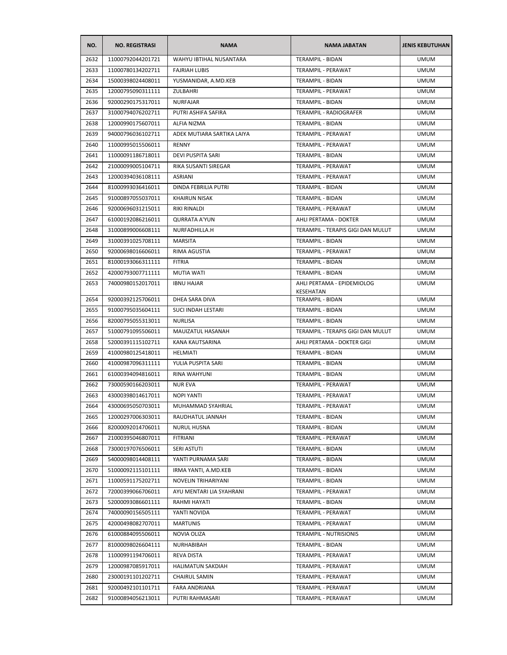| NO.  | <b>NO. REGISTRASI</b> | <b>NAMA</b>                | <b>NAMA JABATAN</b>                     | <b>JENIS KEBUTUHAN</b> |
|------|-----------------------|----------------------------|-----------------------------------------|------------------------|
| 2632 | 11000792044201721     | WAHYU IBTIHAL NUSANTARA    | TERAMPIL - BIDAN                        | <b>UMUM</b>            |
| 2633 | 11000780134202711     | <b>FAJRIAH LUBIS</b>       | TERAMPIL - PERAWAT                      | <b>UMUM</b>            |
| 2634 | 15000398024408011     | YUSMANIDAR, A.MD.KEB       | TERAMPIL - BIDAN                        | <b>UMUM</b>            |
| 2635 | 12000795090311111     | ZULBAHRI                   | TERAMPIL - PERAWAT                      | <b>UMUM</b>            |
| 2636 | 92000290175317011     | <b>NURFAJAR</b>            | TERAMPIL - BIDAN                        | <b>UMUM</b>            |
| 2637 | 31000794076202711     | PUTRI ASHIFA SAFIRA        | TERAMPIL - RADIOGRAFER                  | <b>UMUM</b>            |
| 2638 | 12000990175607011     | <b>ALFIA NIZMA</b>         | TERAMPIL - BIDAN                        | <b>UMUM</b>            |
| 2639 | 94000796036102711     | ADEK MUTIARA SARTIKA LAIYA | <b>TERAMPIL - PERAWAT</b>               | UMUM                   |
| 2640 | 11000995015506011     | RENNY                      | TERAMPIL - PERAWAT                      | <b>UMUM</b>            |
| 2641 | 11000091186718011     | <b>DEVI PUSPITA SARI</b>   | TERAMPIL - BIDAN                        | <b>UMUM</b>            |
| 2642 | 21000099005104711     | RIKA SUSANTI SIREGAR       | TERAMPIL - PERAWAT                      | <b>UMUM</b>            |
| 2643 | 12000394036108111     | ASRIANI                    | TERAMPIL - PERAWAT                      | <b>UMUM</b>            |
| 2644 | 81000993036416011     | DINDA FEBRILIA PUTRI       | TERAMPIL - BIDAN                        | <b>UMUM</b>            |
| 2645 | 91000897055037011     | <b>KHAIRUN NISAK</b>       | <b>TERAMPIL - BIDAN</b>                 | <b>UMUM</b>            |
| 2646 | 92000696031215011     | RIKI RINALDI               | TERAMPIL - PERAWAT                      | <b>UMUM</b>            |
| 2647 | 61000192086216011     | <b>QURRATA A'YUN</b>       | AHLI PERTAMA - DOKTER                   | <b>UMUM</b>            |
| 2648 | 31000899006608111     | NURFADHILLA.H              | TERAMPIL - TERAPIS GIGI DAN MULUT       | <b>UMUM</b>            |
| 2649 | 31000391025708111     | <b>MARSITA</b>             | TERAMPIL - BIDAN                        | <b>UMUM</b>            |
| 2650 | 92000698016606011     | <b>RIMA AGUSTIA</b>        | TERAMPIL - PERAWAT                      | <b>UMUM</b>            |
| 2651 | 81000193066311111     | <b>FITRIA</b>              | TERAMPIL - BIDAN                        | <b>UMUM</b>            |
| 2652 | 42000793007711111     | MUTIA WATI                 | TERAMPIL - BIDAN                        | <b>UMUM</b>            |
| 2653 | 74000980152017011     | <b>IBNU HAJAR</b>          | AHLI PERTAMA - EPIDEMIOLOG<br>KESEHATAN | <b>UMUM</b>            |
| 2654 | 92000392125706011     | DHEA SARA DIVA             | TERAMPIL - BIDAN                        | <b>UMUM</b>            |
| 2655 | 91000795035604111     | SUCI INDAH LESTARI         | TERAMPIL - BIDAN                        | <b>UMUM</b>            |
| 2656 | 82000795055313011     | <b>NURLISA</b>             | TERAMPIL - BIDAN                        | <b>UMUM</b>            |
| 2657 | 51000791095506011     | MAUIZATUL HASANAH          | TERAMPIL - TERAPIS GIGI DAN MULUT       | <b>UMUM</b>            |
| 2658 | 52000391115102711     | KANA KAUTSARINA            | AHLI PERTAMA - DOKTER GIGI              | <b>UMUM</b>            |
| 2659 | 41000980125418011     | HELMIATI                   | TERAMPIL - BIDAN                        | <b>UMUM</b>            |
| 2660 | 41000987096311111     | YULIA PUSPITA SARI         | <b>TERAMPIL - BIDAN</b>                 | <b>UMUM</b>            |
| 2661 | 61000394094816011     | RINA WAHYUNI               | TERAMPIL - BIDAN                        | <b>UMUM</b>            |
| 2662 | 73000590166203011     | <b>NUR EVA</b>             | <b>TERAMPIL - PERAWAT</b>               | <b>UMUM</b>            |
| 2663 | 43000398014617011     | <b>NOPI YANTI</b>          | <b>TERAMPIL - PERAWAT</b>               | <b>UMUM</b>            |
| 2664 | 43000695050703011     | MUHAMMAD SYAHRIAL          | TERAMPIL - PERAWAT                      | <b>UMUM</b>            |
| 2665 | 12000297006303011     | RAUDHATUL JANNAH           | TERAMPIL - BIDAN                        | <b>UMUM</b>            |
| 2666 | 82000092014706011     | <b>NURUL HUSNA</b>         | TERAMPIL - BIDAN                        | <b>UMUM</b>            |
| 2667 | 21000395046807011     | <b>FITRIANI</b>            | TERAMPIL - PERAWAT                      | <b>UMUM</b>            |
| 2668 | 73000197076506011     | SERI ASTUTI                | TERAMPIL - BIDAN                        | <b>UMUM</b>            |
| 2669 | 54000098014408111     | YANTI PURNAMA SARI         | TERAMPIL - BIDAN                        | <b>UMUM</b>            |
| 2670 | 51000092115101111     | IRMA YANTI, A.MD.KEB       | TERAMPIL - BIDAN                        | <b>UMUM</b>            |
| 2671 | 11000591175202711     | <b>NOVELIN TRIHARIYANI</b> | TERAMPIL - BIDAN                        | <b>UMUM</b>            |
| 2672 | 72000399066706011     | AYU MENTARI LIA SYAHRANI   | TERAMPIL - PERAWAT                      | <b>UMUM</b>            |
| 2673 | 52000093086601111     | RAHMI HAYATI               | <b>TERAMPIL - BIDAN</b>                 | <b>UMUM</b>            |
| 2674 | 74000090156505111     | YANTI NOVIDA               | TERAMPIL - PERAWAT                      | <b>UMUM</b>            |
| 2675 | 42000498082707011     | <b>MARTUNIS</b>            | TERAMPIL - PERAWAT                      | <b>UMUM</b>            |
| 2676 | 61000884095506011     | NOVIA OLIZA                | TERAMPIL - NUTRISIONIS                  | <b>UMUM</b>            |
| 2677 | 81000098026604111     | NURHABIBAH                 | TERAMPIL - BIDAN                        | <b>UMUM</b>            |
| 2678 | 11000991194706011     | REVA DISTA                 | TERAMPIL - PERAWAT                      | <b>UMUM</b>            |
| 2679 | 12000987085917011     | <b>HALIMATUN SAKDIAH</b>   | TERAMPIL - PERAWAT                      | <b>UMUM</b>            |
| 2680 | 23000191101202711     | <b>CHAIRUL SAMIN</b>       | TERAMPIL - PERAWAT                      | UMUM                   |
| 2681 | 92000492101101711     | FARA ANDRIANA              | TERAMPIL - PERAWAT                      | <b>UMUM</b>            |
| 2682 | 91000894056213011     | PUTRI RAHMASARI            | TERAMPIL - PERAWAT                      | <b>UMUM</b>            |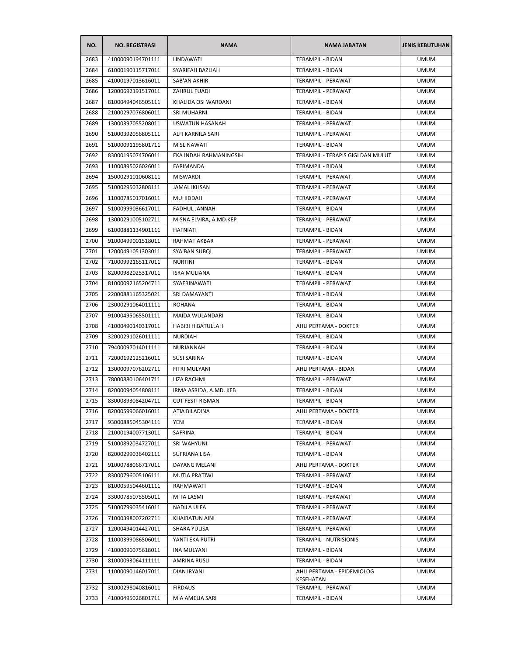| NO.  | <b>NO. REGISTRASI</b> | <b>NAMA</b>             | <b>NAMA JABATAN</b>                     | <b>JENIS KEBUTUHAN</b> |
|------|-----------------------|-------------------------|-----------------------------------------|------------------------|
| 2683 | 41000090194701111     | LINDAWATI               | TERAMPIL - BIDAN                        | <b>UMUM</b>            |
| 2684 | 61000190115717011     | SYARIFAH BAZLIAH        | TERAMPIL - BIDAN                        | <b>UMUM</b>            |
| 2685 | 41000197013616011     | SAB'AN AKHIR            | TERAMPIL - PERAWAT                      | <b>UMUM</b>            |
| 2686 | 12000692191517011     | ZAHRUL FUADI            | TERAMPIL - PERAWAT                      | <b>UMUM</b>            |
| 2687 | 81000494046505111     | KHALIDA OSI WARDANI     | TERAMPIL - BIDAN                        | <b>UMUM</b>            |
| 2688 | 21000297076806011     | SRI MUHARNI             | TERAMPIL - BIDAN                        | <b>UMUM</b>            |
| 2689 | 13000397055208011     | USWATUN HASANAH         | <b>TERAMPIL - PERAWAT</b>               | <b>UMUM</b>            |
| 2690 | 51000392056805111     | ALFI KARNILA SARI       | TERAMPIL - PERAWAT                      | UMUM                   |
| 2691 | 51000091195801711     | MISLINAWATI             | TERAMPIL - BIDAN                        | <b>UMUM</b>            |
| 2692 | 83000195074706011     | EKA INDAH RAHMANINGSIH  | TERAMPIL - TERAPIS GIGI DAN MULUT       | <b>UMUM</b>            |
| 2693 | 11000895026026011     | FARIMANDA               | TERAMPIL - BIDAN                        | <b>UMUM</b>            |
| 2694 | 15000291010608111     | <b>MISWARDI</b>         | TERAMPIL - PERAWAT                      | <b>UMUM</b>            |
| 2695 | 51000295032808111     | <b>JAMAL IKHSAN</b>     | TERAMPIL - PERAWAT                      | <b>UMUM</b>            |
| 2696 | 11000785017016011     | <b>MUHIDDAH</b>         | TERAMPIL - PERAWAT                      | <b>UMUM</b>            |
| 2697 | 51000999036617011     | FADHUL JANNAH           | TERAMPIL - BIDAN                        | <b>UMUM</b>            |
| 2698 | 13000291005102711     | MISNA ELVIRA, A.MD.KEP  | TERAMPIL - PERAWAT                      | <b>UMUM</b>            |
| 2699 | 61000881134901111     | <b>HAFNIATI</b>         | TERAMPIL - BIDAN                        | <b>UMUM</b>            |
| 2700 | 91000499001518011     | RAHMAT AKBAR            | TERAMPIL - PERAWAT                      | <b>UMUM</b>            |
| 2701 | 12000491051303011     | SYA'BAN SUBQI           | <b>TERAMPIL - PERAWAT</b>               | <b>UMUM</b>            |
| 2702 | 71000992165117011     | <b>NURTINI</b>          | <b>TERAMPIL - BIDAN</b>                 | <b>UMUM</b>            |
| 2703 | 82000982025317011     | <b>ISRA MULIANA</b>     | <b>TERAMPIL - BIDAN</b>                 | <b>UMUM</b>            |
| 2704 | 81000092165204711     | SYAFRINAWATI            | TERAMPIL - PERAWAT                      | UMUM                   |
| 2705 | 22000881165325021     | SRI DAMAYANTI           | TERAMPIL - BIDAN                        | UMUM                   |
| 2706 | 23000291064011111     | <b>ROHANA</b>           | TERAMPIL - BIDAN                        | <b>UMUM</b>            |
| 2707 | 91000495065501111     | MAIDA WULANDARI         | TERAMPIL - BIDAN                        | <b>UMUM</b>            |
| 2708 | 41000490140317011     | HABIBI HIBATULLAH       | AHLI PERTAMA - DOKTER                   | <b>UMUM</b>            |
| 2709 | 32000291026011111     | NURDIAH                 | TERAMPIL - BIDAN                        | <b>UMUM</b>            |
| 2710 | 79400097014011111     | NURJANNAH               | TERAMPIL - BIDAN                        | <b>UMUM</b>            |
| 2711 | 72000192125216011     | <b>SUSI SARINA</b>      | TERAMPIL - BIDAN                        | <b>UMUM</b>            |
| 2712 | 13000097076202711     | FITRI MULYANI           | AHLI PERTAMA - BIDAN                    | <b>UMUM</b>            |
| 2713 | 78000880106401711     | LIZA RACHMI             | TERAMPIL - PERAWAT                      | <b>UMUM</b>            |
| 2714 | 82000094054808111     | IRMA ASRIDA, A.MD. KEB  | TERAMPIL - BIDAN                        | <b>UMUM</b>            |
| 2715 | 83000893084204711     | <b>CUT FESTI RISMAN</b> | <b>TERAMPIL - BIDAN</b>                 | <b>UMUM</b>            |
| 2716 | 82000599066016011     | ATIA BILADINA           | AHLI PERTAMA - DOKTER                   | <b>UMUM</b>            |
| 2717 | 93000885045304111     | YENI                    | TERAMPIL - BIDAN                        | <b>UMUM</b>            |
| 2718 | 21000194007713011     | SAFRINA                 | TERAMPIL - BIDAN                        | <b>UMUM</b>            |
| 2719 | 51000892034727011     | SRI WAHYUNI             | TERAMPIL - PERAWAT                      | <b>UMUM</b>            |
| 2720 | 82000299036402111     | SUFRIANA LISA           | TERAMPIL - BIDAN                        | <b>UMUM</b>            |
| 2721 | 91000788066717011     | DAYANG MELANI           | AHLI PERTAMA - DOKTER                   | <b>UMUM</b>            |
| 2722 | 83000796005106111     | <b>MUTIA PRATIWI</b>    | TERAMPIL - PERAWAT                      | <b>UMUM</b>            |
| 2723 | 81000595044601111     | RAHMAWATI               | TERAMPIL - BIDAN                        | <b>UMUM</b>            |
| 2724 | 33000785075505011     | MITA LASMI              | TERAMPIL - PERAWAT                      | <b>UMUM</b>            |
| 2725 | 51000799035416011     | NADILA ULFA             | TERAMPIL - PERAWAT                      | <b>UMUM</b>            |
| 2726 | 71000398007202711     | KHAIRATUN AINI          | TERAMPIL - PERAWAT                      | <b>UMUM</b>            |
| 2727 | 12000494014427011     | SHARA YULISA            | TERAMPIL - PERAWAT                      | <b>UMUM</b>            |
| 2728 | 11000399086506011     | YANTI EKA PUTRI         | TERAMPIL - NUTRISIONIS                  | <b>UMUM</b>            |
| 2729 | 41000096075618011     | <b>INA MULYANI</b>      | TERAMPIL - BIDAN                        | <b>UMUM</b>            |
| 2730 | 81000093064111111     | AMRINA RUSLI            | TERAMPIL - BIDAN                        | <b>UMUM</b>            |
| 2731 | 11000090146017011     | DIAN IRYANI             | AHLI PERTAMA - EPIDEMIOLOG<br>KESEHATAN | <b>UMUM</b>            |
| 2732 | 31000298040816011     | <b>FIRDAUS</b>          | TERAMPIL - PERAWAT                      | <b>UMUM</b>            |
| 2733 | 41000495026801711     | MIA AMELIA SARI         | TERAMPIL - BIDAN                        | <b>UMUM</b>            |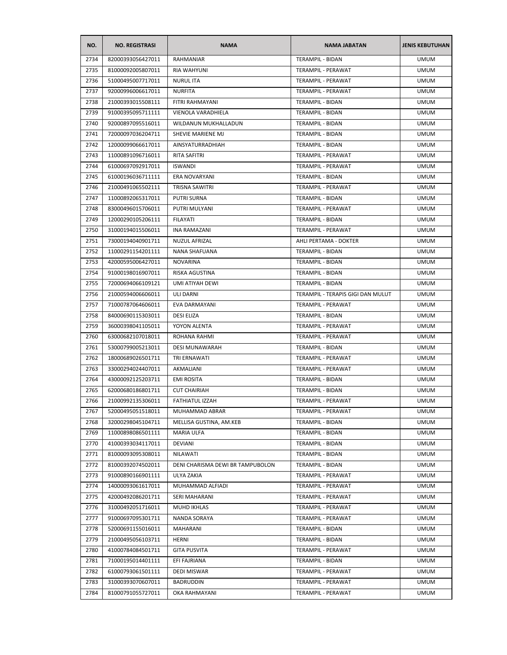| NO.  | <b>NO. REGISTRASI</b> | <b>NAMA</b>                      | <b>NAMA JABATAN</b>               | <b>JENIS KEBUTUHAN</b> |
|------|-----------------------|----------------------------------|-----------------------------------|------------------------|
| 2734 | 82000393056427011     | <b>RAHMANIAR</b>                 | <b>TERAMPIL - BIDAN</b>           | <b>UMUM</b>            |
| 2735 | 81000092005807011     | RIA WAHYUNI                      | TERAMPIL - PERAWAT                | <b>UMUM</b>            |
| 2736 | 51000495007717011     | <b>NURUL ITA</b>                 | TERAMPIL - PERAWAT                | <b>UMUM</b>            |
| 2737 | 92000996006617011     | <b>NURFITA</b>                   | <b>TERAMPIL - PERAWAT</b>         | <b>UMUM</b>            |
| 2738 | 21000393015508111     | FITRI RAHMAYANI                  | TERAMPIL - BIDAN                  | <b>UMUM</b>            |
| 2739 | 91000395095711111     | VIENOLA VARADHIELA               | <b>TERAMPIL - BIDAN</b>           | <b>UMUM</b>            |
| 2740 | 92000897095516011     | WILDANUN MUKHALLADUN             | <b>TERAMPIL - BIDAN</b>           | <b>UMUM</b>            |
| 2741 | 72000097036204711     | SHEVIE MARIENE MJ                | TERAMPIL - BIDAN                  | <b>UMUM</b>            |
| 2742 | 12000099066617011     | AINSYATURRADHIAH                 | TERAMPIL - BIDAN                  | <b>UMUM</b>            |
| 2743 | 11000891096716011     | RITA SAFITRI                     | TERAMPIL - PERAWAT                | <b>UMUM</b>            |
| 2744 | 61000697092917011     | <b>ISWANDI</b>                   | TERAMPIL - PERAWAT                | <b>UMUM</b>            |
| 2745 | 61000196036711111     | ERA NOVARYANI                    | TERAMPIL - BIDAN                  | <b>UMUM</b>            |
| 2746 | 21000491065502111     | <b>TRISNA SAWITRI</b>            | TERAMPIL - PERAWAT                | <b>UMUM</b>            |
| 2747 | 11000892065317011     | <b>PUTRI SURNA</b>               | TERAMPIL - BIDAN                  | <b>UMUM</b>            |
| 2748 | 83000496015706011     | PUTRI MULYANI                    | <b>TERAMPIL - PERAWAT</b>         | <b>UMUM</b>            |
| 2749 | 12000290105206111     | <b>FILAYATI</b>                  | TERAMPIL - BIDAN                  | <b>UMUM</b>            |
| 2750 | 31000194015506011     | <b>INA RAMAZANI</b>              | TERAMPIL - PERAWAT                | <b>UMUM</b>            |
| 2751 | 73000194040901711     | <b>NUZUL AFRIZAL</b>             | AHLI PERTAMA - DOKTER             | <b>UMUM</b>            |
| 2752 | 11000291154201111     | NANA SHAFUANA                    | <b>TERAMPIL - BIDAN</b>           | <b>UMUM</b>            |
| 2753 | 42000595006427011     | <b>NOVARINA</b>                  | TERAMPIL - BIDAN                  | <b>UMUM</b>            |
| 2754 | 91000198016907011     | <b>RISKA AGUSTINA</b>            | TERAMPIL - BIDAN                  | <b>UMUM</b>            |
| 2755 | 72000694066109121     | UMI ATIYAH DEWI                  | TERAMPIL - BIDAN                  | <b>UMUM</b>            |
| 2756 | 21000594006606011     | ULI DARNI                        | TERAMPIL - TERAPIS GIGI DAN MULUT | <b>UMUM</b>            |
| 2757 | 71000787064606011     | EVA DARMAYANI                    | TERAMPIL - PERAWAT                | <b>UMUM</b>            |
| 2758 | 84000690115303011     | <b>DESI ELIZA</b>                | TERAMPIL - BIDAN                  | <b>UMUM</b>            |
| 2759 | 36000398041105011     | YOYON ALENTA                     | TERAMPIL - PERAWAT                | <b>UMUM</b>            |
| 2760 | 63000682107018011     | ROHANA RAHMI                     | TERAMPIL - PERAWAT                | <b>UMUM</b>            |
| 2761 | 53000799005213011     | DESI MUNAWARAH                   | TERAMPIL - BIDAN                  | <b>UMUM</b>            |
| 2762 | 18000689026501711     | TRI ERNAWATI                     | TERAMPIL - PERAWAT                | <b>UMUM</b>            |
| 2763 | 33000294024407011     | AKMALIANI                        | TERAMPIL - PERAWAT                | <b>UMUM</b>            |
| 2764 | 43000092125203711     | <b>EMI ROSITA</b>                | TERAMPIL - BIDAN                  | <b>UMUM</b>            |
| 2765 | 62000680186801711     | <b>CUT CHAIRIAH</b>              | <b>TERAMPIL - BIDAN</b>           | <b>UMUM</b>            |
| 2766 | 21000992135306011     | <b>FATHIATUL IZZAH</b>           | <b>TERAMPIL - PERAWAT</b>         | <b>UMUM</b>            |
| 2767 | 52000495051518011     | MUHAMMAD ABRAR                   | TERAMPIL - PERAWAT                | <b>UMUM</b>            |
| 2768 | 32000298045104711     | MELLISA GUSTINA, AM.KEB          | TERAMPIL - BIDAN                  | <b>UMUM</b>            |
| 2769 | 11000898086501111     | MARIA ULFA                       | TERAMPIL - BIDAN                  | <b>UMUM</b>            |
| 2770 |                       |                                  | TERAMPIL - BIDAN                  | <b>UMUM</b>            |
|      | 41000393034117011     | DEVIANI                          |                                   |                        |
| 2771 | 81000093095308011     | NILAWATI                         | TERAMPIL - BIDAN                  | <b>UMUM</b>            |
| 2772 | 81000392074502011     | DENI CHARISMA DEWI BR TAMPUBOLON | TERAMPIL - BIDAN                  | <b>UMUM</b>            |
| 2773 | 91000890166901111     | ULYA ZAKIA                       | TERAMPIL - PERAWAT                | <b>UMUM</b>            |
| 2774 | 14000093061617011     | MUHAMMAD ALFIADI                 | TERAMPIL - PERAWAT                | <b>UMUM</b>            |
| 2775 | 42000492086201711     | SERI MAHARANI                    | TERAMPIL - PERAWAT                | <b>UMUM</b>            |
| 2776 | 31000492051716011     | MUHD IKHLAS                      | TERAMPIL - PERAWAT                | <b>UMUM</b>            |
| 2777 | 91000697095301711     | NANDA SORAYA                     | TERAMPIL - PERAWAT                | <b>UMUM</b>            |
| 2778 | 52000691155016011     | MAHARANI                         | TERAMPIL - BIDAN                  | <b>UMUM</b>            |
| 2779 | 21000495056103711     | HERNI                            | TERAMPIL - BIDAN                  | <b>UMUM</b>            |
| 2780 | 41000784084501711     | <b>GITA PUSVITA</b>              | TERAMPIL - PERAWAT                | <b>UMUM</b>            |
| 2781 | 71000195014401111     | EFI FAJRIANA                     | TERAMPIL - BIDAN                  | <b>UMUM</b>            |
| 2782 | 61000793061501111     | DEDI MISWAR                      | TERAMPIL - PERAWAT                | <b>UMUM</b>            |
| 2783 | 31000393070607011     | <b>BADRUDDIN</b>                 | TERAMPIL - PERAWAT                | <b>UMUM</b>            |
| 2784 | 81000791055727011     | OKA RAHMAYANI                    | TERAMPIL - PERAWAT                | <b>UMUM</b>            |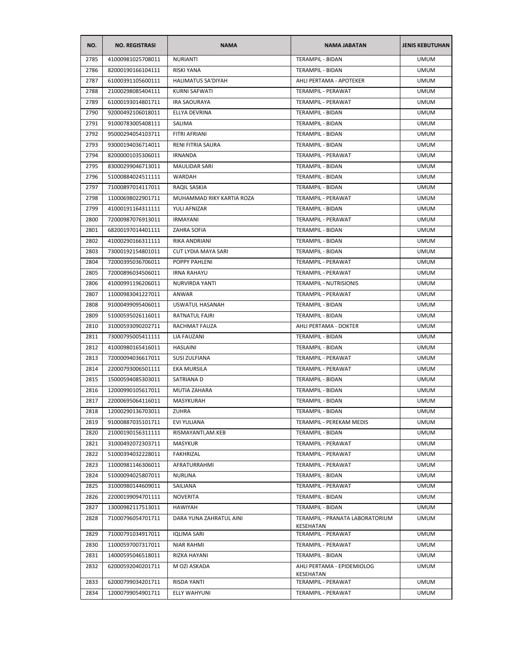| NO.  | <b>NO. REGISTRASI</b> | <b>NAMA</b>                | <b>NAMA JABATAN</b>                          | <b>JENIS KEBUTUHAN</b> |
|------|-----------------------|----------------------------|----------------------------------------------|------------------------|
| 2785 | 41000981025708011     | <b>NURIANTI</b>            | <b>TERAMPIL - BIDAN</b>                      | <b>UMUM</b>            |
| 2786 | 82000190166104111     | RISKI YANA                 | TERAMPIL - BIDAN                             | <b>UMUM</b>            |
| 2787 | 61000391105600111     | <b>HALIMATUS SA'DIYAH</b>  | AHLI PERTAMA - APOTEKER                      | <b>UMUM</b>            |
| 2788 | 21000298085404111     | KURNI SAFWATI              | TERAMPIL - PERAWAT                           | <b>UMUM</b>            |
| 2789 | 61000193014801711     | <b>IRA SAOURAYA</b>        | TERAMPIL - PERAWAT                           | <b>UMUM</b>            |
| 2790 | 92000492106018011     | ELLYA DEVRINA              | TERAMPIL - BIDAN                             | <b>UMUM</b>            |
| 2791 | 91000783005408111     | SALIMA                     | TERAMPIL - BIDAN                             | <b>UMUM</b>            |
| 2792 | 95000294054103711     | FITRI AFRIANI              | TERAMPIL - BIDAN                             | <b>UMUM</b>            |
| 2793 | 93000194036714011     | RENI FITRIA SAURA          | TERAMPIL - BIDAN                             | <b>UMUM</b>            |
| 2794 | 82000001035306011     | <b>IRNANDA</b>             | TERAMPIL - PERAWAT                           | <b>UMUM</b>            |
| 2795 | 83000299046713011     | <b>MAULIDAR SARI</b>       | TERAMPIL - BIDAN                             | <b>UMUM</b>            |
| 2796 | 51000884024511111     | WARDAH                     | TERAMPIL - BIDAN                             | <b>UMUM</b>            |
| 2797 | 71000897014117011     | RAQIL SASKIA               | TERAMPIL - BIDAN                             | <b>UMUM</b>            |
| 2798 | 11000698022901711     | MUHAMMAD RIKY KARTIA ROZA  | TERAMPIL - PERAWAT                           | <b>UMUM</b>            |
| 2799 | 41000191164311111     | YULI AFNIZAR               | TERAMPIL - BIDAN                             | UMUM                   |
| 2800 | 72000987076913011     | <b>IRMAYANI</b>            | TERAMPIL - PERAWAT                           | <b>UMUM</b>            |
| 2801 | 68200197014401111     | ZAHRA SOFIA                | TERAMPIL - BIDAN                             | <b>UMUM</b>            |
| 2802 | 41000290166311111     | RIKA ANDRIANI              | <b>TERAMPIL - BIDAN</b>                      | <b>UMUM</b>            |
| 2803 | 73000192154801011     | <b>CUT LYDIA MAYA SARI</b> | TERAMPIL - BIDAN                             | <b>UMUM</b>            |
| 2804 | 72000395036706011     | POPPY PAHLENI              | TERAMPIL - PERAWAT                           | <b>UMUM</b>            |
| 2805 | 72000896034506011     | <b>IRNA RAHAYU</b>         | TERAMPIL - PERAWAT                           | UMUM                   |
| 2806 | 41000991196206011     | NURVIRDA YANTI             | TERAMPIL - NUTRISIONIS                       | <b>UMUM</b>            |
| 2807 | 11000983041227011     | ANWAR                      | TERAMPIL - PERAWAT                           | <b>UMUM</b>            |
| 2808 | 91000499095406011     | USWATUL HASANAH            | TERAMPIL - BIDAN                             | <b>UMUM</b>            |
| 2809 | 51000595026116011     | RATNATUL FAJRI             | TERAMPIL - BIDAN                             | <b>UMUM</b>            |
| 2810 | 31000593090202711     | RACHMAT FAUZA              | AHLI PERTAMA - DOKTER                        | UMUM                   |
| 2811 | 73000795005411111     | <b>LIA FAUZANI</b>         | TERAMPIL - BIDAN                             | <b>UMUM</b>            |
| 2812 | 41000980165416011     | <b>HASLAINI</b>            | TERAMPIL - BIDAN                             | <b>UMUM</b>            |
| 2813 | 72000094036617011     | SUSI ZULFIANA              | TERAMPIL - PERAWAT                           | <b>UMUM</b>            |
| 2814 | 22000793006501111     | EKA MURSILA                | TERAMPIL - PERAWAT                           | <b>UMUM</b>            |
| 2815 | 15000594085303011     | SATRIANA D                 | <b>TERAMPIL - BIDAN</b>                      | <b>UMUM</b>            |
| 2816 | 12000990105617011     | MUTIA ZAHARA               | TERAMPIL - BIDAN                             | <b>UMUM</b>            |
| 2817 | 22000695064116011     | MASYKURAH                  | <b>TERAMPIL - BIDAN</b>                      | <b>UMUM</b>            |
| 2818 | 12000290136703011     | ZUHRA                      | TERAMPIL - BIDAN                             | <b>UMUM</b>            |
| 2819 | 91000887035101711     | EVI YULIANA                | TERAMPIL - PEREKAM MEDIS                     | <b>UMUM</b>            |
| 2820 | 21000190156311111     | RISMAYANTI.AM.KEB          | TERAMPIL - BIDAN                             | <b>UMUM</b>            |
| 2821 | 31000492072303711     | MASYKUR                    | TERAMPIL - PERAWAT                           | <b>UMUM</b>            |
| 2822 | 51000394032228011     | FAKHRIZAL                  | TERAMPIL - PERAWAT                           | <b>UMUM</b>            |
| 2823 | 11000981146306011     | AFRATURRAHMI               | TERAMPIL - PERAWAT                           | <b>UMUM</b>            |
| 2824 | 51000094025807011     | <b>NURLINA</b>             | <b>TERAMPIL - BIDAN</b>                      | <b>UMUM</b>            |
| 2825 | 31000980144609011     | SAILIANA                   | TERAMPIL - PERAWAT                           | <b>UMUM</b>            |
| 2826 | 22000199094701111     | <b>NOVERITA</b>            | TERAMPIL - BIDAN                             | <b>UMUM</b>            |
| 2827 | 13000982117513011     | HAWIYAH                    | TERAMPIL - BIDAN                             | <b>UMUM</b>            |
| 2828 | 71000796054701711     | DARA YUNA ZAHRATUL AINI    | TERAMPIL - PRANATA LABORATORIUM<br>KESEHATAN | <b>UMUM</b>            |
| 2829 | 71000791034917011     | <b>IQLIMA SARI</b>         | TERAMPIL - PERAWAT                           | <b>UMUM</b>            |
| 2830 | 11000597007317011     | NIAR RAHMI                 | TERAMPIL - PERAWAT                           | <b>UMUM</b>            |
| 2831 | 14000595046518011     | RIZKA HAYANI               | TERAMPIL - BIDAN                             | <b>UMUM</b>            |
| 2832 | 62000592040201711     | M OZI ASKADA               | AHLI PERTAMA - EPIDEMIOLOG<br>KESEHATAN      | <b>UMUM</b>            |
| 2833 | 62000799034201711     | RISDA YANTI                | TERAMPIL - PERAWAT                           | <b>UMUM</b>            |
| 2834 | 12000799054901711     | ELLY WAHYUNI               | TERAMPIL - PERAWAT                           | <b>UMUM</b>            |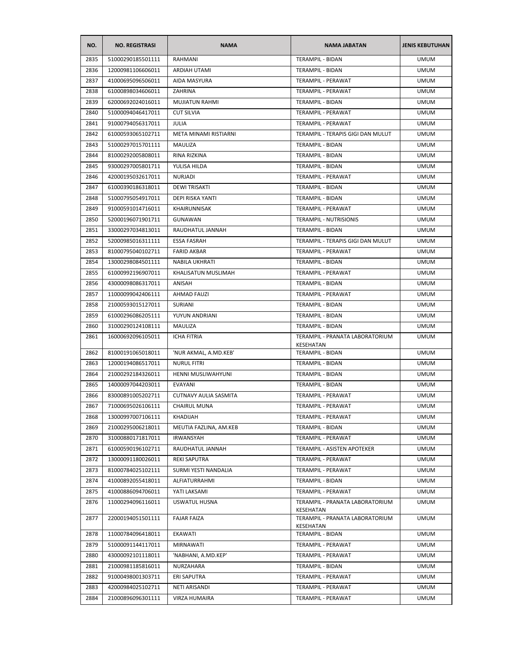| NO.  | <b>NO. REGISTRASI</b> | <b>NAMA</b>                  | <b>NAMA JABATAN</b>                          | <b>JENIS KEBUTUHAN</b> |
|------|-----------------------|------------------------------|----------------------------------------------|------------------------|
| 2835 | 51000290185501111     | RAHMANI                      | TERAMPIL - BIDAN                             | <b>UMUM</b>            |
| 2836 | 12000981106606011     | ARDIAH UTAMI                 | TERAMPIL - BIDAN                             | <b>UMUM</b>            |
| 2837 | 41000695096506011     | AIDA MASYURA                 | TERAMPIL - PERAWAT                           | <b>UMUM</b>            |
| 2838 | 61000898034606011     | ZAHRINA                      | TERAMPIL - PERAWAT                           | <b>UMUM</b>            |
| 2839 | 62000692024016011     | <b>MUJIATUN RAHMI</b>        | TERAMPIL - BIDAN                             | <b>UMUM</b>            |
| 2840 | 51000094046417011     | <b>CUT SILVIA</b>            | TERAMPIL - PERAWAT                           | <b>UMUM</b>            |
| 2841 | 91000794056317011     | <b>JULIA</b>                 | TERAMPIL - PERAWAT                           | <b>UMUM</b>            |
| 2842 | 61000593065102711     | META MINAMI RISTIARNI        | TERAMPIL - TERAPIS GIGI DAN MULUT            | <b>UMUM</b>            |
| 2843 | 51000297015701111     | <b>MAULIZA</b>               | TERAMPIL - BIDAN                             | <b>UMUM</b>            |
| 2844 | 81000292005808011     | RINA RIZKINA                 | TERAMPIL - BIDAN                             | <b>UMUM</b>            |
| 2845 | 93000297005801711     | YULISA HILDA                 | TERAMPIL - BIDAN                             | <b>UMUM</b>            |
| 2846 | 42000195032617011     | <b>NURJADI</b>               | TERAMPIL - PERAWAT                           | <b>UMUM</b>            |
| 2847 | 61000390186318011     | <b>DEWITRISAKTI</b>          | TERAMPIL - BIDAN                             | <b>UMUM</b>            |
| 2848 | 51000795054917011     | DEPI RISKA YANTI             | TERAMPIL - BIDAN                             | <b>UMUM</b>            |
| 2849 | 91000591014716011     | KHAIRUNNISAK                 | <b>TERAMPIL - PERAWAT</b>                    | <b>UMUM</b>            |
| 2850 | 52000196071901711     | <b>GUNAWAN</b>               | <b>TERAMPIL - NUTRISIONIS</b>                | <b>UMUM</b>            |
| 2851 | 33000297034813011     | RAUDHATUL JANNAH             | TERAMPIL - BIDAN                             | <b>UMUM</b>            |
| 2852 | 52000985016311111     | <b>ESSA FASRAH</b>           | TERAMPIL - TERAPIS GIGI DAN MULUT            | <b>UMUM</b>            |
| 2853 | 81000795040102711     | <b>FARID AKBAR</b>           | TERAMPIL - PERAWAT                           | <b>UMUM</b>            |
| 2854 | 13000298084501111     | <b>NABILA UKHRATI</b>        | TERAMPIL - BIDAN                             | <b>UMUM</b>            |
| 2855 | 61000992196907011     | KHALISATUN MUSLIMAH          | TERAMPIL - PERAWAT                           | <b>UMUM</b>            |
| 2856 | 43000098086317011     | ANISAH                       | TERAMPIL - BIDAN                             | <b>UMUM</b>            |
| 2857 | 11000099042406111     | <b>AHMAD FAUZI</b>           | TERAMPIL - PERAWAT                           | <b>UMUM</b>            |
| 2858 | 21000593015127011     | SURIANI                      | TERAMPIL - BIDAN                             | <b>UMUM</b>            |
| 2859 | 61000296086205111     | YUYUN ANDRIANI               | TERAMPIL - BIDAN                             | <b>UMUM</b>            |
| 2860 | 31000290124108111     | MAULIZA                      | TERAMPIL - BIDAN                             | <b>UMUM</b>            |
| 2861 | 16000692096105011     | ICHA FITRIA                  | TERAMPIL - PRANATA LABORATORIUM<br>KESEHATAN | <b>UMUM</b>            |
| 2862 | 81000191065018011     | 'NUR AKMAL, A.MD.KEB'        | TERAMPIL - BIDAN                             | <b>UMUM</b>            |
| 2863 | 12000194086517011     | <b>NURUL FITRI</b>           | TERAMPIL - BIDAN                             | <b>UMUM</b>            |
| 2864 | 21000292184326011     | HENNI MUSLIWAHYUNI           | <b>TERAMPIL - BIDAN</b>                      | <b>UMUM</b>            |
| 2865 | 14000097044203011     | EVAYANI                      | TERAMPIL - BIDAN                             | <b>UMUM</b>            |
| 2866 | 83000891005202711     | <b>CUTNAVY AULIA SASMITA</b> | TERAMPIL - PERAWAT                           | <b>UMUM</b>            |
| 2867 | 71000695026106111     | <b>CHAIRUL MUNA</b>          | TERAMPIL - PERAWAT                           | <b>UMUM</b>            |
| 2868 | 13000997007106111     | <b>KHADIJAH</b>              | TERAMPIL - PERAWAT                           | <b>UMUM</b>            |
| 2869 | 21000295006218011     | MEUTIA FAZLINA, AM.KEB       | TERAMPIL - BIDAN                             | <b>UMUM</b>            |
| 2870 | 31000880171817011     | IRWANSYAH                    | TERAMPIL - PERAWAT                           | <b>UMUM</b>            |
| 2871 | 61000590196102711     | RAUDHATUL JANNAH             | TERAMPIL - ASISTEN APOTEKER                  | <b>UMUM</b>            |
| 2872 | 13000091180026011     | <b>REKI SAPUTRA</b>          | TERAMPIL - PERAWAT                           | <b>UMUM</b>            |
| 2873 | 81000784025102111     | SURMI YESTI NANDALIA         | TERAMPIL - PERAWAT                           | <b>UMUM</b>            |
| 2874 | 41000892055418011     | ALFIATURRAHMI                | <b>TERAMPIL - BIDAN</b>                      | <b>UMUM</b>            |
| 2875 | 41000886094706011     | YATI LAKSAMI                 | <b>TERAMPIL - PERAWAT</b>                    | <b>UMUM</b>            |
| 2876 | 11000294096116011     | USWATUL HUSNA                | TERAMPIL - PRANATA LABORATORIUM<br>KESEHATAN | <b>UMUM</b>            |
| 2877 | 22000194051501111     | <b>FAJAR FAIZA</b>           | TERAMPIL - PRANATA LABORATORIUM<br>KESEHATAN | <b>UMUM</b>            |
| 2878 | 11000784096418011     | EKAWATI                      | TERAMPIL - BIDAN                             | <b>UMUM</b>            |
| 2879 | 51000091144117011     | MIRNAWATI                    | TERAMPIL - PERAWAT                           | <b>UMUM</b>            |
| 2880 | 43000092101118011     | 'NABHANI, A.MD.KEP'          | TERAMPIL - PERAWAT                           | <b>UMUM</b>            |
| 2881 | 21000981185816011     | NURZAHARA                    | TERAMPIL - BIDAN                             | <b>UMUM</b>            |
| 2882 | 91000498001303711     | ERI SAPUTRA                  | TERAMPIL - PERAWAT                           | <b>UMUM</b>            |
| 2883 | 42000984025102711     | NETI ARISANDI                | TERAMPIL - PERAWAT                           | <b>UMUM</b>            |
| 2884 | 21000896096301111     | VIRZA HUMAIRA                | TERAMPIL - PERAWAT                           | <b>UMUM</b>            |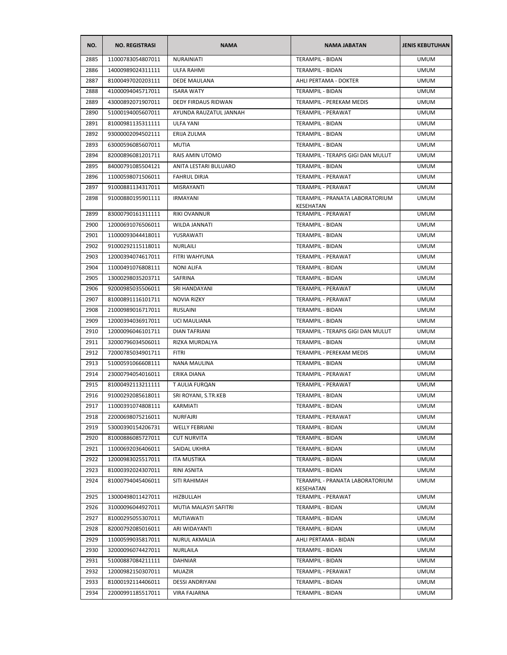| NO.  | <b>NO. REGISTRASI</b> | <b>NAMA</b>            | <b>NAMA JABATAN</b>                          | <b>JENIS KEBUTUHAN</b> |
|------|-----------------------|------------------------|----------------------------------------------|------------------------|
| 2885 | 11000783054807011     | <b>NURAINIATI</b>      | <b>TERAMPIL - BIDAN</b>                      | <b>UMUM</b>            |
| 2886 | 14000989024311111     | ULFA RAHMI             | TERAMPIL - BIDAN                             | <b>UMUM</b>            |
| 2887 | 81000497020203111     | <b>DEDE MAULANA</b>    | AHLI PERTAMA - DOKTER                        | <b>UMUM</b>            |
| 2888 | 41000094045717011     | <b>ISARA WATY</b>      | <b>TERAMPIL - BIDAN</b>                      | <b>UMUM</b>            |
| 2889 | 43000892071907011     | DEDY FIRDAUS RIDWAN    | TERAMPIL - PEREKAM MEDIS                     | <b>UMUM</b>            |
| 2890 | 51000194005607011     | AYUNDA RAUZATUL JANNAH | TERAMPIL - PERAWAT                           | <b>UMUM</b>            |
| 2891 | 81000981135311111     | <b>ULFA YANI</b>       | TERAMPIL - BIDAN                             | <b>UMUM</b>            |
| 2892 | 93000002094502111     | ERIJA ZULMA            | TERAMPIL - BIDAN                             | <b>UMUM</b>            |
| 2893 | 63000596085607011     | <b>MUTIA</b>           | <b>TERAMPIL - BIDAN</b>                      | <b>UMUM</b>            |
| 2894 | 82000896081201711     | RAIS AMIN UTOMO        | TERAMPIL - TERAPIS GIGI DAN MULUT            | <b>UMUM</b>            |
| 2895 | 84000791085504121     | ANITA LESTARI BULUARO  | TERAMPIL - BIDAN                             | <b>UMUM</b>            |
| 2896 | 11000598071506011     | <b>FAHRUL DIRJA</b>    | TERAMPIL - PERAWAT                           | <b>UMUM</b>            |
| 2897 | 91000881134317011     | MISRAYANTI             | TERAMPIL - PERAWAT                           | <b>UMUM</b>            |
| 2898 | 91000880195901111     | <b>IRMAYANI</b>        | TERAMPIL - PRANATA LABORATORIUM<br>KESEHATAN | <b>UMUM</b>            |
| 2899 | 83000790161311111     | <b>RIKI OVANNUR</b>    | TERAMPIL - PERAWAT                           | <b>UMUM</b>            |
| 2900 | 12000691076506011     | <b>WILDA JANNATI</b>   | TERAMPIL - BIDAN                             | <b>UMUM</b>            |
| 2901 | 11000093044418011     | YUSRAWATI              | TERAMPIL - BIDAN                             | <b>UMUM</b>            |
| 2902 | 91000292115118011     | <b>NURLAILI</b>        | TERAMPIL - BIDAN                             | <b>UMUM</b>            |
| 2903 | 12000394074617011     | FITRI WAHYUNA          | TERAMPIL - PERAWAT                           | <b>UMUM</b>            |
| 2904 | 11000491076808111     | <b>NONI ALIFA</b>      | TERAMPIL - BIDAN                             | <b>UMUM</b>            |
| 2905 | 13000298035203711     | SAFRINA                | TERAMPIL - BIDAN                             | <b>UMUM</b>            |
| 2906 | 92000985035506011     | SRI HANDAYANI          | TERAMPIL - PERAWAT                           | <b>UMUM</b>            |
| 2907 | 81000891116101711     | <b>NOVIA RIZKY</b>     | TERAMPIL - PERAWAT                           | <b>UMUM</b>            |
| 2908 | 21000989016717011     | RUSLAINI               | TERAMPIL - BIDAN                             | <b>UMUM</b>            |
| 2909 | 12000394036917011     | UCI MAULIANA           | TERAMPIL - BIDAN                             | <b>UMUM</b>            |
| 2910 | 12000096046101711     | <b>DIAN TAFRIANI</b>   | TERAMPIL - TERAPIS GIGI DAN MULUT            | <b>UMUM</b>            |
| 2911 | 32000796034506011     | RIZKA MURDALYA         | TERAMPIL - BIDAN                             | <b>UMUM</b>            |
| 2912 | 72000785034901711     | FITRI                  | TERAMPIL - PEREKAM MEDIS                     | <b>UMUM</b>            |
| 2913 | 51000591066608111     | NANA MAULINA           | TERAMPIL - BIDAN                             | <b>UMUM</b>            |
| 2914 | 23000794054016011     | ERIKA DIANA            | TERAMPIL - PERAWAT                           | <b>UMUM</b>            |
| 2915 | 81000492113211111     | T AULIA FURQAN         | TERAMPIL - PERAWAT                           | <b>UMUM</b>            |
| 2916 | 91000292085618011     | SRI ROYANI, S.TR.KEB   | <b>TERAMPIL - BIDAN</b>                      | <b>UMUM</b>            |
| 2917 | 11000391074808111     | KARMIATI               | TERAMPIL - BIDAN                             | <b>UMUM</b>            |
| 2918 | 22000698075216011     | NURFAJRI               | TERAMPIL - PERAWAT                           | <b>UMUM</b>            |
| 2919 | 53000390154206731     | <b>WELLY FEBRIANI</b>  | TERAMPIL - BIDAN                             | <b>UMUM</b>            |
| 2920 | 81000886085727011     | <b>CUT NURVITA</b>     | <b>TERAMPIL - BIDAN</b>                      | <b>UMUM</b>            |
| 2921 | 11000692036406011     | <b>SAIDAL UKHRA</b>    | <b>TERAMPIL - BIDAN</b>                      | <b>UMUM</b>            |
| 2922 | 12000983025517011     | ITA MUSTIKA            | TERAMPIL - BIDAN                             | <b>UMUM</b>            |
| 2923 | 81000392024307011     | RINI ASNITA            | TERAMPIL - BIDAN                             | <b>UMUM</b>            |
| 2924 | 81000794045406011     | SITI RAHIMAH           | TERAMPIL - PRANATA LABORATORIUM<br>KESEHATAN | <b>UMUM</b>            |
| 2925 | 13000498011427011     | HIZBULLAH              | TERAMPIL - PERAWAT                           | <b>UMUM</b>            |
| 2926 | 31000096044927011     | MUTIA MALASYI SAFITRI  | TERAMPIL - BIDAN                             | <b>UMUM</b>            |
| 2927 | 81000295055307011     | MUTIAWATI              | TERAMPIL - BIDAN                             | <b>UMUM</b>            |
| 2928 | 82000792085016011     | ARI WIDAYANTI          | TERAMPIL - BIDAN                             | <b>UMUM</b>            |
| 2929 | 11000599035817011     | <b>NURUL AKMALIA</b>   | AHLI PERTAMA - BIDAN                         | <b>UMUM</b>            |
| 2930 | 32000096074427011     | NURLAILA               | TERAMPIL - BIDAN                             | <b>UMUM</b>            |
| 2931 | 51000887084211111     | <b>DAHNIAR</b>         | TERAMPIL - BIDAN                             | <b>UMUM</b>            |
| 2932 | 12000982150307011     | <b>MUAZIR</b>          | TERAMPIL - PERAWAT                           | <b>UMUM</b>            |
| 2933 | 81000192114406011     | DESSI ANDRIYANI        | TERAMPIL - BIDAN                             | <b>UMUM</b>            |
| 2934 | 22000991185517011     | <b>VIRA FAJARNA</b>    | TERAMPIL - BIDAN                             | <b>UMUM</b>            |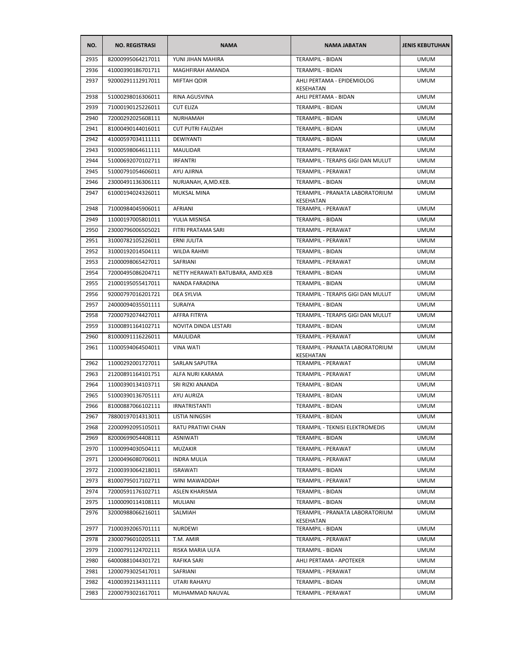| NO.  | <b>NO. REGISTRASI</b> | <b>NAMA</b>                      | <b>NAMA JABATAN</b>                            | <b>JENIS KEBUTUHAN</b> |
|------|-----------------------|----------------------------------|------------------------------------------------|------------------------|
| 2935 | 82000995064217011     | YUNI JIHAN MAHIRA                | TERAMPIL - BIDAN                               | <b>UMUM</b>            |
| 2936 | 41000390186701711     | MAGHFIRAH AMANDA                 | TERAMPIL - BIDAN                               | <b>UMUM</b>            |
| 2937 | 92000291112917011     | <b>MIFTAH QOIR</b>               | AHLI PERTAMA - EPIDEMIOLOG<br><b>KESEHATAN</b> | UMUM                   |
| 2938 | 51000298016306011     | RINA AGUSVINA                    | AHLI PERTAMA - BIDAN                           | <b>UMUM</b>            |
| 2939 | 71000190125226011     | <b>CUT ELIZA</b>                 | TERAMPIL - BIDAN                               | <b>UMUM</b>            |
| 2940 | 72000292025608111     | <b>NURHAMAH</b>                  | TERAMPIL - BIDAN                               | <b>UMUM</b>            |
| 2941 | 81000490144016011     | <b>CUT PUTRI FAUZIAH</b>         | TERAMPIL - BIDAN                               | <b>UMUM</b>            |
| 2942 | 41000597034111111     | <b>DEWIYANTI</b>                 | <b>TERAMPIL - BIDAN</b>                        | <b>UMUM</b>            |
| 2943 | 91000598064611111     | MAULIDAR                         | TERAMPIL - PERAWAT                             | <b>UMUM</b>            |
| 2944 | 51000692070102711     | <b>IRFANTRI</b>                  | TERAMPIL - TERAPIS GIGI DAN MULUT              | <b>UMUM</b>            |
| 2945 | 51000791054606011     | AYU AJIRNA                       | <b>TERAMPIL - PERAWAT</b>                      | <b>UMUM</b>            |
| 2946 | 23000491136306111     | NURJANAH, A,MD.KEB.              | TERAMPIL - BIDAN                               | <b>UMUM</b>            |
| 2947 | 61000194024326011     | <b>MUKSAL MINA</b>               | TERAMPIL - PRANATA LABORATORIUM<br>KESEHATAN   | <b>UMUM</b>            |
| 2948 | 71000984045906011     | <b>AFRIANI</b>                   | TERAMPIL - PERAWAT                             | <b>UMUM</b>            |
| 2949 | 11000197005801011     | YULIA MISNISA                    | TERAMPIL - BIDAN                               | <b>UMUM</b>            |
| 2950 | 23000796006505021     | FITRI PRATAMA SARI               | TERAMPIL - PERAWAT                             | <b>UMUM</b>            |
| 2951 | 31000782105226011     | ERNI JULITA                      | TERAMPIL - PERAWAT                             | <b>UMUM</b>            |
| 2952 | 31000192014504111     | WILDA RAHMI                      | <b>TERAMPIL - BIDAN</b>                        | <b>UMUM</b>            |
| 2953 | 21000098065427011     | SAFRIANI                         | <b>TERAMPIL - PERAWAT</b>                      | <b>UMUM</b>            |
| 2954 | 72000495086204711     | NETTY HERAWATI BATUBARA, AMD.KEB | TERAMPIL - BIDAN                               | <b>UMUM</b>            |
| 2955 | 21000195055417011     | NANDA FARADINA                   | TERAMPIL - BIDAN                               | <b>UMUM</b>            |
| 2956 | 92000797016201721     | DEA SYLVIA                       | TERAMPIL - TERAPIS GIGI DAN MULUT              | <b>UMUM</b>            |
| 2957 | 24000094035501111     | SURAIYA                          | TERAMPIL - BIDAN                               | <b>UMUM</b>            |
| 2958 | 72000792074427011     | AFFRA FITRYA                     | TERAMPIL - TERAPIS GIGI DAN MULUT              | <b>UMUM</b>            |
| 2959 | 31000891164102711     | NOVITA DINDA LESTARI             | TERAMPIL - BIDAN                               | <b>UMUM</b>            |
| 2960 | 81000091116226011     | MAULIDAR                         | TERAMPIL - PERAWAT                             | <b>UMUM</b>            |
| 2961 | 11000594064504011     | <b>VINA WATI</b>                 | TERAMPIL - PRANATA LABORATORIUM<br>KESEHATAN   | <b>UMUM</b>            |
| 2962 | 11000292001727011     | SARLAN SAPUTRA                   | TERAMPIL - PERAWAT                             | <b>UMUM</b>            |
| 2963 | 21200891164101751     | ALFA NURI KARAMA                 | <b>TERAMPIL - PERAWAT</b>                      | <b>UMUM</b>            |
| 2964 | 11000390134103711     | SRI RIZKI ANANDA                 | TERAMPIL - BIDAN                               | <b>UMUM</b>            |
| 2965 | 51000390136705111     | AYU AURIZA                       | TERAMPIL - BIDAN                               | <b>UMUM</b>            |
| 2966 | 81000887066102111     | <b>IRNATRISTANTI</b>             | TERAMPIL - BIDAN                               | <b>UMUM</b>            |
| 2967 | 78800197014313011     | LISTIA NINGSIH                   | TERAMPIL - BIDAN                               | <b>UMUM</b>            |
| 2968 | 22000992095105011     | RATU PRATIWI CHAN                | TERAMPIL - TEKNISI ELEKTROMEDIS                | <b>UMUM</b>            |
| 2969 | 82000699054408111     | ASNIWATI                         | TERAMPIL - BIDAN                               | <b>UMUM</b>            |
| 2970 | 11000994030504111     | MUZAKIR                          | <b>TERAMPIL - PERAWAT</b>                      | <b>UMUM</b>            |
| 2971 | 12000496080706011     | <b>INDRA MULIA</b>               | TERAMPIL - PERAWAT                             | <b>UMUM</b>            |
| 2972 | 21000393064218011     | <b>ISRAWATI</b>                  | TERAMPIL - BIDAN                               | <b>UMUM</b>            |
| 2973 | 81000795017102711     | WINI MAWADDAH                    | TERAMPIL - PERAWAT                             | <b>UMUM</b>            |
| 2974 | 72000591176102711     | <b>ASLEN KHARISMA</b>            | TERAMPIL - BIDAN                               | <b>UMUM</b>            |
| 2975 | 11000090114108111     | MULIANI                          | TERAMPIL - BIDAN                               | <b>UMUM</b>            |
| 2976 | 32000988066216011     | SALMIAH                          | TERAMPIL - PRANATA LABORATORIUM<br>KESEHATAN   | <b>UMUM</b>            |
| 2977 | 71000392065701111     | NURDEWI                          | TERAMPIL - BIDAN                               | <b>UMUM</b>            |
| 2978 | 23000796010205111     | T.M. AMIR                        | TERAMPIL - PERAWAT                             | <b>UMUM</b>            |
| 2979 | 21000791124702111     | RISKA MARIA ULFA                 | TERAMPIL - BIDAN                               | <b>UMUM</b>            |
| 2980 | 64000881044301721     | RAFIKA SARI                      | AHLI PERTAMA - APOTEKER                        | <b>UMUM</b>            |
| 2981 | 12000793025417011     | SAFRIANI                         | TERAMPIL - PERAWAT                             | <b>UMUM</b>            |
| 2982 | 41000392134311111     | UTARI RAHAYU                     | TERAMPIL - BIDAN                               | <b>UMUM</b>            |
| 2983 | 22000793021617011     | MUHAMMAD NAUVAL                  | TERAMPIL - PERAWAT                             | <b>UMUM</b>            |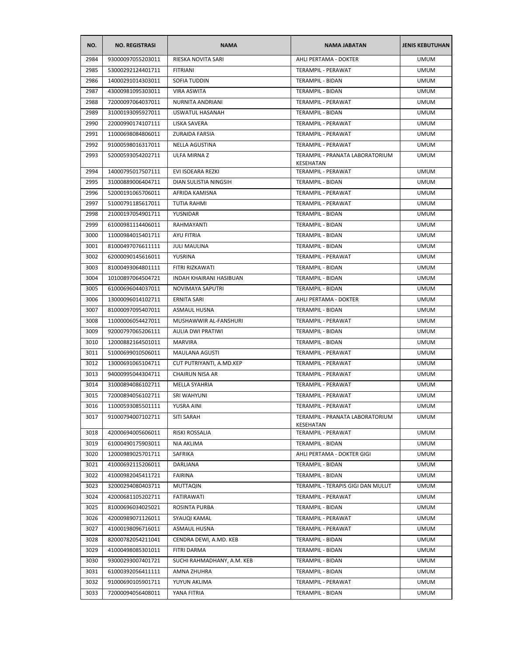| NO.  | <b>NO. REGISTRASI</b> | <b>NAMA</b>                | <b>NAMA JABATAN</b>                          | <b>JENIS KEBUTUHAN</b> |
|------|-----------------------|----------------------------|----------------------------------------------|------------------------|
| 2984 | 93000097055203011     | RIESKA NOVITA SARI         | AHLI PERTAMA - DOKTER                        | <b>UMUM</b>            |
| 2985 | 53000292124401711     | <b>FITRIANI</b>            | TERAMPIL - PERAWAT                           | <b>UMUM</b>            |
| 2986 | 14000291014303011     | SOFIA TUDDIN               | TERAMPIL - BIDAN                             | <b>UMUM</b>            |
| 2987 | 43000981095303011     | <b>VIRA ASWITA</b>         | TERAMPIL - BIDAN                             | <b>UMUM</b>            |
| 2988 | 72000097064037011     | NURNITA ANDRIANI           | TERAMPIL - PERAWAT                           | <b>UMUM</b>            |
| 2989 | 31000193095927011     | USWATUL HASANAH            | TERAMPIL - BIDAN                             | <b>UMUM</b>            |
| 2990 | 22000990174107111     | LISKA SAVERA               | TERAMPIL - PERAWAT                           | <b>UMUM</b>            |
| 2991 | 11000698084806011     | ZURAIDA FARSIA             | TERAMPIL - PERAWAT                           | <b>UMUM</b>            |
| 2992 | 91000598016317011     | NELLA AGUSTINA             | TERAMPIL - PERAWAT                           | <b>UMUM</b>            |
| 2993 | 52000593054202711     | ULFA MIRNA Z               | TERAMPIL - PRANATA LABORATORIUM<br>KESEHATAN | <b>UMUM</b>            |
| 2994 | 14000795017507111     | EVI ISOEARA REZKI          | TERAMPIL - PERAWAT                           | <b>UMUM</b>            |
| 2995 | 31000889006404711     | DIAN SULISTIA NINGSIH      | TERAMPIL - BIDAN                             | <b>UMUM</b>            |
| 2996 | 52000191065706011     | AFRIDA KAMISNA             | TERAMPIL - PERAWAT                           | <b>UMUM</b>            |
| 2997 | 51000791185617011     | <b>TUTIA RAHMI</b>         | TERAMPIL - PERAWAT                           | <b>UMUM</b>            |
| 2998 | 21000197054901711     | YUSNIDAR                   | TERAMPIL - BIDAN                             | <b>UMUM</b>            |
| 2999 | 61000981114406011     | RAHMAYANTI                 | TERAMPIL - BIDAN                             | <b>UMUM</b>            |
| 3000 | 11000984015401711     | <b>AYU FITRIA</b>          | TERAMPIL - BIDAN                             | <b>UMUM</b>            |
| 3001 | 81000497076611111     | <b>JULI MAULINA</b>        | <b>TERAMPIL - BIDAN</b>                      | <b>UMUM</b>            |
| 3002 | 62000090145616011     | YUSRINA                    | TERAMPIL - PERAWAT                           | <b>UMUM</b>            |
| 3003 | 81000493064801111     | FITRI RIZKAWATI            | TERAMPIL - BIDAN                             | <b>UMUM</b>            |
| 3004 | 10100897064504721     | INDAH KHAIRANI HASIBUAN    | TERAMPIL - BIDAN                             | <b>UMUM</b>            |
| 3005 | 61000696044037011     | NOVIMAYA SAPUTRI           | TERAMPIL - BIDAN                             | <b>UMUM</b>            |
| 3006 | 13000096014102711     | <b>ERNITA SARI</b>         | AHLI PERTAMA - DOKTER                        | <b>UMUM</b>            |
| 3007 | 81000097095407011     | <b>ASMAUL HUSNA</b>        | TERAMPIL - BIDAN                             | <b>UMUM</b>            |
| 3008 | 11000006054427011     | MUSHAWWIR AL-FANSHURI      | TERAMPIL - PERAWAT                           | <b>UMUM</b>            |
| 3009 | 92000797065206111     | AULIA DWI PRATIWI          | TERAMPIL - BIDAN                             | <b>UMUM</b>            |
| 3010 | 12000882164501011     | MARVIRA                    | TERAMPIL - BIDAN                             | <b>UMUM</b>            |
| 3011 | 51000699010506011     | MAULANA AGUSTI             | TERAMPIL - PERAWAT                           | <b>UMUM</b>            |
| 3012 | 13000691065104711     | CUT PUTRIYANTI, A.MD.KEP   | TERAMPIL - PERAWAT                           | <b>UMUM</b>            |
| 3013 | 94000995044304711     | CHAIRUN NISA AR            | TERAMPIL - PERAWAT                           | <b>UMUM</b>            |
| 3014 | 31000894086102711     | MELLA SYAHRIA              | TERAMPIL - PERAWAT                           | <b>UMUM</b>            |
| 3015 | 72000894056102711     | <b>SRI WAHYUNI</b>         | TERAMPIL - PERAWAT                           | <b>UMUM</b>            |
| 3016 | 11000593085501111     | YUSRA AINI                 | TERAMPIL - PERAWAT                           | <b>UMUM</b>            |
| 3017 | 91000794007102711     | SITI SARAH                 | TERAMPIL - PRANATA LABORATORIUM<br>KESEHATAN | <b>UMUM</b>            |
| 3018 | 42000694005606011     | RISKI ROSSALIA             | TERAMPIL - PERAWAT                           | <b>UMUM</b>            |
| 3019 | 61000490175903011     | <b>NIA AKLIMA</b>          | TERAMPIL - BIDAN                             | <b>UMUM</b>            |
| 3020 | 12000989025701711     | SAFRIKA                    | AHLI PERTAMA - DOKTER GIGI                   | <b>UMUM</b>            |
| 3021 | 41000692115206011     | DARLIANA                   | TERAMPIL - BIDAN                             | <b>UMUM</b>            |
| 3022 | 41000982045411721     | <b>FAIRINA</b>             | <b>TERAMPIL - BIDAN</b>                      | <b>UMUM</b>            |
| 3023 | 32000294080403711     | <b>MUTTAQIN</b>            | TERAMPIL - TERAPIS GIGI DAN MULUT            | <b>UMUM</b>            |
| 3024 | 42000681105202711     | FATIRAWATI                 | TERAMPIL - PERAWAT                           | <b>UMUM</b>            |
| 3025 | 81000696034025021     | ROSINTA PURBA              | TERAMPIL - BIDAN                             | <b>UMUM</b>            |
| 3026 | 42000989071126011     | SYAUQI KAMAL               | TERAMPIL - PERAWAT                           | <b>UMUM</b>            |
| 3027 | 41000198096716011     | <b>ASMAUL HUSNA</b>        | TERAMPIL - PERAWAT                           | <b>UMUM</b>            |
| 3028 | 82000782054211041     | CENDRA DEWI, A.MD. KEB     | <b>TERAMPIL - BIDAN</b>                      | <b>UMUM</b>            |
| 3029 | 41000498085301011     | FITRI DARMA                | TERAMPIL - BIDAN                             | <b>UMUM</b>            |
| 3030 | 93000293007401721     | SUCHI RAHMADHANY, A.M. KEB | TERAMPIL - BIDAN                             | <b>UMUM</b>            |
| 3031 | 61000392056411111     | AMNA ZHUHRA                | TERAMPIL - BIDAN                             | <b>UMUM</b>            |
| 3032 | 91000690105901711     | YUYUN AKLIMA               | TERAMPIL - PERAWAT                           | <b>UMUM</b>            |
| 3033 | 72000094056408011     | YANA FITRIA                | TERAMPIL - BIDAN                             | <b>UMUM</b>            |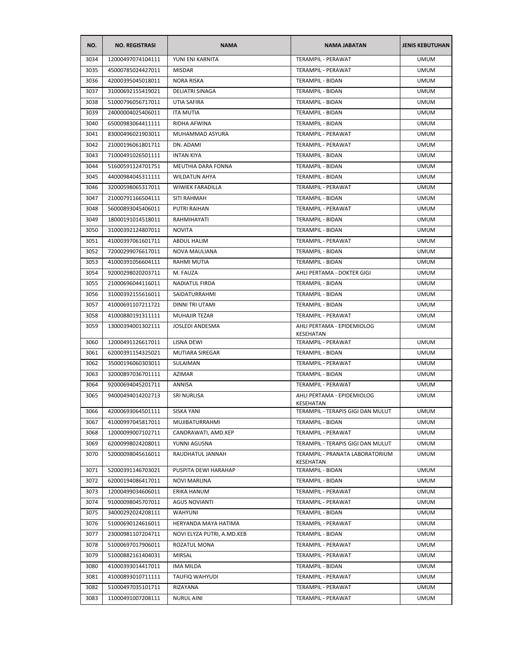| NO.  | <b>NO. REGISTRASI</b> | <b>NAMA</b>                | <b>NAMA JABATAN</b>                          | <b>JENIS KEBUTUHAN</b> |
|------|-----------------------|----------------------------|----------------------------------------------|------------------------|
| 3034 | 12000497074104111     | YUNI ENI KARNITA           | <b>TERAMPIL - PERAWAT</b>                    | <b>UMUM</b>            |
| 3035 | 45000785024427011     | <b>MISDAR</b>              | TERAMPIL - PERAWAT                           | <b>UMUM</b>            |
| 3036 | 42000395045018011     | <b>NORA RISKA</b>          | <b>TERAMPIL - BIDAN</b>                      | <b>UMUM</b>            |
| 3037 | 31000692155419021     | DELIATRI SINAGA            | TERAMPIL - BIDAN                             | <b>UMUM</b>            |
| 3038 | 51000796056717011     | UTIA SAFIRA                | TERAMPIL - BIDAN                             | <b>UMUM</b>            |
| 3039 | 24000004025406011     | <b>ITA MUTIA</b>           | <b>TERAMPIL - BIDAN</b>                      | <b>UMUM</b>            |
| 3040 | 65000983064411111     | RIDHA AFWINA               | TERAMPIL - BIDAN                             | <b>UMUM</b>            |
| 3041 | 83000496021903011     | MUHAMMAD ASYURA            | TERAMPIL - PERAWAT                           | <b>UMUM</b>            |
| 3042 | 21000196061801711     | DN. ADAMI                  | TERAMPIL - PERAWAT                           | <b>UMUM</b>            |
| 3043 | 71000491026501111     | <b>INTAN KIYA</b>          | TERAMPIL - BIDAN                             | <b>UMUM</b>            |
| 3044 | 51600591124701751     | <b>MEUTHIA DARA FONNA</b>  | TERAMPIL - BIDAN                             | <b>UMUM</b>            |
| 3045 | 44000984045311111     | <b>WILDATUN AHYA</b>       | TERAMPIL - BIDAN                             | <b>UMUM</b>            |
| 3046 | 32000598065317011     | WIWIEK FARADILLA           | TERAMPIL - PERAWAT                           | <b>UMUM</b>            |
| 3047 | 21000791166504111     | SITI RAHMAH                | TERAMPIL - BIDAN                             | <b>UMUM</b>            |
| 3048 | 56000893045406011     | <b>PUTRI RAIHAN</b>        | <b>TERAMPIL - PERAWAT</b>                    | <b>UMUM</b>            |
| 3049 | 18000191014518011     | RAHMIHAYATI                | TERAMPIL - BIDAN                             | <b>UMUM</b>            |
| 3050 | 31000392124807011     | <b>NOVITA</b>              | TERAMPIL - BIDAN                             | <b>UMUM</b>            |
| 3051 | 41000397061601711     | ABDUL HALIM                | TERAMPIL - PERAWAT                           | <b>UMUM</b>            |
| 3052 | 72000299076617011     | NOVA MAULIANA              | TERAMPIL - BIDAN                             | <b>UMUM</b>            |
| 3053 | 41000391056604111     | RAHMI MUTIA                | TERAMPIL - BIDAN                             | <b>UMUM</b>            |
| 3054 | 92000298020203711     | M. FAUZA                   | AHLI PERTAMA - DOKTER GIGI                   | <b>UMUM</b>            |
| 3055 | 21000696044116011     | <b>NADIATUL FIRDA</b>      | TERAMPIL - BIDAN                             | <b>UMUM</b>            |
| 3056 | 31000392155616011     | <b>SAIDATURRAHMI</b>       | <b>TERAMPIL - BIDAN</b>                      | <b>UMUM</b>            |
| 3057 | 41000691107211721     | DINNI TRI UTAMI            | TERAMPIL - BIDAN                             | <b>UMUM</b>            |
| 3058 | 41000880191311111     | <b>MUHAJIR TEZAR</b>       | TERAMPIL - PERAWAT                           | <b>UMUM</b>            |
| 3059 | 13000394001302111     | JOSLEDI ANDESMA            | AHLI PERTAMA - EPIDEMIOLOG                   | <b>UMUM</b>            |
| 3060 | 12000491126617011     | LISNA DEWI                 | KESEHATAN<br>TERAMPIL - PERAWAT              | <b>UMUM</b>            |
| 3061 | 62000391154325021     | MUTIARA SIREGAR            | TERAMPIL - BIDAN                             | <b>UMUM</b>            |
| 3062 | 35000196060303011     | <b>SULAIMAN</b>            | TERAMPIL - PERAWAT                           | <b>UMUM</b>            |
| 3063 | 32000897036701111     | AZIMAR                     | TERAMPIL - BIDAN                             | <b>UMUM</b>            |
| 3064 | 92000694045201711     | ANNISA                     | TERAMPIL - PERAWAT                           | <b>UMUM</b>            |
| 3065 | 94000494014202713     | <b>SRI NURLISA</b>         | AHLI PERTAMA - EPIDEMIOLOG                   | <b>UMUM</b>            |
|      |                       |                            | KESEHATAN                                    |                        |
| 3066 | 42000693064501111     | <b>SISKA YANI</b>          | TERAMPIL - TERAPIS GIGI DAN MULUT            | <b>UMUM</b>            |
| 3067 | 41000997045817011     | MUJIBATURRAHMI             | TERAMPIL - BIDAN                             | <b>UMUM</b>            |
| 3068 | 12000099007102711     | CANDRAWATI, AMD.KEP        | TERAMPIL - PERAWAT                           | <b>UMUM</b>            |
| 3069 | 62000998024208011     | YUNNI AGUSNA               | TERAMPIL - TERAPIS GIGI DAN MULUT            | <b>UMUM</b>            |
| 3070 | 52000098045616011     | RAUDHATUL JANNAH           | TERAMPIL - PRANATA LABORATORIUM<br>KESEHATAN | <b>UMUM</b>            |
| 3071 | 52000391146703021     | PUSPITA DEWI HARAHAP       | TERAMPIL - BIDAN                             | <b>UMUM</b>            |
| 3072 | 62000194086417011     | <b>NOVI MARLINA</b>        | TERAMPIL - BIDAN                             | <b>UMUM</b>            |
| 3073 | 12000499034606011     | ERIKA HANUM                | TERAMPIL - PERAWAT                           | <b>UMUM</b>            |
| 3074 | 91000098045707011     | <b>AGUS NOVIANTI</b>       | TERAMPIL - PERAWAT                           | <b>UMUM</b>            |
| 3075 | 34000292024208111     | <b>WAHYUNI</b>             | TERAMPIL - BIDAN                             | <b>UMUM</b>            |
| 3076 | 51000690124616011     | HERYANDA MAYA HATIMA       | TERAMPIL - PERAWAT                           | <b>UMUM</b>            |
| 3077 | 23000981107204711     | NOVI ELYZA PUTRI, A.MD.KEB | TERAMPIL - BIDAN                             | <b>UMUM</b>            |
| 3078 | 51000697017906011     | ROZATUL MONA               | TERAMPIL - PERAWAT                           | <b>UMUM</b>            |
| 3079 | 51000882161404031     | MIRSAL                     | TERAMPIL - PERAWAT                           | <b>UMUM</b>            |
| 3080 | 41000393014417011     | IMA MILDA                  | TERAMPIL - BIDAN                             | <b>UMUM</b>            |
| 3081 | 41000893010711111     | TAUFIQ WAHYUDI             | TERAMPIL - PERAWAT                           | <b>UMUM</b>            |
| 3082 | 51000497035101711     | RIZAYANA                   | TERAMPIL - PERAWAT                           | <b>UMUM</b>            |
| 3083 | 11000491007208111     | <b>NURUL AINI</b>          | TERAMPIL - PERAWAT                           | <b>UMUM</b>            |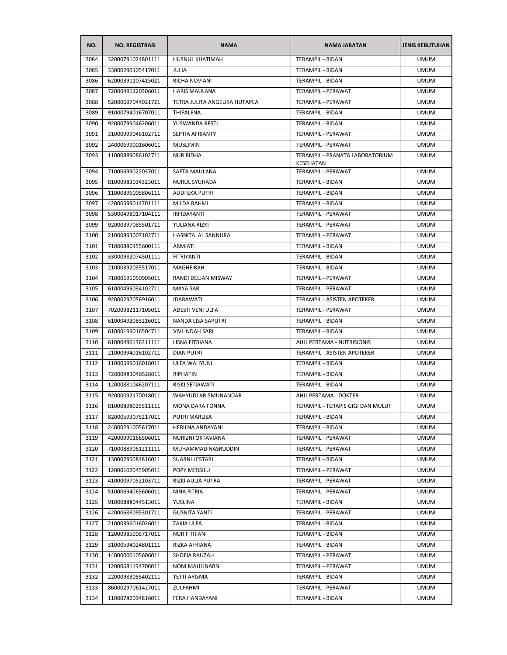| NO.  | <b>NO. REGISTRASI</b> | <b>NAMA</b>                   | <b>NAMA JABATAN</b>                          | <b>JENIS KEBUTUHAN</b> |
|------|-----------------------|-------------------------------|----------------------------------------------|------------------------|
| 3084 | 32000791024801111     | HUSNUL KHATIMAH               | <b>TERAMPIL - BIDAN</b>                      | <b>UMUM</b>            |
| 3085 | 33000290105417011     | <b>JULIA</b>                  | TERAMPIL - BIDAN                             | <b>UMUM</b>            |
| 3086 | 62000391107415021     | RICHA NOVIANI                 | <b>TERAMPIL - BIDAN</b>                      | <b>UMUM</b>            |
| 3087 | 72000491120306011     | <b>HARIS MAULANA</b>          | TERAMPIL - PERAWAT                           | <b>UMUM</b>            |
| 3088 | 52000697044021721     | TETRA JULITA ANGELIKA HUTAPEA | TERAMPIL - PERAWAT                           | <b>UMUM</b>            |
| 3089 | 91000794016707011     | THIFALENA                     | TERAMPIL - BIDAN                             | <b>UMUM</b>            |
| 3090 | 92000799046206011     | YUSWANDA RESTI                | TERAMPIL - BIDAN                             | <b>UMUM</b>            |
| 3091 | 31000999046102711     | <b>SEPTIA AFRIANTY</b>        | TERAMPIL - PERAWAT                           | <b>UMUM</b>            |
| 3092 | 24000699001606011     | <b>MUSLIMIN</b>               | TERAMPIL - PERAWAT                           | <b>UMUM</b>            |
| 3093 | 11000889086102711     | <b>NUR RIDHA</b>              | TERAMPIL - PRANATA LABORATORIUM<br>KESEHATAN | <b>UMUM</b>            |
| 3094 | 71000699022037011     | SAFTA MAULANA                 | TERAMPIL - PERAWAT                           | <b>UMUM</b>            |
| 3095 | 81000983034323011     | NURUL SYUHADA                 | TERAMPIL - BIDAN                             | <b>UMUM</b>            |
| 3096 | 11000896005806111     | AUDI EKA PUTRI                | TERAMPIL - BIDAN                             | <b>UMUM</b>            |
| 3097 | 42000599014701111     | <b>MILDA RAHMI</b>            | TERAMPIL - BIDAN                             | <b>UMUM</b>            |
| 3098 | 53000498017104111     | IRFIDAYANTI                   | TERAMPIL - PERAWAT                           | <b>UMUM</b>            |
| 3099 | 92000397085501711     | YULIANA RIZKI                 | TERAMPIL - PERAWAT                           | <b>UMUM</b>            |
| 3100 | 21000893007102711     | HASNITA AL SANNURA            | TERAMPIL - PERAWAT                           | <b>UMUM</b>            |
| 3101 | 71000880155600111     | ARMIATI                       | TERAMPIL - BIDAN                             | <b>UMUM</b>            |
| 3102 | 33000982074501111     | <b>FITRIYANTI</b>             | TERAMPIL - BIDAN                             | <b>UMUM</b>            |
| 3103 | 21000392035517011     | MAGHFIRAH                     | <b>TERAMPIL - BIDAN</b>                      | <b>UMUM</b>            |
| 3104 | 71000191050905011     | RANDI DELJAN MISWAY           | TERAMPIL - PERAWAT                           | <b>UMUM</b>            |
| 3105 | 61000499034102711     | MAYA SARI                     | TERAMPIL - PERAWAT                           | <b>UMUM</b>            |
| 3106 | 92000297056916011     | <b>IDARAWATI</b>              | TERAMPIL - ASISTEN APOTEKER                  | <b>UMUM</b>            |
| 3107 | 70200982117105011     | ADESTI VENI ULFA              | TERAMPIL - PERAWAT                           | <b>UMUM</b>            |
| 3108 | 61000492085216011     | NANDA LISA SAPUTRI            | TERAMPIL - BIDAN                             | <b>UMUM</b>            |
| 3109 | 61000199016504711     | VIVI INDAH SARI               | TERAMPIL - BIDAN                             | <b>UMUM</b>            |
| 3110 | 61000490136311111     | LISNA FITRIANA                | AHLI PERTAMA - NUTRISIONIS                   | <b>UMUM</b>            |
| 3111 | 21000994016102711     | DIAN PUTRI                    | TERAMPIL - ASISTEN APOTEKER                  | <b>UMUM</b>            |
| 3112 | 11000599016018011     | <b>ULFA WAHYUNI</b>           | <b>TERAMPIL - BIDAN</b>                      | <b>UMUM</b>            |
| 3113 | 72000983046528011     | RIPHATIN                      | TERAMPIL - BIDAN                             | <b>UMUM</b>            |
| 3114 | 12000881046207111     | RISKI SETIAWATI               | TERAMPIL - BIDAN                             | <b>UMUM</b>            |
| 3115 | 92000092170018011     | WAHYUDI ARISMUNANDAR          | AHLI PERTAMA - DOKTER                        | <b>UMUM</b>            |
| 3116 | 81000898025511111     | MONA DARA FONNA               | TERAMPIL - TERAPIS GIGI DAN MULUT            | <b>UMUM</b>            |
| 3117 | 82000593075217011     | PUTRI MARLISA                 | TERAMPIL - BIDAN                             | <b>UMUM</b>            |
| 3118 | 24000291005617011     | HERILNA ANDAYANI              | TERAMPIL - BIDAN                             | <b>UMUM</b>            |
| 3119 | 42000990166506011     | NURIZNI OKTAVIANA             | TERAMPIL - PERAWAT                           | <b>UMUM</b>            |
| 3120 | 71000889061211111     | MUHAMMAD NASRUDDIN            | TERAMPIL - PERAWAT                           | <b>UMUM</b>            |
| 3121 | 13000295084816011     | SUARNI LESTARI                | TERAMPIL - BIDAN                             | <b>UMUM</b>            |
| 3122 | 12000102045905011     | POPY MERSILU                  | TERAMPIL - PERAWAT                           | <b>UMUM</b>            |
| 3123 | 41000097052103711     | RIZKI AULIA PUTRA             | TERAMPIL - PERAWAT                           | <b>UMUM</b>            |
| 3124 | 51000694065606011     | NINA FITRIA                   | TERAMPIL - PERAWAT                           | <b>UMUM</b>            |
| 3125 | 91000888044513011     | YUSLINA                       | TERAMPIL - BIDAN                             | <b>UMUM</b>            |
| 3126 | 42000688085301711     | <b>GUSNITA YANTI</b>          | TERAMPIL - PERAWAT                           | <b>UMUM</b>            |
| 3127 | 21000396016026011     | ZAKIA ULFA                    | TERAMPIL - BIDAN                             | <b>UMUM</b>            |
| 3128 | 12000985005717011     | <b>NUR FITRIANI</b>           | TERAMPIL - BIDAN                             | <b>UMUM</b>            |
| 3129 | 31000594024801111     | RIZKA AFRIANA                 | TERAMPIL - BIDAN                             | <b>UMUM</b>            |
| 3130 | 14000000105606011     | SHOFIA RAUZAH                 | TERAMPIL - PERAWAT                           | <b>UMUM</b>            |
| 3131 | 12000681194706011     | NONI MAULINARNI               | TERAMPIL - PERAWAT                           | <b>UMUM</b>            |
| 3132 | 22000983085402111     | YETTI ARISMA                  | TERAMPIL - BIDAN                             | <b>UMUM</b>            |
| 3133 | 86000297061427011     | ZULFAHMI                      | TERAMPIL - PERAWAT                           | <b>UMUM</b>            |
| 3134 | 11000782094816011     | FERA HANDAYANI                | TERAMPIL - BIDAN                             | <b>UMUM</b>            |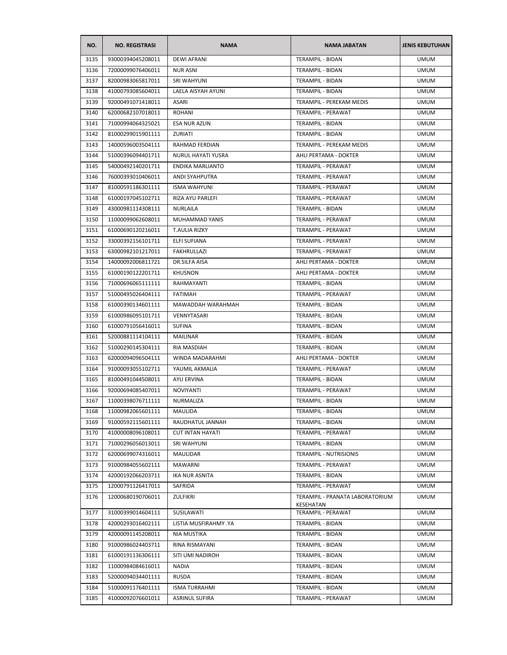| NO.  | <b>NO. REGISTRASI</b> | <b>NAMA</b>             | <b>NAMA JABATAN</b>             | <b>JENIS KEBUTUHAN</b> |
|------|-----------------------|-------------------------|---------------------------------|------------------------|
| 3135 | 93000394045208011     | <b>DEWI AFRANI</b>      | <b>TERAMPIL - BIDAN</b>         | <b>UMUM</b>            |
| 3136 | 72000099076406011     | <b>NUR ASNI</b>         | TERAMPIL - BIDAN                | <b>UMUM</b>            |
| 3137 | 82000983065817011     | <b>SRI WAHYUNI</b>      | TERAMPIL - BIDAN                | <b>UMUM</b>            |
| 3138 | 41000793085604011     | LAELA AISYAH AYUNI      | TERAMPIL - BIDAN                | <b>UMUM</b>            |
| 3139 | 92000491071418011     | ASARI                   | TERAMPIL - PEREKAM MEDIS        | <b>UMUM</b>            |
| 3140 | 62000682107018011     | ROHANI                  | TERAMPIL - PERAWAT              | <b>UMUM</b>            |
| 3141 | 71000994064325021     | <b>ESA NUR AZLIN</b>    | <b>TERAMPIL - BIDAN</b>         | <b>UMUM</b>            |
| 3142 | 81000299015901111     | ZURIATI                 | <b>TERAMPIL - BIDAN</b>         | <b>UMUM</b>            |
| 3143 | 14000596003504111     | RAHMAD FERDIAN          | <b>TERAMPIL - PEREKAM MEDIS</b> | <b>UMUM</b>            |
| 3144 | 51000396094401711     | NURUL HAYATI YUSRA      | AHLI PERTAMA - DOKTER           | <b>UMUM</b>            |
| 3145 | 54000492140201711     | ENDIKA MARLIANTO        | TERAMPIL - PERAWAT              | <b>UMUM</b>            |
| 3146 | 76000393010406011     | ANDI SYAHPUTRA          | TERAMPIL - PERAWAT              | <b>UMUM</b>            |
| 3147 | 81000591186301111     | <b>ISMA WAHYUNI</b>     | TERAMPIL - PERAWAT              | <b>UMUM</b>            |
| 3148 | 61000197045102711     | RIZA AYU PARLEFI        | TERAMPIL - PERAWAT              | <b>UMUM</b>            |
| 3149 | 43000981114308111     | NURLAILA                | TERAMPIL - BIDAN                | UMUM                   |
| 3150 | 11000099062608011     | MUHAMMAD YANIS          | TERAMPIL - PERAWAT              | <b>UMUM</b>            |
| 3151 | 61000690120216011     | T.AULIA RIZKY           | TERAMPIL - PERAWAT              | <b>UMUM</b>            |
| 3152 | 33000392156101711     | ELFI SUFIANA            | TERAMPIL - PERAWAT              | <b>UMUM</b>            |
| 3153 | 63000982101217011     | <b>FAKHRULLAZI</b>      | TERAMPIL - PERAWAT              | <b>UMUM</b>            |
| 3154 | 14000092006811721     | DR.SILFA AISA           | AHLI PERTAMA - DOKTER           | <b>UMUM</b>            |
| 3155 | 61000190122201711     | <b>KHUSNON</b>          | AHLI PERTAMA - DOKTER           | UMUM                   |
| 3156 | 71000696065111111     | RAHMAYANTI              | TERAMPIL - BIDAN                | <b>UMUM</b>            |
| 3157 | 51000495026404111     | <b>FATIMAH</b>          | TERAMPIL - PERAWAT              | <b>UMUM</b>            |
| 3158 | 61000390134601111     | MAWADDAH WARAHMAH       | TERAMPIL - BIDAN                | <b>UMUM</b>            |
| 3159 | 61000986095101711     | VENNYTASARI             | TERAMPIL - BIDAN                | <b>UMUM</b>            |
| 3160 | 61000791056416011     | <b>SUFINA</b>           | TERAMPIL - BIDAN                | UMUM                   |
| 3161 | 52000881114104111     | <b>MAILINAR</b>         | TERAMPIL - BIDAN                | <b>UMUM</b>            |
| 3162 | 51000290145304111     | RIA MASDIAH             | TERAMPIL - BIDAN                | <b>UMUM</b>            |
| 3163 | 62000094096504111     | WINDA MADARAHMI         | AHLI PERTAMA - DOKTER           | <b>UMUM</b>            |
| 3164 | 91000093055102711     | YAUMIL AKMALIA          | TERAMPIL - PERAWAT              | <b>UMUM</b>            |
| 3165 | 81000491044508011     | AYU ERVINA              | TERAMPIL - BIDAN                | <b>UMUM</b>            |
| 3166 | 92000694085407011     | NOVIYANTI               | TERAMPIL - PERAWAT              | <b>UMUM</b>            |
| 3167 | 11000398076711111     | <b>NURMALIZA</b>        | <b>TERAMPIL - BIDAN</b>         | <b>UMUM</b>            |
| 3168 | 11000982065601111     | MAULIDA                 | TERAMPIL - BIDAN                | <b>UMUM</b>            |
| 3169 | 91000592115601111     | RAUDHATUL JANNAH        | TERAMPIL - BIDAN                | <b>UMUM</b>            |
| 3170 | 41000008096108011     | <b>CUT INTAN HAYATI</b> | TERAMPIL - PERAWAT              | <b>UMUM</b>            |
| 3171 | 71000296056013011     | SRI WAHYUNI             | TERAMPIL - BIDAN                | <b>UMUM</b>            |
| 3172 | 62000699074316011     | MAULIDAR                | TERAMPIL - NUTRISIONIS          | <b>UMUM</b>            |
| 3173 | 91000984055602111     | MAWARNI                 | TERAMPIL - PERAWAT              | <b>UMUM</b>            |
| 3174 | 42000192066203711     | IKA NUR ASNITA          | TERAMPIL - BIDAN                | <b>UMUM</b>            |
| 3175 | 12000791126417011     | SAFRIDA                 | TERAMPIL - PERAWAT              | <b>UMUM</b>            |
| 3176 | 12000680190706011     | ZULFIKRI                | TERAMPIL - PRANATA LABORATORIUM | <b>UMUM</b>            |
|      |                       |                         | KESEHATAN                       |                        |
| 3177 | 31000399014604111     | SUSILAWATI              | TERAMPIL - PERAWAT              | <b>UMUM</b>            |
| 3178 | 42000293016402111     | LISTIA MUSFIRAHMY .YA   | TERAMPIL - BIDAN                | <b>UMUM</b>            |
| 3179 | 42000091145208011     | NIA MUSTIKA             | TERAMPIL - BIDAN                | <b>UMUM</b>            |
| 3180 | 91000986024403711     | RINA RISMAYANI          | TERAMPIL - BIDAN                | <b>UMUM</b>            |
| 3181 | 61000191136306111     | SITI UMI NADIROH        | TERAMPIL - BIDAN                | <b>UMUM</b>            |
| 3182 | 11000984084616011     | NADIA                   | TERAMPIL - BIDAN                | <b>UMUM</b>            |
| 3183 | 52000094034401111     | RUSDA                   | TERAMPIL - BIDAN                | <b>UMUM</b>            |
| 3184 | 51000091176401111     | <b>ISMA TURRAHMI</b>    | TERAMPIL - BIDAN                | <b>UMUM</b>            |
| 3185 | 41000092076601011     | ASRINUL SUFIRA          | TERAMPIL - PERAWAT              | <b>UMUM</b>            |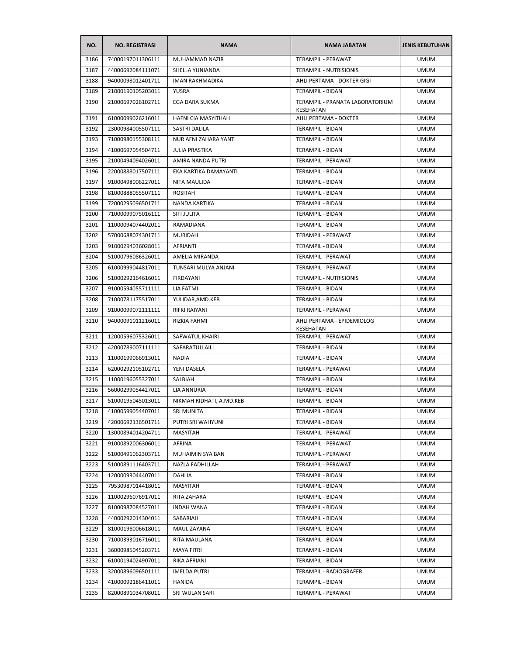| NO.  | <b>NO. REGISTRASI</b> | <b>NAMA</b>                | <b>NAMA JABATAN</b>                          | <b>JENIS KEBUTUHAN</b> |
|------|-----------------------|----------------------------|----------------------------------------------|------------------------|
| 3186 | 74000197011306111     | MUHAMMAD NAZIR             | <b>TERAMPIL - PERAWAT</b>                    | <b>UMUM</b>            |
| 3187 | 44000692084111071     | SHELLA YUNIANDA            | TERAMPIL - NUTRISIONIS                       | <b>UMUM</b>            |
| 3188 | 94000098012401711     | <b>IMAN RAKHMADIKA</b>     | AHLI PERTAMA - DOKTER GIGI                   | <b>UMUM</b>            |
| 3189 | 21000190105203011     | YUSRA                      | TERAMPIL - BIDAN                             | <b>UMUM</b>            |
| 3190 | 21000697026102711     | EGA DARA SUKMA             | TERAMPIL - PRANATA LABORATORIUM<br>KESEHATAN | <b>UMUM</b>            |
| 3191 | 61000099026216011     | <b>HAFNI CIA MASYITHAH</b> | AHLI PERTAMA - DOKTER                        | <b>UMUM</b>            |
| 3192 | 23000984005507111     | SASTRI DALILA              | <b>TERAMPIL - BIDAN</b>                      | <b>UMUM</b>            |
| 3193 | 71000980155308111     | NUR AFNI ZAHARA YANTI      | TERAMPIL - BIDAN                             | <b>UMUM</b>            |
| 3194 | 41000697054504711     | <b>JULIA PRASTIKA</b>      | TERAMPIL - BIDAN                             | <b>UMUM</b>            |
| 3195 | 21000494094026011     | AMIRA NANDA PUTRI          | TERAMPIL - PERAWAT                           | <b>UMUM</b>            |
| 3196 | 22000888017507111     | EKA KARTIKA DAMAYANTI      | TERAMPIL - BIDAN                             | <b>UMUM</b>            |
| 3197 | 91000498006227011     | NITA MAULIDA               | TERAMPIL - BIDAN                             | <b>UMUM</b>            |
| 3198 | 81000888055507111     | <b>ROSITAH</b>             | TERAMPIL - BIDAN                             | <b>UMUM</b>            |
| 3199 | 72000295096501711     | NANDA KARTIKA              | <b>TERAMPIL - BIDAN</b>                      | <b>UMUM</b>            |
| 3200 | 71000099075016111     | SITI JULITA                | TERAMPIL - BIDAN                             | <b>UMUM</b>            |
| 3201 | 11000094074402011     | RAMADIANA                  | <b>TERAMPIL - BIDAN</b>                      | <b>UMUM</b>            |
| 3202 | 57000688074301711     | <b>MURIDAH</b>             | TERAMPIL - PERAWAT                           | <b>UMUM</b>            |
| 3203 | 91000294036028011     | <b>AFRIANTI</b>            | TERAMPIL - BIDAN                             | <b>UMUM</b>            |
| 3204 | 51000796086326011     | AMELIA MIRANDA             | <b>TERAMPIL - PERAWAT</b>                    | <b>UMUM</b>            |
| 3205 | 61000999044817011     | TUNSARI MULYA ANJANI       | TERAMPIL - PERAWAT                           | <b>UMUM</b>            |
| 3206 | 51000292164616011     | FIRDAYANI                  | TERAMPIL - NUTRISIONIS                       | <b>UMUM</b>            |
| 3207 | 91000594055711111     | LIA FATMI                  | TERAMPIL - BIDAN                             | <b>UMUM</b>            |
| 3208 | 71000781175517011     | YULIDAR, AMD. KEB          | TERAMPIL - BIDAN                             | <b>UMUM</b>            |
| 3209 | 91000099072111111     | RIFKI RAIYANI              | TERAMPIL - PERAWAT                           | <b>UMUM</b>            |
| 3210 | 94000091011216011     | RIZKIA FAHMI               | AHLI PERTAMA - EPIDEMIOLOG<br>KESEHATAN      | <b>UMUM</b>            |
| 3211 | 12000596075326011     | SAFWATUL KHAIRI            | TERAMPIL - PERAWAT                           | <b>UMUM</b>            |
| 3212 | 42000789007111111     | SAFARATULLAILI             | TERAMPIL - BIDAN                             | <b>UMUM</b>            |
| 3213 | 11000199066913011     | NADIA                      | TERAMPIL - BIDAN                             | <b>UMUM</b>            |
| 3214 | 62000292105102711     | YENI DASELA                | TERAMPIL - PERAWAT                           | <b>UMUM</b>            |
| 3215 | 11000196055327011     | SALBIAH                    | TERAMPIL - BIDAN                             | <b>UMUM</b>            |
| 3216 | 56000299054427011     | LIA ANNURIA                | TERAMPIL - BIDAN                             | <b>UMUM</b>            |
| 3217 | 51000195045013011     | NIKMAH RIDHATI, A.MD.KEB   | <b>TERAMPIL - BIDAN</b>                      | <b>UMUM</b>            |
| 3218 | 41000599054407011     | <b>SRI MUNITA</b>          | TERAMPIL - BIDAN                             | <b>UMUM</b>            |
| 3219 | 42000692136501711     | PUTRI SRI WAHYUNI          | TERAMPIL - BIDAN                             | <b>UMUM</b>            |
| 3220 | 13000894014204711     | MASYITAH                   | TERAMPIL - PERAWAT                           | <b>UMUM</b>            |
| 3221 | 91000892006306011     | <b>AFRINA</b>              | TERAMPIL - PERAWAT                           | <b>UMUM</b>            |
| 3222 | 51000491062303711     | MUHAIMIN SYA'BAN           | TERAMPIL - PERAWAT                           | <b>UMUM</b>            |
| 3223 | 51000891116403711     | NAZLA FADHILLAH            | TERAMPIL - PERAWAT                           | <b>UMUM</b>            |
| 3224 | 12000093044407011     | DAHLIA                     | TERAMPIL - BIDAN                             | <b>UMUM</b>            |
| 3225 | 79530987014418011     | MASYITAH                   | TERAMPIL - BIDAN                             | <b>UMUM</b>            |
| 3226 | 11000296076917011     | RITA ZAHARA                | TERAMPIL - BIDAN                             | <b>UMUM</b>            |
| 3227 | 81000987084527011     | <b>INDAH WANA</b>          | TERAMPIL - BIDAN                             | <b>UMUM</b>            |
| 3228 | 44000292014304011     | SABARIAH                   | TERAMPIL - BIDAN                             | <b>UMUM</b>            |
| 3229 | 81000198006618011     | MAULIZAYANA                | TERAMPIL - BIDAN                             | <b>UMUM</b>            |
| 3230 | 71000393016716011     | RITA MAULANA               | TERAMPIL - BIDAN                             | <b>UMUM</b>            |
| 3231 | 36000985045203711     | <b>MAYA FITRI</b>          | TERAMPIL - BIDAN                             | <b>UMUM</b>            |
| 3232 | 61000194024907011     | RIKA AFRIANI               | TERAMPIL - BIDAN                             | <b>UMUM</b>            |
| 3233 | 32000896096501111     | <b>IMELDA PUTRI</b>        | TERAMPIL - RADIOGRAFER                       | <b>UMUM</b>            |
|      |                       |                            |                                              |                        |
| 3234 | 41000092186411011     | HANIDA                     | TERAMPIL - BIDAN                             | <b>UMUM</b>            |
| 3235 | 82000891034708011     | SRI WULAN SARI             | TERAMPIL - PERAWAT                           | <b>UMUM</b>            |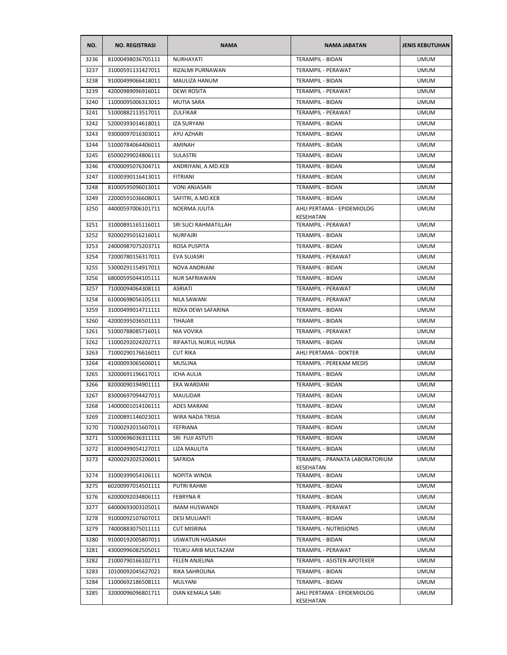| NO.  | <b>NO. REGISTRASI</b> | <b>NAMA</b>             | <b>NAMA JABATAN</b>                          | <b>JENIS KEBUTUHAN</b> |
|------|-----------------------|-------------------------|----------------------------------------------|------------------------|
| 3236 | 81000498036705111     | NURHAYATI               | <b>TERAMPIL - BIDAN</b>                      | <b>UMUM</b>            |
| 3237 | 31000591131427011     | RIZALMI PURNAWAN        | TERAMPIL - PERAWAT                           | <b>UMUM</b>            |
| 3238 | 91000499066418011     | MAULIZA HANUM           | TERAMPIL - BIDAN                             | <b>UMUM</b>            |
| 3239 | 42000989096916011     | <b>DEWI ROSITA</b>      | <b>TERAMPIL - PERAWAT</b>                    | <b>UMUM</b>            |
| 3240 | 11000095006313011     | MUTIA SARA              | TERAMPIL - BIDAN                             | <b>UMUM</b>            |
| 3241 | 51000882113517011     | <b>ZULFIKAR</b>         | TERAMPIL - PERAWAT                           | <b>UMUM</b>            |
| 3242 | 52000393014618011     | <b>IZA SURYANI</b>      | TERAMPIL - BIDAN                             | <b>UMUM</b>            |
| 3243 | 93000097016303011     | AYU AZHARI              | TERAMPIL - BIDAN                             | <b>UMUM</b>            |
| 3244 | 51000784064406011     | AMINAH                  | TERAMPIL - BIDAN                             | <b>UMUM</b>            |
| 3245 | 65000299024806111     | SULASTRI                | TERAMPIL - BIDAN                             | <b>UMUM</b>            |
| 3246 | 47000095076304711     | ANDRIYANI, A.MD.KEB     | TERAMPIL - BIDAN                             | <b>UMUM</b>            |
| 3247 | 31000390116413011     | <b>FITRIANI</b>         | TERAMPIL - BIDAN                             | <b>UMUM</b>            |
| 3248 | 81000595096013011     | <b>VONI ANJASARI</b>    | TERAMPIL - BIDAN                             | <b>UMUM</b>            |
| 3249 | 22000591036608011     | SAFITRI, A.MD.KEB       | TERAMPIL - BIDAN                             | <b>UMUM</b>            |
| 3250 | 44000597006101711     | NOERMA JULITA           | AHLI PERTAMA - EPIDEMIOLOG<br>KESEHATAN      | UMUM                   |
| 3251 | 31000891165116011     | SRI SUCI RAHMATILLAH    | TERAMPIL - PERAWAT                           | <b>UMUM</b>            |
| 3252 | 92000295016216011     | <b>NURFAJRI</b>         | <b>TERAMPIL - BIDAN</b>                      | <b>UMUM</b>            |
| 3253 | 24000987075203711     | ROSA PUSPITA            | TERAMPIL - BIDAN                             | <b>UMUM</b>            |
| 3254 | 72000780156317011     | EVA SUJASRI             | <b>TERAMPIL - PERAWAT</b>                    | <b>UMUM</b>            |
| 3255 | 53000291154917011     | <b>NOVA ANDRIANI</b>    | TERAMPIL - BIDAN                             | <b>UMUM</b>            |
| 3256 | 68000595044105111     | <b>NUR SAFRIAWAN</b>    | TERAMPIL - BIDAN                             | <b>UMUM</b>            |
| 3257 | 71000094064308111     | ASRIATI                 | TERAMPIL - PERAWAT                           | <b>UMUM</b>            |
| 3258 | 61000698056105111     | NILA SAWANI             | TERAMPIL - PERAWAT                           | <b>UMUM</b>            |
| 3259 | 31000499014711111     | RIZKA DEWI SAFARINA     | TERAMPIL - BIDAN                             | <b>UMUM</b>            |
| 3260 | 42000395036501111     | TIHAJAR                 | TERAMPIL - BIDAN                             | <b>UMUM</b>            |
| 3261 | 51000788085716011     | NIA VOVIKA              | TERAMPIL - PERAWAT                           | <b>UMUM</b>            |
| 3262 | 11000292024202711     | RIFAATUL NURUL HUSNA    | TERAMPIL - BIDAN                             | UMUM                   |
| 3263 | 71000290176616011     | <b>CUT RIKA</b>         | AHLI PERTAMA - DOKTER                        | UMUM                   |
| 3264 | 41000093065606011     | <b>MUSLINA</b>          | TERAMPIL - PEREKAM MEDIS                     | <b>UMUM</b>            |
| 3265 | 32000691196617011     | <b>ICHA AULIA</b>       | TERAMPIL - BIDAN                             | <b>UMUM</b>            |
| 3266 | 82000090194901111     | EKA WARDANI             | <b>TERAMPIL - BIDAN</b>                      | <b>UMUM</b>            |
| 3267 | 83000697094427011     | MAULIDAR                | TERAMPIL - BIDAN                             | <b>UMUM</b>            |
| 3268 | 14000001014106111     | ADES MARANI             | TERAMPIL - BIDAN                             | <b>UMUM</b>            |
| 3269 | 21000891146023011     | <b>WIRA NADA TRISIA</b> | TERAMPIL - BIDAN                             | <b>UMUM</b>            |
| 3270 | 71000292015607011     | FEFRIANA                | <b>TERAMPIL - BIDAN</b>                      | <b>UMUM</b>            |
| 3271 | 51000696036311111     | SRI FUJI ASTUTI         | TERAMPIL - BIDAN                             | <b>UMUM</b>            |
| 3272 | 81000499054127011     | LIZA MAULITA            | TERAMPIL - BIDAN                             | <b>UMUM</b>            |
| 3273 | 42000292025206011     | SAFRIDA                 | TERAMPIL - PRANATA LABORATORIUM<br>KESEHATAN | <b>UMUM</b>            |
| 3274 | 31000399054106111     | NOPITA WINDA            | TERAMPIL - BIDAN                             | <b>UMUM</b>            |
| 3275 | 60200997014501111     | PUTRI RAHMI             | TERAMPIL - BIDAN                             | <b>UMUM</b>            |
| 3276 | 62000092034806111     | FEBRYNA R               | TERAMPIL - BIDAN                             | <b>UMUM</b>            |
| 3277 | 64000693003105011     | <b>IMAM HUSWANDI</b>    | TERAMPIL - PERAWAT                           | <b>UMUM</b>            |
| 3278 | 91000092107607011     | <b>DESI MULIANTI</b>    | TERAMPIL - BIDAN                             | <b>UMUM</b>            |
| 3279 | 74000883075011111     | <b>CUT MISRINA</b>      | TERAMPIL - NUTRISIONIS                       | <b>UMUM</b>            |
| 3280 | 91000192005807011     | USWATUN HASANAH         | TERAMPIL - BIDAN                             | <b>UMUM</b>            |
| 3281 | 43000996082505011     | TEUKU ARIB MULTAZAM     | TERAMPIL - PERAWAT                           | <b>UMUM</b>            |
| 3282 | 21000790166102711     | FELEN ANJELINA          | TERAMPIL - ASISTEN APOTEKER                  | <b>UMUM</b>            |
| 3283 | 10100092045627021     | RIKA SAHROLINA          | TERAMPIL - BIDAN                             | <b>UMUM</b>            |
| 3284 | 11000692186508111     | MULYANI                 | TERAMPIL - BIDAN                             | <b>UMUM</b>            |
| 3285 | 32000096096801711     | DIAN KEMALA SARI        | AHLI PERTAMA - EPIDEMIOLOG<br>KESEHATAN      | <b>UMUM</b>            |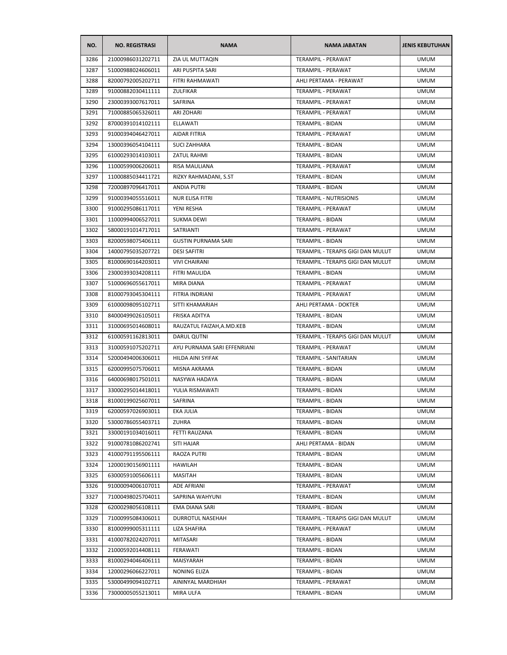| NO.  | <b>NO. REGISTRASI</b> | <b>NAMA</b>                 | <b>NAMA JABATAN</b>               | <b>JENIS KEBUTUHAN</b> |
|------|-----------------------|-----------------------------|-----------------------------------|------------------------|
| 3286 | 21000986031202711     | ZIA UL MUTTAQIN             | <b>TERAMPIL - PERAWAT</b>         | <b>UMUM</b>            |
| 3287 | 51000988024606011     | ARI PUSPITA SARI            | TERAMPIL - PERAWAT                | <b>UMUM</b>            |
| 3288 | 82000792005202711     | FITRI RAHMAWATI             | AHLI PERTAMA - PERAWAT            | <b>UMUM</b>            |
| 3289 | 91000882030411111     | ZULFIKAR                    | TERAMPIL - PERAWAT                | <b>UMUM</b>            |
| 3290 | 23000393007617011     | SAFRINA                     | TERAMPIL - PERAWAT                | <b>UMUM</b>            |
| 3291 | 71000885065326011     | ARI ZOHARI                  | TERAMPIL - PERAWAT                | <b>UMUM</b>            |
| 3292 | 87000391014102111     | <b>ELLAWATI</b>             | TERAMPIL - BIDAN                  | <b>UMUM</b>            |
| 3293 | 91000394046427011     | AIDAR FITRIA                | TERAMPIL - PERAWAT                | <b>UMUM</b>            |
| 3294 | 13000396054104111     | <b>SUCI ZAHHARA</b>         | TERAMPIL - BIDAN                  | <b>UMUM</b>            |
| 3295 | 61000293014103011     | ZATUL RAHMI                 | <b>TERAMPIL - BIDAN</b>           | <b>UMUM</b>            |
| 3296 | 11000599006206011     | RISA MAULIANA               | TERAMPIL - PERAWAT                | <b>UMUM</b>            |
| 3297 | 11000885034411721     | RIZKY RAHMADANI, S.ST       | TERAMPIL - BIDAN                  | <b>UMUM</b>            |
| 3298 | 72000897096417011     | <b>ANDIA PUTRI</b>          | TERAMPIL - BIDAN                  | <b>UMUM</b>            |
| 3299 | 91000394055516011     | NUR ELISA FITRI             | <b>TERAMPIL - NUTRISIONIS</b>     | <b>UMUM</b>            |
| 3300 | 91000295086117011     | YENI RESHA                  | TERAMPIL - PERAWAT                | <b>UMUM</b>            |
| 3301 | 11000994006527011     | <b>SUKMA DEWI</b>           | <b>TERAMPIL - BIDAN</b>           | <b>UMUM</b>            |
| 3302 | 58000191014717011     | SATRIANTI                   | TERAMPIL - PERAWAT                | <b>UMUM</b>            |
| 3303 | 82000598075406111     | <b>GUSTIN PURNAMA SARI</b>  | TERAMPIL - BIDAN                  | <b>UMUM</b>            |
| 3304 | 14000795035207721     | <b>DESI SAFITRI</b>         | TERAMPIL - TERAPIS GIGI DAN MULUT | <b>UMUM</b>            |
| 3305 | 81000690164203011     | <b>VIVI CHAIRANI</b>        | TERAMPIL - TERAPIS GIGI DAN MULUT | <b>UMUM</b>            |
| 3306 | 23000393034208111     | FITRI MAULIDA               | <b>TERAMPIL - BIDAN</b>           | <b>UMUM</b>            |
| 3307 | 51000696055617011     | MIRA DIANA                  | TERAMPIL - PERAWAT                | <b>UMUM</b>            |
| 3308 | 81000793045304111     | FITRIA INDRIANI             | TERAMPIL - PERAWAT                | <b>UMUM</b>            |
| 3309 | 61000098095102711     | SITTI KHAMARIAH             | AHLI PERTAMA - DOKTER             | <b>UMUM</b>            |
| 3310 | 84000499026105011     | FRISKA ADITYA               | TERAMPIL - BIDAN                  | <b>UMUM</b>            |
| 3311 | 31000695014608011     | RAUZATUL FAIZAH, A.MD.KEB   | TERAMPIL - BIDAN                  | <b>UMUM</b>            |
| 3312 | 61000591162813011     | DARUL QUTNI                 | TERAMPIL - TERAPIS GIGI DAN MULUT | <b>UMUM</b>            |
| 3313 | 31000591075202711     | AYU PURNAMA SARI EFFENRIANI | TERAMPIL - PERAWAT                | <b>UMUM</b>            |
| 3314 | 52000494006306011     | HILDA AINI SYIFAK           | TERAMPIL - SANITARIAN             | <b>UMUM</b>            |
| 3315 | 62000995075706011     | MISNA AKRAMA                | TERAMPIL - BIDAN                  | <b>UMUM</b>            |
| 3316 | 64000698017501011     | NASYWA HADAYA               | TERAMPIL - BIDAN                  | <b>UMUM</b>            |
| 3317 | 33000295014418011     | YULIA RISMAWATI             | <b>TERAMPIL - BIDAN</b>           | <b>UMUM</b>            |
| 3318 | 81000199025607011     | <b>SAFRINA</b>              | <b>TERAMPIL - BIDAN</b>           | <b>UMUM</b>            |
| 3319 | 62000597026903011     | EKA JULIA                   | TERAMPIL - BIDAN                  | <b>UMUM</b>            |
| 3320 | 53000786055403711     | ZUHRA                       | TERAMPIL - BIDAN                  | <b>UMUM</b>            |
| 3321 | 33000191034016011     | FETTI RAUZANA               | TERAMPIL - BIDAN                  | <b>UMUM</b>            |
| 3322 | 91000781086202741     | <b>SITI HAJAR</b>           | AHLI PERTAMA - BIDAN              | <b>UMUM</b>            |
| 3323 | 41000791195506111     | RAOZA PUTRI                 | TERAMPIL - BIDAN                  | <b>UMUM</b>            |
| 3324 | 12000190156901111     | HAWILAH                     | TERAMPIL - BIDAN                  | <b>UMUM</b>            |
| 3325 | 63000591005606111     | MASITAH                     | TERAMPIL - BIDAN                  | <b>UMUM</b>            |
| 3326 | 91000094006107011     | ADE AFRIANI                 | TERAMPIL - PERAWAT                | <b>UMUM</b>            |
| 3327 | 71000498025704011     | SAPRINA WAHYUNI             | TERAMPIL - BIDAN                  | <b>UMUM</b>            |
| 3328 | 62000298056108111     | EMA DIANA SARI              | TERAMPIL - BIDAN                  | <b>UMUM</b>            |
| 3329 | 71000995084306011     | <b>DURROTUL NASEHAH</b>     | TERAMPIL - TERAPIS GIGI DAN MULUT | <b>UMUM</b>            |
| 3330 | 81000999005311111     | LIZA SHAFIRA                | TERAMPIL - PERAWAT                | <b>UMUM</b>            |
| 3331 | 41000782024207011     | MITASARI                    | TERAMPIL - BIDAN                  | <b>UMUM</b>            |
| 3332 | 21000592014408111     | FERAWATI                    | TERAMPIL - BIDAN                  | <b>UMUM</b>            |
| 3333 | 81000294046406111     | MAISYARAH                   | TERAMPIL - BIDAN                  | <b>UMUM</b>            |
| 3334 | 12000296066227011     | NONING ELIZA                | TERAMPIL - BIDAN                  | <b>UMUM</b>            |
| 3335 | 53000499094102711     | AININYAL MARDHIAH           | TERAMPIL - PERAWAT                | <b>UMUM</b>            |
| 3336 | 73000005055213011     | MIRA ULFA                   | TERAMPIL - BIDAN                  | <b>UMUM</b>            |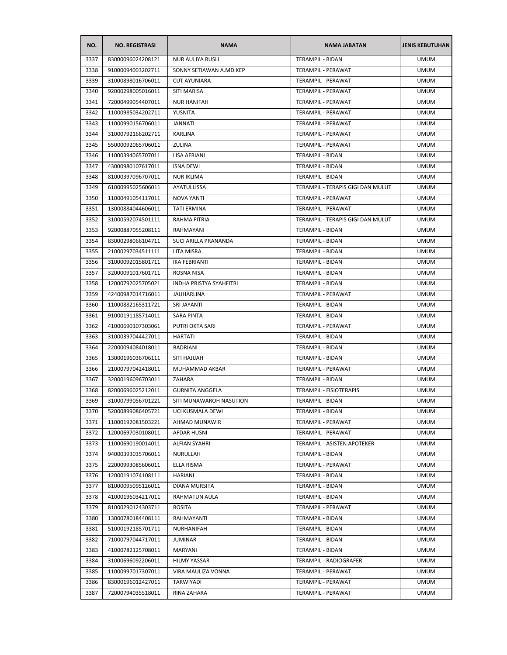| NO.  | <b>NO. REGISTRASI</b> | <b>NAMA</b>                    | <b>NAMA JABATAN</b>               | <b>JENIS KEBUTUHAN</b> |
|------|-----------------------|--------------------------------|-----------------------------------|------------------------|
| 3337 | 83000096024208121     | <b>NUR AULIYA RUSLI</b>        | <b>TERAMPIL - BIDAN</b>           | <b>UMUM</b>            |
| 3338 | 91000094003202711     | SONNY SETIAWAN A.MD.KEP        | TERAMPIL - PERAWAT                | <b>UMUM</b>            |
| 3339 | 31000898016706011     | <b>CUT AYUNIARA</b>            | TERAMPIL - PERAWAT                | <b>UMUM</b>            |
| 3340 | 92000298005016011     | SITI MARISA                    | TERAMPIL - PERAWAT                | <b>UMUM</b>            |
| 3341 | 72000499054407011     | <b>NUR HANIFAH</b>             | TERAMPIL - PERAWAT                | <b>UMUM</b>            |
| 3342 | 11000985034202711     | YUSNITA                        | TERAMPIL - PERAWAT                | <b>UMUM</b>            |
| 3343 | 11000990156706011     | JANNATI                        | <b>TERAMPIL - PERAWAT</b>         | <b>UMUM</b>            |
| 3344 | 31000792166202711     | KARLINA                        | TERAMPIL - PERAWAT                | <b>UMUM</b>            |
| 3345 | 55000092065706011     | ZULINA                         | TERAMPIL - PERAWAT                | <b>UMUM</b>            |
| 3346 | 11000394065707011     | LISA AFRIANI                   | <b>TERAMPIL - BIDAN</b>           | <b>UMUM</b>            |
| 3347 | 43000980107617011     | <b>ISNA DEWI</b>               | TERAMPIL - BIDAN                  | <b>UMUM</b>            |
| 3348 | 81000397096707011     | <b>NUR IKLIMA</b>              | TERAMPIL - BIDAN                  | <b>UMUM</b>            |
| 3349 | 61000995025606011     | AYATULLISSA                    | TERAMPIL - TERAPIS GIGI DAN MULUT | <b>UMUM</b>            |
| 3350 | 11000491054117011     | NOVA YANTI                     | TERAMPIL - PERAWAT                | <b>UMUM</b>            |
| 3351 | 13000884044606011     | <b>TATI ERMINA</b>             | <b>TERAMPIL - PERAWAT</b>         | <b>UMUM</b>            |
| 3352 | 31000592074501111     | RAHMA FITRIA                   | TERAMPIL - TERAPIS GIGI DAN MULUT | <b>UMUM</b>            |
| 3353 | 92000887055208111     | RAHMAYANI                      | <b>TERAMPIL - BIDAN</b>           | <b>UMUM</b>            |
| 3354 | 83000298066104711     | SUCI ARILLA PRANANDA           | TERAMPIL - BIDAN                  | <b>UMUM</b>            |
| 3355 | 21000297034511111     | LITA MISRA                     | TERAMPIL - BIDAN                  | <b>UMUM</b>            |
| 3356 | 31000092015801711     | IKA FEBRIANTI                  | TERAMPIL - BIDAN                  | <b>UMUM</b>            |
| 3357 | 32000091017601711     | ROSNA NISA                     | TERAMPIL - BIDAN                  | UMUM                   |
| 3358 | 12000792025705021     | <b>INDHA PRISTYA SYAHFITRI</b> | TERAMPIL - BIDAN                  | <b>UMUM</b>            |
| 3359 | 42400987014716011     | JAUHARLINA                     | TERAMPIL - PERAWAT                | <b>UMUM</b>            |
| 3360 | 11000882165311721     | SRI JAYANTI                    | TERAMPIL - BIDAN                  | <b>UMUM</b>            |
| 3361 | 91000191185714011     | <b>SARA PINTA</b>              | TERAMPIL - BIDAN                  | <b>UMUM</b>            |
| 3362 | 41000690107303061     | PUTRI OKTA SARI                | TERAMPIL - PERAWAT                | <b>UMUM</b>            |
| 3363 | 31000397044427011     | HARTATI                        | TERAMPIL - BIDAN                  | <b>UMUM</b>            |
| 3364 | 22000094084018011     | <b>BADRIANI</b>                | TERAMPIL - BIDAN                  | <b>UMUM</b>            |
| 3365 | 13000196036706111     | SITI HAJIJAH                   | TERAMPIL - BIDAN                  | <b>UMUM</b>            |
| 3366 | 21000797042418011     | MUHAMMAD AKBAR                 | TERAMPIL - PERAWAT                | <b>UMUM</b>            |
| 3367 | 32000196096703011     | ZAHARA                         | TERAMPIL - BIDAN                  | <b>UMUM</b>            |
| 3368 | 82000696025212011     | <b>GURNITA ANGGELA</b>         | <b>TERAMPIL - FISIOTERAPIS</b>    | <b>UMUM</b>            |
| 3369 | 31000799056701221     | SITI MUNAWAROH NASUTION        | <b>TERAMPIL - BIDAN</b>           | <b>UMUM</b>            |
| 3370 | 52000899086405721     | UCI KUSMALA DEWI               | TERAMPIL - BIDAN                  | <b>UMUM</b>            |
| 3371 | 11000192081503221     | AHMAD MUNAWIR                  | TERAMPIL - PERAWAT                | <b>UMUM</b>            |
| 3372 | 12000697030108011     | AFDAR HUSNI                    | TERAMPIL - PERAWAT                | <b>UMUM</b>            |
| 3373 | 11000690190014011     | <b>ALFIAN SYAHRI</b>           | TERAMPIL - ASISTEN APOTEKER       | <b>UMUM</b>            |
| 3374 | 94000393035706011     | NURULLAH                       | TERAMPIL - BIDAN                  | <b>UMUM</b>            |
| 3375 | 22000993085606011     | ELLA RISMA                     | TERAMPIL - PERAWAT                | <b>UMUM</b>            |
| 3376 | 12000191074108111     | HARIANI                        | <b>TERAMPIL - BIDAN</b>           | <b>UMUM</b>            |
| 3377 | 81000095095126011     | DIANA MURSITA                  | TERAMPIL - BIDAN                  | <b>UMUM</b>            |
| 3378 | 41000196034217011     | RAHMATUN AULA                  | TERAMPIL - BIDAN                  | <b>UMUM</b>            |
| 3379 | 81000290124303711     |                                | TERAMPIL - PERAWAT                |                        |
|      |                       | ROSITA                         |                                   | <b>UMUM</b>            |
| 3380 | 13000780184408111     | RAHMAYANTI                     | TERAMPIL - BIDAN                  | <b>UMUM</b>            |
| 3381 | 51000192185701711     | NURHANIFAH                     | TERAMPIL - BIDAN                  | <b>UMUM</b>            |
| 3382 | 71000797044717011     | <b>JUMINAR</b>                 | TERAMPIL - BIDAN                  | <b>UMUM</b>            |
| 3383 | 41000782125708011     | MARYANI                        | TERAMPIL - BIDAN                  | <b>UMUM</b>            |
| 3384 | 31000696092206011     | HILMY YASSAR                   | TERAMPIL - RADIOGRAFER            | <b>UMUM</b>            |
| 3385 | 11000997017307011     | VIRA MAULIZA VONNA             | TERAMPIL - PERAWAT                | <b>UMUM</b>            |
| 3386 | 83000196012427011     | TARWIYADI                      | TERAMPIL - PERAWAT                | <b>UMUM</b>            |
| 3387 | 72000794035518011     | RINA ZAHARA                    | TERAMPIL - PERAWAT                | <b>UMUM</b>            |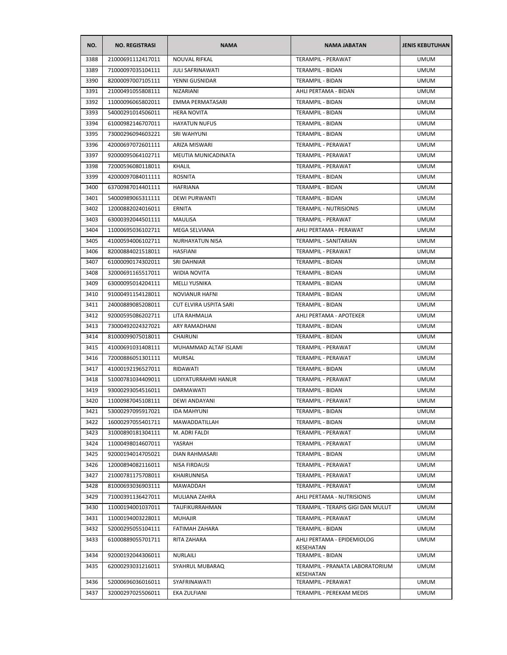| NO.  | <b>NO. REGISTRASI</b> | <b>NAMA</b>             | <b>NAMA JABATAN</b>                          | <b>JENIS KEBUTUHAN</b> |
|------|-----------------------|-------------------------|----------------------------------------------|------------------------|
| 3388 | 21000691112417011     | <b>NOUVAL RIFKAL</b>    | <b>TERAMPIL - PERAWAT</b>                    | <b>UMUM</b>            |
| 3389 | 71000097035104111     | <b>JULI SAFRINAWATI</b> | TERAMPIL - BIDAN                             | <b>UMUM</b>            |
| 3390 | 82000097007105111     | YENNI GUSNIDAR          | <b>TERAMPIL - BIDAN</b>                      | <b>UMUM</b>            |
| 3391 | 21000491055808111     | NIZARIANI               | AHLI PERTAMA - BIDAN                         | <b>UMUM</b>            |
| 3392 | 11000096065802011     | EMMA PERMATASARI        | TERAMPIL - BIDAN                             | <b>UMUM</b>            |
| 3393 | 54000291014506011     | <b>HERA NOVITA</b>      | TERAMPIL - BIDAN                             | <b>UMUM</b>            |
| 3394 | 61000982146707011     | <b>HAYATUN NUFUS</b>    | <b>TERAMPIL - BIDAN</b>                      | <b>UMUM</b>            |
| 3395 | 73000296094603221     | <b>SRI WAHYUNI</b>      | TERAMPIL - BIDAN                             | <b>UMUM</b>            |
| 3396 | 42000697072601111     | ARIZA MISWARI           | TERAMPIL - PERAWAT                           | <b>UMUM</b>            |
| 3397 | 92000095064102711     | MEUTIA MUNICADINATA     | TERAMPIL - PERAWAT                           | <b>UMUM</b>            |
| 3398 | 72000596080118011     | KHALIL                  | <b>TERAMPIL - PERAWAT</b>                    | <b>UMUM</b>            |
| 3399 | 42000097084011111     | <b>ROSNITA</b>          | TERAMPIL - BIDAN                             | <b>UMUM</b>            |
| 3400 | 63700987014401111     | <b>HAFRIANA</b>         | TERAMPIL - BIDAN                             | <b>UMUM</b>            |
| 3401 | 54000989065311111     | <b>DEWI PURWANTI</b>    | TERAMPIL - BIDAN                             | <b>UMUM</b>            |
| 3402 | 12000882024016011     | ERNITA                  | <b>TERAMPIL - NUTRISIONIS</b>                | <b>UMUM</b>            |
| 3403 | 63000392044501111     | <b>MAULISA</b>          | TERAMPIL - PERAWAT                           | <b>UMUM</b>            |
| 3404 | 11000695036102711     | <b>MEGA SELVIANA</b>    | AHLI PERTAMA - PERAWAT                       | <b>UMUM</b>            |
| 3405 | 41000594006102711     | <b>NURHAYATUN NISA</b>  | <b>TERAMPIL - SANITARIAN</b>                 | <b>UMUM</b>            |
| 3406 | 82000884021518011     | <b>HASFIANI</b>         | TERAMPIL - PERAWAT                           | <b>UMUM</b>            |
| 3407 | 61000090174302011     | SRI DAHNIAR             | TERAMPIL - BIDAN                             | <b>UMUM</b>            |
| 3408 | 32000691165517011     | <b>WIDIA NOVITA</b>     | TERAMPIL - BIDAN                             | <b>UMUM</b>            |
| 3409 | 63000095014204111     | MELLI YUSNIKA           | TERAMPIL - BIDAN                             | <b>UMUM</b>            |
| 3410 | 91000491154128011     | <b>NOVIANUR HAFNI</b>   | TERAMPIL - BIDAN                             | <b>UMUM</b>            |
| 3411 | 24000889085208011     | CUT ELVIRA USPITA SARI  | TERAMPIL - BIDAN                             | <b>UMUM</b>            |
| 3412 | 92000595086202711     | LITA RAHMALIA           | AHLI PERTAMA - APOTEKER                      | <b>UMUM</b>            |
| 3413 | 73000492024327021     | ARY RAMADHANI           | TERAMPIL - BIDAN                             | <b>UMUM</b>            |
| 3414 | 81000099075018011     | <b>CHAIRUNI</b>         | TERAMPIL - BIDAN                             | <b>UMUM</b>            |
| 3415 | 41000691031408111     | MUHAMMAD ALTAF ISLAMI   | TERAMPIL - PERAWAT                           | <b>UMUM</b>            |
| 3416 | 72000886051301111     | MURSAL                  | <b>TERAMPIL - PERAWAT</b>                    | <b>UMUM</b>            |
| 3417 | 41000192196527011     | RIDAWATI                | TERAMPIL - BIDAN                             | <b>UMUM</b>            |
| 3418 | 51000781034409011     | LIDIYATURRAHMI HANUR    | TERAMPIL - PERAWAT                           | <b>UMUM</b>            |
| 3419 | 93000293054516011     | DARMAWATI               | TERAMPIL - BIDAN                             | <b>UMUM</b>            |
| 3420 | 11000987045108111     | DEWI ANDAYANI           | <b>TERAMPIL - PERAWAT</b>                    | <b>UMUM</b>            |
| 3421 | 53000297095917021     | <b>IDA MAHYUNI</b>      | TERAMPIL - BIDAN                             | <b>UMUM</b>            |
| 3422 | 16000297055401711     | MAWADDATILLAH           | TERAMPIL - BIDAN                             | <b>UMUM</b>            |
| 3423 | 31000890181304111     | M. ADRI FALDI           | TERAMPIL - PERAWAT                           | <b>UMUM</b>            |
| 3424 | 11000498014607011     | YASRAH                  | TERAMPIL - PERAWAT                           | <b>UMUM</b>            |
| 3425 | 92000194014705021     | DIAN RAHMASARI          | TERAMPIL - BIDAN                             | <b>UMUM</b>            |
| 3426 | 12000894082116011     | <b>NISA FIRDAUSI</b>    | TERAMPIL - PERAWAT                           | <b>UMUM</b>            |
| 3427 | 21000781175708011     | KHAIRUNNISA             | TERAMPIL - PERAWAT                           | <b>UMUM</b>            |
| 3428 | 81000693036903111     | MAWADDAH                | TERAMPIL - PERAWAT                           | <b>UMUM</b>            |
| 3429 | 71000391136427011     | MULIANA ZAHRA           | AHLI PERTAMA - NUTRISIONIS                   | <b>UMUM</b>            |
| 3430 | 11000194001037011     | TAUFIKURRAHMAN          | TERAMPIL - TERAPIS GIGI DAN MULUT            | <b>UMUM</b>            |
| 3431 | 11000194003228011     | <b>MUHAJIR</b>          | TERAMPIL - PERAWAT                           | <b>UMUM</b>            |
| 3432 | 52000295055104111     | FATIMAH ZAHARA          | TERAMPIL - BIDAN                             | <b>UMUM</b>            |
| 3433 | 61000889055701711     | RITA ZAHARA             | AHLI PERTAMA - EPIDEMIOLOG                   | <b>UMUM</b>            |
|      |                       |                         | KESEHATAN                                    |                        |
| 3434 | 92000192044306011     | NURLAILI                | TERAMPIL - BIDAN                             | <b>UMUM</b>            |
| 3435 | 62000293031216011     | SYAHRUL MUBARAQ         | TERAMPIL - PRANATA LABORATORIUM<br>KESEHATAN | <b>UMUM</b>            |
| 3436 | 52000696036016011     | SYAFRINAWATI            | TERAMPIL - PERAWAT                           | <b>UMUM</b>            |
| 3437 | 32000297025506011     | EKA ZULFIANI            | TERAMPIL - PEREKAM MEDIS                     | <b>UMUM</b>            |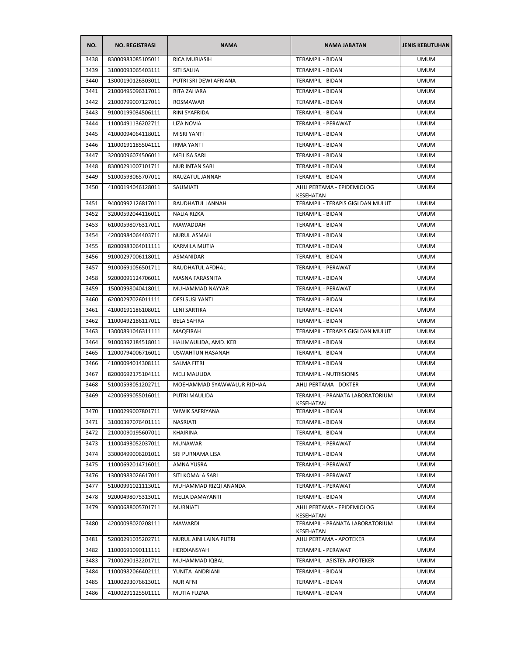| NO.  | <b>NO. REGISTRASI</b> | <b>NAMA</b>                | <b>NAMA JABATAN</b>                          | <b>JENIS KEBUTUHAN</b> |
|------|-----------------------|----------------------------|----------------------------------------------|------------------------|
| 3438 | 83000983085105011     | <b>RICA MURIASIH</b>       | <b>TERAMPIL - BIDAN</b>                      | <b>UMUM</b>            |
| 3439 | 31000093065403111     | SITI SALIJA                | TERAMPIL - BIDAN                             | <b>UMUM</b>            |
| 3440 | 13000190126303011     | PUTRI SRI DEWI AFRIANA     | TERAMPIL - BIDAN                             | <b>UMUM</b>            |
| 3441 | 21000495096317011     | RITA ZAHARA                | TERAMPIL - BIDAN                             | <b>UMUM</b>            |
| 3442 | 21000799007127011     | ROSMAWAR                   | TERAMPIL - BIDAN                             | <b>UMUM</b>            |
| 3443 | 91000199034506111     | RINI SYAFRIDA              | <b>TERAMPIL - BIDAN</b>                      | <b>UMUM</b>            |
| 3444 | 11000491136202711     | LIZA NOVIA                 | TERAMPIL - PERAWAT                           | <b>UMUM</b>            |
| 3445 | 41000094064118011     | <b>MISRI YANTI</b>         | TERAMPIL - BIDAN                             | <b>UMUM</b>            |
| 3446 | 11000191185504111     | <b>IRMA YANTI</b>          | <b>TERAMPIL - BIDAN</b>                      | <b>UMUM</b>            |
| 3447 | 32000096074506011     | MEILISA SARI               | <b>TERAMPIL - BIDAN</b>                      | <b>UMUM</b>            |
| 3448 | 83000291007101711     | <b>NUR INTAN SARI</b>      | TERAMPIL - BIDAN                             | <b>UMUM</b>            |
| 3449 | 51000593065707011     | RAUZATUL JANNAH            | TERAMPIL - BIDAN                             | <b>UMUM</b>            |
| 3450 | 41000194046128011     | SAUMIATI                   | AHLI PERTAMA - EPIDEMIOLOG<br>KESEHATAN      | <b>UMUM</b>            |
| 3451 | 94000992126817011     | RAUDHATUL JANNAH           | TERAMPIL - TERAPIS GIGI DAN MULUT            | <b>UMUM</b>            |
| 3452 | 32000592044116011     | NALIA RIZKA                | TERAMPIL - BIDAN                             | <b>UMUM</b>            |
| 3453 | 61000598076317011     | <b>MAWADDAH</b>            | TERAMPIL - BIDAN                             | <b>UMUM</b>            |
| 3454 | 42000984064403711     | <b>NURUL ASMAH</b>         | TERAMPIL - BIDAN                             | <b>UMUM</b>            |
| 3455 | 82000983064011111     | KARMILA MUTIA              | TERAMPIL - BIDAN                             | <b>UMUM</b>            |
| 3456 | 91000297006118011     | ASMANIDAR                  | TERAMPIL - BIDAN                             | <b>UMUM</b>            |
| 3457 | 91000691056501711     | RAUDHATUL AFDHAL           | TERAMPIL - PERAWAT                           | <b>UMUM</b>            |
| 3458 | 92000091124706011     | MASNA FARASNITA            | TERAMPIL - BIDAN                             | <b>UMUM</b>            |
| 3459 | 15000998040418011     | MUHAMMAD NAYYAR            | TERAMPIL - PERAWAT                           | <b>UMUM</b>            |
| 3460 | 62000297026011111     | <b>DESI SUSI YANTI</b>     | TERAMPIL - BIDAN                             | <b>UMUM</b>            |
| 3461 | 41000191186108011     | <b>LENI SARTIKA</b>        | TERAMPIL - BIDAN                             | <b>UMUM</b>            |
| 3462 | 11000492186117011     | <b>BELA SAFIRA</b>         | TERAMPIL - BIDAN                             | <b>UMUM</b>            |
| 3463 | 13000891046311111     | <b>MAQFIRAH</b>            | TERAMPIL - TERAPIS GIGI DAN MULUT            | <b>UMUM</b>            |
| 3464 | 91000392184518011     | HALIMAULIDA, AMD. KEB      | TERAMPIL - BIDAN                             | <b>UMUM</b>            |
| 3465 | 12000794006716011     | <b>USWAHTUN HASANAH</b>    | TERAMPIL - BIDAN                             | <b>UMUM</b>            |
| 3466 | 41000094014308111     | <b>SALMA FITRI</b>         | <b>TERAMPIL - BIDAN</b>                      | <b>UMUM</b>            |
| 3467 | 82000692175104111     | <b>MELI MAULIDA</b>        | TERAMPIL - NUTRISIONIS                       | <b>UMUM</b>            |
| 3468 | 51000593051202711     | MOEHAMMAD SYAWWALUR RIDHAA | AHLI PERTAMA - DOKTER                        | <b>UMUM</b>            |
| 3469 | 42000699055016011     | PUTRI MAULIDA              | TERAMPIL - PRANATA LABORATORIUM<br>KESEHATAN | <b>UMUM</b>            |
| 3470 | 11000299007801711     | WIWIK SAFRIYANA            | TERAMPIL - BIDAN                             | <b>UMUM</b>            |
| 3471 | 31000397076401111     | NASRIATI                   | TERAMPIL - BIDAN                             | <b>UMUM</b>            |
| 3472 | 21000090195607011     | KHAIRINA                   | TERAMPIL - BIDAN                             | <b>UMUM</b>            |
| 3473 | 11000493052037011     | MUNAWAR                    | TERAMPIL - PERAWAT                           | <b>UMUM</b>            |
| 3474 | 33000499006201011     | SRI PURNAMA LISA           | TERAMPIL - BIDAN                             | <b>UMUM</b>            |
| 3475 | 11000692014716011     | AMNA YUSRA                 | TERAMPIL - PERAWAT                           | <b>UMUM</b>            |
| 3476 | 13000983026617011     | SITI KOMALA SARI           | TERAMPIL - PERAWAT                           | <b>UMUM</b>            |
| 3477 | 51000991021113011     | MUHAMMAD RIZQI ANANDA      | TERAMPIL - PERAWAT                           | <b>UMUM</b>            |
| 3478 | 92000498075313011     | MELIA DAMAYANTI            | TERAMPIL - BIDAN                             | <b>UMUM</b>            |
| 3479 | 93000688005701711     | <b>MURNIATI</b>            | AHLI PERTAMA - EPIDEMIOLOG<br>KESEHATAN      | <b>UMUM</b>            |
| 3480 | 42000098020208111     | MAWARDI                    | TERAMPIL - PRANATA LABORATORIUM<br>KESEHATAN | <b>UMUM</b>            |
| 3481 | 52000291035202711     | NURUL AINI LAINA PUTRI     | AHLI PERTAMA - APOTEKER                      | <b>UMUM</b>            |
| 3482 | 11000691090111111     | HERDIANSYAH                | TERAMPIL - PERAWAT                           | <b>UMUM</b>            |
| 3483 | 71000290132201711     | MUHAMMAD IQBAL             | TERAMPIL - ASISTEN APOTEKER                  | <b>UMUM</b>            |
| 3484 | 11000982066402111     | YUNITA ANDRIANI            | TERAMPIL - BIDAN                             | <b>UMUM</b>            |
| 3485 | 11000293076613011     | <b>NUR AFNI</b>            | TERAMPIL - BIDAN                             | <b>UMUM</b>            |
| 3486 | 41000291125501111     | MUTIA FUZNA                | TERAMPIL - BIDAN                             | <b>UMUM</b>            |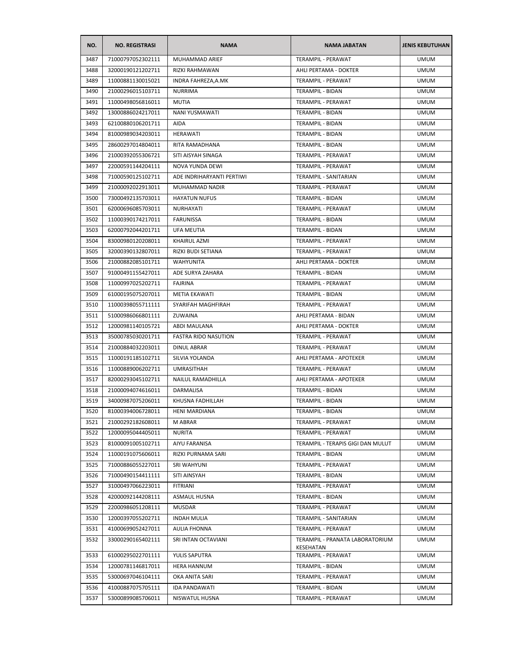| NO.  | <b>NO. REGISTRASI</b> | <b>NAMA</b>                 | <b>NAMA JABATAN</b>               | <b>JENIS KEBUTUHAN</b> |
|------|-----------------------|-----------------------------|-----------------------------------|------------------------|
| 3487 | 71000797052302111     | MUHAMMAD ARIEF              | <b>TERAMPIL - PERAWAT</b>         | <b>UMUM</b>            |
| 3488 | 32000190121202711     | RIZKI RAHMAWAN              | AHLI PERTAMA - DOKTER             | <b>UMUM</b>            |
| 3489 | 11000881130015021     | INDRA FAHREZA, A.MK         | TERAMPIL - PERAWAT                | <b>UMUM</b>            |
| 3490 | 21000296015103711     | <b>NURRIMA</b>              | TERAMPIL - BIDAN                  | <b>UMUM</b>            |
| 3491 | 11000498056816011     | <b>MUTIA</b>                | TERAMPIL - PERAWAT                | <b>UMUM</b>            |
| 3492 | 13000886024217011     | NANI YUSMAWATI              | TERAMPIL - BIDAN                  | <b>UMUM</b>            |
| 3493 | 62100880106201711     | <b>AIDA</b>                 | TERAMPIL - BIDAN                  | <b>UMUM</b>            |
| 3494 | 81000989034203011     | HERAWATI                    | TERAMPIL - BIDAN                  | <b>UMUM</b>            |
| 3495 | 28600297014804011     | RITA RAMADHANA              | <b>TERAMPIL - BIDAN</b>           | <b>UMUM</b>            |
| 3496 | 21000392055306721     | SITI AISYAH SINAGA          | TERAMPIL - PERAWAT                | <b>UMUM</b>            |
| 3497 | 22000591144204111     | NOVA YUNDA DEWI             | TERAMPIL - PERAWAT                | <b>UMUM</b>            |
| 3498 | 71000590125102711     | ADE INDRIHARYANTI PERTIWI   | TERAMPIL - SANITARIAN             | <b>UMUM</b>            |
| 3499 | 21000092022913011     | MUHAMMAD NADIR              | <b>TERAMPIL - PERAWAT</b>         | <b>UMUM</b>            |
| 3500 | 73000492135703011     | <b>HAYATUN NUFUS</b>        | TERAMPIL - BIDAN                  | <b>UMUM</b>            |
| 3501 | 62000696085703011     | <b>NURHAYATI</b>            | TERAMPIL - PERAWAT                | UMUM                   |
| 3502 | 11000390174217011     | <b>FARUNISSA</b>            | TERAMPIL - BIDAN                  | <b>UMUM</b>            |
| 3503 | 62000792044201711     | UFA MEUTIA                  | TERAMPIL - BIDAN                  | <b>UMUM</b>            |
| 3504 | 83000980120208011     | KHAIRUL AZMI                | <b>TERAMPIL - PERAWAT</b>         | <b>UMUM</b>            |
| 3505 | 32000390132807011     | RIZKI BUDI SETIANA          | TERAMPIL - PERAWAT                | <b>UMUM</b>            |
| 3506 | 21000882085101711     | <b>WAHYUNITA</b>            | AHLI PERTAMA - DOKTER             | <b>UMUM</b>            |
| 3507 | 91000491155427011     | ADE SURYA ZAHARA            | <b>TERAMPIL - BIDAN</b>           | UMUM                   |
| 3508 | 11000997025202711     | <b>FAJRINA</b>              | TERAMPIL - PERAWAT                | <b>UMUM</b>            |
| 3509 | 61000195075207011     | METIA EKAWATI               | TERAMPIL - BIDAN                  | <b>UMUM</b>            |
| 3510 | 11000398055711111     | SYARIFAH MAGHFIRAH          | TERAMPIL - PERAWAT                | <b>UMUM</b>            |
| 3511 | 51000986066801111     | ZUWAINA                     | AHLI PERTAMA - BIDAN              | <b>UMUM</b>            |
| 3512 | 12000981140105721     | ABDI MAULANA                | AHLI PERTAMA - DOKTER             | <b>UMUM</b>            |
| 3513 | 35000785030201711     | <b>FASTRA RIDO NASUTION</b> | TERAMPIL - PERAWAT                | <b>UMUM</b>            |
| 3514 | 21000884032203011     | DINUL ABRAR                 | TERAMPIL - PERAWAT                | <b>UMUM</b>            |
| 3515 | 11000191185102711     | SILVIA YOLANDA              | AHLI PERTAMA - APOTEKER           | <b>UMUM</b>            |
| 3516 | 11000889006202711     | UMRASITHAH                  | <b>TERAMPIL - PERAWAT</b>         | <b>UMUM</b>            |
| 3517 | 82000293045102711     | <b>NAILUL RAMADHILLA</b>    | AHLI PERTAMA - APOTEKER           | <b>UMUM</b>            |
| 3518 | 21000094074616011     | <b>DARMALISA</b>            | TERAMPIL - BIDAN                  | <b>UMUM</b>            |
| 3519 | 34000987075206011     | KHUSNA FADHILLAH            | <b>TERAMPIL - BIDAN</b>           | <b>UMUM</b>            |
| 3520 | 81000394006728011     | HENI MARDIANA               | TERAMPIL - BIDAN                  | <b>UMUM</b>            |
| 3521 | 21000292182608011     | M ABRAR                     | TERAMPIL - PERAWAT                | <b>UMUM</b>            |
| 3522 | 12000095044405011     | <b>NURITA</b>               | TERAMPIL - PERAWAT                | <b>UMUM</b>            |
| 3523 | 81000091005102711     | AIYU FARANISA               | TERAMPIL - TERAPIS GIGI DAN MULUT | <b>UMUM</b>            |
| 3524 | 11000191075606011     | RIZKI PURNAMA SARI          | TERAMPIL - BIDAN                  | <b>UMUM</b>            |
| 3525 | 71000886055227011     | SRI WAHYUNI                 | TERAMPIL - PERAWAT                | <b>UMUM</b>            |
| 3526 | 71000490154411111     | SITI AINSYAH                | TERAMPIL - BIDAN                  | <b>UMUM</b>            |
| 3527 | 31000497066223011     | <b>FITRIANI</b>             | TERAMPIL - PERAWAT                | <b>UMUM</b>            |
| 3528 | 42000092144208111     | <b>ASMAUL HUSNA</b>         | TERAMPIL - BIDAN                  | <b>UMUM</b>            |
| 3529 | 22000986051208111     | MUSDAR                      | TERAMPIL - PERAWAT                | <b>UMUM</b>            |
| 3530 | 12000397055202711     | <b>INDAH MULIA</b>          | TERAMPIL - SANITARIAN             | <b>UMUM</b>            |
| 3531 | 41000699052427011     | AULIA FHONNA                | TERAMPIL - PERAWAT                | <b>UMUM</b>            |
| 3532 | 33000290165402111     | SRI INTAN OCTAVIANI         | TERAMPIL - PRANATA LABORATORIUM   | <b>UMUM</b>            |
| 3533 | 61000295022701111     | YULIS SAPUTRA               | KESEHATAN<br>TERAMPIL - PERAWAT   | <b>UMUM</b>            |
| 3534 | 12000781146817011     | HERA HANNUM                 | TERAMPIL - BIDAN                  | <b>UMUM</b>            |
| 3535 | 53000697046104111     | OKA ANITA SARI              | TERAMPIL - PERAWAT                | <b>UMUM</b>            |
| 3536 | 41000887075705111     | <b>IDA PANDAWATI</b>        | TERAMPIL - BIDAN                  | <b>UMUM</b>            |
| 3537 | 53000899085706011     | NISWATUL HUSNA              | TERAMPIL - PERAWAT                | <b>UMUM</b>            |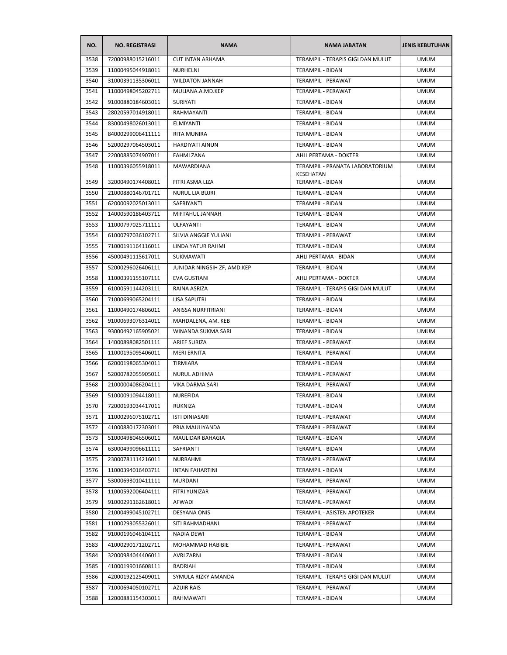| NO.  | <b>NO. REGISTRASI</b> | <b>NAMA</b>                 | <b>NAMA JABATAN</b>                          | <b>JENIS KEBUTUHAN</b> |
|------|-----------------------|-----------------------------|----------------------------------------------|------------------------|
| 3538 | 72000988015216011     | <b>CUT INTAN ARHAMA</b>     | TERAMPIL - TERAPIS GIGI DAN MULUT            | <b>UMUM</b>            |
| 3539 | 11000495044918011     | NURHELNI                    | TERAMPIL - BIDAN                             | <b>UMUM</b>            |
| 3540 | 31000391135306011     | <b>WILDATON JANNAH</b>      | TERAMPIL - PERAWAT                           | <b>UMUM</b>            |
| 3541 | 11000498045202711     | MULIANA.A.MD.KEP            | TERAMPIL - PERAWAT                           | <b>UMUM</b>            |
| 3542 | 91000880184603011     | <b>SURIYATI</b>             | TERAMPIL - BIDAN                             | <b>UMUM</b>            |
| 3543 | 28020597014918011     | RAHMAYANTI                  | TERAMPIL - BIDAN                             | <b>UMUM</b>            |
| 3544 | 83000498026013011     | ELMIYANTI                   | TERAMPIL - BIDAN                             | <b>UMUM</b>            |
| 3545 | 84000299006411111     | RITA MUNIRA                 | <b>TERAMPIL - BIDAN</b>                      | <b>UMUM</b>            |
| 3546 | 52000297064503011     | <b>HARDIYATI AINUN</b>      | TERAMPIL - BIDAN                             | <b>UMUM</b>            |
| 3547 | 22000885074907011     | <b>FAHMI ZANA</b>           | AHLI PERTAMA - DOKTER                        | <b>UMUM</b>            |
| 3548 | 11000396055918011     | MAWARDIANA                  | TERAMPIL - PRANATA LABORATORIUM<br>KESEHATAN | <b>UMUM</b>            |
| 3549 | 32000490174408011     | FITRI ASMA LIZA             | TERAMPIL - BIDAN                             | <b>UMUM</b>            |
| 3550 | 21000880146701711     | <b>NURUL LIA BUJRI</b>      | TERAMPIL - BIDAN                             | <b>UMUM</b>            |
| 3551 | 62000092025013011     | SAFRIYANTI                  | <b>TERAMPIL - BIDAN</b>                      | <b>UMUM</b>            |
| 3552 | 14000590186403711     | MIFTAHUL JANNAH             | TERAMPIL - BIDAN                             | <b>UMUM</b>            |
| 3553 | 11000797025711111     | ULFAYANTI                   | TERAMPIL - BIDAN                             | <b>UMUM</b>            |
| 3554 | 61000797036102711     | SILVIA ANGGIE YULIANI       | TERAMPIL - PERAWAT                           | <b>UMUM</b>            |
| 3555 | 71000191164116011     | LINDA YATUR RAHMI           | TERAMPIL - BIDAN                             | <b>UMUM</b>            |
| 3556 | 45000491115617011     | SUKMAWATI                   | AHLI PERTAMA - BIDAN                         | <b>UMUM</b>            |
| 3557 | 52000296026406111     | JUNIDAR NINGSIH ZF, AMD.KEP | <b>TERAMPIL - BIDAN</b>                      | <b>UMUM</b>            |
| 3558 | 11000391155107111     | <b>EVA GUSTIANI</b>         | AHLI PERTAMA - DOKTER                        | <b>UMUM</b>            |
| 3559 | 61000591144203111     | RAINA ASRIZA                | TERAMPIL - TERAPIS GIGI DAN MULUT            | <b>UMUM</b>            |
| 3560 | 71000699065204111     | LISA SAPUTRI                | TERAMPIL - BIDAN                             | <b>UMUM</b>            |
| 3561 | 11000490174806011     | ANISSA NURFITRIANI          | TERAMPIL - BIDAN                             | <b>UMUM</b>            |
| 3562 | 91000693076314011     | MAHDALENA, AM. KEB          | TERAMPIL - BIDAN                             | <b>UMUM</b>            |
| 3563 | 93000492165905021     | WINANDA SUKMA SARI          | TERAMPIL - BIDAN                             | <b>UMUM</b>            |
| 3564 | 14000898082501111     | <b>ARIEF SURIZA</b>         | TERAMPIL - PERAWAT                           | <b>UMUM</b>            |
| 3565 | 11000195095406011     | <b>MERI ERNITA</b>          | TERAMPIL - PERAWAT                           | <b>UMUM</b>            |
| 3566 | 62000198065304011     | TIRMIARA                    | TERAMPIL - BIDAN                             | <b>UMUM</b>            |
| 3567 | 52000782055905011     | NURUL ADHIMA                | TERAMPIL - PERAWAT                           | <b>UMUM</b>            |
| 3568 | 21000004086204111     | <b>VIKA DARMA SARI</b>      | TERAMPIL - PERAWAT                           | <b>UMUM</b>            |
| 3569 | 51000091094418011     | NUREFIDA                    | TERAMPIL - BIDAN                             | <b>UMUM</b>            |
| 3570 | 72000193034417011     | RUKNIZA                     | TERAMPIL - BIDAN                             | <b>UMUM</b>            |
| 3571 | 11000296075102711     | ISTI DINIASARI              | TERAMPIL - PERAWAT                           | <b>UMUM</b>            |
| 3572 | 41000880172303011     | PRIA MAULIYANDA             | TERAMPIL - PERAWAT                           | <b>UMUM</b>            |
| 3573 | 51000498046506011     | <b>MAULIDAR BAHAGIA</b>     | TERAMPIL - BIDAN                             | <b>UMUM</b>            |
| 3574 | 63000499096611111     | SAFRIANTI                   | TERAMPIL - BIDAN                             | <b>UMUM</b>            |
| 3575 | 23000781114216011     | NURRAHMI                    | TERAMPIL - PERAWAT                           | <b>UMUM</b>            |
| 3576 | 11000394016403711     | <b>INTAN FAHARTINI</b>      | TERAMPIL - BIDAN                             | <b>UMUM</b>            |
| 3577 | 53000693010411111     | MURDANI                     | TERAMPIL - PERAWAT                           | <b>UMUM</b>            |
| 3578 | 11000592006404111     | FITRI YUNIZAR               | TERAMPIL - PERAWAT                           | <b>UMUM</b>            |
| 3579 | 91000291162618011     | AFWADI                      | TERAMPIL - PERAWAT                           | <b>UMUM</b>            |
| 3580 | 21000499045102711     | DESYANA ONIS                | TERAMPIL - ASISTEN APOTEKER                  | <b>UMUM</b>            |
| 3581 | 11000293055326011     | SITI RAHMADHANI             | TERAMPIL - PERAWAT                           | <b>UMUM</b>            |
| 3582 | 91000196046104111     | NADIA DEWI                  | TERAMPIL - BIDAN                             | <b>UMUM</b>            |
| 3583 | 41000290171202711     | MOHAMMAD HABIBIE            | TERAMPIL - PERAWAT                           | <b>UMUM</b>            |
| 3584 | 32000984044406011     | <b>AVRI ZARNI</b>           | TERAMPIL - BIDAN                             | <b>UMUM</b>            |
| 3585 | 41000199016608111     | BADRIAH                     | TERAMPIL - BIDAN                             | <b>UMUM</b>            |
| 3586 | 42000192125409011     | SYMULA RIZKY AMANDA         | TERAMPIL - TERAPIS GIGI DAN MULUT            | <b>UMUM</b>            |
| 3587 | 71000694050102711     | <b>AZUIR RAIS</b>           | TERAMPIL - PERAWAT                           | <b>UMUM</b>            |
| 3588 | 12000881154303011     | RAHMAWATI                   | TERAMPIL - BIDAN                             | <b>UMUM</b>            |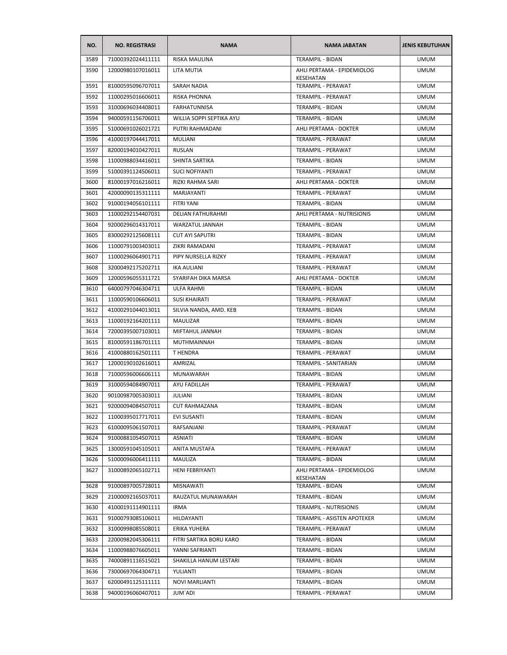| NO.  | <b>NO. REGISTRASI</b> | <b>NAMA</b>              | <b>NAMA JABATAN</b>                     | <b>JENIS KEBUTUHAN</b> |
|------|-----------------------|--------------------------|-----------------------------------------|------------------------|
| 3589 | 71000392024411111     | RISKA MAULINA            | TERAMPIL - BIDAN                        | <b>UMUM</b>            |
| 3590 | 12000980107016011     | LITA MUTIA               | AHLI PERTAMA - EPIDEMIOLOG<br>KESEHATAN | <b>UMUM</b>            |
| 3591 | 81000595096707011     | SARAH NADIA              | TERAMPIL - PERAWAT                      | <b>UMUM</b>            |
| 3592 | 11000295016606011     | RISKA PHONNA             | TERAMPIL - PERAWAT                      | <b>UMUM</b>            |
| 3593 | 31000696034408011     | <b>FARHATUNNISA</b>      | TERAMPIL - BIDAN                        | <b>UMUM</b>            |
| 3594 | 94000591156706011     | WILLIA SOPPI SEPTIKA AYU | TERAMPIL - BIDAN                        | <b>UMUM</b>            |
| 3595 | 51000691026021721     | PUTRI RAHMADANI          | AHLI PERTAMA - DOKTER                   | <b>UMUM</b>            |
| 3596 | 41000197044417011     | MULIANI                  | TERAMPIL - PERAWAT                      | <b>UMUM</b>            |
| 3597 | 82000194010427011     | RUSLAN                   | <b>TERAMPIL - PERAWAT</b>               | <b>UMUM</b>            |
| 3598 | 11000988034416011     | SHINTA SARTIKA           | TERAMPIL - BIDAN                        | <b>UMUM</b>            |
| 3599 | 51000391124506011     | SUCI NOFIYANTI           | TERAMPIL - PERAWAT                      | <b>UMUM</b>            |
| 3600 | 81000197016216011     | RIZKI RAHMA SARI         | AHLI PERTAMA - DOKTER                   | <b>UMUM</b>            |
| 3601 | 42000090135311111     | MARJAYANTI               | TERAMPIL - PERAWAT                      | <b>UMUM</b>            |
| 3602 | 91000194056101111     | FITRI YANI               | TERAMPIL - BIDAN                        | <b>UMUM</b>            |
| 3603 | 11000292154407031     | <b>DELIAN FATHURAHMI</b> | AHLI PERTAMA - NUTRISIONIS              | <b>UMUM</b>            |
| 3604 | 92000296014317011     | WARZATUL JANNAH          | <b>TERAMPIL - BIDAN</b>                 | <b>UMUM</b>            |
| 3605 | 83000292125608111     | <b>CUT AYI SAPUTRI</b>   | TERAMPIL - BIDAN                        | <b>UMUM</b>            |
| 3606 | 11000791003403011     | ZIKRI RAMADANI           | TERAMPIL - PERAWAT                      | <b>UMUM</b>            |
| 3607 | 11000296064901711     | PIPY NURSELLA RIZKY      | TERAMPIL - PERAWAT                      | <b>UMUM</b>            |
| 3608 | 32000492175202711     | <b>IKA AULIANI</b>       | TERAMPIL - PERAWAT                      | <b>UMUM</b>            |
| 3609 | 12000596055311721     | SYARIFAH DIKA MARSA      | AHLI PERTAMA - DOKTER                   | <b>UMUM</b>            |
| 3610 | 64000797046304711     | ULFA RAHMI               | TERAMPIL - BIDAN                        | <b>UMUM</b>            |
| 3611 | 11000590106606011     | <b>SUSI KHAIRATI</b>     | TERAMPIL - PERAWAT                      | <b>UMUM</b>            |
| 3612 | 41000291044013011     | SILVIA NANDA, AMD. KEB   | TERAMPIL - BIDAN                        | <b>UMUM</b>            |
| 3613 | 11000192164201111     | MAULIZAR                 | TERAMPIL - BIDAN                        | UMUM                   |
| 3614 | 72000395007103011     | MIFTAHUL JANNAH          | TERAMPIL - BIDAN                        | <b>UMUM</b>            |
| 3615 | 81000591186701111     | MUTHMAINNAH              | TERAMPIL - BIDAN                        | <b>UMUM</b>            |
| 3616 | 41000880162501111     | T HENDRA                 | TERAMPIL - PERAWAT                      | <b>UMUM</b>            |
| 3617 | 12000190102616011     | AMRIZAL                  | TERAMPIL - SANITARIAN                   | <b>UMUM</b>            |
| 3618 | 71000596006606111     | MUNAWARAH                | TERAMPIL - BIDAN                        | <b>UMUM</b>            |
| 3619 | 31000594084907011     | AYU FADILLAH             | <b>TERAMPIL - PERAWAT</b>               | <b>UMUM</b>            |
| 3620 | 90100987005303011     | JULIANI                  | <b>TERAMPIL - BIDAN</b>                 | <b>UMUM</b>            |
| 3621 | 92000094084507011     | <b>CUT RAHMAZANA</b>     | TERAMPIL - BIDAN                        | <b>UMUM</b>            |
| 3622 | 11000395017717011     | <b>EVI SUSANTI</b>       | TERAMPIL - BIDAN                        | <b>UMUM</b>            |
| 3623 | 61000095061507011     | RAFSANJANI               | TERAMPIL - PERAWAT                      | <b>UMUM</b>            |
| 3624 | 91000881054507011     | ASNIATI                  | <b>TERAMPIL - BIDAN</b>                 | <b>UMUM</b>            |
| 3625 | 13000591045105011     | ANITA MUSTAFA            | TERAMPIL - PERAWAT                      | <b>UMUM</b>            |
| 3626 | 51000096006411111     | MAULIZA                  | TERAMPIL - BIDAN                        | <b>UMUM</b>            |
| 3627 | 31000892065102711     | HENI FEBRIYANTI          | AHLI PERTAMA - EPIDEMIOLOG<br>KESEHATAN | <b>UMUM</b>            |
| 3628 | 91000897005728011     | MISNAWATI                | TERAMPIL - BIDAN                        | <b>UMUM</b>            |
| 3629 | 21000092165037011     | RAUZATUL MUNAWARAH       | TERAMPIL - BIDAN                        | <b>UMUM</b>            |
| 3630 | 41000191114901111     | <b>IRMA</b>              | <b>TERAMPIL - NUTRISIONIS</b>           | <b>UMUM</b>            |
| 3631 | 91000793085106011     | HILDAYANTI               | TERAMPIL - ASISTEN APOTEKER             | <b>UMUM</b>            |
| 3632 | 31000998085508011     | ERIKA YUHERA             | TERAMPIL - PERAWAT                      | <b>UMUM</b>            |
| 3633 | 22000982045306111     | FITRI SARTIKA BORU KARO  | TERAMPIL - BIDAN                        | <b>UMUM</b>            |
| 3634 | 11000988076605011     | YANNI SAFRIANTI          | TERAMPIL - BIDAN                        | <b>UMUM</b>            |
| 3635 | 74000891116515021     | SHAKILLA HANUM LESTARI   | TERAMPIL - BIDAN                        | <b>UMUM</b>            |
| 3636 | 73000697064304711     | YULIANTI                 | TERAMPIL - BIDAN                        | <b>UMUM</b>            |
| 3637 | 62000491125111111     | <b>NOVI MARLIANTI</b>    | TERAMPIL - BIDAN                        | <b>UMUM</b>            |
| 3638 | 94000196060407011     | JUM'ADI                  | TERAMPIL - PERAWAT                      | <b>UMUM</b>            |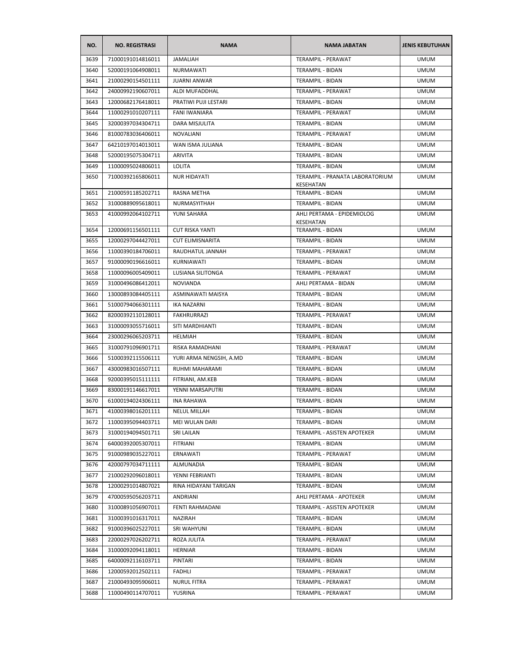| 71000191014816011<br><b>JAMALIAH</b><br><b>TERAMPIL - PERAWAT</b><br>3639<br><b>UMUM</b><br>3640<br>TERAMPIL - BIDAN<br>52000191064908011<br>NURMAWATI<br><b>UMUM</b><br>3641<br>21000290154501111<br><b>JUARNI ANWAR</b><br>TERAMPIL - BIDAN<br><b>UMUM</b><br>3642<br>24000992190607011<br>ALDI MUFADDHAL<br>TERAMPIL - PERAWAT<br><b>UMUM</b><br>3643<br>12000682176418011<br>PRATIWI PUJI LESTARI<br>TERAMPIL - BIDAN<br><b>UMUM</b><br>3644<br>11000291010207111<br><b>FANI IWANIARA</b><br>TERAMPIL - PERAWAT<br>UMUM<br>32000397034304711<br>DARA MISJULITA<br>TERAMPIL - BIDAN<br>3645<br><b>UMUM</b><br>3646<br>81000783036406011<br><b>NOVALIANI</b><br>TERAMPIL - PERAWAT<br><b>UMUM</b><br>3647<br>WAN ISMA JULIANA<br>64210197014013011<br>TERAMPIL - BIDAN<br><b>UMUM</b><br>3648<br>52000195075304711<br><b>ARIVITA</b><br>TERAMPIL - BIDAN<br><b>UMUM</b><br>3649<br>11000095024806011<br><b>LOLITA</b><br>TERAMPIL - BIDAN<br><b>UMUM</b><br>TERAMPIL - PRANATA LABORATORIUM<br>3650<br>71000392165806011<br><b>NUR HIDAYATI</b><br><b>UMUM</b><br>KESEHATAN<br>21000591185202711<br>3651<br>RASNA METHA<br>TERAMPIL - BIDAN<br><b>UMUM</b><br>NURMASYITHAH<br>3652<br>31000889095618011<br>TERAMPIL - BIDAN<br><b>UMUM</b><br>3653<br>41000992064102711<br>YUNI SAHARA<br>AHLI PERTAMA - EPIDEMIOLOG<br><b>UMUM</b><br>KESEHATAN<br>12000691156501111<br><b>CUT RISKA YANTI</b><br><b>UMUM</b><br>3654<br>TERAMPIL - BIDAN<br>3655<br>12000297044427011<br><b>CUT ELIMISNARITA</b><br>TERAMPIL - BIDAN<br><b>UMUM</b><br>RAUDHATUL JANNAH<br>TERAMPIL - PERAWAT<br>3656<br>11000390184706011<br><b>UMUM</b><br>91000090196616011<br>3657<br>KURNIAWATI<br>TERAMPIL - BIDAN<br><b>UMUM</b><br>3658<br>11000096005409011<br>LUSIANA SILITONGA<br>TERAMPIL - PERAWAT<br><b>UMUM</b><br>3659<br>31000496086412011<br><b>NOVIANDA</b><br>AHLI PERTAMA - BIDAN<br><b>UMUM</b><br>3660<br>13000893084405111<br>ASMINAWATI MAISYA<br>TERAMPIL - BIDAN<br><b>UMUM</b><br><b>IKA NAZARNI</b><br>TERAMPIL - BIDAN<br><b>UMUM</b><br>3661<br>51000794066301111<br>3662<br>82000392110128011<br>FAKHRURRAZI<br>TERAMPIL - PERAWAT<br><b>UMUM</b><br>3663<br>31000093055716011<br>SITI MARDHIANTI<br>TERAMPIL - BIDAN<br>UMUM<br>23000296065203711<br>3664<br><b>HELMIAH</b><br>TERAMPIL - BIDAN<br><b>UMUM</b><br>3665<br>31000791096901711<br>RISKA RAMADHANI<br>TERAMPIL - PERAWAT<br><b>UMUM</b><br>3666<br>51000392115506111<br>YURI ARMA NENGSIH, A.MD<br>TERAMPIL - BIDAN<br><b>UMUM</b><br>3667<br>43000983016507111<br>RUHMI MAHARAMI<br>TERAMPIL - BIDAN<br><b>UMUM</b><br>3668<br>92000395015111111<br>FITRIANI, AM.KEB<br>TERAMPIL - BIDAN<br><b>UMUM</b><br>3669<br>83000191146617011<br>YENNI MARSAPUTRI<br><b>TERAMPIL - BIDAN</b><br><b>UMUM</b><br>3670<br><b>TERAMPIL - BIDAN</b><br>61000194024306111<br><b>INA RAHAWA</b><br><b>UMUM</b><br>3671<br>41000398016201111<br><b>NELUL MILLAH</b><br>TERAMPIL - BIDAN<br><b>UMUM</b><br>TERAMPIL - BIDAN<br>3672<br>11000395094403711<br>MEI WULAN DARI<br><b>UMUM</b><br>3673<br>31000194094501711<br>SRI LAILAN<br>TERAMPIL - ASISTEN APOTEKER<br><b>UMUM</b><br><b>UMUM</b><br>3674<br>64000392005307011<br><b>FITRIANI</b><br>TERAMPIL - BIDAN<br>3675<br>91000989035227011<br>ERNAWATI<br>TERAMPIL - PERAWAT<br><b>UMUM</b><br>42000797034711111<br>TERAMPIL - BIDAN<br><b>UMUM</b><br>3676<br>ALMUNADIA<br>21000292096018011<br>TERAMPIL - BIDAN<br>3677<br>YENNI FEBRIANTI<br><b>UMUM</b><br>3678<br>12000291014807021<br>RINA HIDAYANI TARIGAN<br>TERAMPIL - BIDAN<br><b>UMUM</b><br>3679<br>47000595056203711<br>ANDRIANI<br>AHLI PERTAMA - APOTEKER<br><b>UMUM</b><br>3680<br>31000891056907011<br>FENTI RAHMADANI<br>TERAMPIL - ASISTEN APOTEKER<br><b>UMUM</b><br>3681<br><b>UMUM</b><br>31000391016317011<br>NAZIRAH<br>TERAMPIL - BIDAN<br>3682<br>91000396025227011<br>SRI WAHYUNI<br>TERAMPIL - BIDAN<br><b>UMUM</b><br>22000297026202711<br>3683<br>ROZA JULITA<br>TERAMPIL - PERAWAT<br><b>UMUM</b><br>31000092094118011<br>TERAMPIL - BIDAN<br>3684<br><b>HERNIAR</b><br><b>UMUM</b><br>64000092116103711<br>3685<br>PINTARI<br>TERAMPIL - BIDAN<br><b>UMUM</b><br>TERAMPIL - PERAWAT<br>3686<br>12000592012502111<br><b>FADHLI</b><br><b>UMUM</b><br>3687<br>21000493095906011<br><b>NURUL FITRA</b><br>TERAMPIL - PERAWAT<br><b>UMUM</b><br>3688<br>11000490114707011<br>YUSRINA<br>TERAMPIL - PERAWAT<br><b>UMUM</b> | NO. | <b>NO. REGISTRASI</b> | <b>NAMA</b> | <b>NAMA JABATAN</b> | <b>JENIS KEBUTUHAN</b> |
|---------------------------------------------------------------------------------------------------------------------------------------------------------------------------------------------------------------------------------------------------------------------------------------------------------------------------------------------------------------------------------------------------------------------------------------------------------------------------------------------------------------------------------------------------------------------------------------------------------------------------------------------------------------------------------------------------------------------------------------------------------------------------------------------------------------------------------------------------------------------------------------------------------------------------------------------------------------------------------------------------------------------------------------------------------------------------------------------------------------------------------------------------------------------------------------------------------------------------------------------------------------------------------------------------------------------------------------------------------------------------------------------------------------------------------------------------------------------------------------------------------------------------------------------------------------------------------------------------------------------------------------------------------------------------------------------------------------------------------------------------------------------------------------------------------------------------------------------------------------------------------------------------------------------------------------------------------------------------------------------------------------------------------------------------------------------------------------------------------------------------------------------------------------------------------------------------------------------------------------------------------------------------------------------------------------------------------------------------------------------------------------------------------------------------------------------------------------------------------------------------------------------------------------------------------------------------------------------------------------------------------------------------------------------------------------------------------------------------------------------------------------------------------------------------------------------------------------------------------------------------------------------------------------------------------------------------------------------------------------------------------------------------------------------------------------------------------------------------------------------------------------------------------------------------------------------------------------------------------------------------------------------------------------------------------------------------------------------------------------------------------------------------------------------------------------------------------------------------------------------------------------------------------------------------------------------------------------------------------------------------------------------------------------------------------------------------------------------------------------------------------------------------------------------------------------------------------------------------------------------------------------------------------------------------------------------------------------------------------------------------------------------------------------------------------------------------------------------------------------------------------------------------------------------------------------------------------------------------------------------------------------------------------------------------------------------------------------------------------------------------------------------------------------|-----|-----------------------|-------------|---------------------|------------------------|
|                                                                                                                                                                                                                                                                                                                                                                                                                                                                                                                                                                                                                                                                                                                                                                                                                                                                                                                                                                                                                                                                                                                                                                                                                                                                                                                                                                                                                                                                                                                                                                                                                                                                                                                                                                                                                                                                                                                                                                                                                                                                                                                                                                                                                                                                                                                                                                                                                                                                                                                                                                                                                                                                                                                                                                                                                                                                                                                                                                                                                                                                                                                                                                                                                                                                                                                                                                                                                                                                                                                                                                                                                                                                                                                                                                                                                                                                                                                                                                                                                                                                                                                                                                                                                                                                                                                                                                                                               |     |                       |             |                     |                        |
|                                                                                                                                                                                                                                                                                                                                                                                                                                                                                                                                                                                                                                                                                                                                                                                                                                                                                                                                                                                                                                                                                                                                                                                                                                                                                                                                                                                                                                                                                                                                                                                                                                                                                                                                                                                                                                                                                                                                                                                                                                                                                                                                                                                                                                                                                                                                                                                                                                                                                                                                                                                                                                                                                                                                                                                                                                                                                                                                                                                                                                                                                                                                                                                                                                                                                                                                                                                                                                                                                                                                                                                                                                                                                                                                                                                                                                                                                                                                                                                                                                                                                                                                                                                                                                                                                                                                                                                                               |     |                       |             |                     |                        |
|                                                                                                                                                                                                                                                                                                                                                                                                                                                                                                                                                                                                                                                                                                                                                                                                                                                                                                                                                                                                                                                                                                                                                                                                                                                                                                                                                                                                                                                                                                                                                                                                                                                                                                                                                                                                                                                                                                                                                                                                                                                                                                                                                                                                                                                                                                                                                                                                                                                                                                                                                                                                                                                                                                                                                                                                                                                                                                                                                                                                                                                                                                                                                                                                                                                                                                                                                                                                                                                                                                                                                                                                                                                                                                                                                                                                                                                                                                                                                                                                                                                                                                                                                                                                                                                                                                                                                                                                               |     |                       |             |                     |                        |
|                                                                                                                                                                                                                                                                                                                                                                                                                                                                                                                                                                                                                                                                                                                                                                                                                                                                                                                                                                                                                                                                                                                                                                                                                                                                                                                                                                                                                                                                                                                                                                                                                                                                                                                                                                                                                                                                                                                                                                                                                                                                                                                                                                                                                                                                                                                                                                                                                                                                                                                                                                                                                                                                                                                                                                                                                                                                                                                                                                                                                                                                                                                                                                                                                                                                                                                                                                                                                                                                                                                                                                                                                                                                                                                                                                                                                                                                                                                                                                                                                                                                                                                                                                                                                                                                                                                                                                                                               |     |                       |             |                     |                        |
|                                                                                                                                                                                                                                                                                                                                                                                                                                                                                                                                                                                                                                                                                                                                                                                                                                                                                                                                                                                                                                                                                                                                                                                                                                                                                                                                                                                                                                                                                                                                                                                                                                                                                                                                                                                                                                                                                                                                                                                                                                                                                                                                                                                                                                                                                                                                                                                                                                                                                                                                                                                                                                                                                                                                                                                                                                                                                                                                                                                                                                                                                                                                                                                                                                                                                                                                                                                                                                                                                                                                                                                                                                                                                                                                                                                                                                                                                                                                                                                                                                                                                                                                                                                                                                                                                                                                                                                                               |     |                       |             |                     |                        |
|                                                                                                                                                                                                                                                                                                                                                                                                                                                                                                                                                                                                                                                                                                                                                                                                                                                                                                                                                                                                                                                                                                                                                                                                                                                                                                                                                                                                                                                                                                                                                                                                                                                                                                                                                                                                                                                                                                                                                                                                                                                                                                                                                                                                                                                                                                                                                                                                                                                                                                                                                                                                                                                                                                                                                                                                                                                                                                                                                                                                                                                                                                                                                                                                                                                                                                                                                                                                                                                                                                                                                                                                                                                                                                                                                                                                                                                                                                                                                                                                                                                                                                                                                                                                                                                                                                                                                                                                               |     |                       |             |                     |                        |
|                                                                                                                                                                                                                                                                                                                                                                                                                                                                                                                                                                                                                                                                                                                                                                                                                                                                                                                                                                                                                                                                                                                                                                                                                                                                                                                                                                                                                                                                                                                                                                                                                                                                                                                                                                                                                                                                                                                                                                                                                                                                                                                                                                                                                                                                                                                                                                                                                                                                                                                                                                                                                                                                                                                                                                                                                                                                                                                                                                                                                                                                                                                                                                                                                                                                                                                                                                                                                                                                                                                                                                                                                                                                                                                                                                                                                                                                                                                                                                                                                                                                                                                                                                                                                                                                                                                                                                                                               |     |                       |             |                     |                        |
|                                                                                                                                                                                                                                                                                                                                                                                                                                                                                                                                                                                                                                                                                                                                                                                                                                                                                                                                                                                                                                                                                                                                                                                                                                                                                                                                                                                                                                                                                                                                                                                                                                                                                                                                                                                                                                                                                                                                                                                                                                                                                                                                                                                                                                                                                                                                                                                                                                                                                                                                                                                                                                                                                                                                                                                                                                                                                                                                                                                                                                                                                                                                                                                                                                                                                                                                                                                                                                                                                                                                                                                                                                                                                                                                                                                                                                                                                                                                                                                                                                                                                                                                                                                                                                                                                                                                                                                                               |     |                       |             |                     |                        |
|                                                                                                                                                                                                                                                                                                                                                                                                                                                                                                                                                                                                                                                                                                                                                                                                                                                                                                                                                                                                                                                                                                                                                                                                                                                                                                                                                                                                                                                                                                                                                                                                                                                                                                                                                                                                                                                                                                                                                                                                                                                                                                                                                                                                                                                                                                                                                                                                                                                                                                                                                                                                                                                                                                                                                                                                                                                                                                                                                                                                                                                                                                                                                                                                                                                                                                                                                                                                                                                                                                                                                                                                                                                                                                                                                                                                                                                                                                                                                                                                                                                                                                                                                                                                                                                                                                                                                                                                               |     |                       |             |                     |                        |
|                                                                                                                                                                                                                                                                                                                                                                                                                                                                                                                                                                                                                                                                                                                                                                                                                                                                                                                                                                                                                                                                                                                                                                                                                                                                                                                                                                                                                                                                                                                                                                                                                                                                                                                                                                                                                                                                                                                                                                                                                                                                                                                                                                                                                                                                                                                                                                                                                                                                                                                                                                                                                                                                                                                                                                                                                                                                                                                                                                                                                                                                                                                                                                                                                                                                                                                                                                                                                                                                                                                                                                                                                                                                                                                                                                                                                                                                                                                                                                                                                                                                                                                                                                                                                                                                                                                                                                                                               |     |                       |             |                     |                        |
|                                                                                                                                                                                                                                                                                                                                                                                                                                                                                                                                                                                                                                                                                                                                                                                                                                                                                                                                                                                                                                                                                                                                                                                                                                                                                                                                                                                                                                                                                                                                                                                                                                                                                                                                                                                                                                                                                                                                                                                                                                                                                                                                                                                                                                                                                                                                                                                                                                                                                                                                                                                                                                                                                                                                                                                                                                                                                                                                                                                                                                                                                                                                                                                                                                                                                                                                                                                                                                                                                                                                                                                                                                                                                                                                                                                                                                                                                                                                                                                                                                                                                                                                                                                                                                                                                                                                                                                                               |     |                       |             |                     |                        |
|                                                                                                                                                                                                                                                                                                                                                                                                                                                                                                                                                                                                                                                                                                                                                                                                                                                                                                                                                                                                                                                                                                                                                                                                                                                                                                                                                                                                                                                                                                                                                                                                                                                                                                                                                                                                                                                                                                                                                                                                                                                                                                                                                                                                                                                                                                                                                                                                                                                                                                                                                                                                                                                                                                                                                                                                                                                                                                                                                                                                                                                                                                                                                                                                                                                                                                                                                                                                                                                                                                                                                                                                                                                                                                                                                                                                                                                                                                                                                                                                                                                                                                                                                                                                                                                                                                                                                                                                               |     |                       |             |                     |                        |
|                                                                                                                                                                                                                                                                                                                                                                                                                                                                                                                                                                                                                                                                                                                                                                                                                                                                                                                                                                                                                                                                                                                                                                                                                                                                                                                                                                                                                                                                                                                                                                                                                                                                                                                                                                                                                                                                                                                                                                                                                                                                                                                                                                                                                                                                                                                                                                                                                                                                                                                                                                                                                                                                                                                                                                                                                                                                                                                                                                                                                                                                                                                                                                                                                                                                                                                                                                                                                                                                                                                                                                                                                                                                                                                                                                                                                                                                                                                                                                                                                                                                                                                                                                                                                                                                                                                                                                                                               |     |                       |             |                     |                        |
|                                                                                                                                                                                                                                                                                                                                                                                                                                                                                                                                                                                                                                                                                                                                                                                                                                                                                                                                                                                                                                                                                                                                                                                                                                                                                                                                                                                                                                                                                                                                                                                                                                                                                                                                                                                                                                                                                                                                                                                                                                                                                                                                                                                                                                                                                                                                                                                                                                                                                                                                                                                                                                                                                                                                                                                                                                                                                                                                                                                                                                                                                                                                                                                                                                                                                                                                                                                                                                                                                                                                                                                                                                                                                                                                                                                                                                                                                                                                                                                                                                                                                                                                                                                                                                                                                                                                                                                                               |     |                       |             |                     |                        |
|                                                                                                                                                                                                                                                                                                                                                                                                                                                                                                                                                                                                                                                                                                                                                                                                                                                                                                                                                                                                                                                                                                                                                                                                                                                                                                                                                                                                                                                                                                                                                                                                                                                                                                                                                                                                                                                                                                                                                                                                                                                                                                                                                                                                                                                                                                                                                                                                                                                                                                                                                                                                                                                                                                                                                                                                                                                                                                                                                                                                                                                                                                                                                                                                                                                                                                                                                                                                                                                                                                                                                                                                                                                                                                                                                                                                                                                                                                                                                                                                                                                                                                                                                                                                                                                                                                                                                                                                               |     |                       |             |                     |                        |
|                                                                                                                                                                                                                                                                                                                                                                                                                                                                                                                                                                                                                                                                                                                                                                                                                                                                                                                                                                                                                                                                                                                                                                                                                                                                                                                                                                                                                                                                                                                                                                                                                                                                                                                                                                                                                                                                                                                                                                                                                                                                                                                                                                                                                                                                                                                                                                                                                                                                                                                                                                                                                                                                                                                                                                                                                                                                                                                                                                                                                                                                                                                                                                                                                                                                                                                                                                                                                                                                                                                                                                                                                                                                                                                                                                                                                                                                                                                                                                                                                                                                                                                                                                                                                                                                                                                                                                                                               |     |                       |             |                     |                        |
|                                                                                                                                                                                                                                                                                                                                                                                                                                                                                                                                                                                                                                                                                                                                                                                                                                                                                                                                                                                                                                                                                                                                                                                                                                                                                                                                                                                                                                                                                                                                                                                                                                                                                                                                                                                                                                                                                                                                                                                                                                                                                                                                                                                                                                                                                                                                                                                                                                                                                                                                                                                                                                                                                                                                                                                                                                                                                                                                                                                                                                                                                                                                                                                                                                                                                                                                                                                                                                                                                                                                                                                                                                                                                                                                                                                                                                                                                                                                                                                                                                                                                                                                                                                                                                                                                                                                                                                                               |     |                       |             |                     |                        |
|                                                                                                                                                                                                                                                                                                                                                                                                                                                                                                                                                                                                                                                                                                                                                                                                                                                                                                                                                                                                                                                                                                                                                                                                                                                                                                                                                                                                                                                                                                                                                                                                                                                                                                                                                                                                                                                                                                                                                                                                                                                                                                                                                                                                                                                                                                                                                                                                                                                                                                                                                                                                                                                                                                                                                                                                                                                                                                                                                                                                                                                                                                                                                                                                                                                                                                                                                                                                                                                                                                                                                                                                                                                                                                                                                                                                                                                                                                                                                                                                                                                                                                                                                                                                                                                                                                                                                                                                               |     |                       |             |                     |                        |
|                                                                                                                                                                                                                                                                                                                                                                                                                                                                                                                                                                                                                                                                                                                                                                                                                                                                                                                                                                                                                                                                                                                                                                                                                                                                                                                                                                                                                                                                                                                                                                                                                                                                                                                                                                                                                                                                                                                                                                                                                                                                                                                                                                                                                                                                                                                                                                                                                                                                                                                                                                                                                                                                                                                                                                                                                                                                                                                                                                                                                                                                                                                                                                                                                                                                                                                                                                                                                                                                                                                                                                                                                                                                                                                                                                                                                                                                                                                                                                                                                                                                                                                                                                                                                                                                                                                                                                                                               |     |                       |             |                     |                        |
|                                                                                                                                                                                                                                                                                                                                                                                                                                                                                                                                                                                                                                                                                                                                                                                                                                                                                                                                                                                                                                                                                                                                                                                                                                                                                                                                                                                                                                                                                                                                                                                                                                                                                                                                                                                                                                                                                                                                                                                                                                                                                                                                                                                                                                                                                                                                                                                                                                                                                                                                                                                                                                                                                                                                                                                                                                                                                                                                                                                                                                                                                                                                                                                                                                                                                                                                                                                                                                                                                                                                                                                                                                                                                                                                                                                                                                                                                                                                                                                                                                                                                                                                                                                                                                                                                                                                                                                                               |     |                       |             |                     |                        |
|                                                                                                                                                                                                                                                                                                                                                                                                                                                                                                                                                                                                                                                                                                                                                                                                                                                                                                                                                                                                                                                                                                                                                                                                                                                                                                                                                                                                                                                                                                                                                                                                                                                                                                                                                                                                                                                                                                                                                                                                                                                                                                                                                                                                                                                                                                                                                                                                                                                                                                                                                                                                                                                                                                                                                                                                                                                                                                                                                                                                                                                                                                                                                                                                                                                                                                                                                                                                                                                                                                                                                                                                                                                                                                                                                                                                                                                                                                                                                                                                                                                                                                                                                                                                                                                                                                                                                                                                               |     |                       |             |                     |                        |
|                                                                                                                                                                                                                                                                                                                                                                                                                                                                                                                                                                                                                                                                                                                                                                                                                                                                                                                                                                                                                                                                                                                                                                                                                                                                                                                                                                                                                                                                                                                                                                                                                                                                                                                                                                                                                                                                                                                                                                                                                                                                                                                                                                                                                                                                                                                                                                                                                                                                                                                                                                                                                                                                                                                                                                                                                                                                                                                                                                                                                                                                                                                                                                                                                                                                                                                                                                                                                                                                                                                                                                                                                                                                                                                                                                                                                                                                                                                                                                                                                                                                                                                                                                                                                                                                                                                                                                                                               |     |                       |             |                     |                        |
|                                                                                                                                                                                                                                                                                                                                                                                                                                                                                                                                                                                                                                                                                                                                                                                                                                                                                                                                                                                                                                                                                                                                                                                                                                                                                                                                                                                                                                                                                                                                                                                                                                                                                                                                                                                                                                                                                                                                                                                                                                                                                                                                                                                                                                                                                                                                                                                                                                                                                                                                                                                                                                                                                                                                                                                                                                                                                                                                                                                                                                                                                                                                                                                                                                                                                                                                                                                                                                                                                                                                                                                                                                                                                                                                                                                                                                                                                                                                                                                                                                                                                                                                                                                                                                                                                                                                                                                                               |     |                       |             |                     |                        |
|                                                                                                                                                                                                                                                                                                                                                                                                                                                                                                                                                                                                                                                                                                                                                                                                                                                                                                                                                                                                                                                                                                                                                                                                                                                                                                                                                                                                                                                                                                                                                                                                                                                                                                                                                                                                                                                                                                                                                                                                                                                                                                                                                                                                                                                                                                                                                                                                                                                                                                                                                                                                                                                                                                                                                                                                                                                                                                                                                                                                                                                                                                                                                                                                                                                                                                                                                                                                                                                                                                                                                                                                                                                                                                                                                                                                                                                                                                                                                                                                                                                                                                                                                                                                                                                                                                                                                                                                               |     |                       |             |                     |                        |
|                                                                                                                                                                                                                                                                                                                                                                                                                                                                                                                                                                                                                                                                                                                                                                                                                                                                                                                                                                                                                                                                                                                                                                                                                                                                                                                                                                                                                                                                                                                                                                                                                                                                                                                                                                                                                                                                                                                                                                                                                                                                                                                                                                                                                                                                                                                                                                                                                                                                                                                                                                                                                                                                                                                                                                                                                                                                                                                                                                                                                                                                                                                                                                                                                                                                                                                                                                                                                                                                                                                                                                                                                                                                                                                                                                                                                                                                                                                                                                                                                                                                                                                                                                                                                                                                                                                                                                                                               |     |                       |             |                     |                        |
|                                                                                                                                                                                                                                                                                                                                                                                                                                                                                                                                                                                                                                                                                                                                                                                                                                                                                                                                                                                                                                                                                                                                                                                                                                                                                                                                                                                                                                                                                                                                                                                                                                                                                                                                                                                                                                                                                                                                                                                                                                                                                                                                                                                                                                                                                                                                                                                                                                                                                                                                                                                                                                                                                                                                                                                                                                                                                                                                                                                                                                                                                                                                                                                                                                                                                                                                                                                                                                                                                                                                                                                                                                                                                                                                                                                                                                                                                                                                                                                                                                                                                                                                                                                                                                                                                                                                                                                                               |     |                       |             |                     |                        |
|                                                                                                                                                                                                                                                                                                                                                                                                                                                                                                                                                                                                                                                                                                                                                                                                                                                                                                                                                                                                                                                                                                                                                                                                                                                                                                                                                                                                                                                                                                                                                                                                                                                                                                                                                                                                                                                                                                                                                                                                                                                                                                                                                                                                                                                                                                                                                                                                                                                                                                                                                                                                                                                                                                                                                                                                                                                                                                                                                                                                                                                                                                                                                                                                                                                                                                                                                                                                                                                                                                                                                                                                                                                                                                                                                                                                                                                                                                                                                                                                                                                                                                                                                                                                                                                                                                                                                                                                               |     |                       |             |                     |                        |
|                                                                                                                                                                                                                                                                                                                                                                                                                                                                                                                                                                                                                                                                                                                                                                                                                                                                                                                                                                                                                                                                                                                                                                                                                                                                                                                                                                                                                                                                                                                                                                                                                                                                                                                                                                                                                                                                                                                                                                                                                                                                                                                                                                                                                                                                                                                                                                                                                                                                                                                                                                                                                                                                                                                                                                                                                                                                                                                                                                                                                                                                                                                                                                                                                                                                                                                                                                                                                                                                                                                                                                                                                                                                                                                                                                                                                                                                                                                                                                                                                                                                                                                                                                                                                                                                                                                                                                                                               |     |                       |             |                     |                        |
|                                                                                                                                                                                                                                                                                                                                                                                                                                                                                                                                                                                                                                                                                                                                                                                                                                                                                                                                                                                                                                                                                                                                                                                                                                                                                                                                                                                                                                                                                                                                                                                                                                                                                                                                                                                                                                                                                                                                                                                                                                                                                                                                                                                                                                                                                                                                                                                                                                                                                                                                                                                                                                                                                                                                                                                                                                                                                                                                                                                                                                                                                                                                                                                                                                                                                                                                                                                                                                                                                                                                                                                                                                                                                                                                                                                                                                                                                                                                                                                                                                                                                                                                                                                                                                                                                                                                                                                                               |     |                       |             |                     |                        |
|                                                                                                                                                                                                                                                                                                                                                                                                                                                                                                                                                                                                                                                                                                                                                                                                                                                                                                                                                                                                                                                                                                                                                                                                                                                                                                                                                                                                                                                                                                                                                                                                                                                                                                                                                                                                                                                                                                                                                                                                                                                                                                                                                                                                                                                                                                                                                                                                                                                                                                                                                                                                                                                                                                                                                                                                                                                                                                                                                                                                                                                                                                                                                                                                                                                                                                                                                                                                                                                                                                                                                                                                                                                                                                                                                                                                                                                                                                                                                                                                                                                                                                                                                                                                                                                                                                                                                                                                               |     |                       |             |                     |                        |
|                                                                                                                                                                                                                                                                                                                                                                                                                                                                                                                                                                                                                                                                                                                                                                                                                                                                                                                                                                                                                                                                                                                                                                                                                                                                                                                                                                                                                                                                                                                                                                                                                                                                                                                                                                                                                                                                                                                                                                                                                                                                                                                                                                                                                                                                                                                                                                                                                                                                                                                                                                                                                                                                                                                                                                                                                                                                                                                                                                                                                                                                                                                                                                                                                                                                                                                                                                                                                                                                                                                                                                                                                                                                                                                                                                                                                                                                                                                                                                                                                                                                                                                                                                                                                                                                                                                                                                                                               |     |                       |             |                     |                        |
|                                                                                                                                                                                                                                                                                                                                                                                                                                                                                                                                                                                                                                                                                                                                                                                                                                                                                                                                                                                                                                                                                                                                                                                                                                                                                                                                                                                                                                                                                                                                                                                                                                                                                                                                                                                                                                                                                                                                                                                                                                                                                                                                                                                                                                                                                                                                                                                                                                                                                                                                                                                                                                                                                                                                                                                                                                                                                                                                                                                                                                                                                                                                                                                                                                                                                                                                                                                                                                                                                                                                                                                                                                                                                                                                                                                                                                                                                                                                                                                                                                                                                                                                                                                                                                                                                                                                                                                                               |     |                       |             |                     |                        |
|                                                                                                                                                                                                                                                                                                                                                                                                                                                                                                                                                                                                                                                                                                                                                                                                                                                                                                                                                                                                                                                                                                                                                                                                                                                                                                                                                                                                                                                                                                                                                                                                                                                                                                                                                                                                                                                                                                                                                                                                                                                                                                                                                                                                                                                                                                                                                                                                                                                                                                                                                                                                                                                                                                                                                                                                                                                                                                                                                                                                                                                                                                                                                                                                                                                                                                                                                                                                                                                                                                                                                                                                                                                                                                                                                                                                                                                                                                                                                                                                                                                                                                                                                                                                                                                                                                                                                                                                               |     |                       |             |                     |                        |
|                                                                                                                                                                                                                                                                                                                                                                                                                                                                                                                                                                                                                                                                                                                                                                                                                                                                                                                                                                                                                                                                                                                                                                                                                                                                                                                                                                                                                                                                                                                                                                                                                                                                                                                                                                                                                                                                                                                                                                                                                                                                                                                                                                                                                                                                                                                                                                                                                                                                                                                                                                                                                                                                                                                                                                                                                                                                                                                                                                                                                                                                                                                                                                                                                                                                                                                                                                                                                                                                                                                                                                                                                                                                                                                                                                                                                                                                                                                                                                                                                                                                                                                                                                                                                                                                                                                                                                                                               |     |                       |             |                     |                        |
|                                                                                                                                                                                                                                                                                                                                                                                                                                                                                                                                                                                                                                                                                                                                                                                                                                                                                                                                                                                                                                                                                                                                                                                                                                                                                                                                                                                                                                                                                                                                                                                                                                                                                                                                                                                                                                                                                                                                                                                                                                                                                                                                                                                                                                                                                                                                                                                                                                                                                                                                                                                                                                                                                                                                                                                                                                                                                                                                                                                                                                                                                                                                                                                                                                                                                                                                                                                                                                                                                                                                                                                                                                                                                                                                                                                                                                                                                                                                                                                                                                                                                                                                                                                                                                                                                                                                                                                                               |     |                       |             |                     |                        |
|                                                                                                                                                                                                                                                                                                                                                                                                                                                                                                                                                                                                                                                                                                                                                                                                                                                                                                                                                                                                                                                                                                                                                                                                                                                                                                                                                                                                                                                                                                                                                                                                                                                                                                                                                                                                                                                                                                                                                                                                                                                                                                                                                                                                                                                                                                                                                                                                                                                                                                                                                                                                                                                                                                                                                                                                                                                                                                                                                                                                                                                                                                                                                                                                                                                                                                                                                                                                                                                                                                                                                                                                                                                                                                                                                                                                                                                                                                                                                                                                                                                                                                                                                                                                                                                                                                                                                                                                               |     |                       |             |                     |                        |
|                                                                                                                                                                                                                                                                                                                                                                                                                                                                                                                                                                                                                                                                                                                                                                                                                                                                                                                                                                                                                                                                                                                                                                                                                                                                                                                                                                                                                                                                                                                                                                                                                                                                                                                                                                                                                                                                                                                                                                                                                                                                                                                                                                                                                                                                                                                                                                                                                                                                                                                                                                                                                                                                                                                                                                                                                                                                                                                                                                                                                                                                                                                                                                                                                                                                                                                                                                                                                                                                                                                                                                                                                                                                                                                                                                                                                                                                                                                                                                                                                                                                                                                                                                                                                                                                                                                                                                                                               |     |                       |             |                     |                        |
|                                                                                                                                                                                                                                                                                                                                                                                                                                                                                                                                                                                                                                                                                                                                                                                                                                                                                                                                                                                                                                                                                                                                                                                                                                                                                                                                                                                                                                                                                                                                                                                                                                                                                                                                                                                                                                                                                                                                                                                                                                                                                                                                                                                                                                                                                                                                                                                                                                                                                                                                                                                                                                                                                                                                                                                                                                                                                                                                                                                                                                                                                                                                                                                                                                                                                                                                                                                                                                                                                                                                                                                                                                                                                                                                                                                                                                                                                                                                                                                                                                                                                                                                                                                                                                                                                                                                                                                                               |     |                       |             |                     |                        |
|                                                                                                                                                                                                                                                                                                                                                                                                                                                                                                                                                                                                                                                                                                                                                                                                                                                                                                                                                                                                                                                                                                                                                                                                                                                                                                                                                                                                                                                                                                                                                                                                                                                                                                                                                                                                                                                                                                                                                                                                                                                                                                                                                                                                                                                                                                                                                                                                                                                                                                                                                                                                                                                                                                                                                                                                                                                                                                                                                                                                                                                                                                                                                                                                                                                                                                                                                                                                                                                                                                                                                                                                                                                                                                                                                                                                                                                                                                                                                                                                                                                                                                                                                                                                                                                                                                                                                                                                               |     |                       |             |                     |                        |
|                                                                                                                                                                                                                                                                                                                                                                                                                                                                                                                                                                                                                                                                                                                                                                                                                                                                                                                                                                                                                                                                                                                                                                                                                                                                                                                                                                                                                                                                                                                                                                                                                                                                                                                                                                                                                                                                                                                                                                                                                                                                                                                                                                                                                                                                                                                                                                                                                                                                                                                                                                                                                                                                                                                                                                                                                                                                                                                                                                                                                                                                                                                                                                                                                                                                                                                                                                                                                                                                                                                                                                                                                                                                                                                                                                                                                                                                                                                                                                                                                                                                                                                                                                                                                                                                                                                                                                                                               |     |                       |             |                     |                        |
|                                                                                                                                                                                                                                                                                                                                                                                                                                                                                                                                                                                                                                                                                                                                                                                                                                                                                                                                                                                                                                                                                                                                                                                                                                                                                                                                                                                                                                                                                                                                                                                                                                                                                                                                                                                                                                                                                                                                                                                                                                                                                                                                                                                                                                                                                                                                                                                                                                                                                                                                                                                                                                                                                                                                                                                                                                                                                                                                                                                                                                                                                                                                                                                                                                                                                                                                                                                                                                                                                                                                                                                                                                                                                                                                                                                                                                                                                                                                                                                                                                                                                                                                                                                                                                                                                                                                                                                                               |     |                       |             |                     |                        |
|                                                                                                                                                                                                                                                                                                                                                                                                                                                                                                                                                                                                                                                                                                                                                                                                                                                                                                                                                                                                                                                                                                                                                                                                                                                                                                                                                                                                                                                                                                                                                                                                                                                                                                                                                                                                                                                                                                                                                                                                                                                                                                                                                                                                                                                                                                                                                                                                                                                                                                                                                                                                                                                                                                                                                                                                                                                                                                                                                                                                                                                                                                                                                                                                                                                                                                                                                                                                                                                                                                                                                                                                                                                                                                                                                                                                                                                                                                                                                                                                                                                                                                                                                                                                                                                                                                                                                                                                               |     |                       |             |                     |                        |
|                                                                                                                                                                                                                                                                                                                                                                                                                                                                                                                                                                                                                                                                                                                                                                                                                                                                                                                                                                                                                                                                                                                                                                                                                                                                                                                                                                                                                                                                                                                                                                                                                                                                                                                                                                                                                                                                                                                                                                                                                                                                                                                                                                                                                                                                                                                                                                                                                                                                                                                                                                                                                                                                                                                                                                                                                                                                                                                                                                                                                                                                                                                                                                                                                                                                                                                                                                                                                                                                                                                                                                                                                                                                                                                                                                                                                                                                                                                                                                                                                                                                                                                                                                                                                                                                                                                                                                                                               |     |                       |             |                     |                        |
|                                                                                                                                                                                                                                                                                                                                                                                                                                                                                                                                                                                                                                                                                                                                                                                                                                                                                                                                                                                                                                                                                                                                                                                                                                                                                                                                                                                                                                                                                                                                                                                                                                                                                                                                                                                                                                                                                                                                                                                                                                                                                                                                                                                                                                                                                                                                                                                                                                                                                                                                                                                                                                                                                                                                                                                                                                                                                                                                                                                                                                                                                                                                                                                                                                                                                                                                                                                                                                                                                                                                                                                                                                                                                                                                                                                                                                                                                                                                                                                                                                                                                                                                                                                                                                                                                                                                                                                                               |     |                       |             |                     |                        |
|                                                                                                                                                                                                                                                                                                                                                                                                                                                                                                                                                                                                                                                                                                                                                                                                                                                                                                                                                                                                                                                                                                                                                                                                                                                                                                                                                                                                                                                                                                                                                                                                                                                                                                                                                                                                                                                                                                                                                                                                                                                                                                                                                                                                                                                                                                                                                                                                                                                                                                                                                                                                                                                                                                                                                                                                                                                                                                                                                                                                                                                                                                                                                                                                                                                                                                                                                                                                                                                                                                                                                                                                                                                                                                                                                                                                                                                                                                                                                                                                                                                                                                                                                                                                                                                                                                                                                                                                               |     |                       |             |                     |                        |
|                                                                                                                                                                                                                                                                                                                                                                                                                                                                                                                                                                                                                                                                                                                                                                                                                                                                                                                                                                                                                                                                                                                                                                                                                                                                                                                                                                                                                                                                                                                                                                                                                                                                                                                                                                                                                                                                                                                                                                                                                                                                                                                                                                                                                                                                                                                                                                                                                                                                                                                                                                                                                                                                                                                                                                                                                                                                                                                                                                                                                                                                                                                                                                                                                                                                                                                                                                                                                                                                                                                                                                                                                                                                                                                                                                                                                                                                                                                                                                                                                                                                                                                                                                                                                                                                                                                                                                                                               |     |                       |             |                     |                        |
|                                                                                                                                                                                                                                                                                                                                                                                                                                                                                                                                                                                                                                                                                                                                                                                                                                                                                                                                                                                                                                                                                                                                                                                                                                                                                                                                                                                                                                                                                                                                                                                                                                                                                                                                                                                                                                                                                                                                                                                                                                                                                                                                                                                                                                                                                                                                                                                                                                                                                                                                                                                                                                                                                                                                                                                                                                                                                                                                                                                                                                                                                                                                                                                                                                                                                                                                                                                                                                                                                                                                                                                                                                                                                                                                                                                                                                                                                                                                                                                                                                                                                                                                                                                                                                                                                                                                                                                                               |     |                       |             |                     |                        |
|                                                                                                                                                                                                                                                                                                                                                                                                                                                                                                                                                                                                                                                                                                                                                                                                                                                                                                                                                                                                                                                                                                                                                                                                                                                                                                                                                                                                                                                                                                                                                                                                                                                                                                                                                                                                                                                                                                                                                                                                                                                                                                                                                                                                                                                                                                                                                                                                                                                                                                                                                                                                                                                                                                                                                                                                                                                                                                                                                                                                                                                                                                                                                                                                                                                                                                                                                                                                                                                                                                                                                                                                                                                                                                                                                                                                                                                                                                                                                                                                                                                                                                                                                                                                                                                                                                                                                                                                               |     |                       |             |                     |                        |
|                                                                                                                                                                                                                                                                                                                                                                                                                                                                                                                                                                                                                                                                                                                                                                                                                                                                                                                                                                                                                                                                                                                                                                                                                                                                                                                                                                                                                                                                                                                                                                                                                                                                                                                                                                                                                                                                                                                                                                                                                                                                                                                                                                                                                                                                                                                                                                                                                                                                                                                                                                                                                                                                                                                                                                                                                                                                                                                                                                                                                                                                                                                                                                                                                                                                                                                                                                                                                                                                                                                                                                                                                                                                                                                                                                                                                                                                                                                                                                                                                                                                                                                                                                                                                                                                                                                                                                                                               |     |                       |             |                     |                        |
|                                                                                                                                                                                                                                                                                                                                                                                                                                                                                                                                                                                                                                                                                                                                                                                                                                                                                                                                                                                                                                                                                                                                                                                                                                                                                                                                                                                                                                                                                                                                                                                                                                                                                                                                                                                                                                                                                                                                                                                                                                                                                                                                                                                                                                                                                                                                                                                                                                                                                                                                                                                                                                                                                                                                                                                                                                                                                                                                                                                                                                                                                                                                                                                                                                                                                                                                                                                                                                                                                                                                                                                                                                                                                                                                                                                                                                                                                                                                                                                                                                                                                                                                                                                                                                                                                                                                                                                                               |     |                       |             |                     |                        |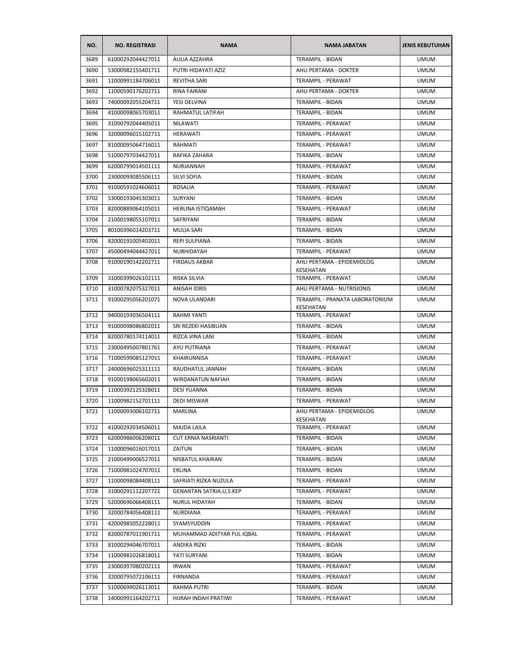| NO.  | <b>NO. REGISTRASI</b> | <b>NAMA</b>                    | <b>NAMA JABATAN</b>                          | <b>JENIS KEBUTUHAN</b> |
|------|-----------------------|--------------------------------|----------------------------------------------|------------------------|
| 3689 | 61000292044427011     | AULIA AZZAHRA                  | <b>TERAMPIL - BIDAN</b>                      | <b>UMUM</b>            |
| 3690 | 53000982155401711     | PUTRI HIDAYATI AZIZ            | AHLI PERTAMA - DOKTER                        | <b>UMUM</b>            |
| 3691 | 11000991184706011     | <b>REVITHA SARI</b>            | TERAMPIL - PERAWAT                           | <b>UMUM</b>            |
| 3692 | 11000590176202711     | RINA FAIRANI                   | AHLI PERTAMA - DOKTER                        | <b>UMUM</b>            |
| 3693 | 74000092055204711     | YESI DELVINA                   | TERAMPIL - BIDAN                             | <b>UMUM</b>            |
| 3694 | 41000098065703011     | RAHMATUL LATIFAH               | TERAMPIL - BIDAN                             | <b>UMUM</b>            |
| 3695 | 31000792044405011     | <b>NILAWATI</b>                | TERAMPIL - PERAWAT                           | <b>UMUM</b>            |
| 3696 | 32000096015102711     | <b>HERAWATI</b>                | TERAMPIL - PERAWAT                           | UMUM                   |
| 3697 | 81000095064716011     | RAHMATI                        | TERAMPIL - PERAWAT                           | <b>UMUM</b>            |
| 3698 | 51000797034427011     | RAFIKA ZAHARA                  | <b>TERAMPIL - BIDAN</b>                      | <b>UMUM</b>            |
| 3699 | 62000799014501111     | NURJANNAH                      | TERAMPIL - PERAWAT                           | <b>UMUM</b>            |
| 3700 | 23000093085506111     | <b>SILVI SOFIA</b>             | TERAMPIL - BIDAN                             | <b>UMUM</b>            |
| 3701 | 91000591024606011     | <b>ROSALIA</b>                 | TERAMPIL - PERAWAT                           | <b>UMUM</b>            |
| 3702 | 53000193045303011     | SURYANI                        | TERAMPIL - BIDAN                             | <b>UMUM</b>            |
| 3703 | 82000889064105011     | <b>HERLINA ISTIQAMAH</b>       | TERAMPIL - PERAWAT                           | <b>UMUM</b>            |
| 3704 | 21000198055107011     | SAFRIYANI                      | TERAMPIL - BIDAN                             | <b>UMUM</b>            |
| 3705 | 80100396014203711     | <b>MULIA SARI</b>              | <b>TERAMPIL - BIDAN</b>                      | <b>UMUM</b>            |
| 3706 | 82000191005402011     | <b>REPI SULPIANA</b>           | TERAMPIL - BIDAN                             | <b>UMUM</b>            |
| 3707 | 45000494044427011     | NURHIDAYAH                     | TERAMPIL - PERAWAT                           | <b>UMUM</b>            |
| 3708 | 91000190142202711     | <b>FIRDAUS AKBAR</b>           | AHLI PERTAMA - EPIDEMIOLOG<br>KESEHATAN      | <b>UMUM</b>            |
| 3709 | 31000399026102111     | <b>RISKA SILVIA</b>            | TERAMPIL - PERAWAT                           | <b>UMUM</b>            |
| 3710 | 31000782075327011     | ANISAH IDRIS                   | AHLI PERTAMA - NUTRISIONIS                   | <b>UMUM</b>            |
| 3711 | 91000295056201071     | NOVA ULANDARI                  | TERAMPIL - PRANATA LABORATORIUM<br>KESEHATAN | <b>UMUM</b>            |
| 3712 | 94000193036504111     | RAHMI YANTI                    | <b>TERAMPIL - PERAWAT</b>                    | <b>UMUM</b>            |
| 3713 | 91000098086802011     | SRI REZEKI HASIBUAN            | TERAMPIL - BIDAN                             | <b>UMUM</b>            |
| 3714 | 82000780174114011     | RIZCA VINA LANI                | TERAMPIL - BIDAN                             | <b>UMUM</b>            |
| 3715 | 23000495007801761     | AYU PUTRIANA                   | TERAMPIL - PERAWAT                           | <b>UMUM</b>            |
| 3716 | 71000599085127011     | <b>KHAIRUNNISA</b>             | TERAMPIL - PERAWAT                           | <b>UMUM</b>            |
| 3717 | 24000696025311111     | RAUDHATUL JANNAH               | TERAMPIL - BIDAN                             | <b>UMUM</b>            |
| 3718 | 91000198065602011     | WIRDANATUN NAFIAH              | <b>TERAMPIL - BIDAN</b>                      | <b>UMUM</b>            |
| 3719 | 11000392125328011     | DESI YUANNA                    | TERAMPIL - BIDAN                             | <b>UMUM</b>            |
| 3720 | 11000982152701111     | <b>DEDI MISWAR</b>             | TERAMPIL - PERAWAT                           | <b>UMUM</b>            |
| 3721 | 11000093006102711     | MARLINA                        | AHLI PERTAMA - EPIDEMIOLOG<br>KESEHATAN      | <b>UMUM</b>            |
| 3722 | 41000292034506011     | MAJDA LAILA                    | TERAMPIL - PERAWAT                           | <b>UMUM</b>            |
| 3723 | 62000986006208011     | <b>CUT ERNIA NASRIANTI</b>     | TERAMPIL - BIDAN                             | <b>UMUM</b>            |
| 3724 | 11000096016017011     | ZAITUN                         | TERAMPIL - BIDAN                             | <b>UMUM</b>            |
| 3725 | 21000499006527011     | NISBATUL KHAIRAN               | TERAMPIL - BIDAN                             | <b>UMUM</b>            |
| 3726 | 71000981024707011     | ERLINA                         | TERAMPIL - BIDAN                             | <b>UMUM</b>            |
| 3727 | 11000098084408111     | SAFRIATI RIZKA NUZULA          | TERAMPIL - PERAWAT                           | <b>UMUM</b>            |
| 3728 | 31000291112207721     | <b>GENANTAN SATRIA.U.S.KEP</b> | TERAMPIL - PERAWAT                           | <b>UMUM</b>            |
| 3729 | 52000696066408111     | NURUL HIDAYAH                  | TERAMPIL - BIDAN                             | <b>UMUM</b>            |
| 3730 | 32000784056408111     | <b>NURDIANA</b>                | TERAMPIL - PERAWAT                           | <b>UMUM</b>            |
| 3731 | 42000985052228011     | SYAMSYUDDIN                    | TERAMPIL - PERAWAT                           | <b>UMUM</b>            |
| 3732 | 82000787011901711     | MUHAMMAD ADITYAR FUL IQBAL     | TERAMPIL - PERAWAT                           | <b>UMUM</b>            |
| 3733 | 81000294046707011     | ANDIKA RIZKI                   | TERAMPIL - BIDAN                             | <b>UMUM</b>            |
| 3734 | 11000981026818011     | YATI SURYANI                   | TERAMPIL - BIDAN                             | <b>UMUM</b>            |
| 3735 | 23000397080202111     | <b>IRWAN</b>                   | TERAMPIL - PERAWAT                           | <b>UMUM</b>            |
| 3736 | 32000795072106111     | FIRNANDA                       | TERAMPIL - PERAWAT                           | <b>UMUM</b>            |
| 3737 | 51000699026113011     | RAHMA PUTRI                    | TERAMPIL - BIDAN                             | <b>UMUM</b>            |
| 3738 | 14000991164202711     | HIJRAH INDAH PRATIWI           | TERAMPIL - PERAWAT                           | <b>UMUM</b>            |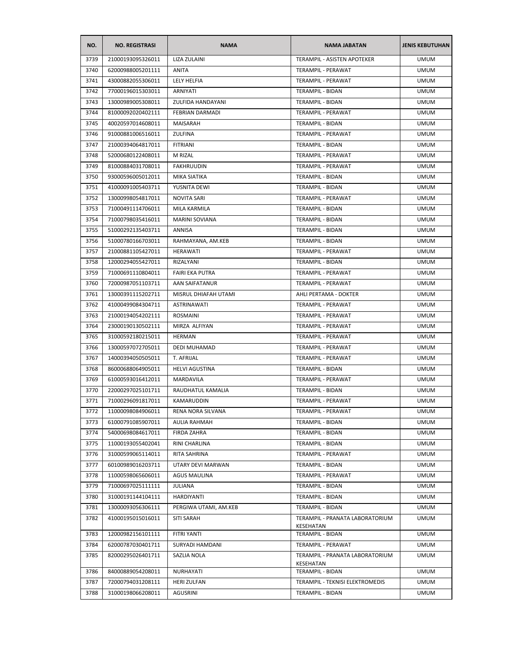| NO.  | <b>NO. REGISTRASI</b> | <b>NAMA</b>            | <b>NAMA JABATAN</b>                          | <b>JENIS KEBUTUHAN</b> |
|------|-----------------------|------------------------|----------------------------------------------|------------------------|
| 3739 | 21000193095326011     | <b>LIZA ZULAINI</b>    | <b>TERAMPIL - ASISTEN APOTEKER</b>           | <b>UMUM</b>            |
| 3740 | 62000988005201111     | ANITA                  | TERAMPIL - PERAWAT                           | <b>UMUM</b>            |
| 3741 | 43000882055306011     | LELY HELFIA            | TERAMPIL - PERAWAT                           | <b>UMUM</b>            |
| 3742 | 77000196015303011     | ARNIYATI               | TERAMPIL - BIDAN                             | <b>UMUM</b>            |
| 3743 | 13000989005308011     | ZULFIDA HANDAYANI      | TERAMPIL - BIDAN                             | <b>UMUM</b>            |
| 3744 | 81000092020402111     | <b>FEBRIAN DARMADI</b> | TERAMPIL - PERAWAT                           | <b>UMUM</b>            |
| 3745 | 40020597014608011     | MAISARAH               | TERAMPIL - BIDAN                             | <b>UMUM</b>            |
| 3746 | 91000881006516011     | ZULFINA                | TERAMPIL - PERAWAT                           | <b>UMUM</b>            |
| 3747 | 21000394064817011     | <b>FITRIANI</b>        | TERAMPIL - BIDAN                             | <b>UMUM</b>            |
| 3748 | 52000680122408011     | M RIZAL                | TERAMPIL - PERAWAT                           | <b>UMUM</b>            |
| 3749 | 81000884031708011     | FAKHRUUDIN             | TERAMPIL - PERAWAT                           | <b>UMUM</b>            |
| 3750 | 93000596005012011     | MIKA SIATIKA           | TERAMPIL - BIDAN                             | <b>UMUM</b>            |
| 3751 | 41000091005403711     | YUSNITA DEWI           | TERAMPIL - BIDAN                             | <b>UMUM</b>            |
| 3752 | 13000998054817011     | <b>NOVITA SARI</b>     | TERAMPIL - PERAWAT                           | <b>UMUM</b>            |
| 3753 | 71000491114706011     | MILA KARMILA           | <b>TERAMPIL - BIDAN</b>                      | <b>UMUM</b>            |
| 3754 | 71000798035416011     | <b>MARINI SOVIANA</b>  | TERAMPIL - BIDAN                             | <b>UMUM</b>            |
| 3755 | 51000292135403711     | ANNISA                 | TERAMPIL - BIDAN                             | <b>UMUM</b>            |
| 3756 | 51000780166703011     | RAHMAYANA, AM.KEB      | TERAMPIL - BIDAN                             | <b>UMUM</b>            |
| 3757 | 21000881105427011     | HERAWATI               | <b>TERAMPIL - PERAWAT</b>                    | <b>UMUM</b>            |
| 3758 | 12000294055427011     | RIZALYANI              | TERAMPIL - BIDAN                             | <b>UMUM</b>            |
| 3759 | 71000691110804011     | <b>FAIRI EKA PUTRA</b> | TERAMPIL - PERAWAT                           | UMUM                   |
| 3760 | 72000987051103711     | AAN SAIFATANUR         | TERAMPIL - PERAWAT                           | <b>UMUM</b>            |
| 3761 | 13000391115202711     | MISRUL DHIAFAH UTAMI   | AHLI PERTAMA - DOKTER                        | <b>UMUM</b>            |
| 3762 | 41000499084304711     | ASTRINAWATI            | TERAMPIL - PERAWAT                           | <b>UMUM</b>            |
| 3763 | 21000194054202111     | ROSMAINI               | TERAMPIL - PERAWAT                           | <b>UMUM</b>            |
| 3764 | 23000190130502111     | MIRZA ALFIYAN          | TERAMPIL - PERAWAT                           | <b>UMUM</b>            |
| 3765 | 31000592180215011     | <b>HERMAN</b>          | TERAMPIL - PERAWAT                           | <b>UMUM</b>            |
| 3766 | 13000597072705011     | DEDI MUHAMAD           | TERAMPIL - PERAWAT                           | <b>UMUM</b>            |
| 3767 | 14000394050505011     | T. AFRIJAL             | TERAMPIL - PERAWAT                           | <b>UMUM</b>            |
| 3768 | 86000688064905011     | <b>HELVI AGUSTINA</b>  | TERAMPIL - BIDAN                             | <b>UMUM</b>            |
| 3769 | 61000593016412011     | MARDAVILA              | TERAMPIL - PERAWAT                           | <b>UMUM</b>            |
| 3770 | 22000297025101711     | RAUDHATUL KAMALIA      | TERAMPIL - BIDAN                             | <b>UMUM</b>            |
| 3771 | 71000296091817011     | KAMARUDDIN             | <b>TERAMPIL - PERAWAT</b>                    | <b>UMUM</b>            |
| 3772 | 11000098084906011     | RENA NORA SILVANA      | TERAMPIL - PERAWAT                           | <b>UMUM</b>            |
| 3773 | 61000791085907011     | AULIA RAHMAH           | <b>TERAMPIL - BIDAN</b>                      | <b>UMUM</b>            |
| 3774 | 54000698084617011     | FIRDA ZAHRA            | TERAMPIL - BIDAN                             | <b>UMUM</b>            |
| 3775 | 11000193055402041     | RINI CHARLINA          | TERAMPIL - BIDAN                             | <b>UMUM</b>            |
| 3776 | 31000599065114011     | RITA SAHRINA           | TERAMPIL - PERAWAT                           | <b>UMUM</b>            |
| 3777 | 60100989016203711     | UTARY DEVI MARWAN      | TERAMPIL - BIDAN                             | <b>UMUM</b>            |
| 3778 | 11000598065606011     | <b>AGUS MAULINA</b>    | TERAMPIL - PERAWAT                           | <b>UMUM</b>            |
| 3779 | 71000697025111111     | <b>JULIANA</b>         | TERAMPIL - BIDAN                             | <b>UMUM</b>            |
| 3780 | 31000191144104111     | HARDIYANTI             | TERAMPIL - BIDAN                             | <b>UMUM</b>            |
| 3781 | 13000093056306111     | PERGIWA UTAMI, AM.KEB  | TERAMPIL - BIDAN                             | <b>UMUM</b>            |
| 3782 | 41000195015016011     | <b>SITI SARAH</b>      | TERAMPIL - PRANATA LABORATORIUM<br>KESEHATAN | <b>UMUM</b>            |
| 3783 | 12000982156101111     | FITRI YANTI            | TERAMPIL - BIDAN                             | <b>UMUM</b>            |
| 3784 | 62000787030401711     | SURYADI HAMDANI        | TERAMPIL - PERAWAT                           | <b>UMUM</b>            |
| 3785 | 82000295026401711     | SAZLIA NOLA            | TERAMPIL - PRANATA LABORATORIUM<br>KESEHATAN | <b>UMUM</b>            |
| 3786 | 84000889054208011     | NURHAYATI              | TERAMPIL - BIDAN                             | <b>UMUM</b>            |
| 3787 | 72000794031208111     | <b>HERI ZULFAN</b>     | TERAMPIL - TEKNISI ELEKTROMEDIS              | <b>UMUM</b>            |
| 3788 | 31000198066208011     | <b>AGUSRINI</b>        | TERAMPIL - BIDAN                             | <b>UMUM</b>            |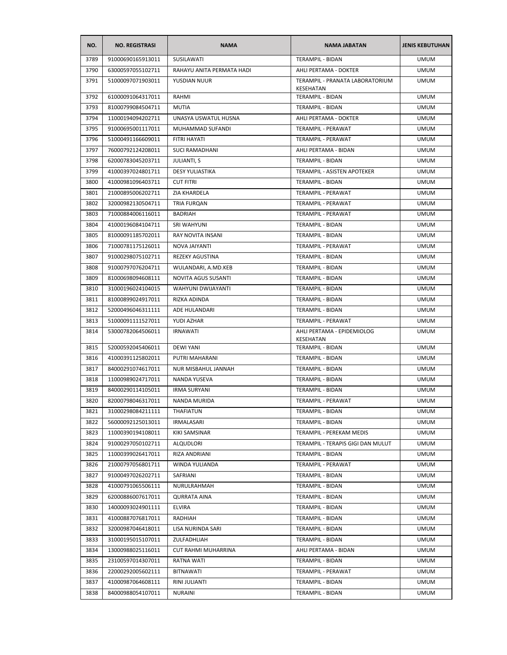| NO.  | <b>NO. REGISTRASI</b> | <b>NAMA</b>                | <b>NAMA JABATAN</b>                          | <b>JENIS KEBUTUHAN</b> |
|------|-----------------------|----------------------------|----------------------------------------------|------------------------|
| 3789 | 91000690165913011     | SUSILAWATI                 | <b>TERAMPIL - BIDAN</b>                      | <b>UMUM</b>            |
| 3790 | 63000597055102711     | RAHAYU ANITA PERMATA HADI  | AHLI PERTAMA - DOKTER                        | <b>UMUM</b>            |
| 3791 | 51000097071903011     | YUSDIAN NUUR               | TERAMPIL - PRANATA LABORATORIUM<br>KESEHATAN | <b>UMUM</b>            |
| 3792 | 61000091064317011     | RAHMI                      | <b>TERAMPIL - BIDAN</b>                      | <b>UMUM</b>            |
| 3793 | 81000799084504711     | <b>MUTIA</b>               | TERAMPIL - BIDAN                             | <b>UMUM</b>            |
| 3794 | 11000194094202711     | UNASYA USWATUL HUSNA       | AHLI PERTAMA - DOKTER                        | <b>UMUM</b>            |
| 3795 | 91000695001117011     | MUHAMMAD SUFANDI           | TERAMPIL - PERAWAT                           | <b>UMUM</b>            |
| 3796 | 51000491166609011     | FITRI HAYATI               | TERAMPIL - PERAWAT                           | <b>UMUM</b>            |
| 3797 | 76000792124208011     | <b>SUCI RAMADHANI</b>      | AHLI PERTAMA - BIDAN                         | <b>UMUM</b>            |
| 3798 | 62000783045203711     | <b>JULIANTI, S</b>         | TERAMPIL - BIDAN                             | <b>UMUM</b>            |
| 3799 | 41000397024801711     | <b>DESY YULIASTIKA</b>     | TERAMPIL - ASISTEN APOTEKER                  | <b>UMUM</b>            |
| 3800 | 41000981096403711     | <b>CUT FITRI</b>           | TERAMPIL - BIDAN                             | <b>UMUM</b>            |
| 3801 | 21000895006202711     | ZIA KHARDELA               | TERAMPIL - PERAWAT                           | <b>UMUM</b>            |
| 3802 | 32000982130504711     | TRIA FURQAN                | <b>TERAMPIL - PERAWAT</b>                    | <b>UMUM</b>            |
| 3803 | 71000884006116011     | <b>BADRIAH</b>             | TERAMPIL - PERAWAT                           | <b>UMUM</b>            |
| 3804 | 41000196084104711     | SRI WAHYUNI                | TERAMPIL - BIDAN                             | <b>UMUM</b>            |
| 3805 | 81000091185702011     | <b>RAY NOVITA INSANI</b>   | TERAMPIL - BIDAN                             | <b>UMUM</b>            |
| 3806 | 71000781175126011     | NOVA JAIYANTI              | TERAMPIL - PERAWAT                           | <b>UMUM</b>            |
| 3807 | 91000298075102711     | <b>REZEKY AGUSTINA</b>     | <b>TERAMPIL - BIDAN</b>                      | <b>UMUM</b>            |
| 3808 | 91000797076204711     | WULANDARI, A.MD.KEB        | TERAMPIL - BIDAN                             | <b>UMUM</b>            |
| 3809 | 81000698094608111     | NOVITA AGUS SUSANTI        | TERAMPIL - BIDAN                             | <b>UMUM</b>            |
| 3810 | 31000196024104015     | WAHYUNI DWIJAYANTI         | <b>TERAMPIL - BIDAN</b>                      | <b>UMUM</b>            |
| 3811 | 81000899024917011     | RIZKA ADINDA               | TERAMPIL - BIDAN                             | <b>UMUM</b>            |
| 3812 | 52000496046311111     | ADE HULANDARI              | TERAMPIL - BIDAN                             | <b>UMUM</b>            |
| 3813 | 51000091111527011     | YUDI AZHAR                 | TERAMPIL - PERAWAT                           | <b>UMUM</b>            |
| 3814 | 53000782064506011     | <b>IRNAWATI</b>            | AHLI PERTAMA - EPIDEMIOLOG<br>KESEHATAN      | <b>UMUM</b>            |
| 3815 | 52000592045406011     | <b>DEWI YANI</b>           | TERAMPIL - BIDAN                             | <b>UMUM</b>            |
| 3816 | 41000391125802011     | PUTRI MAHARANI             | <b>TERAMPIL - BIDAN</b>                      | <b>UMUM</b>            |
| 3817 | 84000291074617011     | <b>NUR MISBAHUL JANNAH</b> | <b>TERAMPIL - BIDAN</b>                      | <b>UMUM</b>            |
| 3818 | 11000989024717011     | NANDA YUSEVA               | <b>TERAMPIL - BIDAN</b>                      | <b>UMUM</b>            |
| 3819 | 84000290114105011     | <b>IRMA SURYANI</b>        | TERAMPIL - BIDAN                             | <b>UMUM</b>            |
| 3820 | 82000798046317011     | <b>NANDA MURIDA</b>        | <b>TERAMPIL - PERAWAT</b>                    | <b>UMUM</b>            |
| 3821 | 31000298084211111     | THAFIATUN                  | TERAMPIL - BIDAN                             | <b>UMUM</b>            |
| 3822 | 56000092125013011     | <b>IRMALASARI</b>          | <b>TERAMPIL - BIDAN</b>                      | <b>UMUM</b>            |
| 3823 | 11000390194108011     | KIKI SAMSINAR              | TERAMPIL - PEREKAM MEDIS                     | <b>UMUM</b>            |
| 3824 | 91000297050102711     | ALQUDLORI                  | TERAMPIL - TERAPIS GIGI DAN MULUT            | <b>UMUM</b>            |
| 3825 | 11000399026417011     | RIZA ANDRIANI              | TERAMPIL - BIDAN                             | <b>UMUM</b>            |
| 3826 | 21000797056801711     | WINDA YULIANDA             | TERAMPIL - PERAWAT                           | <b>UMUM</b>            |
| 3827 | 91000497026202711     | SAFRIANI                   | TERAMPIL - BIDAN                             | <b>UMUM</b>            |
| 3828 | 41000791065506111     | NURULRAHMAH                | TERAMPIL - BIDAN                             | <b>UMUM</b>            |
| 3829 | 62000886007617011     | <b>QURRATA AINA</b>        | TERAMPIL - BIDAN                             | <b>UMUM</b>            |
| 3830 | 14000093024901111     | ELVIRA                     | TERAMPIL - BIDAN                             | <b>UMUM</b>            |
| 3831 | 41000887076817011     | RADHIAH                    | <b>TERAMPIL - BIDAN</b>                      | <b>UMUM</b>            |
| 3832 | 32000987046418011     | LISA NURINDA SARI          | TERAMPIL - BIDAN                             | <b>UMUM</b>            |
| 3833 | 31000195015107011     | ZULFADHLIAH                | TERAMPIL - BIDAN                             | <b>UMUM</b>            |
| 3834 | 13000988025116011     | CUT RAHMI MUHARRINA        | AHLI PERTAMA - BIDAN                         | <b>UMUM</b>            |
| 3835 | 23100597014307011     | RATNA WATI                 | TERAMPIL - BIDAN                             | <b>UMUM</b>            |
| 3836 | 22000292005602111     | <b>BITNAWATI</b>           | TERAMPIL - PERAWAT                           | <b>UMUM</b>            |
|      |                       |                            |                                              |                        |
| 3837 | 41000987064608111     | RINI JULIANTI              | TERAMPIL - BIDAN                             | <b>UMUM</b>            |
| 3838 | 84000988054107011     | <b>NURAINI</b>             | TERAMPIL - BIDAN                             | <b>UMUM</b>            |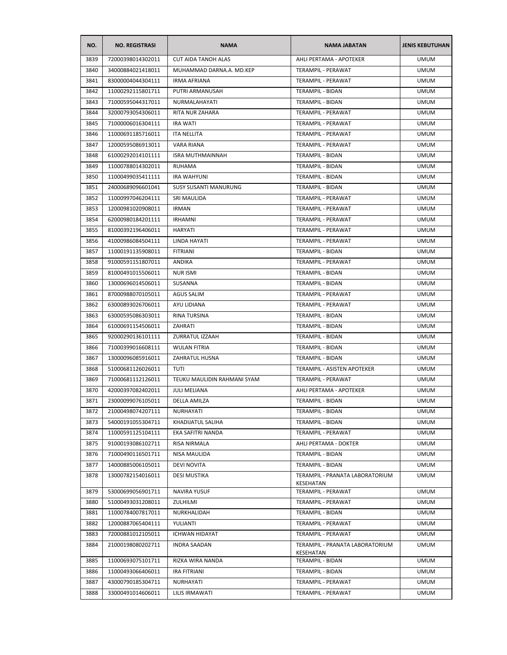| NO.  | <b>NO. REGISTRASI</b> | <b>NAMA</b>                  | <b>NAMA JABATAN</b>                          | <b>JENIS KEBUTUHAN</b> |
|------|-----------------------|------------------------------|----------------------------------------------|------------------------|
| 3839 | 72000398014302011     | <b>CUT AIDA TANOH ALAS</b>   | AHLI PERTAMA - APOTEKER                      | <b>UMUM</b>            |
| 3840 | 34000884021418011     | MUHAMMAD DARNA.A. MD.KEP     | TERAMPIL - PERAWAT                           | <b>UMUM</b>            |
| 3841 | 83000004044304111     | <b>IRMA AFRIANA</b>          | TERAMPIL - PERAWAT                           | <b>UMUM</b>            |
| 3842 | 11000292115801711     | PUTRI ARMANUSAH              | <b>TERAMPIL - BIDAN</b>                      | <b>UMUM</b>            |
| 3843 | 71000595044317011     | NURMALAHAYATI                | TERAMPIL - BIDAN                             | <b>UMUM</b>            |
| 3844 | 32000793054306011     | RITA NUR ZAHARA              | TERAMPIL - PERAWAT                           | <b>UMUM</b>            |
| 3845 | 71000006016304111     | <b>IRA WATI</b>              | <b>TERAMPIL - PERAWAT</b>                    | <b>UMUM</b>            |
| 3846 | 11000691185716011     | <b>ITA NELLITA</b>           | TERAMPIL - PERAWAT                           | <b>UMUM</b>            |
| 3847 | 12000595086913011     | VARA RIANA                   | TERAMPIL - PERAWAT                           | <b>UMUM</b>            |
| 3848 | 61000292014101111     | <b>ISRA MUTHMAINNAH</b>      | TERAMPIL - BIDAN                             | <b>UMUM</b>            |
| 3849 | 11000788014302011     | <b>RUHAMA</b>                | TERAMPIL - BIDAN                             | <b>UMUM</b>            |
| 3850 | 11000499035411111     | <b>IRA WAHYUNI</b>           | TERAMPIL - BIDAN                             | <b>UMUM</b>            |
| 3851 | 24000689096601041     | <b>SUSY SUSANTI MANURUNG</b> | TERAMPIL - BIDAN                             | <b>UMUM</b>            |
| 3852 | 11000997046204111     | SRI MAULIDA                  | TERAMPIL - PERAWAT                           | <b>UMUM</b>            |
| 3853 | 12000981020908011     | <b>IRMAN</b>                 | TERAMPIL - PERAWAT                           | <b>UMUM</b>            |
| 3854 | 62000980184201111     | <b>IRHAMNI</b>               | TERAMPIL - PERAWAT                           | <b>UMUM</b>            |
| 3855 | 81000392196406011     | HARYATI                      | <b>TERAMPIL - PERAWAT</b>                    | <b>UMUM</b>            |
| 3856 | 41000986084504111     | LINDA HAYATI                 | <b>TERAMPIL - PERAWAT</b>                    | <b>UMUM</b>            |
| 3857 | 11000191135908011     | <b>FITRIANI</b>              | TERAMPIL - BIDAN                             | <b>UMUM</b>            |
| 3858 | 91000591151807011     | ANDIKA                       | TERAMPIL - PERAWAT                           | <b>UMUM</b>            |
| 3859 | 81000491015506011     | <b>NUR ISMI</b>              | TERAMPIL - BIDAN                             | <b>UMUM</b>            |
| 3860 | 13000696014506011     | SUSANNA                      | TERAMPIL - BIDAN                             | <b>UMUM</b>            |
| 3861 | 87000988070105011     | <b>AGUS SALIM</b>            | TERAMPIL - PERAWAT                           | <b>UMUM</b>            |
| 3862 | 63000893026706011     | AYU LIDIANA                  | TERAMPIL - PERAWAT                           | <b>UMUM</b>            |
| 3863 | 63000595086303011     | RINA TURSINA                 | TERAMPIL - BIDAN                             | <b>UMUM</b>            |
| 3864 | 61000691154506011     | ZAHRATI                      | TERAMPIL - BIDAN                             | <b>UMUM</b>            |
| 3865 | 92000290136101111     | ZURRATUL IZZAAH              | TERAMPIL - BIDAN                             | <b>UMUM</b>            |
| 3866 | 71000399016608111     | <b>WULAN FITRIA</b>          | TERAMPIL - BIDAN                             | <b>UMUM</b>            |
| 3867 | 13000096085916011     | ZAHRATUL HUSNA               | TERAMPIL - BIDAN                             | <b>UMUM</b>            |
| 3868 | 51000681126026011     | <b>TUTI</b>                  | TERAMPIL - ASISTEN APOTEKER                  | <b>UMUM</b>            |
| 3869 | 71000681112126011     | TEUKU MAULIDIN RAHMANI SYAM  | <b>TERAMPIL - PERAWAT</b>                    | <b>UMUM</b>            |
| 3870 | 42000397082402011     | JULI MELIANA                 | AHLI PERTAMA - APOTEKER                      | <b>UMUM</b>            |
| 3871 | 23000099076105011     | DELLA AMILZA                 | TERAMPIL - BIDAN                             | <b>UMUM</b>            |
| 3872 | 21000498074207111     | NURHAYATI                    | TERAMPIL - BIDAN                             | <b>UMUM</b>            |
| 3873 | 54000191055304711     | KHADIJATUL SALIHA            | TERAMPIL - BIDAN                             | <b>UMUM</b>            |
| 3874 | 11000591125104111     | EKA SAFITRI NANDA            | TERAMPIL - PERAWAT                           | <b>UMUM</b>            |
| 3875 | 91000193086102711     | RISA NIRMALA                 | AHLI PERTAMA - DOKTER                        | <b>UMUM</b>            |
| 3876 | 71000490116501711     | NISA MAULIDA                 | TERAMPIL - BIDAN                             | <b>UMUM</b>            |
| 3877 | 14000885006105011     | <b>DEVI NOVITA</b>           | <b>TERAMPIL - BIDAN</b>                      | <b>UMUM</b>            |
| 3878 | 13000782154016011     | <b>DESI MUSTIKA</b>          | TERAMPIL - PRANATA LABORATORIUM              | <b>UMUM</b>            |
|      |                       |                              | KESEHATAN                                    |                        |
| 3879 | 53000699056901711     | <b>NAVIRA YUSUF</b>          | TERAMPIL - PERAWAT                           | <b>UMUM</b>            |
| 3880 | 51000493031208011     | ZULHILMI                     | TERAMPIL - PERAWAT                           | <b>UMUM</b>            |
| 3881 | 11000784007817011     | NURKHALIDAH                  | TERAMPIL - BIDAN                             | <b>UMUM</b>            |
| 3882 | 12000887065404111     | YULIANTI                     | TERAMPIL - PERAWAT                           | <b>UMUM</b>            |
| 3883 | 72000881012105011     | <b>ICHWAN HIDAYAT</b>        | TERAMPIL - PERAWAT                           | <b>UMUM</b>            |
| 3884 | 21000198080202711     | <b>INDRA SAADAN</b>          | TERAMPIL - PRANATA LABORATORIUM<br>KESEHATAN | <b>UMUM</b>            |
| 3885 | 11000693075101711     | RIZKA WIRA NANDA             | TERAMPIL - BIDAN                             | <b>UMUM</b>            |
| 3886 | 11000493066406011     | IRA FITRIANI                 | TERAMPIL - BIDAN                             | <b>UMUM</b>            |
| 3887 | 43000790185304711     | NURHAYATI                    | TERAMPIL - PERAWAT                           | <b>UMUM</b>            |
| 3888 | 33000491014606011     | LILIS IRMAWATI               | TERAMPIL - PERAWAT                           | <b>UMUM</b>            |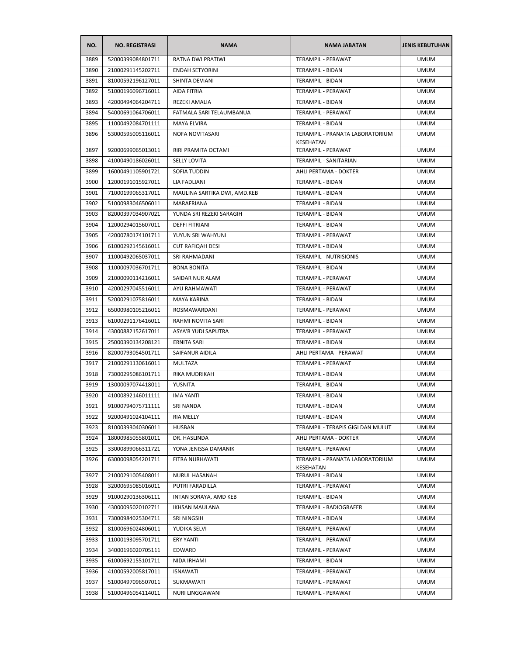| NO.  | <b>NO. REGISTRASI</b> | <b>NAMA</b>                  | <b>NAMA JABATAN</b>                          | <b>JENIS KEBUTUHAN</b> |
|------|-----------------------|------------------------------|----------------------------------------------|------------------------|
| 3889 | 52000399084801711     | <b>RATNA DWI PRATIWI</b>     | <b>TERAMPIL - PERAWAT</b>                    | <b>UMUM</b>            |
| 3890 | 21000291145202711     | <b>ENDAH SETYORINI</b>       | TERAMPIL - BIDAN                             | <b>UMUM</b>            |
| 3891 | 81000592196127011     | SHINTA DEVIANI               | <b>TERAMPIL - BIDAN</b>                      | <b>UMUM</b>            |
| 3892 | 51000196096716011     | AIDA FITRIA                  | <b>TERAMPIL - PERAWAT</b>                    | <b>UMUM</b>            |
| 3893 | 42000494064204711     | REZEKI AMALIA                | TERAMPIL - BIDAN                             | <b>UMUM</b>            |
| 3894 | 54000691064706011     | FATMALA SARI TELAUMBANUA     | TERAMPIL - PERAWAT                           | <b>UMUM</b>            |
| 3895 | 11000492084701111     | <b>MAYA ELVIRA</b>           | TERAMPIL - BIDAN                             | <b>UMUM</b>            |
| 3896 | 53000595005116011     | NOFA NOVITASARI              | TERAMPIL - PRANATA LABORATORIUM<br>KESEHATAN | <b>UMUM</b>            |
| 3897 | 92000699065013011     | RIRI PRAMITA OCTAMI          | TERAMPIL - PERAWAT                           | <b>UMUM</b>            |
| 3898 | 41000490186026011     | <b>SELLY LOVITA</b>          | TERAMPIL - SANITARIAN                        | <b>UMUM</b>            |
| 3899 | 16000491105901721     | SOFIA TUDDIN                 | AHLI PERTAMA - DOKTER                        | <b>UMUM</b>            |
| 3900 | 12000191015927011     | <b>LIA FADLIANI</b>          | TERAMPIL - BIDAN                             | <b>UMUM</b>            |
| 3901 | 71000199065317011     | MAULINA SARTIKA DWI, AMD.KEB | TERAMPIL - BIDAN                             | <b>UMUM</b>            |
| 3902 | 51000983046506011     | <b>MARAFRIANA</b>            | TERAMPIL - BIDAN                             | <b>UMUM</b>            |
| 3903 | 82000397034907021     | YUNDA SRI REZEKI SARAGIH     | TERAMPIL - BIDAN                             | <b>UMUM</b>            |
| 3904 | 12000294015607011     | <b>DEFFI FITRIANI</b>        | TERAMPIL - BIDAN                             | <b>UMUM</b>            |
| 3905 | 42000780174101711     | YUYUN SRI WAHYUNI            | TERAMPIL - PERAWAT                           | <b>UMUM</b>            |
| 3906 | 61000292145616011     | <b>CUT RAFIQAH DESI</b>      | TERAMPIL - BIDAN                             | <b>UMUM</b>            |
| 3907 | 11000492065037011     | SRI RAHMADANI                | <b>TERAMPIL - NUTRISIONIS</b>                | <b>UMUM</b>            |
| 3908 | 11000097036701711     | <b>BONA BONITA</b>           | TERAMPIL - BIDAN                             | <b>UMUM</b>            |
| 3909 | 21000090114216011     | SAIDAR NUR ALAM              | TERAMPIL - PERAWAT                           | <b>UMUM</b>            |
| 3910 | 42000297045516011     | AYU RAHMAWATI                | TERAMPIL - PERAWAT                           | <b>UMUM</b>            |
| 3911 | 52000291075816011     | MAYA KARINA                  | TERAMPIL - BIDAN                             | <b>UMUM</b>            |
| 3912 | 65000980105216011     | ROSMAWARDANI                 | TERAMPIL - PERAWAT                           | <b>UMUM</b>            |
| 3913 | 61000291176416011     | RAHMI NOVITA SARI            | TERAMPIL - BIDAN                             | <b>UMUM</b>            |
| 3914 | 43000882152617011     | ASYA'R YUDI SAPUTRA          | TERAMPIL - PERAWAT                           | <b>UMUM</b>            |
| 3915 | 25000390134208121     | ERNITA SARI                  | TERAMPIL - BIDAN                             | <b>UMUM</b>            |
| 3916 | 82000793054501711     | SAIFANUR AIDILA              | AHLI PERTAMA - PERAWAT                       | <b>UMUM</b>            |
| 3917 | 21000291130616011     | <b>MULTAZA</b>               | TERAMPIL - PERAWAT                           | <b>UMUM</b>            |
| 3918 | 73000295086101711     | RIKA MUDRIKAH                | TERAMPIL - BIDAN                             | <b>UMUM</b>            |
| 3919 | 13000097074418011     | YUSNITA                      | TERAMPIL - BIDAN                             | <b>UMUM</b>            |
| 3920 | 41000892146011111     | <b>IMA YANTI</b>             | TERAMPIL - BIDAN                             | <b>UMUM</b>            |
| 3921 | 91000794075711111     | SRI NANDA                    | TERAMPIL - BIDAN                             | <b>UMUM</b>            |
| 3922 | 92000491024104111     | RIA MELLY                    | TERAMPIL - BIDAN                             | <b>UMUM</b>            |
| 3923 | 81000393040306011     | HUSBAN                       | TERAMPIL - TERAPIS GIGI DAN MULUT            | <b>UMUM</b>            |
| 3924 | 18000985055801011     | DR. HASLINDA                 | AHLI PERTAMA - DOKTER                        | <b>UMUM</b>            |
| 3925 | 33000899066311721     | YONA JENISSA DAMANIK         | TERAMPIL - PERAWAT                           | <b>UMUM</b>            |
| 3926 | 63000098054201711     | FITRA NURHAYATI              | TERAMPIL - PRANATA LABORATORIUM<br>KESEHATAN | <b>UMUM</b>            |
| 3927 | 21000291005408011     | NURUL HASANAH                | TERAMPIL - BIDAN                             | <b>UMUM</b>            |
| 3928 | 32000695085016011     | PUTRI FARADILLA              | TERAMPIL - PERAWAT                           | <b>UMUM</b>            |
| 3929 | 91000290136306111     | INTAN SORAYA, AMD KEB        | TERAMPIL - BIDAN                             | <b>UMUM</b>            |
| 3930 | 43000095020102711     | IKHSAN MAULANA               | <b>TERAMPIL - RADIOGRAFER</b>                | <b>UMUM</b>            |
| 3931 | 73000984025304711     | SRI NINGSIH                  | TERAMPIL - BIDAN                             | <b>UMUM</b>            |
| 3932 | 81000696024806011     | YUDIKA SELVI                 | TERAMPIL - PERAWAT                           | <b>UMUM</b>            |
| 3933 | 11000193095701711     | ERY YANTI                    | TERAMPIL - PERAWAT                           | <b>UMUM</b>            |
| 3934 | 34000196020705111     | EDWARD                       | TERAMPIL - PERAWAT                           | <b>UMUM</b>            |
| 3935 | 61000692155101711     | NIDA IRHAMI                  | TERAMPIL - BIDAN                             | <b>UMUM</b>            |
| 3936 | 41000592005817011     | ISNAWATI                     | TERAMPIL - PERAWAT                           | <b>UMUM</b>            |
| 3937 | 51000497096507011     | SUKMAWATI                    | TERAMPIL - PERAWAT                           | <b>UMUM</b>            |
| 3938 | 51000496054114011     | NURI LINGGAWANI              | TERAMPIL - PERAWAT                           | <b>UMUM</b>            |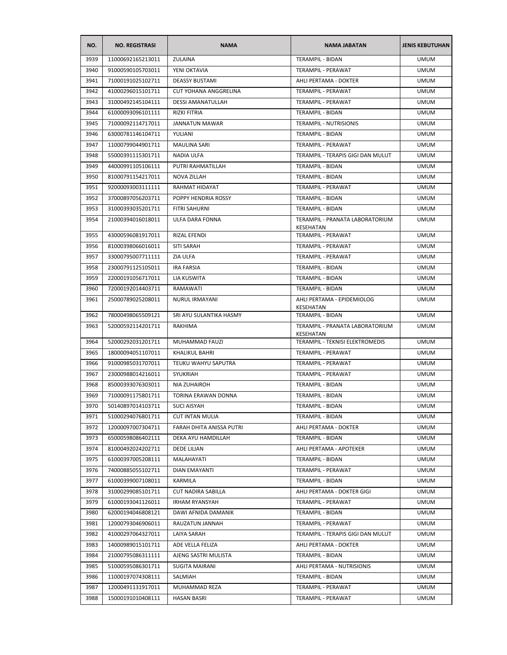| NO.  | <b>NO. REGISTRASI</b> | <b>NAMA</b>                  | <b>NAMA JABATAN</b>                          | <b>JENIS KEBUTUHAN</b> |
|------|-----------------------|------------------------------|----------------------------------------------|------------------------|
| 3939 | 11000692165213011     | ZULAINA                      | TERAMPIL - BIDAN                             | <b>UMUM</b>            |
| 3940 | 91000590105703011     | YENI OKTAVIA                 | TERAMPIL - PERAWAT                           | <b>UMUM</b>            |
| 3941 | 71000191025102711     | <b>DEASSY BUSTAMI</b>        | AHLI PERTAMA - DOKTER                        | <b>UMUM</b>            |
| 3942 | 41000296015101711     | <b>CUT YOHANA ANGGRELINA</b> | TERAMPIL - PERAWAT                           | <b>UMUM</b>            |
| 3943 | 31000492145104111     | DESSI AMANATULLAH            | TERAMPIL - PERAWAT                           | <b>UMUM</b>            |
| 3944 | 61000093096101111     | RIZKI FITRIA                 | TERAMPIL - BIDAN                             | <b>UMUM</b>            |
| 3945 | 71000092114717011     | JANNATUN MAWAR               | <b>TERAMPIL - NUTRISIONIS</b>                | <b>UMUM</b>            |
| 3946 | 63000781146104711     | YULIANI                      | TERAMPIL - BIDAN                             | <b>UMUM</b>            |
| 3947 | 11000799044901711     | <b>MAULINA SARI</b>          | TERAMPIL - PERAWAT                           | <b>UMUM</b>            |
| 3948 | 55000391115301711     | NADIA ULFA                   | TERAMPIL - TERAPIS GIGI DAN MULUT            | <b>UMUM</b>            |
| 3949 | 44000991105106111     | PUTRI RAHMATILLAH            | TERAMPIL - BIDAN                             | <b>UMUM</b>            |
| 3950 | 81000791154217011     | NOVA ZILLAH                  | TERAMPIL - BIDAN                             | <b>UMUM</b>            |
| 3951 | 92000093003111111     | RAHMAT HIDAYAT               | TERAMPIL - PERAWAT                           | <b>UMUM</b>            |
| 3952 | 37000897056203711     | POPPY HENDRIA ROSSY          | TERAMPIL - BIDAN                             | <b>UMUM</b>            |
| 3953 | 31000393035201711     | <b>FITRI SAHURNI</b>         | TERAMPIL - BIDAN                             | <b>UMUM</b>            |
| 3954 | 21000394016018011     | ULFA DARA FONNA              | TERAMPIL - PRANATA LABORATORIUM              | <b>UMUM</b>            |
|      |                       |                              | KESEHATAN                                    |                        |
| 3955 | 43000596081917011     | RIZAL EFENDI                 | TERAMPIL - PERAWAT                           | <b>UMUM</b>            |
| 3956 | 81000398066016011     | <b>SITI SARAH</b>            | TERAMPIL - PERAWAT                           | <b>UMUM</b>            |
| 3957 | 33000795007711111     | ZIA ULFA                     | TERAMPIL - PERAWAT                           | <b>UMUM</b>            |
| 3958 | 23000791125105011     | <b>IRA FARSIA</b>            | TERAMPIL - BIDAN                             | <b>UMUM</b>            |
| 3959 | 22000191056717011     | LIA KUSWITA                  | TERAMPIL - BIDAN                             | <b>UMUM</b>            |
| 3960 | 72000192014403711     | RAMAWATI                     | TERAMPIL - BIDAN                             | <b>UMUM</b>            |
| 3961 | 25000789025208011     | NURUL IRMAYANI               | AHLI PERTAMA - EPIDEMIOLOG<br>KESEHATAN      | <b>UMUM</b>            |
| 3962 | 78000498065509121     | SRI AYU SULANTIKA HASMY      | TERAMPIL - BIDAN                             | <b>UMUM</b>            |
| 3963 | 52000592114201711     | RAKHIMA                      | TERAMPIL - PRANATA LABORATORIUM<br>KESEHATAN | <b>UMUM</b>            |
| 3964 | 52000292031201711     | MUHAMMAD FAUZI               | TERAMPIL - TEKNISI ELEKTROMEDIS              | <b>UMUM</b>            |
| 3965 | 18000094051107011     | <b>KHALIKUL BAHRI</b>        | TERAMPIL - PERAWAT                           | <b>UMUM</b>            |
| 3966 | 91000985031707011     | TEUKU WAHYU SAPUTRA          | TERAMPIL - PERAWAT                           | <b>UMUM</b>            |
| 3967 | 23000988014216011     | SYUKRIAH                     | TERAMPIL - PERAWAT                           | <b>UMUM</b>            |
| 3968 | 85000393076303011     | <b>NIA ZUHAIROH</b>          | TERAMPIL - BIDAN                             | <b>UMUM</b>            |
| 3969 | 71000091175801711     | TORINA ERAWAN DONNA          | TERAMPIL - BIDAN                             | <b>UMUM</b>            |
| 3970 | 50140897014103711     | <b>SUCI AISYAH</b>           | TERAMPIL - BIDAN                             | <b>UMUM</b>            |
| 3971 | 51000294076801711     | <b>CUT INTAN MULIA</b>       | TERAMPIL - BIDAN                             | <b>UMUM</b>            |
| 3972 | 12000097007304711     | FARAH DHITA ANISSA PUTRI     | AHLI PERTAMA - DOKTER                        | <b>UMUM</b>            |
| 3973 | 65000598086402111     | DEKA AYU HAMDILLAH           | TERAMPIL - BIDAN                             | <b>UMUM</b>            |
| 3974 | 81000492024202711     | DEDE LILIAN                  | AHLI PERTAMA - APOTEKER                      | <b>UMUM</b>            |
| 3975 | 61000397005208111     | MALAHAYATI                   | TERAMPIL - BIDAN                             | <b>UMUM</b>            |
| 3976 | 74000885055102711     | DIAN EMAYANTI                | TERAMPIL - PERAWAT                           | <b>UMUM</b>            |
| 3977 | 61000399007108011     | KARMILA                      | TERAMPIL - BIDAN                             | <b>UMUM</b>            |
| 3978 | 31000299085101711     | <b>CUT NADIRA SABILLA</b>    | AHLI PERTAMA - DOKTER GIGI                   | <b>UMUM</b>            |
| 3979 | 61000193041126011     | <b>IRHAM RYANSYAH</b>        | TERAMPIL - PERAWAT                           | <b>UMUM</b>            |
| 3980 | 62000194046808121     | DAWI AFNIDA DAMANIK          | TERAMPIL - BIDAN                             | <b>UMUM</b>            |
| 3981 | 12000793046906011     | RAUZATUN JANNAH              | TERAMPIL - PERAWAT                           | <b>UMUM</b>            |
| 3982 | 41000297064327011     | LAIYA SARAH                  | TERAMPIL - TERAPIS GIGI DAN MULUT            | <b>UMUM</b>            |
| 3983 | 14000989015101711     | ADE VELLA FELIZA             | AHLI PERTAMA - DOKTER                        | <b>UMUM</b>            |
| 3984 | 21000795086311111     | AJENG SASTRI MULISTA         | TERAMPIL - BIDAN                             | <b>UMUM</b>            |
| 3985 | 51000595086301711     | <b>SUGITA MAIRANI</b>        | AHLI PERTAMA - NUTRISIONIS                   | <b>UMUM</b>            |
| 3986 | 11000197074308111     | SALMIAH                      | TERAMPIL - BIDAN                             | <b>UMUM</b>            |
| 3987 | 12000491131917011     | MUHAMMAD REZA                | TERAMPIL - PERAWAT                           | <b>UMUM</b>            |
| 3988 | 15000191010408111     | HASAN BASRI                  | TERAMPIL - PERAWAT                           | <b>UMUM</b>            |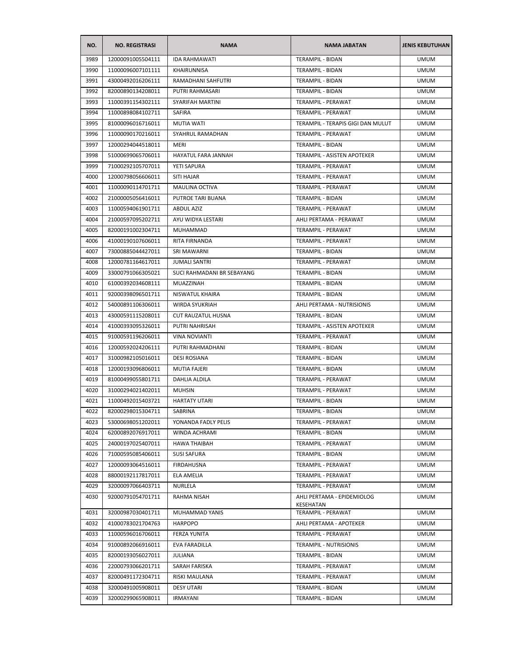| NO.  | <b>NO. REGISTRASI</b> | <b>NAMA</b>                | <b>NAMA JABATAN</b>                     | <b>JENIS KEBUTUHAN</b> |
|------|-----------------------|----------------------------|-----------------------------------------|------------------------|
| 3989 | 12000091005504111     | <b>IDA RAHMAWATI</b>       | <b>TERAMPIL - BIDAN</b>                 | <b>UMUM</b>            |
| 3990 | 11000096007101111     | KHAIRUNNISA                | TERAMPIL - BIDAN                        | <b>UMUM</b>            |
| 3991 | 43000492016206111     | RAMADHANI SAHFUTRI         | TERAMPIL - BIDAN                        | <b>UMUM</b>            |
| 3992 | 82000890134208011     | PUTRI RAHMASARI            | TERAMPIL - BIDAN                        | <b>UMUM</b>            |
| 3993 | 11000391154302111     | SYARIFAH MARTINI           | TERAMPIL - PERAWAT                      | <b>UMUM</b>            |
| 3994 | 11000898084102711     | <b>SAFIRA</b>              | TERAMPIL - PERAWAT                      | <b>UMUM</b>            |
| 3995 | 81000096016716011     | MUTIA WATI                 | TERAMPIL - TERAPIS GIGI DAN MULUT       | <b>UMUM</b>            |
| 3996 | 11000090170216011     | SYAHRUL RAMADHAN           | TERAMPIL - PERAWAT                      | <b>UMUM</b>            |
| 3997 | 12000294044518011     | MERI                       | TERAMPIL - BIDAN                        | <b>UMUM</b>            |
| 3998 | 51000699065706011     | HAYATUL FARA JANNAH        | TERAMPIL - ASISTEN APOTEKER             | <b>UMUM</b>            |
| 3999 | 71000292105707011     | YETI SAPURA                | TERAMPIL - PERAWAT                      | <b>UMUM</b>            |
| 4000 | 12000798056606011     | SITI HAJAR                 | TERAMPIL - PERAWAT                      | <b>UMUM</b>            |
| 4001 | 11000090114701711     | <b>MAULINA OCTIVA</b>      | TERAMPIL - PERAWAT                      | <b>UMUM</b>            |
| 4002 | 21000005056416011     | PUTROE TARI BUANA          | TERAMPIL - BIDAN                        | <b>UMUM</b>            |
| 4003 | 11000594061901711     | <b>ABDUL AZIZ</b>          | TERAMPIL - PERAWAT                      | <b>UMUM</b>            |
| 4004 | 21000597095202711     | AYU WIDYA LESTARI          | AHLI PERTAMA - PERAWAT                  | <b>UMUM</b>            |
| 4005 | 82000191002304711     | MUHAMMAD                   | <b>TERAMPIL - PERAWAT</b>               | <b>UMUM</b>            |
| 4006 | 41000190107606011     | RITA FIRNANDA              | TERAMPIL - PERAWAT                      | <b>UMUM</b>            |
| 4007 | 73000885044427011     | SRI MAWARNI                | TERAMPIL - BIDAN                        | <b>UMUM</b>            |
| 4008 | 12000781164617011     | <b>JUMALI SANTRI</b>       | TERAMPIL - PERAWAT                      | <b>UMUM</b>            |
| 4009 | 33000791066305021     | SUCI RAHMADANI BR SEBAYANG | TERAMPIL - BIDAN                        | <b>UMUM</b>            |
| 4010 | 61000392034608111     | MUAZZINAH                  | TERAMPIL - BIDAN                        | <b>UMUM</b>            |
| 4011 | 92000398096501711     | NISWATUL KHAIRA            | TERAMPIL - BIDAN                        | UMUM                   |
| 4012 | 54000891106306011     | <b>WIRDA SYUKRIAH</b>      | AHLI PERTAMA - NUTRISIONIS              | <b>UMUM</b>            |
| 4013 | 43000591115208011     | <b>CUT RAUZATUL HUSNA</b>  | TERAMPIL - BIDAN                        | <b>UMUM</b>            |
| 4014 | 41000393095326011     | PUTRI NAHRISAH             | TERAMPIL - ASISTEN APOTEKER             | <b>UMUM</b>            |
| 4015 | 91000591196206011     | <b>VINA NOVIANTI</b>       | TERAMPIL - PERAWAT                      | <b>UMUM</b>            |
| 4016 | 12000592024206111     | PUTRI RAHMADHANI           | TERAMPIL - BIDAN                        | <b>UMUM</b>            |
| 4017 | 31000982105016011     | <b>DESI ROSIANA</b>        | <b>TERAMPIL - BIDAN</b>                 | <b>UMUM</b>            |
| 4018 | 12000193096806011     | <b>MUTIA FAJERI</b>        | TERAMPIL - BIDAN                        | <b>UMUM</b>            |
| 4019 | 81000499055801711     | DAHLIA ALDILA              | TERAMPIL - PERAWAT                      | <b>UMUM</b>            |
| 4020 | 31000294021402011     | <b>MUHSIN</b>              | <b>TERAMPIL - PERAWAT</b>               | <b>UMUM</b>            |
| 4021 | 11000492015403721     | <b>HARTATY UTARI</b>       | TERAMPIL - BIDAN                        | <b>UMUM</b>            |
| 4022 | 82000298015304711     | SABRINA                    | TERAMPIL - BIDAN                        | <b>UMUM</b>            |
| 4023 | 53000698051202011     | YONANDA FADLY PELIS        | TERAMPIL - PERAWAT                      | <b>UMUM</b>            |
| 4024 | 62000892076917011     | WINDA ACHRAMI              | TERAMPIL - BIDAN                        | <b>UMUM</b>            |
| 4025 | 24000197025407011     | <b>HAWA THAIBAH</b>        | TERAMPIL - PERAWAT                      | <b>UMUM</b>            |
| 4026 | 71000595085406011     | <b>SUSI SAFURA</b>         | TERAMPIL - BIDAN                        | <b>UMUM</b>            |
| 4027 | 12000093064516011     | FIRDAHUSNA                 | TERAMPIL - PERAWAT                      | <b>UMUM</b>            |
| 4028 | 88000192117817011     | ELA AMELIA                 | TERAMPIL - PERAWAT                      | <b>UMUM</b>            |
| 4029 | 32000097066403711     | NURLELA                    | TERAMPIL - PERAWAT                      | <b>UMUM</b>            |
| 4030 | 92000791054701711     | RAHMA NISAH                | AHLI PERTAMA - EPIDEMIOLOG<br>KESEHATAN | <b>UMUM</b>            |
| 4031 | 32000987030401711     | MUHAMMAD YANIS             | TERAMPIL - PERAWAT                      | <b>UMUM</b>            |
| 4032 | 41000783021704763     | <b>HARPOPO</b>             | AHLI PERTAMA - APOTEKER                 | <b>UMUM</b>            |
| 4033 | 11000596016706011     | FERZA YUNITA               | TERAMPIL - PERAWAT                      | <b>UMUM</b>            |
| 4034 | 91000892066916011     | EVA FARADILLA              | TERAMPIL - NUTRISIONIS                  | <b>UMUM</b>            |
| 4035 | 82000193056027011     | <b>JULIANA</b>             | TERAMPIL - BIDAN                        | <b>UMUM</b>            |
| 4036 | 22000793066201711     | SARAH FARISKA              | TERAMPIL - PERAWAT                      | <b>UMUM</b>            |
| 4037 | 82000491172304711     | RISKI MAULANA              | TERAMPIL - PERAWAT                      | <b>UMUM</b>            |
| 4038 | 32000491005908011     | <b>DESY UTARI</b>          | TERAMPIL - BIDAN                        | <b>UMUM</b>            |
| 4039 | 32000299065908011     | <b>IRMAYANI</b>            | TERAMPIL - BIDAN                        | <b>UMUM</b>            |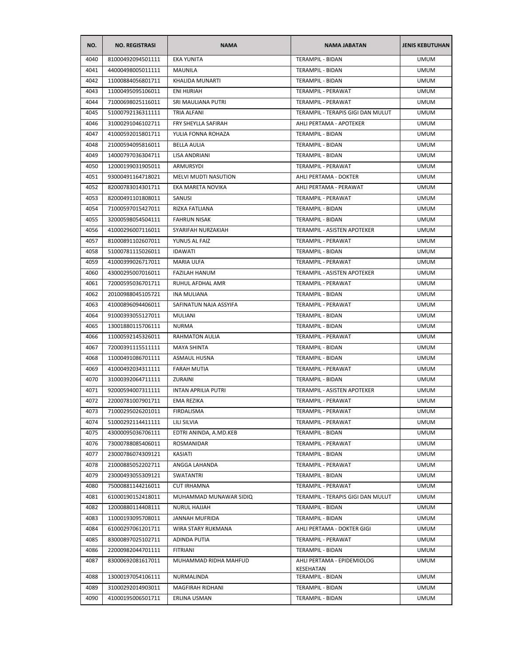| NO.  | <b>NO. REGISTRASI</b> | <b>NAMA</b>                | <b>NAMA JABATAN</b>                     | <b>JENIS KEBUTUHAN</b> |
|------|-----------------------|----------------------------|-----------------------------------------|------------------------|
| 4040 | 81000492094501111     | <b>EKA YUNITA</b>          | <b>TERAMPIL - BIDAN</b>                 | <b>UMUM</b>            |
| 4041 | 44000498005011111     | <b>MAUNILA</b>             | TERAMPIL - BIDAN                        | <b>UMUM</b>            |
| 4042 | 11000884056801711     | KHALIDA MUNARTI            | TERAMPIL - BIDAN                        | <b>UMUM</b>            |
| 4043 | 11000495095106011     | ENI HIJRIAH                | TERAMPIL - PERAWAT                      | <b>UMUM</b>            |
| 4044 | 71000698025116011     | SRI MAULIANA PUTRI         | TERAMPIL - PERAWAT                      | <b>UMUM</b>            |
| 4045 | 51000792136311111     | TRIA ALFANI                | TERAMPIL - TERAPIS GIGI DAN MULUT       | <b>UMUM</b>            |
| 4046 | 31000291046102711     | FRY SHEYLLA SAFIRAH        | AHLI PERTAMA - APOTEKER                 | <b>UMUM</b>            |
| 4047 | 41000592015801711     | YULIA FONNA ROHAZA         | TERAMPIL - BIDAN                        | <b>UMUM</b>            |
| 4048 | 21000594095816011     | <b>BELLA AULIA</b>         | <b>TERAMPIL - BIDAN</b>                 | <b>UMUM</b>            |
| 4049 | 14000797036304711     | LISA ANDRIANI              | <b>TERAMPIL - BIDAN</b>                 | <b>UMUM</b>            |
| 4050 | 12000199031905011     | ARMURSYDI                  | TERAMPIL - PERAWAT                      | <b>UMUM</b>            |
| 4051 | 93000491164718021     | MELVI MUDTI NASUTION       | AHLI PERTAMA - DOKTER                   | <b>UMUM</b>            |
| 4052 | 82000783014301711     | EKA MARETA NOVIKA          | AHLI PERTAMA - PERAWAT                  | <b>UMUM</b>            |
| 4053 | 82000491101808011     | SANUSI                     | TERAMPIL - PERAWAT                      | <b>UMUM</b>            |
| 4054 | 71000597015427011     | RIZKA FATLIANA             | <b>TERAMPIL - BIDAN</b>                 | <b>UMUM</b>            |
| 4055 | 32000598054504111     | <b>FAHRUN NISAK</b>        | TERAMPIL - BIDAN                        | <b>UMUM</b>            |
| 4056 | 41000296007116011     | SYARIFAH NURZAKIAH         | TERAMPIL - ASISTEN APOTEKER             | <b>UMUM</b>            |
| 4057 | 81000891102607011     | YUNUS AL FAIZ              | TERAMPIL - PERAWAT                      | <b>UMUM</b>            |
| 4058 | 51000781115026011     | <b>IDAWATI</b>             | TERAMPIL - BIDAN                        | <b>UMUM</b>            |
| 4059 | 41000399026717011     | <b>MARIA ULFA</b>          | TERAMPIL - PERAWAT                      | <b>UMUM</b>            |
| 4060 | 43000295007016011     | <b>FAZILAH HANUM</b>       | TERAMPIL - ASISTEN APOTEKER             | <b>UMUM</b>            |
| 4061 | 72000595036701711     | RUHUL AFDHAL AMR           | TERAMPIL - PERAWAT                      | <b>UMUM</b>            |
| 4062 | 20100988045105721     | <b>INA MULIANA</b>         | TERAMPIL - BIDAN                        | UMUM                   |
| 4063 | 41000896094406011     | SAFINATUN NAJA ASSYIFA     | TERAMPIL - PERAWAT                      | <b>UMUM</b>            |
| 4064 | 91000393055127011     | <b>MULIANI</b>             | TERAMPIL - BIDAN                        | <b>UMUM</b>            |
| 4065 | 13001880115706111     | <b>NURMA</b>               | TERAMPIL - BIDAN                        | <b>UMUM</b>            |
| 4066 | 11000592145326011     | <b>RAHMATON AULIA</b>      | TERAMPIL - PERAWAT                      | <b>UMUM</b>            |
| 4067 | 72000391115511111     | <b>MAYA SHINTA</b>         | TERAMPIL - BIDAN                        | <b>UMUM</b>            |
| 4068 | 11000491086701111     | <b>ASMAUL HUSNA</b>        | TERAMPIL - BIDAN                        | <b>UMUM</b>            |
| 4069 | 41000492034311111     | <b>FARAH MUTIA</b>         | TERAMPIL - PERAWAT                      | <b>UMUM</b>            |
| 4070 | 31000392064711111     | ZURAINI                    | TERAMPIL - BIDAN                        | <b>UMUM</b>            |
| 4071 | 92000594007311111     | <b>INTAN APRILIA PUTRI</b> | <b>TERAMPIL - ASISTEN APOTEKER</b>      | <b>UMUM</b>            |
| 4072 | 22000781007901711     | EMA REZIKA                 | TERAMPIL - PERAWAT                      | <b>UMUM</b>            |
| 4073 | 71000295026201011     | FIRDALISMA                 | TERAMPIL - PERAWAT                      | <b>UMUM</b>            |
| 4074 | 51000292114411111     | LILI SILVIA                | TERAMPIL - PERAWAT                      | <b>UMUM</b>            |
| 4075 | 43000095036706111     | EDTRI ANINDA, A.MD.KEB     | TERAMPIL - BIDAN                        | <b>UMUM</b>            |
| 4076 | 73000788085406011     | <b>ROSMANIDAR</b>          | TERAMPIL - PERAWAT                      | <b>UMUM</b>            |
| 4077 | 23000786074309121     | KASIATI                    | TERAMPIL - BIDAN                        | <b>UMUM</b>            |
| 4078 | 21000885052202711     | ANGGA LAHANDA              | TERAMPIL - PERAWAT                      | <b>UMUM</b>            |
| 4079 | 23000493055309121     | SWATANTRI                  | TERAMPIL - BIDAN                        | <b>UMUM</b>            |
| 4080 | 75000881144216011     | <b>CUT IRHAMNA</b>         | TERAMPIL - PERAWAT                      | <b>UMUM</b>            |
| 4081 | 61000190152418011     | MUHAMMAD MUNAWAR SIDIQ     | TERAMPIL - TERAPIS GIGI DAN MULUT       | <b>UMUM</b>            |
| 4082 | 12000880114408111     | NURUL HAJJAH               | TERAMPIL - BIDAN                        | <b>UMUM</b>            |
| 4083 | 11000193095708011     | JANNAH MUFRIDA             | TERAMPIL - BIDAN                        | <b>UMUM</b>            |
| 4084 | 61000297061201711     | WIRA STARY RUKMANA         | AHLI PERTAMA - DOKTER GIGI              | <b>UMUM</b>            |
| 4085 | 83000897025102711     | ADINDA PUTIA               | TERAMPIL - PERAWAT                      | <b>UMUM</b>            |
| 4086 | 22000982044701111     | <b>FITRIANI</b>            | TERAMPIL - BIDAN                        | <b>UMUM</b>            |
| 4087 | 83000692081617011     | MUHAMMAD RIDHA MAHFUD      | AHLI PERTAMA - EPIDEMIOLOG<br>KESEHATAN | <b>UMUM</b>            |
| 4088 | 13000197054106111     | NURMALINDA                 | TERAMPIL - BIDAN                        | <b>UMUM</b>            |
| 4089 | 31000292014903011     | MAGFIRAH RIDHANI           | TERAMPIL - BIDAN                        | <b>UMUM</b>            |
| 4090 | 41000195006501711     | ERLINA USMAN               | TERAMPIL - BIDAN                        | <b>UMUM</b>            |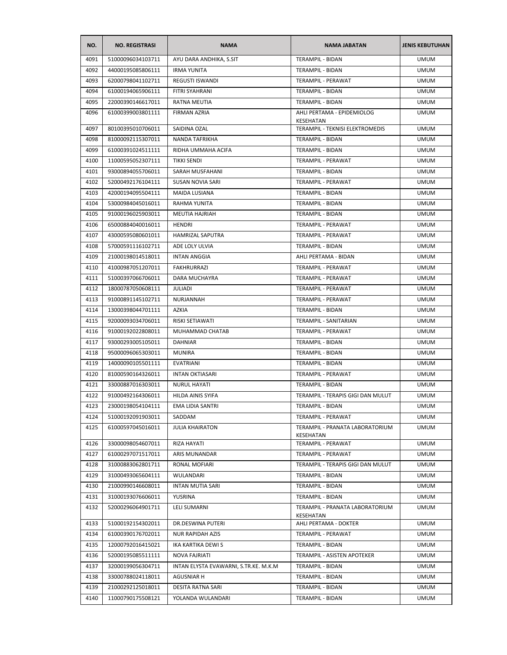| AYU DARA ANDHIKA, S.SIT<br>TERAMPIL - BIDAN<br><b>UMUM</b><br>4091<br>51000096034103711<br>4092<br>44000195085806111<br><b>IRMA YUNITA</b><br>TERAMPIL - BIDAN<br><b>UMUM</b><br>4093<br>62000798041102711<br><b>REGUSTI ISWANDI</b><br>TERAMPIL - PERAWAT<br><b>UMUM</b><br>TERAMPIL - BIDAN<br><b>UMUM</b><br>4094<br>61000194065906111<br>FITRI SYAHRANI<br><b>UMUM</b><br>4095<br>22000390146617011<br>RATNA MEUTIA<br>TERAMPIL - BIDAN<br>AHLI PERTAMA - EPIDEMIOLOG<br>4096<br>61000399003801111<br>FIRMAN AZRIA<br><b>UMUM</b><br>KESEHATAN<br>80100395010706011<br>SAIDINA OZAL<br>TERAMPIL - TEKNISI ELEKTROMEDIS<br><b>UMUM</b><br>4097<br>4098<br>81000092115307011<br>NANDA TAFRIKHA<br>TERAMPIL - BIDAN<br><b>UMUM</b><br>4099<br>61000391024511111<br>RIDHA UMMAHA ACIFA<br>TERAMPIL - BIDAN<br><b>UMUM</b><br>4100<br>11000595052307111<br><b>TIKKI SENDI</b><br>TERAMPIL - PERAWAT<br><b>UMUM</b><br><b>UMUM</b><br>4101<br>93000894055706011<br>SARAH MUSFAHANI<br>TERAMPIL - BIDAN<br>4102<br>52000492176104111<br>SUSAN NOVIA SARI<br>TERAMPIL - PERAWAT<br><b>UMUM</b><br>4103<br>42000194095504111<br>MAIDA LUSIANA<br>TERAMPIL - BIDAN<br><b>UMUM</b><br>4104<br>53000984045016011<br><b>RAHMA YUNITA</b><br>TERAMPIL - BIDAN<br><b>UMUM</b><br>4105<br>91000196025903011<br><b>MEUTIA HAJRIAH</b><br>TERAMPIL - BIDAN<br><b>UMUM</b><br>4106<br>65000884040016011<br>TERAMPIL - PERAWAT<br><b>UMUM</b><br>HENDRI<br>TERAMPIL - PERAWAT<br><b>UMUM</b><br>4107<br>43000595080601011<br><b>HAMRIZAL SAPUTRA</b><br>4108<br>57000591116102711<br>ADE LOLY ULVIA<br>TERAMPIL - BIDAN<br><b>UMUM</b><br>21000198014518011<br>4109<br><b>INTAN ANGGIA</b><br>AHLI PERTAMA - BIDAN<br><b>UMUM</b><br>4110<br>41000987051207011<br><b>FAKHRURRAZI</b><br>TERAMPIL - PERAWAT<br><b>UMUM</b><br>4111<br>51000397066706011<br>DARA MUCHAYRA<br>TERAMPIL - PERAWAT<br><b>UMUM</b><br>4112<br>18000787050608111<br>JULIADI<br>TERAMPIL - PERAWAT<br><b>UMUM</b><br>4113<br>91000891145102711<br>NURJANNAH<br>TERAMPIL - PERAWAT<br><b>UMUM</b><br><b>UMUM</b><br>4114<br>13000398044701111<br>AZKIA<br>TERAMPIL - BIDAN<br>4115<br>92000093034706011<br>RISKI SETIAWATI<br>TERAMPIL - SANITARIAN<br><b>UMUM</b><br>MUHAMMAD CHATAB<br>4116<br>91000192022808011<br>TERAMPIL - PERAWAT<br><b>UMUM</b><br>4117<br>93000293005105011<br><b>DAHNIAR</b><br>TERAMPIL - BIDAN<br><b>UMUM</b><br>4118<br>95000096065303011<br><b>MUNIRA</b><br>TERAMPIL - BIDAN<br><b>UMUM</b><br>4119<br>TERAMPIL - BIDAN<br>14000090105501111<br>EVATRIANI<br><b>UMUM</b><br>4120<br>81000590164326011<br>TERAMPIL - PERAWAT<br><b>UMUM</b><br><b>INTAN OKTIASARI</b><br>4121<br><b>UMUM</b><br>33000887016303011<br><b>NURUL HAYATI</b><br>TERAMPIL - BIDAN<br>4122<br>TERAMPIL - TERAPIS GIGI DAN MULUT<br>91000492164306011<br>HILDA AINIS SYIFA<br><b>UMUM</b><br>4123<br>23000198054104111<br>EMA LIDIA SANTRI<br>TERAMPIL - BIDAN<br><b>UMUM</b><br>4124<br>TERAMPIL - PERAWAT<br><b>UMUM</b><br>51000192091903011<br>SADDAM<br>4125<br>61000597045016011<br><b>JULIA KHAIRATON</b><br>TERAMPIL - PRANATA LABORATORIUM<br><b>UMUM</b><br>KESEHATAN<br>4126<br>33000098054607011<br>RIZA HAYATI<br>TERAMPIL - PERAWAT<br><b>UMUM</b><br><b>UMUM</b><br>4127<br>61000297071517011<br>ARIS MUNANDAR<br>TERAMPIL - PERAWAT<br>4128<br>TERAMPIL - TERAPIS GIGI DAN MULUT<br><b>UMUM</b><br>31000883062801711<br>RONAL MOFIARI<br>4129<br>31000493065604111<br>TERAMPIL - BIDAN<br>WULANDARI<br><b>UMUM</b><br>4130<br>21000990146608011<br><b>INTAN MUTIA SARI</b><br><b>TERAMPIL - BIDAN</b><br><b>UMUM</b><br>4131<br>31000193076606011<br>YUSRINA<br>TERAMPIL - BIDAN<br><b>UMUM</b><br>4132<br>52000296064901711<br><b>LELI SUMARNI</b><br>TERAMPIL - PRANATA LABORATORIUM<br><b>UMUM</b><br>KESEHATAN<br>4133<br>AHLI PERTAMA - DOKTER<br><b>UMUM</b><br>51000192154302011<br>DR.DESWINA PUTERI<br>4134<br>61000390176702011<br>NUR RAPIDAH AZIS<br>TERAMPIL - PERAWAT<br><b>UMUM</b><br>4135<br>12000792016415021<br>IKA KARTIKA DEWI S<br>TERAMPIL - BIDAN<br><b>UMUM</b><br>4136<br><b>NOVA FAJRIATI</b><br>TERAMPIL - ASISTEN APOTEKER<br>52000195085511111<br><b>UMUM</b><br>INTAN ELYSTA EVAWARNI, S.TR.KE. M.K.M<br>4137<br>32000199056304711<br>TERAMPIL - BIDAN<br><b>UMUM</b><br>4138<br>33000788024118011<br><b>AGUSNIAR H</b><br>TERAMPIL - BIDAN<br><b>UMUM</b><br>4139<br>21000292125018011<br>DESITA RATNA SARI<br>TERAMPIL - BIDAN<br><b>UMUM</b><br><b>UMUM</b><br>4140<br>11000790175508121<br>YOLANDA WULANDARI<br>TERAMPIL - BIDAN | NO. | <b>NO. REGISTRASI</b> | <b>NAMA</b> | <b>NAMA JABATAN</b> | <b>JENIS KEBUTUHAN</b> |
|---------------------------------------------------------------------------------------------------------------------------------------------------------------------------------------------------------------------------------------------------------------------------------------------------------------------------------------------------------------------------------------------------------------------------------------------------------------------------------------------------------------------------------------------------------------------------------------------------------------------------------------------------------------------------------------------------------------------------------------------------------------------------------------------------------------------------------------------------------------------------------------------------------------------------------------------------------------------------------------------------------------------------------------------------------------------------------------------------------------------------------------------------------------------------------------------------------------------------------------------------------------------------------------------------------------------------------------------------------------------------------------------------------------------------------------------------------------------------------------------------------------------------------------------------------------------------------------------------------------------------------------------------------------------------------------------------------------------------------------------------------------------------------------------------------------------------------------------------------------------------------------------------------------------------------------------------------------------------------------------------------------------------------------------------------------------------------------------------------------------------------------------------------------------------------------------------------------------------------------------------------------------------------------------------------------------------------------------------------------------------------------------------------------------------------------------------------------------------------------------------------------------------------------------------------------------------------------------------------------------------------------------------------------------------------------------------------------------------------------------------------------------------------------------------------------------------------------------------------------------------------------------------------------------------------------------------------------------------------------------------------------------------------------------------------------------------------------------------------------------------------------------------------------------------------------------------------------------------------------------------------------------------------------------------------------------------------------------------------------------------------------------------------------------------------------------------------------------------------------------------------------------------------------------------------------------------------------------------------------------------------------------------------------------------------------------------------------------------------------------------------------------------------------------------------------------------------------------------------------------------------------------------------------------------------------------------------------------------------------------------------------------------------------------------------------------------------------------------------------------------------------------------------------------------------------------------------------------------------------------------------------------------------------------------------------------------------------------------------------------------------------------------------------------------------------------------------------------------------------------------------------------------------------------------|-----|-----------------------|-------------|---------------------|------------------------|
|                                                                                                                                                                                                                                                                                                                                                                                                                                                                                                                                                                                                                                                                                                                                                                                                                                                                                                                                                                                                                                                                                                                                                                                                                                                                                                                                                                                                                                                                                                                                                                                                                                                                                                                                                                                                                                                                                                                                                                                                                                                                                                                                                                                                                                                                                                                                                                                                                                                                                                                                                                                                                                                                                                                                                                                                                                                                                                                                                                                                                                                                                                                                                                                                                                                                                                                                                                                                                                                                                                                                                                                                                                                                                                                                                                                                                                                                                                                                                                                                                                                                                                                                                                                                                                                                                                                                                                                                                                                                                                                                                   |     |                       |             |                     |                        |
|                                                                                                                                                                                                                                                                                                                                                                                                                                                                                                                                                                                                                                                                                                                                                                                                                                                                                                                                                                                                                                                                                                                                                                                                                                                                                                                                                                                                                                                                                                                                                                                                                                                                                                                                                                                                                                                                                                                                                                                                                                                                                                                                                                                                                                                                                                                                                                                                                                                                                                                                                                                                                                                                                                                                                                                                                                                                                                                                                                                                                                                                                                                                                                                                                                                                                                                                                                                                                                                                                                                                                                                                                                                                                                                                                                                                                                                                                                                                                                                                                                                                                                                                                                                                                                                                                                                                                                                                                                                                                                                                                   |     |                       |             |                     |                        |
|                                                                                                                                                                                                                                                                                                                                                                                                                                                                                                                                                                                                                                                                                                                                                                                                                                                                                                                                                                                                                                                                                                                                                                                                                                                                                                                                                                                                                                                                                                                                                                                                                                                                                                                                                                                                                                                                                                                                                                                                                                                                                                                                                                                                                                                                                                                                                                                                                                                                                                                                                                                                                                                                                                                                                                                                                                                                                                                                                                                                                                                                                                                                                                                                                                                                                                                                                                                                                                                                                                                                                                                                                                                                                                                                                                                                                                                                                                                                                                                                                                                                                                                                                                                                                                                                                                                                                                                                                                                                                                                                                   |     |                       |             |                     |                        |
|                                                                                                                                                                                                                                                                                                                                                                                                                                                                                                                                                                                                                                                                                                                                                                                                                                                                                                                                                                                                                                                                                                                                                                                                                                                                                                                                                                                                                                                                                                                                                                                                                                                                                                                                                                                                                                                                                                                                                                                                                                                                                                                                                                                                                                                                                                                                                                                                                                                                                                                                                                                                                                                                                                                                                                                                                                                                                                                                                                                                                                                                                                                                                                                                                                                                                                                                                                                                                                                                                                                                                                                                                                                                                                                                                                                                                                                                                                                                                                                                                                                                                                                                                                                                                                                                                                                                                                                                                                                                                                                                                   |     |                       |             |                     |                        |
|                                                                                                                                                                                                                                                                                                                                                                                                                                                                                                                                                                                                                                                                                                                                                                                                                                                                                                                                                                                                                                                                                                                                                                                                                                                                                                                                                                                                                                                                                                                                                                                                                                                                                                                                                                                                                                                                                                                                                                                                                                                                                                                                                                                                                                                                                                                                                                                                                                                                                                                                                                                                                                                                                                                                                                                                                                                                                                                                                                                                                                                                                                                                                                                                                                                                                                                                                                                                                                                                                                                                                                                                                                                                                                                                                                                                                                                                                                                                                                                                                                                                                                                                                                                                                                                                                                                                                                                                                                                                                                                                                   |     |                       |             |                     |                        |
|                                                                                                                                                                                                                                                                                                                                                                                                                                                                                                                                                                                                                                                                                                                                                                                                                                                                                                                                                                                                                                                                                                                                                                                                                                                                                                                                                                                                                                                                                                                                                                                                                                                                                                                                                                                                                                                                                                                                                                                                                                                                                                                                                                                                                                                                                                                                                                                                                                                                                                                                                                                                                                                                                                                                                                                                                                                                                                                                                                                                                                                                                                                                                                                                                                                                                                                                                                                                                                                                                                                                                                                                                                                                                                                                                                                                                                                                                                                                                                                                                                                                                                                                                                                                                                                                                                                                                                                                                                                                                                                                                   |     |                       |             |                     |                        |
|                                                                                                                                                                                                                                                                                                                                                                                                                                                                                                                                                                                                                                                                                                                                                                                                                                                                                                                                                                                                                                                                                                                                                                                                                                                                                                                                                                                                                                                                                                                                                                                                                                                                                                                                                                                                                                                                                                                                                                                                                                                                                                                                                                                                                                                                                                                                                                                                                                                                                                                                                                                                                                                                                                                                                                                                                                                                                                                                                                                                                                                                                                                                                                                                                                                                                                                                                                                                                                                                                                                                                                                                                                                                                                                                                                                                                                                                                                                                                                                                                                                                                                                                                                                                                                                                                                                                                                                                                                                                                                                                                   |     |                       |             |                     |                        |
|                                                                                                                                                                                                                                                                                                                                                                                                                                                                                                                                                                                                                                                                                                                                                                                                                                                                                                                                                                                                                                                                                                                                                                                                                                                                                                                                                                                                                                                                                                                                                                                                                                                                                                                                                                                                                                                                                                                                                                                                                                                                                                                                                                                                                                                                                                                                                                                                                                                                                                                                                                                                                                                                                                                                                                                                                                                                                                                                                                                                                                                                                                                                                                                                                                                                                                                                                                                                                                                                                                                                                                                                                                                                                                                                                                                                                                                                                                                                                                                                                                                                                                                                                                                                                                                                                                                                                                                                                                                                                                                                                   |     |                       |             |                     |                        |
|                                                                                                                                                                                                                                                                                                                                                                                                                                                                                                                                                                                                                                                                                                                                                                                                                                                                                                                                                                                                                                                                                                                                                                                                                                                                                                                                                                                                                                                                                                                                                                                                                                                                                                                                                                                                                                                                                                                                                                                                                                                                                                                                                                                                                                                                                                                                                                                                                                                                                                                                                                                                                                                                                                                                                                                                                                                                                                                                                                                                                                                                                                                                                                                                                                                                                                                                                                                                                                                                                                                                                                                                                                                                                                                                                                                                                                                                                                                                                                                                                                                                                                                                                                                                                                                                                                                                                                                                                                                                                                                                                   |     |                       |             |                     |                        |
|                                                                                                                                                                                                                                                                                                                                                                                                                                                                                                                                                                                                                                                                                                                                                                                                                                                                                                                                                                                                                                                                                                                                                                                                                                                                                                                                                                                                                                                                                                                                                                                                                                                                                                                                                                                                                                                                                                                                                                                                                                                                                                                                                                                                                                                                                                                                                                                                                                                                                                                                                                                                                                                                                                                                                                                                                                                                                                                                                                                                                                                                                                                                                                                                                                                                                                                                                                                                                                                                                                                                                                                                                                                                                                                                                                                                                                                                                                                                                                                                                                                                                                                                                                                                                                                                                                                                                                                                                                                                                                                                                   |     |                       |             |                     |                        |
|                                                                                                                                                                                                                                                                                                                                                                                                                                                                                                                                                                                                                                                                                                                                                                                                                                                                                                                                                                                                                                                                                                                                                                                                                                                                                                                                                                                                                                                                                                                                                                                                                                                                                                                                                                                                                                                                                                                                                                                                                                                                                                                                                                                                                                                                                                                                                                                                                                                                                                                                                                                                                                                                                                                                                                                                                                                                                                                                                                                                                                                                                                                                                                                                                                                                                                                                                                                                                                                                                                                                                                                                                                                                                                                                                                                                                                                                                                                                                                                                                                                                                                                                                                                                                                                                                                                                                                                                                                                                                                                                                   |     |                       |             |                     |                        |
|                                                                                                                                                                                                                                                                                                                                                                                                                                                                                                                                                                                                                                                                                                                                                                                                                                                                                                                                                                                                                                                                                                                                                                                                                                                                                                                                                                                                                                                                                                                                                                                                                                                                                                                                                                                                                                                                                                                                                                                                                                                                                                                                                                                                                                                                                                                                                                                                                                                                                                                                                                                                                                                                                                                                                                                                                                                                                                                                                                                                                                                                                                                                                                                                                                                                                                                                                                                                                                                                                                                                                                                                                                                                                                                                                                                                                                                                                                                                                                                                                                                                                                                                                                                                                                                                                                                                                                                                                                                                                                                                                   |     |                       |             |                     |                        |
|                                                                                                                                                                                                                                                                                                                                                                                                                                                                                                                                                                                                                                                                                                                                                                                                                                                                                                                                                                                                                                                                                                                                                                                                                                                                                                                                                                                                                                                                                                                                                                                                                                                                                                                                                                                                                                                                                                                                                                                                                                                                                                                                                                                                                                                                                                                                                                                                                                                                                                                                                                                                                                                                                                                                                                                                                                                                                                                                                                                                                                                                                                                                                                                                                                                                                                                                                                                                                                                                                                                                                                                                                                                                                                                                                                                                                                                                                                                                                                                                                                                                                                                                                                                                                                                                                                                                                                                                                                                                                                                                                   |     |                       |             |                     |                        |
|                                                                                                                                                                                                                                                                                                                                                                                                                                                                                                                                                                                                                                                                                                                                                                                                                                                                                                                                                                                                                                                                                                                                                                                                                                                                                                                                                                                                                                                                                                                                                                                                                                                                                                                                                                                                                                                                                                                                                                                                                                                                                                                                                                                                                                                                                                                                                                                                                                                                                                                                                                                                                                                                                                                                                                                                                                                                                                                                                                                                                                                                                                                                                                                                                                                                                                                                                                                                                                                                                                                                                                                                                                                                                                                                                                                                                                                                                                                                                                                                                                                                                                                                                                                                                                                                                                                                                                                                                                                                                                                                                   |     |                       |             |                     |                        |
|                                                                                                                                                                                                                                                                                                                                                                                                                                                                                                                                                                                                                                                                                                                                                                                                                                                                                                                                                                                                                                                                                                                                                                                                                                                                                                                                                                                                                                                                                                                                                                                                                                                                                                                                                                                                                                                                                                                                                                                                                                                                                                                                                                                                                                                                                                                                                                                                                                                                                                                                                                                                                                                                                                                                                                                                                                                                                                                                                                                                                                                                                                                                                                                                                                                                                                                                                                                                                                                                                                                                                                                                                                                                                                                                                                                                                                                                                                                                                                                                                                                                                                                                                                                                                                                                                                                                                                                                                                                                                                                                                   |     |                       |             |                     |                        |
|                                                                                                                                                                                                                                                                                                                                                                                                                                                                                                                                                                                                                                                                                                                                                                                                                                                                                                                                                                                                                                                                                                                                                                                                                                                                                                                                                                                                                                                                                                                                                                                                                                                                                                                                                                                                                                                                                                                                                                                                                                                                                                                                                                                                                                                                                                                                                                                                                                                                                                                                                                                                                                                                                                                                                                                                                                                                                                                                                                                                                                                                                                                                                                                                                                                                                                                                                                                                                                                                                                                                                                                                                                                                                                                                                                                                                                                                                                                                                                                                                                                                                                                                                                                                                                                                                                                                                                                                                                                                                                                                                   |     |                       |             |                     |                        |
|                                                                                                                                                                                                                                                                                                                                                                                                                                                                                                                                                                                                                                                                                                                                                                                                                                                                                                                                                                                                                                                                                                                                                                                                                                                                                                                                                                                                                                                                                                                                                                                                                                                                                                                                                                                                                                                                                                                                                                                                                                                                                                                                                                                                                                                                                                                                                                                                                                                                                                                                                                                                                                                                                                                                                                                                                                                                                                                                                                                                                                                                                                                                                                                                                                                                                                                                                                                                                                                                                                                                                                                                                                                                                                                                                                                                                                                                                                                                                                                                                                                                                                                                                                                                                                                                                                                                                                                                                                                                                                                                                   |     |                       |             |                     |                        |
|                                                                                                                                                                                                                                                                                                                                                                                                                                                                                                                                                                                                                                                                                                                                                                                                                                                                                                                                                                                                                                                                                                                                                                                                                                                                                                                                                                                                                                                                                                                                                                                                                                                                                                                                                                                                                                                                                                                                                                                                                                                                                                                                                                                                                                                                                                                                                                                                                                                                                                                                                                                                                                                                                                                                                                                                                                                                                                                                                                                                                                                                                                                                                                                                                                                                                                                                                                                                                                                                                                                                                                                                                                                                                                                                                                                                                                                                                                                                                                                                                                                                                                                                                                                                                                                                                                                                                                                                                                                                                                                                                   |     |                       |             |                     |                        |
|                                                                                                                                                                                                                                                                                                                                                                                                                                                                                                                                                                                                                                                                                                                                                                                                                                                                                                                                                                                                                                                                                                                                                                                                                                                                                                                                                                                                                                                                                                                                                                                                                                                                                                                                                                                                                                                                                                                                                                                                                                                                                                                                                                                                                                                                                                                                                                                                                                                                                                                                                                                                                                                                                                                                                                                                                                                                                                                                                                                                                                                                                                                                                                                                                                                                                                                                                                                                                                                                                                                                                                                                                                                                                                                                                                                                                                                                                                                                                                                                                                                                                                                                                                                                                                                                                                                                                                                                                                                                                                                                                   |     |                       |             |                     |                        |
|                                                                                                                                                                                                                                                                                                                                                                                                                                                                                                                                                                                                                                                                                                                                                                                                                                                                                                                                                                                                                                                                                                                                                                                                                                                                                                                                                                                                                                                                                                                                                                                                                                                                                                                                                                                                                                                                                                                                                                                                                                                                                                                                                                                                                                                                                                                                                                                                                                                                                                                                                                                                                                                                                                                                                                                                                                                                                                                                                                                                                                                                                                                                                                                                                                                                                                                                                                                                                                                                                                                                                                                                                                                                                                                                                                                                                                                                                                                                                                                                                                                                                                                                                                                                                                                                                                                                                                                                                                                                                                                                                   |     |                       |             |                     |                        |
|                                                                                                                                                                                                                                                                                                                                                                                                                                                                                                                                                                                                                                                                                                                                                                                                                                                                                                                                                                                                                                                                                                                                                                                                                                                                                                                                                                                                                                                                                                                                                                                                                                                                                                                                                                                                                                                                                                                                                                                                                                                                                                                                                                                                                                                                                                                                                                                                                                                                                                                                                                                                                                                                                                                                                                                                                                                                                                                                                                                                                                                                                                                                                                                                                                                                                                                                                                                                                                                                                                                                                                                                                                                                                                                                                                                                                                                                                                                                                                                                                                                                                                                                                                                                                                                                                                                                                                                                                                                                                                                                                   |     |                       |             |                     |                        |
|                                                                                                                                                                                                                                                                                                                                                                                                                                                                                                                                                                                                                                                                                                                                                                                                                                                                                                                                                                                                                                                                                                                                                                                                                                                                                                                                                                                                                                                                                                                                                                                                                                                                                                                                                                                                                                                                                                                                                                                                                                                                                                                                                                                                                                                                                                                                                                                                                                                                                                                                                                                                                                                                                                                                                                                                                                                                                                                                                                                                                                                                                                                                                                                                                                                                                                                                                                                                                                                                                                                                                                                                                                                                                                                                                                                                                                                                                                                                                                                                                                                                                                                                                                                                                                                                                                                                                                                                                                                                                                                                                   |     |                       |             |                     |                        |
|                                                                                                                                                                                                                                                                                                                                                                                                                                                                                                                                                                                                                                                                                                                                                                                                                                                                                                                                                                                                                                                                                                                                                                                                                                                                                                                                                                                                                                                                                                                                                                                                                                                                                                                                                                                                                                                                                                                                                                                                                                                                                                                                                                                                                                                                                                                                                                                                                                                                                                                                                                                                                                                                                                                                                                                                                                                                                                                                                                                                                                                                                                                                                                                                                                                                                                                                                                                                                                                                                                                                                                                                                                                                                                                                                                                                                                                                                                                                                                                                                                                                                                                                                                                                                                                                                                                                                                                                                                                                                                                                                   |     |                       |             |                     |                        |
|                                                                                                                                                                                                                                                                                                                                                                                                                                                                                                                                                                                                                                                                                                                                                                                                                                                                                                                                                                                                                                                                                                                                                                                                                                                                                                                                                                                                                                                                                                                                                                                                                                                                                                                                                                                                                                                                                                                                                                                                                                                                                                                                                                                                                                                                                                                                                                                                                                                                                                                                                                                                                                                                                                                                                                                                                                                                                                                                                                                                                                                                                                                                                                                                                                                                                                                                                                                                                                                                                                                                                                                                                                                                                                                                                                                                                                                                                                                                                                                                                                                                                                                                                                                                                                                                                                                                                                                                                                                                                                                                                   |     |                       |             |                     |                        |
|                                                                                                                                                                                                                                                                                                                                                                                                                                                                                                                                                                                                                                                                                                                                                                                                                                                                                                                                                                                                                                                                                                                                                                                                                                                                                                                                                                                                                                                                                                                                                                                                                                                                                                                                                                                                                                                                                                                                                                                                                                                                                                                                                                                                                                                                                                                                                                                                                                                                                                                                                                                                                                                                                                                                                                                                                                                                                                                                                                                                                                                                                                                                                                                                                                                                                                                                                                                                                                                                                                                                                                                                                                                                                                                                                                                                                                                                                                                                                                                                                                                                                                                                                                                                                                                                                                                                                                                                                                                                                                                                                   |     |                       |             |                     |                        |
|                                                                                                                                                                                                                                                                                                                                                                                                                                                                                                                                                                                                                                                                                                                                                                                                                                                                                                                                                                                                                                                                                                                                                                                                                                                                                                                                                                                                                                                                                                                                                                                                                                                                                                                                                                                                                                                                                                                                                                                                                                                                                                                                                                                                                                                                                                                                                                                                                                                                                                                                                                                                                                                                                                                                                                                                                                                                                                                                                                                                                                                                                                                                                                                                                                                                                                                                                                                                                                                                                                                                                                                                                                                                                                                                                                                                                                                                                                                                                                                                                                                                                                                                                                                                                                                                                                                                                                                                                                                                                                                                                   |     |                       |             |                     |                        |
|                                                                                                                                                                                                                                                                                                                                                                                                                                                                                                                                                                                                                                                                                                                                                                                                                                                                                                                                                                                                                                                                                                                                                                                                                                                                                                                                                                                                                                                                                                                                                                                                                                                                                                                                                                                                                                                                                                                                                                                                                                                                                                                                                                                                                                                                                                                                                                                                                                                                                                                                                                                                                                                                                                                                                                                                                                                                                                                                                                                                                                                                                                                                                                                                                                                                                                                                                                                                                                                                                                                                                                                                                                                                                                                                                                                                                                                                                                                                                                                                                                                                                                                                                                                                                                                                                                                                                                                                                                                                                                                                                   |     |                       |             |                     |                        |
|                                                                                                                                                                                                                                                                                                                                                                                                                                                                                                                                                                                                                                                                                                                                                                                                                                                                                                                                                                                                                                                                                                                                                                                                                                                                                                                                                                                                                                                                                                                                                                                                                                                                                                                                                                                                                                                                                                                                                                                                                                                                                                                                                                                                                                                                                                                                                                                                                                                                                                                                                                                                                                                                                                                                                                                                                                                                                                                                                                                                                                                                                                                                                                                                                                                                                                                                                                                                                                                                                                                                                                                                                                                                                                                                                                                                                                                                                                                                                                                                                                                                                                                                                                                                                                                                                                                                                                                                                                                                                                                                                   |     |                       |             |                     |                        |
|                                                                                                                                                                                                                                                                                                                                                                                                                                                                                                                                                                                                                                                                                                                                                                                                                                                                                                                                                                                                                                                                                                                                                                                                                                                                                                                                                                                                                                                                                                                                                                                                                                                                                                                                                                                                                                                                                                                                                                                                                                                                                                                                                                                                                                                                                                                                                                                                                                                                                                                                                                                                                                                                                                                                                                                                                                                                                                                                                                                                                                                                                                                                                                                                                                                                                                                                                                                                                                                                                                                                                                                                                                                                                                                                                                                                                                                                                                                                                                                                                                                                                                                                                                                                                                                                                                                                                                                                                                                                                                                                                   |     |                       |             |                     |                        |
|                                                                                                                                                                                                                                                                                                                                                                                                                                                                                                                                                                                                                                                                                                                                                                                                                                                                                                                                                                                                                                                                                                                                                                                                                                                                                                                                                                                                                                                                                                                                                                                                                                                                                                                                                                                                                                                                                                                                                                                                                                                                                                                                                                                                                                                                                                                                                                                                                                                                                                                                                                                                                                                                                                                                                                                                                                                                                                                                                                                                                                                                                                                                                                                                                                                                                                                                                                                                                                                                                                                                                                                                                                                                                                                                                                                                                                                                                                                                                                                                                                                                                                                                                                                                                                                                                                                                                                                                                                                                                                                                                   |     |                       |             |                     |                        |
|                                                                                                                                                                                                                                                                                                                                                                                                                                                                                                                                                                                                                                                                                                                                                                                                                                                                                                                                                                                                                                                                                                                                                                                                                                                                                                                                                                                                                                                                                                                                                                                                                                                                                                                                                                                                                                                                                                                                                                                                                                                                                                                                                                                                                                                                                                                                                                                                                                                                                                                                                                                                                                                                                                                                                                                                                                                                                                                                                                                                                                                                                                                                                                                                                                                                                                                                                                                                                                                                                                                                                                                                                                                                                                                                                                                                                                                                                                                                                                                                                                                                                                                                                                                                                                                                                                                                                                                                                                                                                                                                                   |     |                       |             |                     |                        |
|                                                                                                                                                                                                                                                                                                                                                                                                                                                                                                                                                                                                                                                                                                                                                                                                                                                                                                                                                                                                                                                                                                                                                                                                                                                                                                                                                                                                                                                                                                                                                                                                                                                                                                                                                                                                                                                                                                                                                                                                                                                                                                                                                                                                                                                                                                                                                                                                                                                                                                                                                                                                                                                                                                                                                                                                                                                                                                                                                                                                                                                                                                                                                                                                                                                                                                                                                                                                                                                                                                                                                                                                                                                                                                                                                                                                                                                                                                                                                                                                                                                                                                                                                                                                                                                                                                                                                                                                                                                                                                                                                   |     |                       |             |                     |                        |
|                                                                                                                                                                                                                                                                                                                                                                                                                                                                                                                                                                                                                                                                                                                                                                                                                                                                                                                                                                                                                                                                                                                                                                                                                                                                                                                                                                                                                                                                                                                                                                                                                                                                                                                                                                                                                                                                                                                                                                                                                                                                                                                                                                                                                                                                                                                                                                                                                                                                                                                                                                                                                                                                                                                                                                                                                                                                                                                                                                                                                                                                                                                                                                                                                                                                                                                                                                                                                                                                                                                                                                                                                                                                                                                                                                                                                                                                                                                                                                                                                                                                                                                                                                                                                                                                                                                                                                                                                                                                                                                                                   |     |                       |             |                     |                        |
|                                                                                                                                                                                                                                                                                                                                                                                                                                                                                                                                                                                                                                                                                                                                                                                                                                                                                                                                                                                                                                                                                                                                                                                                                                                                                                                                                                                                                                                                                                                                                                                                                                                                                                                                                                                                                                                                                                                                                                                                                                                                                                                                                                                                                                                                                                                                                                                                                                                                                                                                                                                                                                                                                                                                                                                                                                                                                                                                                                                                                                                                                                                                                                                                                                                                                                                                                                                                                                                                                                                                                                                                                                                                                                                                                                                                                                                                                                                                                                                                                                                                                                                                                                                                                                                                                                                                                                                                                                                                                                                                                   |     |                       |             |                     |                        |
|                                                                                                                                                                                                                                                                                                                                                                                                                                                                                                                                                                                                                                                                                                                                                                                                                                                                                                                                                                                                                                                                                                                                                                                                                                                                                                                                                                                                                                                                                                                                                                                                                                                                                                                                                                                                                                                                                                                                                                                                                                                                                                                                                                                                                                                                                                                                                                                                                                                                                                                                                                                                                                                                                                                                                                                                                                                                                                                                                                                                                                                                                                                                                                                                                                                                                                                                                                                                                                                                                                                                                                                                                                                                                                                                                                                                                                                                                                                                                                                                                                                                                                                                                                                                                                                                                                                                                                                                                                                                                                                                                   |     |                       |             |                     |                        |
|                                                                                                                                                                                                                                                                                                                                                                                                                                                                                                                                                                                                                                                                                                                                                                                                                                                                                                                                                                                                                                                                                                                                                                                                                                                                                                                                                                                                                                                                                                                                                                                                                                                                                                                                                                                                                                                                                                                                                                                                                                                                                                                                                                                                                                                                                                                                                                                                                                                                                                                                                                                                                                                                                                                                                                                                                                                                                                                                                                                                                                                                                                                                                                                                                                                                                                                                                                                                                                                                                                                                                                                                                                                                                                                                                                                                                                                                                                                                                                                                                                                                                                                                                                                                                                                                                                                                                                                                                                                                                                                                                   |     |                       |             |                     |                        |
|                                                                                                                                                                                                                                                                                                                                                                                                                                                                                                                                                                                                                                                                                                                                                                                                                                                                                                                                                                                                                                                                                                                                                                                                                                                                                                                                                                                                                                                                                                                                                                                                                                                                                                                                                                                                                                                                                                                                                                                                                                                                                                                                                                                                                                                                                                                                                                                                                                                                                                                                                                                                                                                                                                                                                                                                                                                                                                                                                                                                                                                                                                                                                                                                                                                                                                                                                                                                                                                                                                                                                                                                                                                                                                                                                                                                                                                                                                                                                                                                                                                                                                                                                                                                                                                                                                                                                                                                                                                                                                                                                   |     |                       |             |                     |                        |
|                                                                                                                                                                                                                                                                                                                                                                                                                                                                                                                                                                                                                                                                                                                                                                                                                                                                                                                                                                                                                                                                                                                                                                                                                                                                                                                                                                                                                                                                                                                                                                                                                                                                                                                                                                                                                                                                                                                                                                                                                                                                                                                                                                                                                                                                                                                                                                                                                                                                                                                                                                                                                                                                                                                                                                                                                                                                                                                                                                                                                                                                                                                                                                                                                                                                                                                                                                                                                                                                                                                                                                                                                                                                                                                                                                                                                                                                                                                                                                                                                                                                                                                                                                                                                                                                                                                                                                                                                                                                                                                                                   |     |                       |             |                     |                        |
|                                                                                                                                                                                                                                                                                                                                                                                                                                                                                                                                                                                                                                                                                                                                                                                                                                                                                                                                                                                                                                                                                                                                                                                                                                                                                                                                                                                                                                                                                                                                                                                                                                                                                                                                                                                                                                                                                                                                                                                                                                                                                                                                                                                                                                                                                                                                                                                                                                                                                                                                                                                                                                                                                                                                                                                                                                                                                                                                                                                                                                                                                                                                                                                                                                                                                                                                                                                                                                                                                                                                                                                                                                                                                                                                                                                                                                                                                                                                                                                                                                                                                                                                                                                                                                                                                                                                                                                                                                                                                                                                                   |     |                       |             |                     |                        |
|                                                                                                                                                                                                                                                                                                                                                                                                                                                                                                                                                                                                                                                                                                                                                                                                                                                                                                                                                                                                                                                                                                                                                                                                                                                                                                                                                                                                                                                                                                                                                                                                                                                                                                                                                                                                                                                                                                                                                                                                                                                                                                                                                                                                                                                                                                                                                                                                                                                                                                                                                                                                                                                                                                                                                                                                                                                                                                                                                                                                                                                                                                                                                                                                                                                                                                                                                                                                                                                                                                                                                                                                                                                                                                                                                                                                                                                                                                                                                                                                                                                                                                                                                                                                                                                                                                                                                                                                                                                                                                                                                   |     |                       |             |                     |                        |
|                                                                                                                                                                                                                                                                                                                                                                                                                                                                                                                                                                                                                                                                                                                                                                                                                                                                                                                                                                                                                                                                                                                                                                                                                                                                                                                                                                                                                                                                                                                                                                                                                                                                                                                                                                                                                                                                                                                                                                                                                                                                                                                                                                                                                                                                                                                                                                                                                                                                                                                                                                                                                                                                                                                                                                                                                                                                                                                                                                                                                                                                                                                                                                                                                                                                                                                                                                                                                                                                                                                                                                                                                                                                                                                                                                                                                                                                                                                                                                                                                                                                                                                                                                                                                                                                                                                                                                                                                                                                                                                                                   |     |                       |             |                     |                        |
|                                                                                                                                                                                                                                                                                                                                                                                                                                                                                                                                                                                                                                                                                                                                                                                                                                                                                                                                                                                                                                                                                                                                                                                                                                                                                                                                                                                                                                                                                                                                                                                                                                                                                                                                                                                                                                                                                                                                                                                                                                                                                                                                                                                                                                                                                                                                                                                                                                                                                                                                                                                                                                                                                                                                                                                                                                                                                                                                                                                                                                                                                                                                                                                                                                                                                                                                                                                                                                                                                                                                                                                                                                                                                                                                                                                                                                                                                                                                                                                                                                                                                                                                                                                                                                                                                                                                                                                                                                                                                                                                                   |     |                       |             |                     |                        |
|                                                                                                                                                                                                                                                                                                                                                                                                                                                                                                                                                                                                                                                                                                                                                                                                                                                                                                                                                                                                                                                                                                                                                                                                                                                                                                                                                                                                                                                                                                                                                                                                                                                                                                                                                                                                                                                                                                                                                                                                                                                                                                                                                                                                                                                                                                                                                                                                                                                                                                                                                                                                                                                                                                                                                                                                                                                                                                                                                                                                                                                                                                                                                                                                                                                                                                                                                                                                                                                                                                                                                                                                                                                                                                                                                                                                                                                                                                                                                                                                                                                                                                                                                                                                                                                                                                                                                                                                                                                                                                                                                   |     |                       |             |                     |                        |
|                                                                                                                                                                                                                                                                                                                                                                                                                                                                                                                                                                                                                                                                                                                                                                                                                                                                                                                                                                                                                                                                                                                                                                                                                                                                                                                                                                                                                                                                                                                                                                                                                                                                                                                                                                                                                                                                                                                                                                                                                                                                                                                                                                                                                                                                                                                                                                                                                                                                                                                                                                                                                                                                                                                                                                                                                                                                                                                                                                                                                                                                                                                                                                                                                                                                                                                                                                                                                                                                                                                                                                                                                                                                                                                                                                                                                                                                                                                                                                                                                                                                                                                                                                                                                                                                                                                                                                                                                                                                                                                                                   |     |                       |             |                     |                        |
|                                                                                                                                                                                                                                                                                                                                                                                                                                                                                                                                                                                                                                                                                                                                                                                                                                                                                                                                                                                                                                                                                                                                                                                                                                                                                                                                                                                                                                                                                                                                                                                                                                                                                                                                                                                                                                                                                                                                                                                                                                                                                                                                                                                                                                                                                                                                                                                                                                                                                                                                                                                                                                                                                                                                                                                                                                                                                                                                                                                                                                                                                                                                                                                                                                                                                                                                                                                                                                                                                                                                                                                                                                                                                                                                                                                                                                                                                                                                                                                                                                                                                                                                                                                                                                                                                                                                                                                                                                                                                                                                                   |     |                       |             |                     |                        |
|                                                                                                                                                                                                                                                                                                                                                                                                                                                                                                                                                                                                                                                                                                                                                                                                                                                                                                                                                                                                                                                                                                                                                                                                                                                                                                                                                                                                                                                                                                                                                                                                                                                                                                                                                                                                                                                                                                                                                                                                                                                                                                                                                                                                                                                                                                                                                                                                                                                                                                                                                                                                                                                                                                                                                                                                                                                                                                                                                                                                                                                                                                                                                                                                                                                                                                                                                                                                                                                                                                                                                                                                                                                                                                                                                                                                                                                                                                                                                                                                                                                                                                                                                                                                                                                                                                                                                                                                                                                                                                                                                   |     |                       |             |                     |                        |
|                                                                                                                                                                                                                                                                                                                                                                                                                                                                                                                                                                                                                                                                                                                                                                                                                                                                                                                                                                                                                                                                                                                                                                                                                                                                                                                                                                                                                                                                                                                                                                                                                                                                                                                                                                                                                                                                                                                                                                                                                                                                                                                                                                                                                                                                                                                                                                                                                                                                                                                                                                                                                                                                                                                                                                                                                                                                                                                                                                                                                                                                                                                                                                                                                                                                                                                                                                                                                                                                                                                                                                                                                                                                                                                                                                                                                                                                                                                                                                                                                                                                                                                                                                                                                                                                                                                                                                                                                                                                                                                                                   |     |                       |             |                     |                        |
|                                                                                                                                                                                                                                                                                                                                                                                                                                                                                                                                                                                                                                                                                                                                                                                                                                                                                                                                                                                                                                                                                                                                                                                                                                                                                                                                                                                                                                                                                                                                                                                                                                                                                                                                                                                                                                                                                                                                                                                                                                                                                                                                                                                                                                                                                                                                                                                                                                                                                                                                                                                                                                                                                                                                                                                                                                                                                                                                                                                                                                                                                                                                                                                                                                                                                                                                                                                                                                                                                                                                                                                                                                                                                                                                                                                                                                                                                                                                                                                                                                                                                                                                                                                                                                                                                                                                                                                                                                                                                                                                                   |     |                       |             |                     |                        |
|                                                                                                                                                                                                                                                                                                                                                                                                                                                                                                                                                                                                                                                                                                                                                                                                                                                                                                                                                                                                                                                                                                                                                                                                                                                                                                                                                                                                                                                                                                                                                                                                                                                                                                                                                                                                                                                                                                                                                                                                                                                                                                                                                                                                                                                                                                                                                                                                                                                                                                                                                                                                                                                                                                                                                                                                                                                                                                                                                                                                                                                                                                                                                                                                                                                                                                                                                                                                                                                                                                                                                                                                                                                                                                                                                                                                                                                                                                                                                                                                                                                                                                                                                                                                                                                                                                                                                                                                                                                                                                                                                   |     |                       |             |                     |                        |
|                                                                                                                                                                                                                                                                                                                                                                                                                                                                                                                                                                                                                                                                                                                                                                                                                                                                                                                                                                                                                                                                                                                                                                                                                                                                                                                                                                                                                                                                                                                                                                                                                                                                                                                                                                                                                                                                                                                                                                                                                                                                                                                                                                                                                                                                                                                                                                                                                                                                                                                                                                                                                                                                                                                                                                                                                                                                                                                                                                                                                                                                                                                                                                                                                                                                                                                                                                                                                                                                                                                                                                                                                                                                                                                                                                                                                                                                                                                                                                                                                                                                                                                                                                                                                                                                                                                                                                                                                                                                                                                                                   |     |                       |             |                     |                        |
|                                                                                                                                                                                                                                                                                                                                                                                                                                                                                                                                                                                                                                                                                                                                                                                                                                                                                                                                                                                                                                                                                                                                                                                                                                                                                                                                                                                                                                                                                                                                                                                                                                                                                                                                                                                                                                                                                                                                                                                                                                                                                                                                                                                                                                                                                                                                                                                                                                                                                                                                                                                                                                                                                                                                                                                                                                                                                                                                                                                                                                                                                                                                                                                                                                                                                                                                                                                                                                                                                                                                                                                                                                                                                                                                                                                                                                                                                                                                                                                                                                                                                                                                                                                                                                                                                                                                                                                                                                                                                                                                                   |     |                       |             |                     |                        |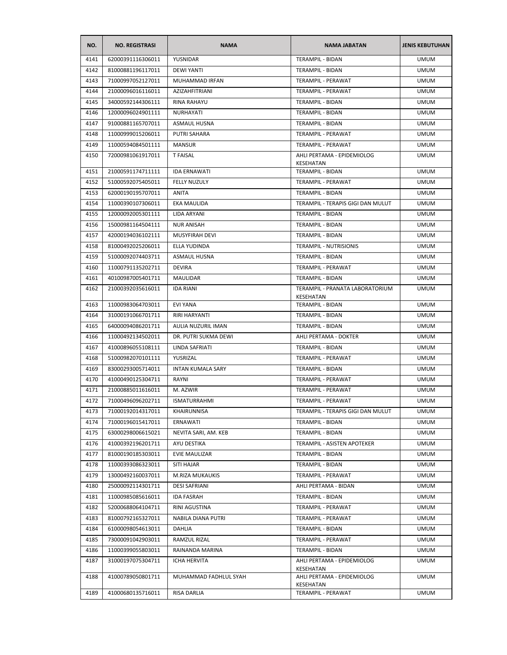| NO.  | <b>NO. REGISTRASI</b> | <b>NAMA</b>              | <b>NAMA JABATAN</b>                          | <b>JENIS KEBUTUHAN</b> |
|------|-----------------------|--------------------------|----------------------------------------------|------------------------|
| 4141 | 62000391116306011     | YUSNIDAR                 | <b>TERAMPIL - BIDAN</b>                      | <b>UMUM</b>            |
| 4142 | 81000881196117011     | <b>DEWI YANTI</b>        | TERAMPIL - BIDAN                             | <b>UMUM</b>            |
| 4143 | 71000997052127011     | MUHAMMAD IRFAN           | <b>TERAMPIL - PERAWAT</b>                    | <b>UMUM</b>            |
| 4144 | 21000096016116011     | <b>AZIZAHFITRIANI</b>    | TERAMPIL - PERAWAT                           | <b>UMUM</b>            |
| 4145 | 34000592144306111     | <b>RINA RAHAYU</b>       | <b>TERAMPIL - BIDAN</b>                      | <b>UMUM</b>            |
| 4146 | 12000096024901111     | NURHAYATI                | TERAMPIL - BIDAN                             | <b>UMUM</b>            |
| 4147 | 91000881165707011     | <b>ASMAUL HUSNA</b>      | TERAMPIL - BIDAN                             | <b>UMUM</b>            |
| 4148 | 11000999015206011     | <b>PUTRI SAHARA</b>      | TERAMPIL - PERAWAT                           | <b>UMUM</b>            |
| 4149 | 11000594084501111     | <b>MANSUR</b>            | TERAMPIL - PERAWAT                           | <b>UMUM</b>            |
| 4150 | 72000981061917011     | <b>T FAISAL</b>          | AHLI PERTAMA - EPIDEMIOLOG<br>KESEHATAN      | <b>UMUM</b>            |
| 4151 | 21000591174711111     | <b>IDA ERNAWATI</b>      | <b>TERAMPIL - BIDAN</b>                      | <b>UMUM</b>            |
| 4152 | 51000592075405011     | <b>FELLY NUZULY</b>      | TERAMPIL - PERAWAT                           | <b>UMUM</b>            |
| 4153 | 62000190195707011     | <b>ANITA</b>             | TERAMPIL - BIDAN                             | <b>UMUM</b>            |
| 4154 | 11000390107306011     | EKA MAULIDA              | TERAMPIL - TERAPIS GIGI DAN MULUT            | <b>UMUM</b>            |
| 4155 | 12000092005301111     | <b>LIDA ARYANI</b>       | TERAMPIL - BIDAN                             | <b>UMUM</b>            |
| 4156 | 15000981164504111     | <b>NUR ANISAH</b>        | TERAMPIL - BIDAN                             | <b>UMUM</b>            |
| 4157 | 42000194036102111     | MUSYFIRAH DEVI           | TERAMPIL - BIDAN                             | <b>UMUM</b>            |
| 4158 | 81000492025206011     | ELLA YUDINDA             | TERAMPIL - NUTRISIONIS                       | <b>UMUM</b>            |
| 4159 | 51000092074403711     | <b>ASMAUL HUSNA</b>      | TERAMPIL - BIDAN                             | <b>UMUM</b>            |
| 4160 | 11000791135202711     | <b>DEVIRA</b>            | TERAMPIL - PERAWAT                           | <b>UMUM</b>            |
| 4161 | 40100987005401711     | <b>MAULIDAR</b>          | TERAMPIL - BIDAN                             | <b>UMUM</b>            |
| 4162 | 21000392035616011     | <b>IDA RIANI</b>         | TERAMPIL - PRANATA LABORATORIUM<br>KESEHATAN | <b>UMUM</b>            |
| 4163 | 11000983064703011     | <b>EVI YANA</b>          | <b>TERAMPIL - BIDAN</b>                      | <b>UMUM</b>            |
| 4164 | 31000191066701711     | RIRI HARYANTI            | TERAMPIL - BIDAN                             | <b>UMUM</b>            |
| 4165 | 64000094086201711     | AULIA NUZURIL IMAN       | TERAMPIL - BIDAN                             | <b>UMUM</b>            |
| 4166 | 11000492134502011     | DR. PUTRI SUKMA DEWI     | AHLI PERTAMA - DOKTER                        | <b>UMUM</b>            |
| 4167 | 41000896055108111     | LINDA SAFRIATI           | <b>TERAMPIL - BIDAN</b>                      | <b>UMUM</b>            |
| 4168 | 51000982070101111     | YUSRIZAL                 | TERAMPIL - PERAWAT                           | <b>UMUM</b>            |
| 4169 | 83000293005714011     | <b>INTAN KUMALA SARY</b> | <b>TERAMPIL - BIDAN</b>                      | <b>UMUM</b>            |
| 4170 | 41000490125304711     | RAYNI                    | TERAMPIL - PERAWAT                           | <b>UMUM</b>            |
| 4171 | 21000885011616011     | M. AZWIR                 | TERAMPIL - PERAWAT                           | <b>UMUM</b>            |
| 4172 | 71000496096202711     | <b>ISMATURRAHMI</b>      | TERAMPIL - PERAWAT                           | <b>UMUM</b>            |
| 4173 | 71000192014317011     | KHAIRUNNISA              | TERAMPIL - TERAPIS GIGI DAN MULUT            | <b>UMUM</b>            |
| 4174 | 71000196015417011     | ERNAWATI                 | <b>TERAMPIL - BIDAN</b>                      | <b>UMUM</b>            |
| 4175 | 63000298006615021     | NEVITA SARI, AM. KEB     | TERAMPIL - BIDAN                             | <b>UMUM</b>            |
| 4176 | 41000392196201711     | AYU DESTIKA              | TERAMPIL - ASISTEN APOTEKER                  | <b>UMUM</b>            |
| 4177 | 81000190185303011     | EVIE MAULIZAR            | TERAMPIL - BIDAN                             | <b>UMUM</b>            |
| 4178 | 11000393086323011     | SITI HAJAR               | TERAMPIL - BIDAN                             | <b>UMUM</b>            |
| 4179 | 13000492160037011     | M.RIZA MUKAUKIS          | TERAMPIL - PERAWAT                           | <b>UMUM</b>            |
| 4180 | 25000092114301711     | <b>DESI SAFRIANI</b>     | AHLI PERTAMA - BIDAN                         | <b>UMUM</b>            |
| 4181 | 11000985085616011     | <b>IDA FASRAH</b>        | TERAMPIL - BIDAN                             | <b>UMUM</b>            |
| 4182 | 52000688064104711     | RINI AGUSTINA            | TERAMPIL - PERAWAT                           | <b>UMUM</b>            |
| 4183 | 81000792165327011     | NABILA DIANA PUTRI       | TERAMPIL - PERAWAT                           | <b>UMUM</b>            |
| 4184 | 61000098054613011     | DAHLIA                   | TERAMPIL - BIDAN                             | <b>UMUM</b>            |
| 4185 | 73000091042903011     | RAMZUL RIZAL             | TERAMPIL - PERAWAT                           | <b>UMUM</b>            |
| 4186 | 11000399055803011     | RAINANDA MARINA          | TERAMPIL - BIDAN                             | <b>UMUM</b>            |
| 4187 | 31000197075304711     | <b>ICHA HERVITA</b>      | AHLI PERTAMA - EPIDEMIOLOG                   | <b>UMUM</b>            |
| 4188 | 41000789050801711     | MUHAMMAD FADHLUL SYAH    | KESEHATAN<br>AHLI PERTAMA - EPIDEMIOLOG      | <b>UMUM</b>            |
|      |                       |                          | KESEHATAN                                    |                        |
| 4189 | 41000680135716011     | RISA DARLIA              | TERAMPIL - PERAWAT                           | <b>UMUM</b>            |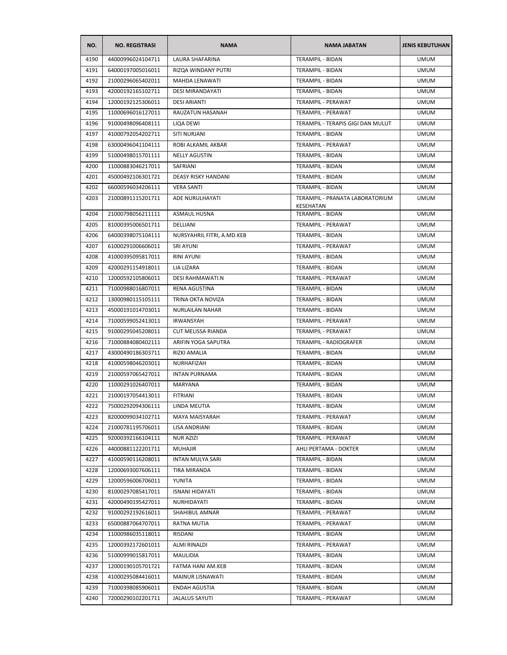| NO.  | <b>NO. REGISTRASI</b> | <b>NAMA</b>                | <b>NAMA JABATAN</b>               | <b>JENIS KEBUTUHAN</b> |
|------|-----------------------|----------------------------|-----------------------------------|------------------------|
| 4190 | 44000996024104711     | LAURA SHAFARINA            | <b>TERAMPIL - BIDAN</b>           | <b>UMUM</b>            |
| 4191 | 64000197005016011     | RIZQA WINDANY PUTRI        | TERAMPIL - BIDAN                  | <b>UMUM</b>            |
| 4192 | 21000296065402011     | <b>MAHDA LENAWATI</b>      | TERAMPIL - BIDAN                  | <b>UMUM</b>            |
| 4193 | 42000192165102711     | DESI MIRANDAYATI           | TERAMPIL - BIDAN                  | <b>UMUM</b>            |
| 4194 | 12000192125306011     | <b>DESI ARIANTI</b>        | TERAMPIL - PERAWAT                | <b>UMUM</b>            |
| 4195 | 11000696016127011     | RAUZATUN HASANAH           | TERAMPIL - PERAWAT                | <b>UMUM</b>            |
| 4196 | 91000498096408111     | LIQA DEWI                  | TERAMPIL - TERAPIS GIGI DAN MULUT | <b>UMUM</b>            |
| 4197 | 41000792054202711     | SITI NURJANI               | TERAMPIL - BIDAN                  | <b>UMUM</b>            |
| 4198 | 63000496041104111     | ROBI ALKAMIL AKBAR         | TERAMPIL - PERAWAT                | <b>UMUM</b>            |
| 4199 | 51000498015701111     | <b>NELLY AGUSTIN</b>       | TERAMPIL - BIDAN                  | <b>UMUM</b>            |
| 4200 | 11000883046217011     | SAFRIANI                   | TERAMPIL - BIDAN                  | <b>UMUM</b>            |
| 4201 | 45000492106301721     | DEASY RISKY HANDANI        | TERAMPIL - BIDAN                  | <b>UMUM</b>            |
| 4202 | 66000596034206111     | <b>VERA SANTI</b>          | TERAMPIL - BIDAN                  | <b>UMUM</b>            |
| 4203 | 21000891115201711     | ADE NURULHAYATI            | TERAMPIL - PRANATA LABORATORIUM   | <b>UMUM</b>            |
|      |                       |                            | KESEHATAN                         |                        |
| 4204 | 21000798056211111     | <b>ASMAUL HUSNA</b>        | TERAMPIL - BIDAN                  | <b>UMUM</b>            |
| 4205 | 81000395006501711     | DELLIANI                   | TERAMPIL - PERAWAT                | <b>UMUM</b>            |
| 4206 | 64000398075104111     | NURSYAHRIL FITRI, A.MD.KEB | TERAMPIL - BIDAN                  | <b>UMUM</b>            |
| 4207 | 61000291006606011     | <b>SRI AYUNI</b>           | TERAMPIL - PERAWAT                | <b>UMUM</b>            |
| 4208 | 41000395095817011     | <b>RINI AYUNI</b>          | <b>TERAMPIL - BIDAN</b>           | <b>UMUM</b>            |
| 4209 | 42000291154918011     | <b>LIA LIZARA</b>          | TERAMPIL - BIDAN                  | <b>UMUM</b>            |
| 4210 | 12000592105806011     | DESI RAHMAWATI.N           | TERAMPIL - PERAWAT                | <b>UMUM</b>            |
| 4211 | 71000988016807011     | RENA AGUSTINA              | TERAMPIL - BIDAN                  | <b>UMUM</b>            |
| 4212 | 13000980115105111     | TRINA OKTA NOVIZA          | TERAMPIL - BIDAN                  | <b>UMUM</b>            |
| 4213 | 45000191014703011     | <b>NURLAILAN NAHAR</b>     | TERAMPIL - BIDAN                  | <b>UMUM</b>            |
| 4214 | 71000599052413011     | <b>IRWANSYAH</b>           | TERAMPIL - PERAWAT                | <b>UMUM</b>            |
| 4215 | 91000295045208011     | CUT MELISSA RIANDA         | TERAMPIL - PERAWAT                | <b>UMUM</b>            |
| 4216 | 71000884080402111     | ARIFIN YOGA SAPUTRA        | TERAMPIL - RADIOGRAFER            | <b>UMUM</b>            |
| 4217 | 43000490186303711     | RIZKI AMALIA               | TERAMPIL - BIDAN                  | <b>UMUM</b>            |
| 4218 | 41000598046203011     | NURHAFIZAH                 | TERAMPIL - BIDAN                  | <b>UMUM</b>            |
| 4219 | 21000597065427011     | <b>INTAN PURNAMA</b>       | <b>TERAMPIL - BIDAN</b>           | <b>UMUM</b>            |
| 4220 | 11000291026407011     | MARYANA                    | TERAMPIL - BIDAN                  | <b>UMUM</b>            |
| 4221 | 21000197054413011     | <b>FITRIANI</b>            | TERAMPIL - BIDAN                  | <b>UMUM</b>            |
| 4222 | 75000292094306111     | LINDA MEUTIA               | TERAMPIL - BIDAN                  | <b>UMUM</b>            |
| 4223 | 82000099034102711     | MAYA MAISYARAH             | TERAMPIL - PERAWAT                | <b>UMUM</b>            |
| 4224 | 21000781195706011     | LISA ANDRIANI              | TERAMPIL - BIDAN                  | <b>UMUM</b>            |
| 4225 | 92000392166104111     | <b>NUR AZIZI</b>           | TERAMPIL - PERAWAT                | <b>UMUM</b>            |
| 4226 | 44000881122201711     | <b>MUHAJIR</b>             | AHLI PERTAMA - DOKTER             | <b>UMUM</b>            |
| 4227 | 41000590116208011     | INTAN MULYA SARI           | TERAMPIL - BIDAN                  | <b>UMUM</b>            |
| 4228 | 12000693007606111     | TIRA MIRANDA               | TERAMPIL - BIDAN                  | <b>UMUM</b>            |
| 4229 | 12000596006706011     | YUNITA                     | TERAMPIL - BIDAN                  | <b>UMUM</b>            |
| 4230 | 81000297085417011     | <b>ISNANI HIDAYATI</b>     | TERAMPIL - BIDAN                  | <b>UMUM</b>            |
| 4231 | 42000490195427011     | NURHIDAYATI                | TERAMPIL - BIDAN                  | <b>UMUM</b>            |
| 4232 | 91000292192616011     | SHAHIBUL AMNAR             | TERAMPIL - PERAWAT                | <b>UMUM</b>            |
| 4233 | 65000887064707011     | RATNA MUTIA                | TERAMPIL - PERAWAT                | <b>UMUM</b>            |
| 4234 | 11000986035118011     | RISDANI                    | TERAMPIL - BIDAN                  | <b>UMUM</b>            |
| 4235 | 12000392172601011     | ALMI RINALDI               | TERAMPIL - PERAWAT                | <b>UMUM</b>            |
| 4236 | 51000999015817011     | MAULIDIA                   | TERAMPIL - BIDAN                  | <b>UMUM</b>            |
| 4237 | 12000190105701721     | FATMA HANI AM.KEB          | TERAMPIL - BIDAN                  | <b>UMUM</b>            |
| 4238 | 41000295084416011     | MAINUR LISNAWATI           | TERAMPIL - BIDAN                  | <b>UMUM</b>            |
| 4239 | 71000398085906011     | <b>ENDAH AGUSTIA</b>       | TERAMPIL - BIDAN                  | <b>UMUM</b>            |
| 4240 | 72000290102201711     | <b>JALALUS SAYUTI</b>      | TERAMPIL - PERAWAT                | <b>UMUM</b>            |